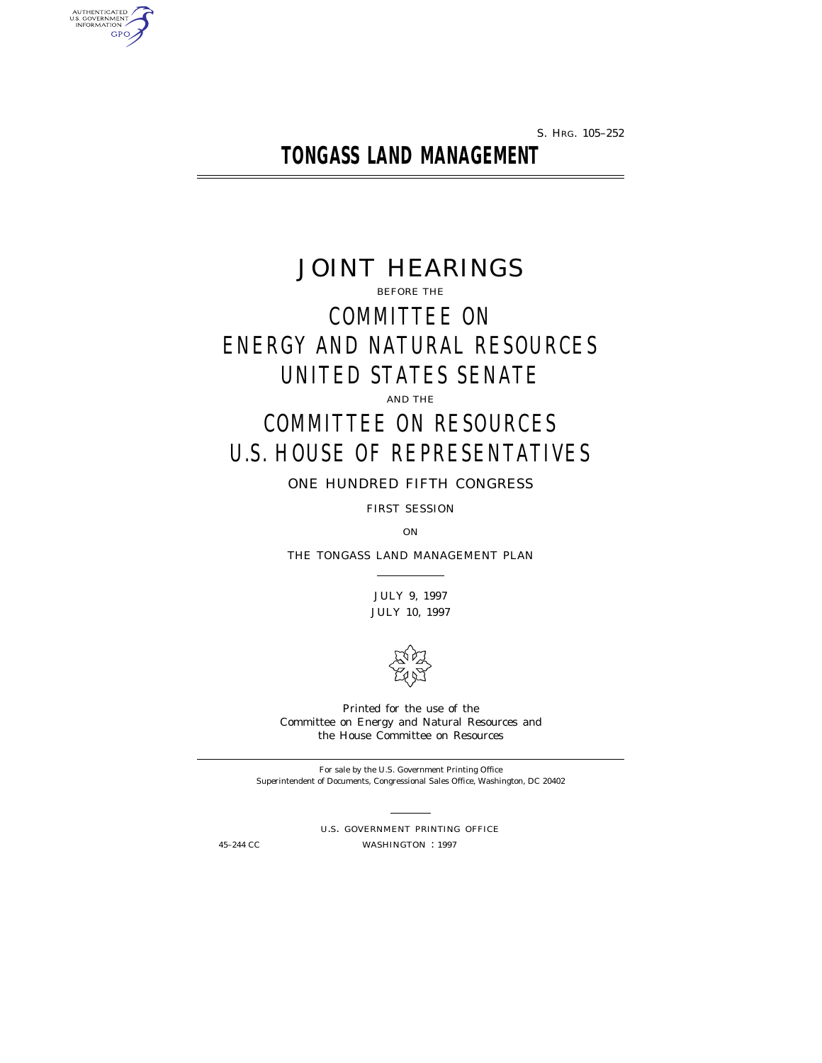S. HRG. 105–252

**TONGASS LAND MANAGEMENT**

JOINT HEARINGS BEFORE THE COMMITTEE ON ENERGY AND NATURAL RESOURCES UNITED STATES SENATE AND THE

# COMMITTEE ON RESOURCES U.S. HOUSE OF REPRESENTATIVES

ONE HUNDRED FIFTH CONGRESS

FIRST SESSION

ON

THE TONGASS LAND MANAGEMENT PLAN

JULY 9, 1997 JULY 10, 1997



Printed for the use of the Committee on Energy and Natural Resources and the House Committee on Resources

For sale by the U.S. Government Printing Office Superintendent of Documents, Congressional Sales Office, Washington, DC 20402

U.S. GOVERNMENT PRINTING OFFICE 45-244 CC WASHINGTON : 1997

AUTHENTICATED<br>U.S. GOVERNMENT<br>INFORMATION **GPO**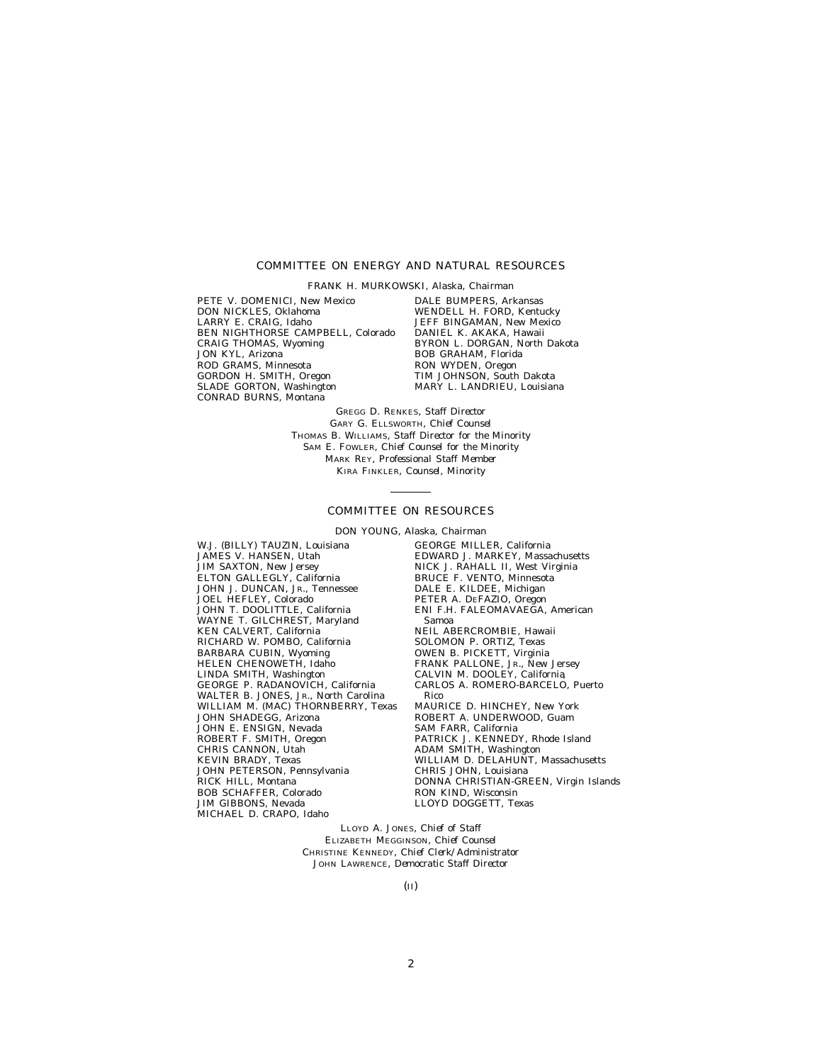#### COMMITTEE ON ENERGY AND NATURAL RESOURCES

FRANK H. MURKOWSKI, Alaska, *Chairman*

PETE V. DOMENICI, New Mexico DON NICKLES, Oklahoma LARRY E. CRAIG, Idaho BEN NIGHTHORSE CAMPBELL, Colorado CRAIG THOMAS, Wyoming JON KYL, Arizona ROD GRAMS, Minnesota GORDON H. SMITH, Oregon SLADE GORTON, Washington CONRAD BURNS, Montana

DALE BUMPERS, Arkansas WENDELL H. FORD, Kentucky JEFF BINGAMAN, New Mexico DANIEL K. AKAKA, Hawaii BYRON L. DORGAN, North Dakota BOB GRAHAM, Florida RON WYDEN, Oregon TIM JOHNSON, South Dakota MARY L. LANDRIEU, Louisiana

GREGG D. RENKES, *Staff Director* GARY G. ELLSWORTH, *Chief Counsel* THOMAS B. WILLIAMS, *Staff Director for the Minority* SAM E. FOWLER, *Chief Counsel for the Minority* MARK REY, *Professional Staff Member* KIRA FINKLER, *Counsel, Minority*

#### COMMITTEE ON RESOURCES

DON YOUNG, Alaska, *Chairman*

W.J. (BILLY) TAUZIN, Louisiana JAMES V. HANSEN, Utah JIM SAXTON, New Jersey ELTON GALLEGLY, California JOHN J. DUNCAN, JR., Tennessee JOEL HEFLEY, Colorado JOHN T. DOOLITTLE, California WAYNE T. GILCHREST, Maryland KEN CALVERT, California RICHARD W. POMBO, California BARBARA CUBIN, Wyoming HELEN CHENOWETH, Idaho LINDA SMITH, Washington GEORGE P. RADANOVICH, California WALTER B. JONES, JR., North Carolina WILLIAM M. (MAC) THORNBERRY, Texas JOHN SHADEGG, Arizona JOHN E. ENSIGN, Nevada ROBERT F. SMITH, Oregon CHRIS CANNON, Utah KEVIN BRADY, Texas JOHN PETERSON, Pennsylvania RICK HILL, Montana BOB SCHAFFER, Colorado JIM GIBBONS, Nevada MICHAEL D. CRAPO, Idaho

GEORGE MILLER, California EDWARD J. MARKEY, Massachusetts NICK J. RAHALL II, West Virginia BRUCE F. VENTO, Minnesota DALE E. KILDEE, Michigan PETER A. DEFAZIO, Oregon ENI F.H. FALEOMAVAEGA, American Samoa NEIL ABERCROMBIE, Hawaii SOLOMON P. ORTIZ, Texas OWEN B. PICKETT, Virginia FRANK PALLONE, JR., New Jersey CALVIN M. DOOLEY, California CARLOS A. ROMERO-BARCELO´ , Puerto Rico MAURICE D. HINCHEY, New York ROBERT A. UNDERWOOD, Guam SAM FARR, California PATRICK J. KENNEDY, Rhode Island ADAM SMITH, Washington WILLIAM D. DELAHUNT, Massachusetts CHRIS JOHN, Louisiana DONNA CHRISTIAN-GREEN, Virgin Islands RON KIND, Wisconsin LLOYD DOGGETT, Texas

LLOYD A. JONES, *Chief of Staff* ELIZABETH MEGGINSON, *Chief Counsel* CHRISTINE KENNEDY, *Chief Clerk/Administrator* JOHN LAWRENCE, *Democratic Staff Director*

(II)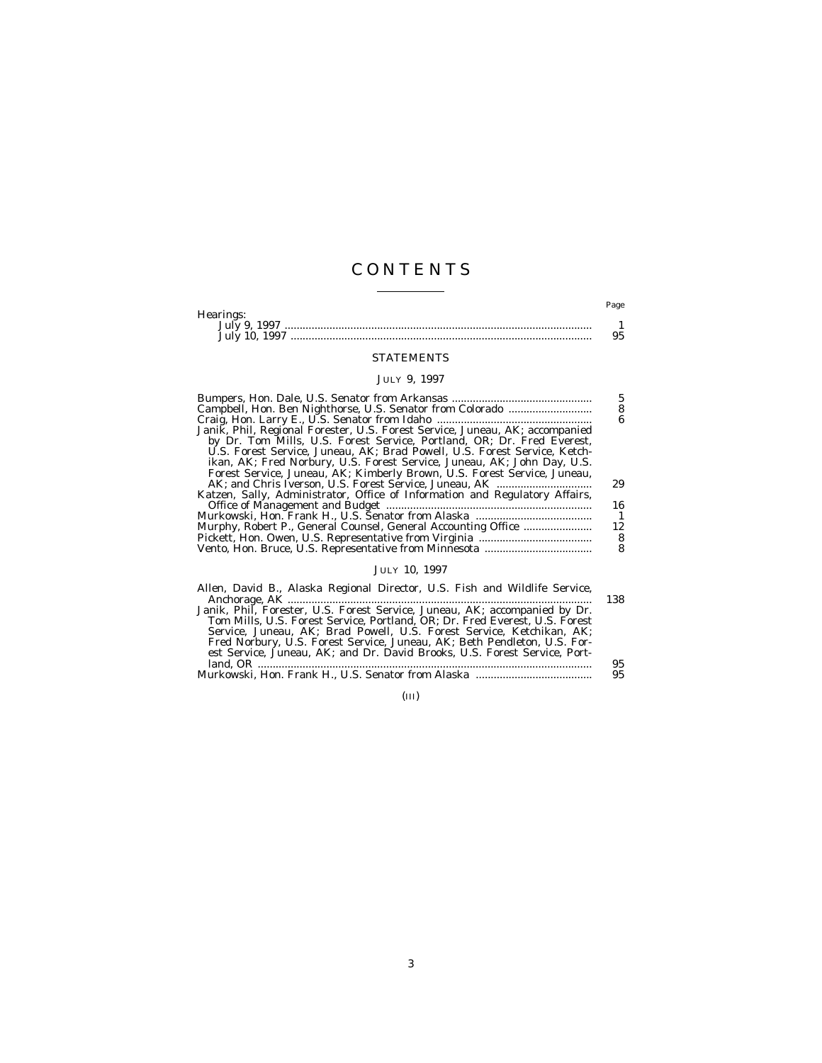## C O N T E N T S

|                | Page |
|----------------|------|
| Hearings:      |      |
| July 9<br>1007 |      |
| July 10, 1997  |      |

## STATEMENTS

## JULY 9, 1997

|                                                                              | 5  |
|------------------------------------------------------------------------------|----|
|                                                                              | 8  |
|                                                                              | 6  |
| Janik, Phil, Regional Forester, U.S. Forest Service, Juneau, AK; accompanied |    |
| by Dr. Tom Mills, U.S. Forest Service, Portland, OR; Dr. Fred Everest,       |    |
| U.S. Forest Service, Juneau, AK; Brad Powell, U.S. Forest Service, Ketch-    |    |
| ikan, AK; Fred Norbury, U.S. Forest Service, Juneau, AK; John Day, U.S.      |    |
| Forest Service, Juneau, AK; Kimberly Brown, U.S. Forest Service, Juneau,     |    |
|                                                                              | 29 |
| Katzen, Sally, Administrator, Office of Information and Regulatory Affairs,  |    |
|                                                                              | 16 |
|                                                                              | -1 |
|                                                                              | 12 |
|                                                                              | 8  |
|                                                                              |    |
|                                                                              |    |

## JULY 10, 1997

| Allen, David B., Alaska Regional Director, U.S. Fish and Wildlife Service,  |     |
|-----------------------------------------------------------------------------|-----|
|                                                                             | 138 |
| Janik, Phil, Forester, U.S. Forest Service, Juneau, AK; accompanied by Dr.  |     |
| Tom Mills. U.S. Forest Service. Portland. OR: Dr. Fred Everest. U.S. Forest |     |
| Service, Juneau, AK; Brad Powell, U.S. Forest Service, Ketchikan, AK;       |     |
| Fred Norbury, U.S. Forest Service, Juneau, AK; Beth Pendleton, U.S. For-    |     |
| est Service, Juneau, AK; and Dr. David Brooks, U.S. Forest Service, Port-   |     |
|                                                                             | 95  |
|                                                                             | 95  |
|                                                                             |     |

(III)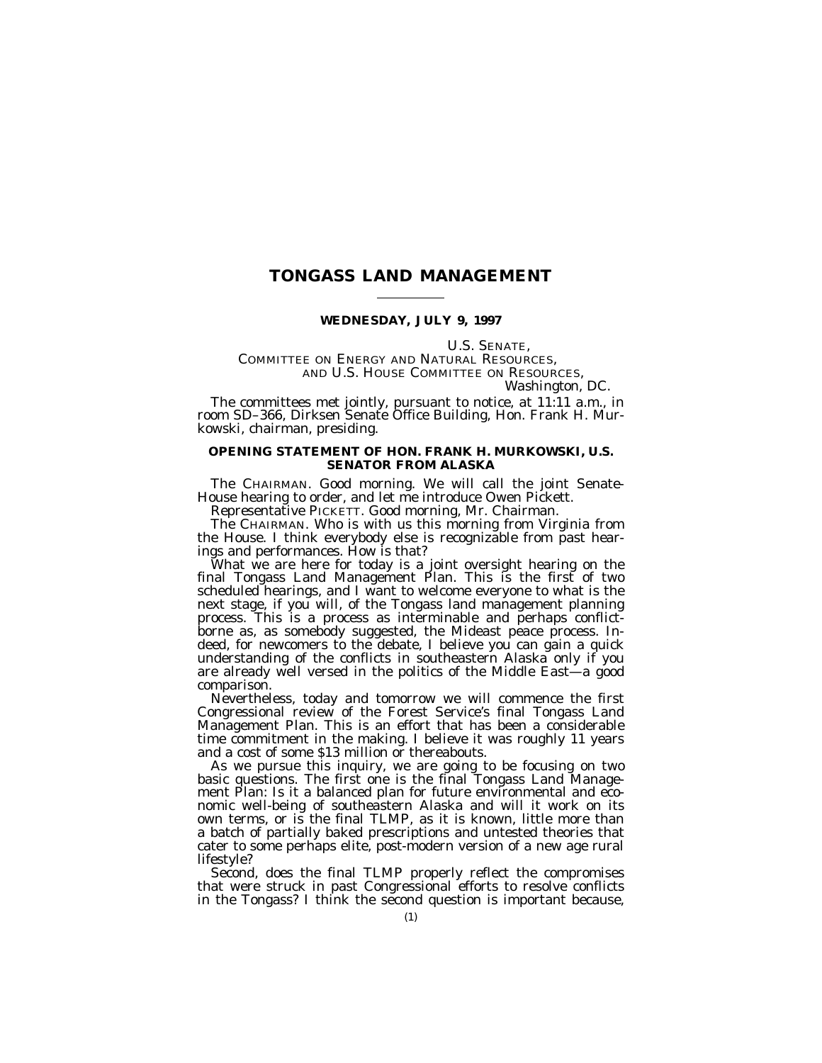## **TONGASS LAND MANAGEMENT**

#### **WEDNESDAY, JULY 9, 1997**

U.S. SENATE,<br>COMMITTEE ON ENERGY AND NATURAL RESOURCES, AND U.S. HOUSE COMMITTEE ON RESOURCES, *Washington, DC.*

The committees met jointly, pursuant to notice, at 11:11 a.m., in room SD–366, Dirksen Senate Office Building, Hon. Frank H. Murkowski, chairman, presiding.

## **OPENING STATEMENT OF HON. FRANK H. MURKOWSKI, U.S. SENATOR FROM ALASKA**

The CHAIRMAN. Good morning. We will call the joint Senate-House hearing to order, and let me introduce Owen Pickett.

Representative PICKETT. Good morning, Mr. Chairman.

The CHAIRMAN. Who is with us this morning from Virginia from the House. I think everybody else is recognizable from past hearings and performances. How is that?

What we are here for today is a joint oversight hearing on the final Tongass Land Management Plan. This is the first of two scheduled hearings, and I want to welcome everyone to what is the next stage, if you will, of the Tongass land management planning process. This is a process as interminable and perhaps conflictborne as, as somebody suggested, the Mideast peace process. Indeed, for newcomers to the debate, I believe you can gain a quick understanding of the conflicts in southeastern Alaska only if you are already well versed in the politics of the Middle East-a good comparison.

Nevertheless, today and tomorrow we will commence the first Congressional review of the Forest Service's final Tongass Land Management Plan. This is an effort that has been a considerable time commitment in the making. I believe it was roughly 11 years and a cost of some \$13 million or thereabouts.

As we pursue this inquiry, we are going to be focusing on two basic questions. The first one is the final Tongass Land Management Plan: Is it a balanced plan for future environmental and economic well-being of southeastern Alaska and will it work on its own terms, or is the final TLMP, as it is known, little more than a batch of partially baked prescriptions and untested theories that cater to some perhaps elite, post-modern version of a new age rural lifestyle?

Second, does the final TLMP properly reflect the compromises that were struck in past Congressional efforts to resolve conflicts in the Tongass? I think the second question is important because,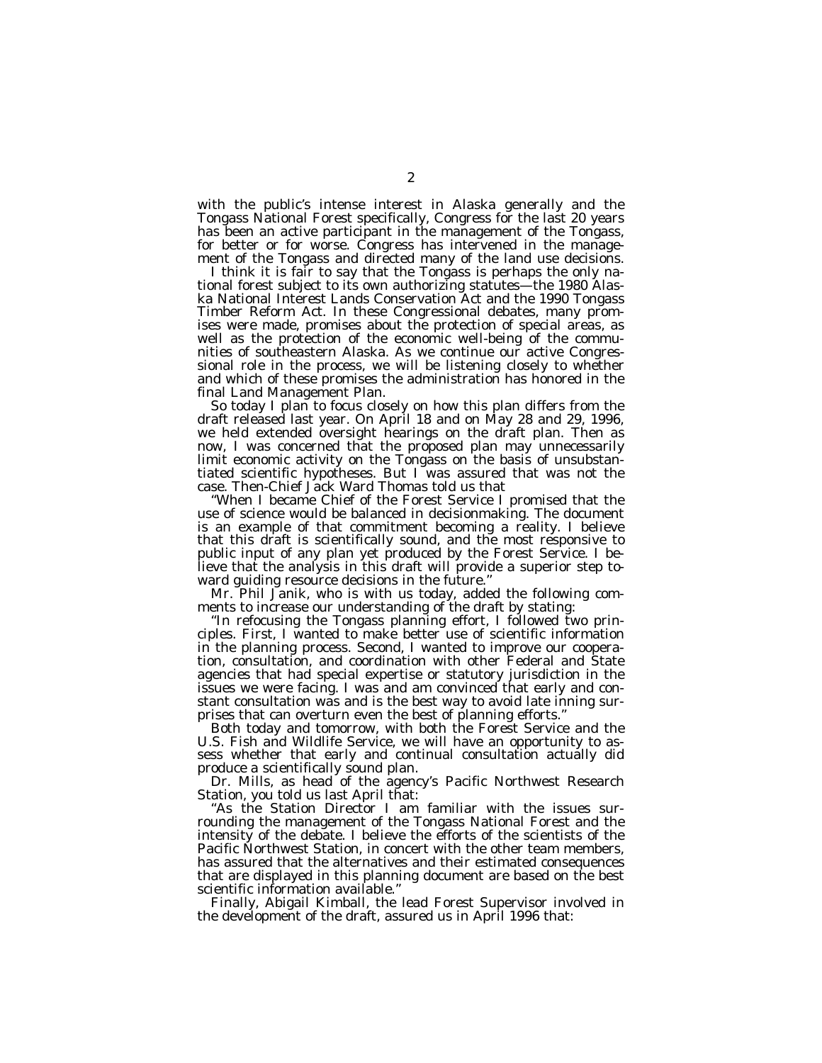with the public's intense interest in Alaska generally and the Tongass National Forest specifically, Congress for the last 20 years has been an active participant in the management of the Tongass, for better or for worse. Congress has intervened in the management of the Tongass and directed many of the land use decisions.

I think it is fair to say that the Tongass is perhaps the only national forest subject to its own authorizing statutes—the 1980 Alaska National Interest Lands Conservation Act and the 1990 Tongass Timber Reform Act. In these Congressional debates, many promises were made, promises about the protection of special areas, as well as the protection of the economic well-being of the communities of southeastern Alaska. As we continue our active Congressional role in the process, we will be listening closely to whether and which of these promises the administration has honored in the final Land Management Plan.

So today I plan to focus closely on how this plan differs from the draft released last year. On April 18 and on May 28 and 29, 1996, we held extended oversight hearings on the draft plan. Then as now, I was concerned that the proposed plan may unnecessarily limit economic activity on the Tongass on the basis of unsubstantiated scientific hypotheses. But I was assured that was not the case. Then-Chief Jack Ward Thomas told us that

''When I became Chief of the Forest Service I promised that the use of science would be balanced in decisionmaking. The document is an example of that commitment becoming a reality. I believe that this draft is scientifically sound, and the most responsive to public input of any plan yet produced by the Forest Service. I believe that the analysis in this draft will provide a superior step toward guiding resource decisions in the future.''

Mr. Phil Janik, who is with us today, added the following comments to increase our understanding of the draft by stating:

''In refocusing the Tongass planning effort, I followed two principles. First, I wanted to make better use of scientific information in the planning process. Second, I wanted to improve our cooperation, consultation, and coordination with other Federal and State agencies that had special expertise or statutory jurisdiction in the issues we were facing. I was and am convinced that early and constant consultation was and is the best way to avoid late inning surprises that can overturn even the best of planning efforts.''

Both today and tomorrow, with both the Forest Service and the U.S. Fish and Wildlife Service, we will have an opportunity to assess whether that early and continual consultation actually did produce a scientifically sound plan.

Dr. Mills, as head of the agency's Pacific Northwest Research Station, you told us last April that:

''As the Station Director I am familiar with the issues surrounding the management of the Tongass National Forest and the intensity of the debate. I believe the efforts of the scientists of the Pacific Northwest Station, in concert with the other team members, has assured that the alternatives and their estimated consequences that are displayed in this planning document are based on the best scientific information available.''

Finally, Abigail Kimball, the lead Forest Supervisor involved in the development of the draft, assured us in April 1996 that: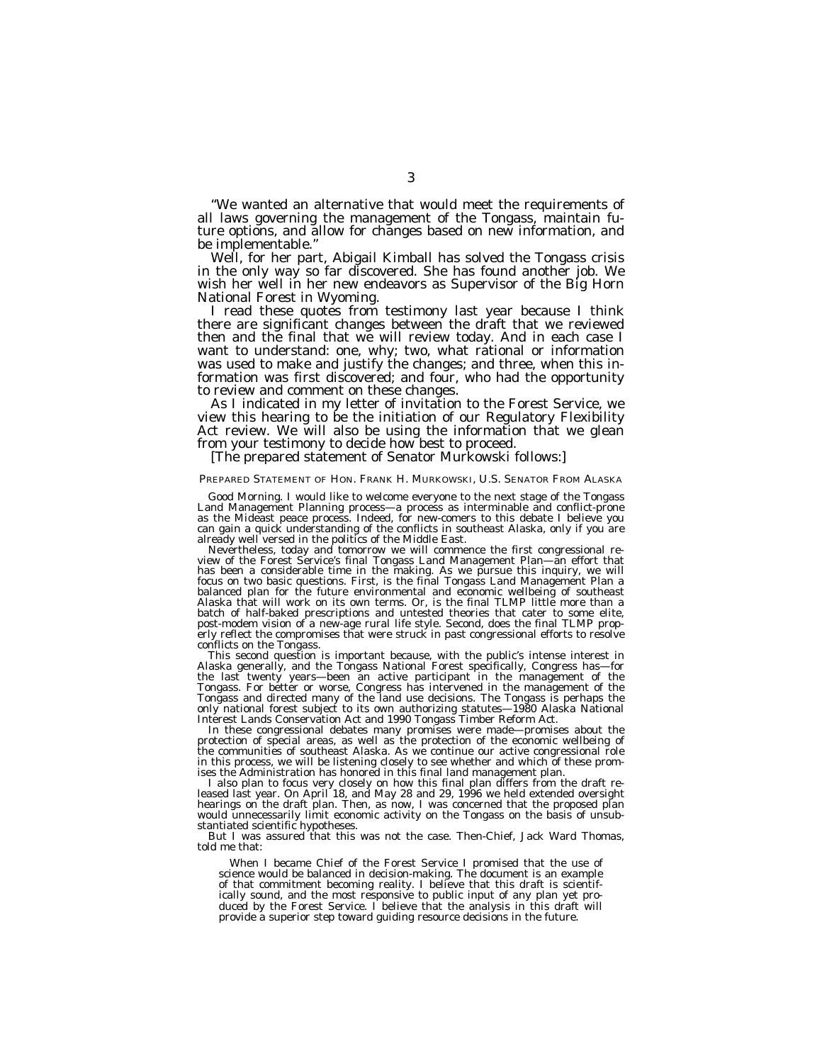''We wanted an alternative that would meet the requirements of all laws governing the management of the Tongass, maintain future options, and allow for changes based on new information, and be implementable."<br>Well, for her part, Abigail Kimball has solved the Tongass crisis

in the only way so far discovered. She has found another job. We wish her well in her new endeavors as Supervisor of the Big Horn<br>National Forest in Wyoming.

I read these quotes from testimony last year because I think there are significant changes between the draft that we reviewed then and the final that we will review today. And in each case I want to understand: one, why; two, what rational or information was used to make and justify the changes; and three, when this information was first discovered; and four, who had the opportunity

As I indicated in my letter of invitation to the Forest Service, we view this hearing to be the initiation of our Regulatory Flexibility Act review. We will also be using the information that we glean<br>from your testimony to decide how best to proceed.

## [The prepared statement of Senator Murkowski follows:]

#### PREPARED STATEMENT OF HON. FRANK H. MURKOWSKI, U.S. SENATOR FROM ALASKA

Good Morning. I would like to welcome everyone to the next stage of the Tongass<br>Land Management Planning process—a process as interminable and conflict-prone<br>as the Mideast peace process. Indeed, for new-comers to this deb

has been a considerable time in the making. As we pursue this inquiry, we will focus on two basic questions. First, is the final Tongass Land Management Plan a balanced plan for the future environmental and economic wellbeing of southeast Alaska that will work on its own terms. Or, is the final TLMP little more than a batch of half-baked prescriptions and untested theories that cater to some elite, post-modem vision of a new-age rural life style. Second, does the final TLMP prop-erly reflect the compromises that were struck in past congressional efforts to resolve conflicts on the Tongass.<br>This second question is important because, with the public's intense interest in

Alaska generally, and the Tongass National Forest specifically, Congress has—for the last twenty years—been an active participant in the management of the Tongass. For better or worse, Congress has intervened in the management of the<br>Tongass and directed many of the land use decisions. The Tongass is perhaps the For subset only national forest subject to its own authorizing statutes—1980 Alaska National<br>Interest Lands Conservation Act and 1990 Tongass Timber Reform Act.

In these congressional debates many promises were made—promises about the<br>protection of special areas, as well as the protection of the economic wellbeing of the communities of southeast Alaska. As we continue our active congressional role in this process, we will be listening closely to see whether and which of these prom-<br>ises the Administration has honored in this final land management plan.

ises the Administration has honored in this final land management plan.<br>I also plan to focus very closely on how this final plan differs from the draft re-<br>leased last year. On April 18, and May 28 and 29, 1996 we held ext would unnecessarily limit economic activity on the Tongass on the basis of unsubstantiated scientific hypotheses.

But I was assured that this was not the case. Then-Chief, Jack Ward Thomas, told me that:

When I became Chief of the Forest Service I promised that the use of science would be balanced in decision-making. The document is an example of that commitment becoming reality. I believe that this draft is scientifically sound, and the most responsive to public input of any plan yet pro-duced by the Forest Service. I believe that the analysis in this draft will provide a superior step toward guiding resource decisions in the future.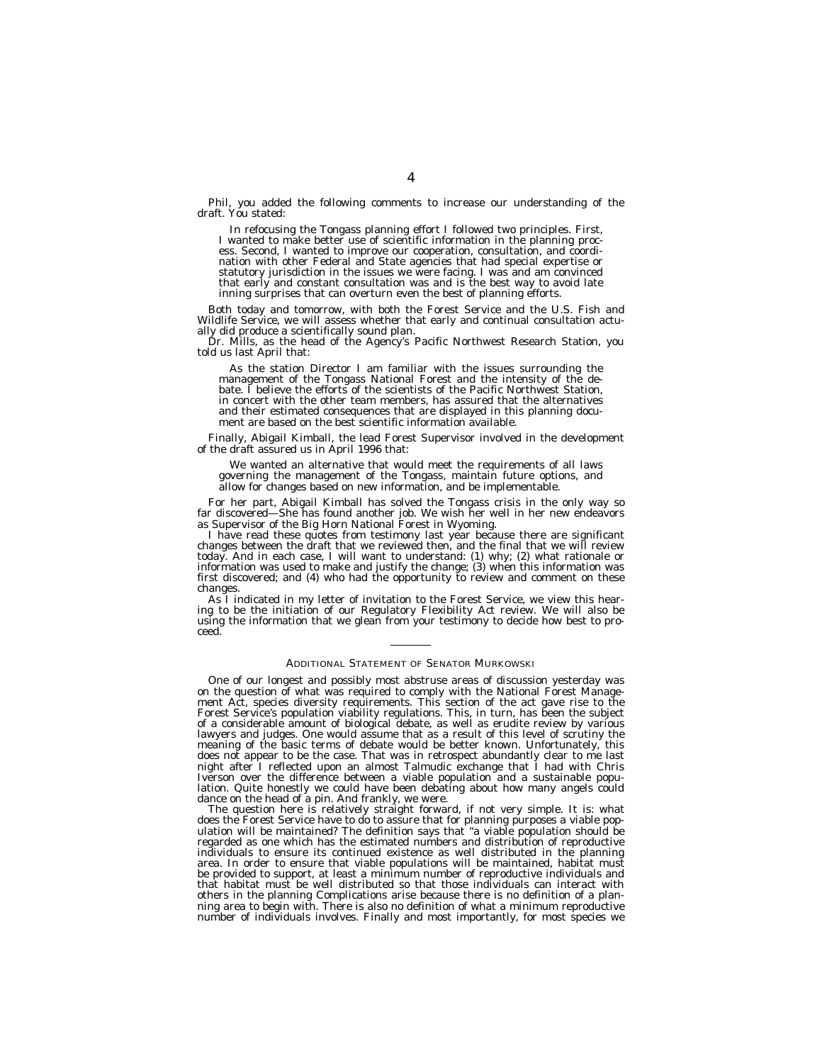Phil, you added the following comments to increase our understanding of the draft. You stated:

In refocusing the Tongass planning effort I followed two principles. First, I wanted to make better use of scientific information in the planning process. Second, I wanted to improve our cooperation, consultation, and coordination with other Federal and State agencies that had special expertise or statutory jurisdiction in the issues we were facing. I was and am convinced that early and constant consultation was and is the best way to avoid late inning surprises that can overturn even the best of planning efforts.

Both today and tomorrow, with both the Forest Service and the U.S. Fish and Wildlife Service, we will assess whether that early and continual consultation actually did produce a scientifically sound plan.

Dr. Mills, as the head of the Agency's Pacific Northwest Research Station, you told us last April that:

As the station Director I am familiar with the issues surrounding the management of the Tongass National Forest and the intensity of the debate. I believe the efforts of the scientists of the Pacific Northwest Station, in concert with the other team members, has assured that the alternatives and their estimated consequences that are displayed in this planning document are based on the best scientific information available.

Finally, Abigail Kimball, the lead Forest Supervisor involved in the development of the draft assured us in April 1996 that:

We wanted an alternative that would meet the requirements of all laws governing the management of the Tongass, maintain future options, and allow for changes based on new information, and be implementable.

For her part, Abigail Kimball has solved the Tongass crisis in the only way so far discovered—She has found another job. We wish her well in her new endeavors as Supervisor of the Big Horn National Forest in Wyoming.

I have read these quotes from testimony last year because there are significant changes between the draft that we reviewed then, and the final that we will review today. And in each case, I will want to understand: (1) why; (2) what rationale or information was used to make and justify the change; (3) when this information was first discovered; and (4) who had the opportunity to review and comment on these changes.

As I indicated in my letter of invitation to the Forest Service, we view this hearing to be the initiation of our Regulatory Flexibility Act review. We will also be using the information that we glean from your testimony to decide how best to proceed.

#### ADDITIONAL STATEMENT OF SENATOR MURKOWSKI

One of our longest and possibly most abstruse areas of discussion yesterday was on the question of what was required to comply with the National Forest Management Act, species diversity requirements. This section of the act gave rise to the Forest Service's population viability regulations. This, in turn, has been the subject of a considerable amount of biological debate, as well as erudite review by various lawyers and judges. One would assume that as a result of this level of scrutiny the meaning of the basic terms of debate would be better known. Unfortunately, this does not appear to be the case. That was in retrospect abundantly clear to me last night after I reflected upon an almost Talmudic exchange that I had with Chris Iverson over the difference between a viable population and a sustainable population. Quite honestly we could have been debating about how many angels could dance on the head of a pin. And frankly, we were.

The question here is relatively straight forward, if not very simple. It is: what does the Forest Service have to do to assure that for planning purposes a viable population will be maintained? The definition says that ''a viable population should be regarded as one which has the estimated numbers and distribution of reproductive individuals to ensure its continued existence as well distributed in the planning area. In order to ensure that viable populations will be maintained, habitat must be provided to support, at least a minimum number of reproductive individuals and that habitat must be well distributed so that those individuals can interact with others in the planning Complications arise because there is no definition of a planning area to begin with. There is also no definition of what a minimum reproductive number of individuals involves. Finally and most importantly, for most species we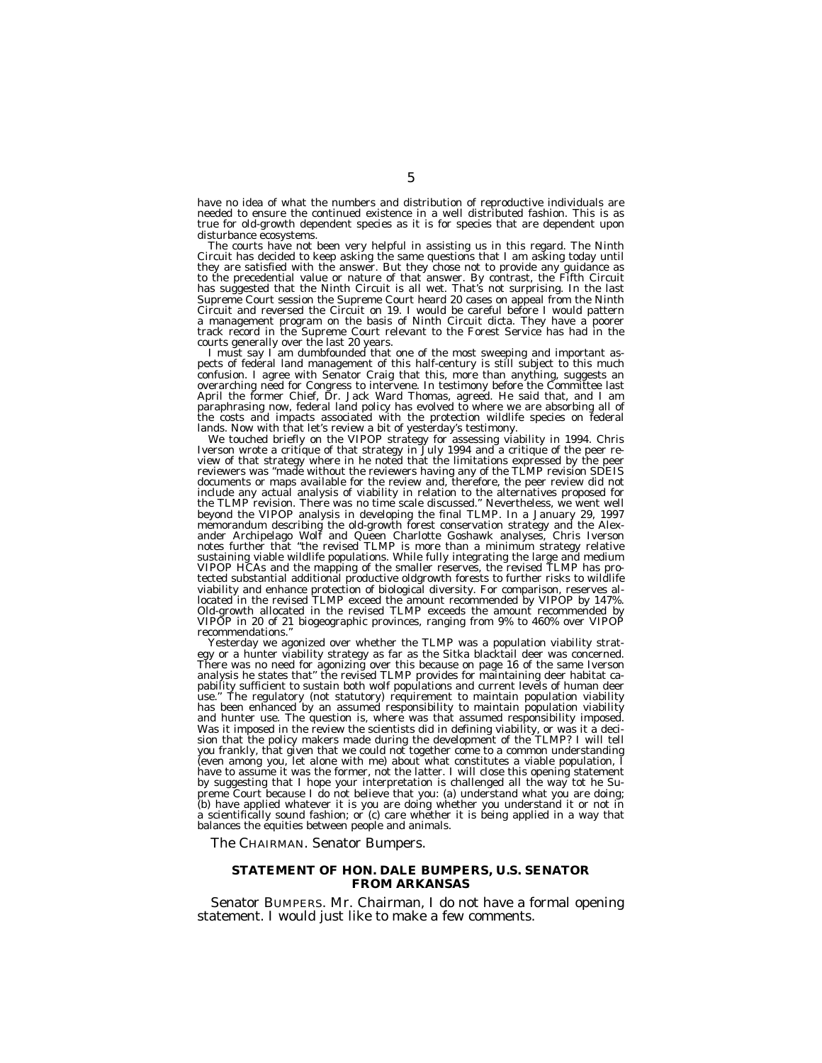have no idea of what the numbers and distribution of reproductive individuals are needed to ensure the continued existence in a well distributed fashion. This is as true for old-growth dependent species as it is for species that are dependent upon disturbance ecosystems.

The courts have not been very helpful in assisting us in this regard. The Ninth Circuit has decided to keep asking the same questions that I am asking today until they are satisfied with the answer. But they chose not to provide any guidance as to the precedential value or nature of that answer. By contrast, the Fifth Circuit has suggested that the Ninth Circuit is all wet. That's not surprising. In the last Supreme Court session the Supreme Court heard 20 cases on appeal from the Ninth Circuit and reversed the Circuit on 19. I would be careful before I would pattern a management program on the basis of Ninth Circuit dicta. They have a poorer track record in the Supreme Court relevant to the Forest Service has had in the courts generally over the last 20 years.

I must say I am dumbfounded that one of the most sweeping and important aspects of federal land management of this half-century is still subject to this much confusion. I agree with Senator Craig that this, more than anything, suggests an overarching need for Congress to intervene. In testimony before the Committee last April the former Chief, Dr. Jack Ward Thomas, agreed. He said that, and I am paraphrasing now, federal land policy has evolved to where we are absorbing all of the costs and impacts associated with the protection wildlife species on federal lands. Now with that let's review a bit of yesterday's testimony.

We touched briefly on the VIPOP strategy for assessing viability in 1994. Chris Iverson wrote a critique of that strategy in July 1994 and a critique of the peer review of that strategy where in he noted that the limitations expressed by the peer reviewers was ''made without the reviewers having any of the TLMP revision SDEIS documents or maps available for the review and, therefore, the peer review did not include any actual analysis of viability in relation to the alternatives proposed for the TLMP revision. There was no time scale discussed.'' Nevertheless, we went well beyond the VIPOP analysis in developing the final TLMP. In a January 29, 1997 memorandum describing the old-growth forest conservation strategy and the Alexander Archipelago Wolf and Queen Charlotte Goshawk analyses, Chris Iverson notes further that ''the revised TLMP is more than a minimum strategy relative sustaining viable wildlife populations. While fully integrating the large and medium VIPOP HCAs and the mapping of the smaller reserves, the revised TLMP has protected substantial additional productive oldgrowth forests to further risks to wildlife viability and enhance protection of biological diversity. For comparison, reserves allocated in the revised TLMP exceed the amount recommended by VIPOP by 147%. Old-growth allocated in the revised TLMP exceeds the amount recommended by VIPOP in 20 of 21 biogeographic provinces, ranging from 9% to 460% over VIPOP recommendations.''

Yesterday we agonized over whether the TLMP was a population viability strategy or a hunter viability strategy as far as the Sitka blacktail deer was concerned. There was no need for agonizing over this because on page 16 of the same Iverson analysis he states that'' the revised TLMP provides for maintaining deer habitat capability sufficient to sustain both wolf populations and current levels of human deer use.'' The regulatory (not statutory) requirement to maintain population viability has been enhanced by an assumed responsibility to maintain population viability and hunter use. The question is, where was that assumed responsibility imposed. Was it imposed in the review the scientists did in defining viability, or was it a decision that the policy makers made during the development of the TLMP? I will tell you frankly, that given that we could not together come to a common understanding (even among you, let alone with me) about what constitutes a viable population, I have to assume it was the former, not the latter. I will close this opening statement by suggesting that I hope your interpretation is challenged all the way tot he Supreme Court because I do not believe that you: (a) understand what you are doing; (b) have applied whatever it is you are doing whether you understand it or not in a scientifically sound fashion; or (c) care whether it is being applied in a way that balances the equities between people and animals.

The CHAIRMAN. Senator Bumpers.

## **STATEMENT OF HON. DALE BUMPERS, U.S. SENATOR FROM ARKANSAS**

Senator BUMPERS. Mr. Chairman, I do not have a formal opening statement. I would just like to make a few comments.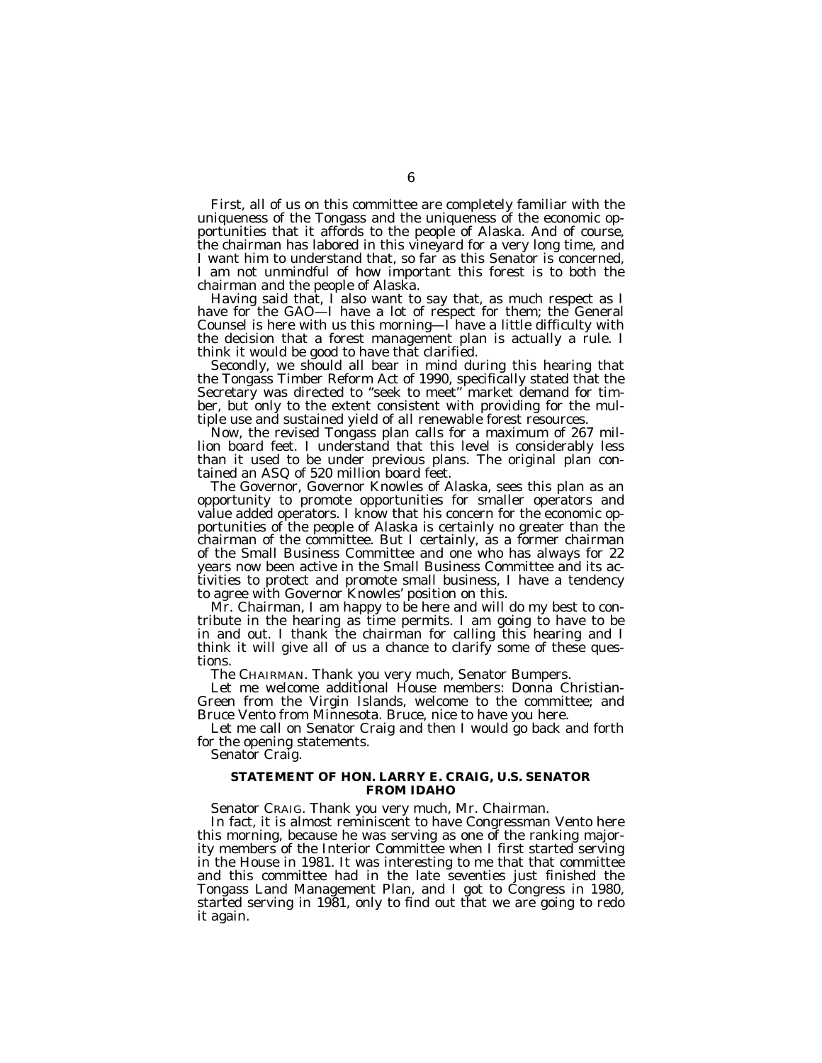First, all of us on this committee are completely familiar with the uniqueness of the Tongass and the uniqueness of the economic opportunities that it affords to the people of Alaska. And of course, the chairman has labored in this vineyard for a very long time, and I want him to understand that, so far as this Senator is concerned, I am not unmindful of how important this forest is to both the chairman and the people of Alaska.

Having said that, I also want to say that, as much respect as I have for the GAO—I have a lot of respect for them; the General Counsel is here with us this morning—I have a little difficulty with the decision that a forest management plan is actually a rule. I think it would be good to have that clarified.

Secondly, we should all bear in mind during this hearing that the Tongass Timber Reform Act of 1990, specifically stated that the Secretary was directed to "seek to meet" market demand for timber, but only to the extent consistent with providing for the multiple use and sustained yield of all renewable forest resources.

Now, the revised Tongass plan calls for a maximum of 267 million board feet. I understand that this level is considerably less than it used to be under previous plans. The original plan contained an ASQ of 520 million board feet.

The Governor, Governor Knowles of Alaska, sees this plan as an opportunity to promote opportunities for smaller operators and value added operators. I know that his concern for the economic opportunities of the people of Alaska is certainly no greater than the chairman of the committee. But I certainly, as a former chairman of the Small Business Committee and one who has always for 22 years now been active in the Small Business Committee and its activities to protect and promote small business, I have a tendency to agree with Governor Knowles' position on this.

Mr. Chairman, I am happy to be here and will do my best to contribute in the hearing as time permits. I am going to have to be in and out. I thank the chairman for calling this hearing and I think it will give all of us a chance to clarify some of these questions.

The CHAIRMAN. Thank you very much, Senator Bumpers.

Let me welcome additional House members: Donna Christian-Green from the Virgin Islands, welcome to the committee; and Bruce Vento from Minnesota. Bruce, nice to have you here.

Let me call on Senator Craig and then I would go back and forth for the opening statements.

Senator Craig.

#### **STATEMENT OF HON. LARRY E. CRAIG, U.S. SENATOR FROM IDAHO**

Senator CRAIG. Thank you very much, Mr. Chairman.

In fact, it is almost reminiscent to have Congressman Vento here this morning, because he was serving as one of the ranking majority members of the Interior Committee when I first started serving in the House in 1981. It was interesting to me that that committee and this committee had in the late seventies just finished the Tongass Land Management Plan, and I got to Congress in 1980, started serving in 1981, only to find out that we are going to redo it again.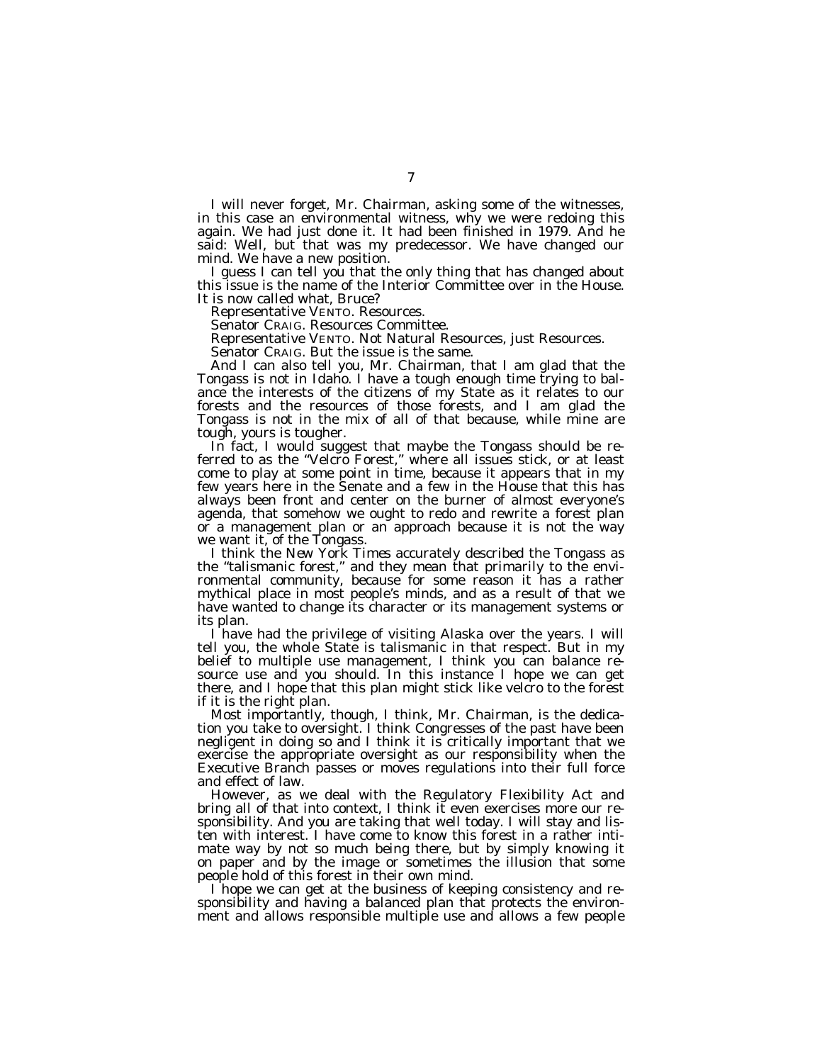I will never forget, Mr. Chairman, asking some of the witnesses, in this case an environmental witness, why we were redoing this again. We had just done it. It had been finished in 1979. And he said: Well, but that was my predecessor. We have changed our mind. We have a new position.

I guess I can tell you that the only thing that has changed about this issue is the name of the Interior Committee over in the House. It is now called what, Bruce?

Representative VENTO. Resources.

Senator CRAIG. Resources Committee.

Representative VENTO. Not Natural Resources, just Resources.

Senator CRAIG. But the issue is the same.

And I can also tell you, Mr. Chairman, that I am glad that the Tongass is not in Idaho. I have a tough enough time trying to balance the interests of the citizens of my State as it relates to our forests and the resources of those forests, and I am glad the Tongass is not in the mix of all of that because, while mine are tough, yours is tougher.

In fact, I would suggest that maybe the Tongass should be referred to as the ''Velcro Forest,'' where all issues stick, or at least come to play at some point in time, because it appears that in my few years here in the Senate and a few in the House that this has always been front and center on the burner of almost everyone's agenda, that somehow we ought to redo and rewrite a forest plan or a management plan or an approach because it is not the way we want it, of the Tongass.

I think the *New York Times* accurately described the Tongass as the ''talismanic forest,'' and they mean that primarily to the environmental community, because for some reason it has a rather mythical place in most people's minds, and as a result of that we have wanted to change its character or its management systems or its plan.

I have had the privilege of visiting Alaska over the years. I will tell you, the whole State is talismanic in that respect. But in my belief to multiple use management, I think you can balance resource use and you should. In this instance I hope we can get there, and I hope that this plan might stick like velcro to the forest if it is the right plan.

Most importantly, though, I think, Mr. Chairman, is the dedication you take to oversight. I think Congresses of the past have been negligent in doing so and I think it is critically important that we exercise the appropriate oversight as our responsibility when the Executive Branch passes or moves regulations into their full force and effect of law.

However, as we deal with the Regulatory Flexibility Act and bring all of that into context, I think it even exercises more our responsibility. And you are taking that well today. I will stay and listen with interest. I have come to know this forest in a rather intimate way by not so much being there, but by simply knowing it on paper and by the image or sometimes the illusion that some people hold of this forest in their own mind.

I hope we can get at the business of keeping consistency and responsibility and having a balanced plan that protects the environment and allows responsible multiple use and allows a few people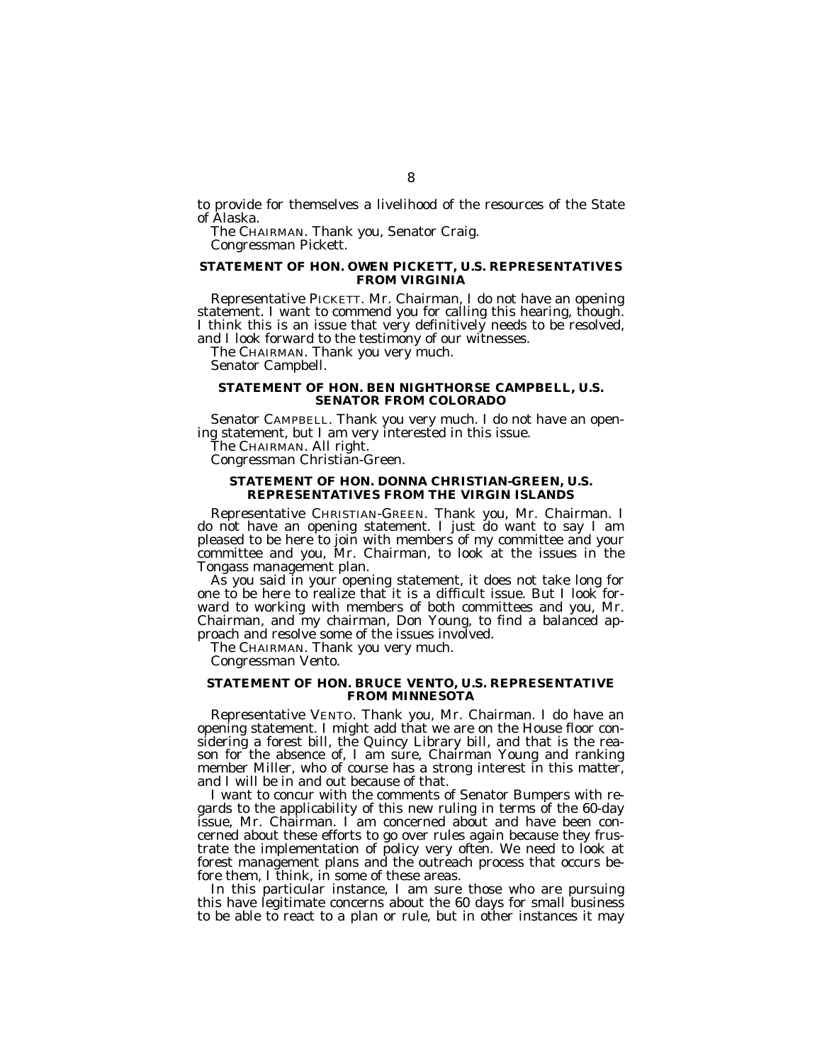to provide for themselves a livelihood of the resources of the State of Alaska.

The CHAIRMAN. Thank you, Senator Craig. Congressman Pickett.

## **STATEMENT OF HON. OWEN PICKETT, U.S. REPRESENTATIVES FROM VIRGINIA**

Representative PICKETT. Mr. Chairman, I do not have an opening statement. I want to commend you for calling this hearing, though. I think this is an issue that very definitively needs to be resolved, and I look forward to the testimony of our witnesses.

The CHAIRMAN. Thank you very much.

Senator Campbell.

#### **STATEMENT OF HON. BEN NIGHTHORSE CAMPBELL, U.S. SENATOR FROM COLORADO**

Senator CAMPBELL. Thank you very much. I do not have an opening statement, but I am very interested in this issue.

The CHAIRMAN. All right.

Congressman Christian-Green.

#### **STATEMENT OF HON. DONNA CHRISTIAN-GREEN, U.S. REPRESENTATIVES FROM THE VIRGIN ISLANDS**

Representative CHRISTIAN-GREEN. Thank you, Mr. Chairman. I do not have an opening statement. I just do want to say I am pleased to be here to join with members of my committee and your committee and you, Mr. Chairman, to look at the issues in the Tongass management plan.

As you said in your opening statement, it does not take long for one to be here to realize that it is a difficult issue. But I look forward to working with members of both committees and you, Mr. Chairman, and my chairman, Don Young, to find a balanced approach and resolve some of the issues involved.

The CHAIRMAN. Thank you very much.

Congressman Vento.

#### **STATEMENT OF HON. BRUCE VENTO, U.S. REPRESENTATIVE FROM MINNESOTA**

Representative VENTO. Thank you, Mr. Chairman. I do have an opening statement. I might add that we are on the House floor considering a forest bill, the Quincy Library bill, and that is the reason for the absence of, I am sure, Chairman Young and ranking member Miller, who of course has a strong interest in this matter, and I will be in and out because of that.

I want to concur with the comments of Senator Bumpers with regards to the applicability of this new ruling in terms of the 60-day issue, Mr. Chairman. I am concerned about and have been concerned about these efforts to go over rules again because they frustrate the implementation of policy very often. We need to look at forest management plans and the outreach process that occurs before them, I think, in some of these areas.

In this particular instance, I am sure those who are pursuing this have legitimate concerns about the 60 days for small business to be able to react to a plan or rule, but in other instances it may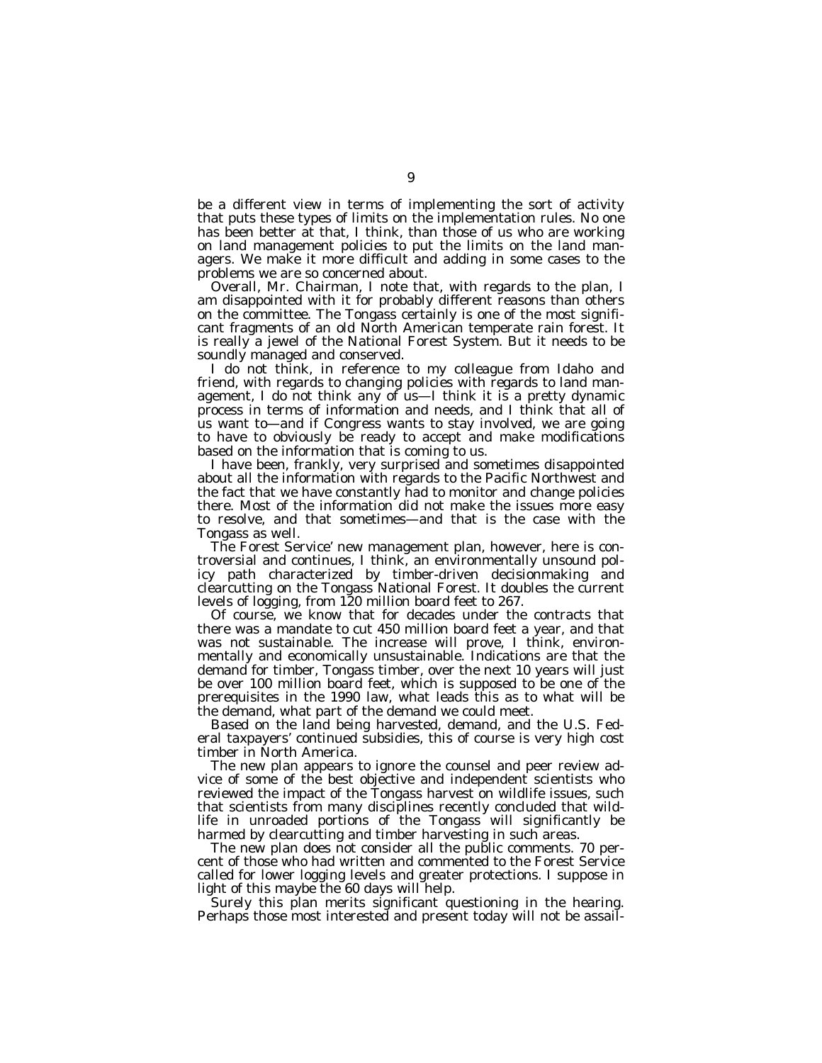be a different view in terms of implementing the sort of activity that puts these types of limits on the implementation rules. No one has been better at that, I think, than those of us who are working on land management policies to put the limits on the land managers. We make it more difficult and adding in some cases to the problems we are so concerned about.

Overall, Mr. Chairman, I note that, with regards to the plan, I am disappointed with it for probably different reasons than others on the committee. The Tongass certainly is one of the most significant fragments of an old North American temperate rain forest. It is really a jewel of the National Forest System. But it needs to be soundly managed and conserved.

I do not think, in reference to my colleague from Idaho and friend, with regards to changing policies with regards to land management, I do not think any of us—I think it is a pretty dynamic process in terms of information and needs, and I think that all of us want to—and if Congress wants to stay involved, we are going to have to obviously be ready to accept and make modifications based on the information that is coming to us.

I have been, frankly, very surprised and sometimes disappointed about all the information with regards to the Pacific Northwest and the fact that we have constantly had to monitor and change policies there. Most of the information did not make the issues more easy to resolve, and that sometimes—and that is the case with the Tongass as well.

The Forest Service' new management plan, however, here is controversial and continues, I think, an environmentally unsound policy path characterized by timber-driven decisionmaking and clearcutting on the Tongass National Forest. It doubles the current levels of logging, from 120 million board feet to 267.

Of course, we know that for decades under the contracts that there was a mandate to cut 450 million board feet a year, and that was not sustainable. The increase will prove, I think, environmentally and economically unsustainable. Indications are that the demand for timber, Tongass timber, over the next 10 years will just be over 100 million board feet, which is supposed to be one of the prerequisites in the 1990 law, what leads this as to what will be the demand, what part of the demand we could meet.

Based on the land being harvested, demand, and the U.S. Federal taxpayers' continued subsidies, this of course is very high cost timber in North America.

The new plan appears to ignore the counsel and peer review advice of some of the best objective and independent scientists who reviewed the impact of the Tongass harvest on wildlife issues, such that scientists from many disciplines recently concluded that wildlife in unroaded portions of the Tongass will significantly be harmed by clearcutting and timber harvesting in such areas.

The new plan does not consider all the public comments. 70 percent of those who had written and commented to the Forest Service called for lower logging levels and greater protections. I suppose in light of this maybe the 60 days will help.

Surely this plan merits significant questioning in the hearing. Perhaps those most interested and present today will not be assail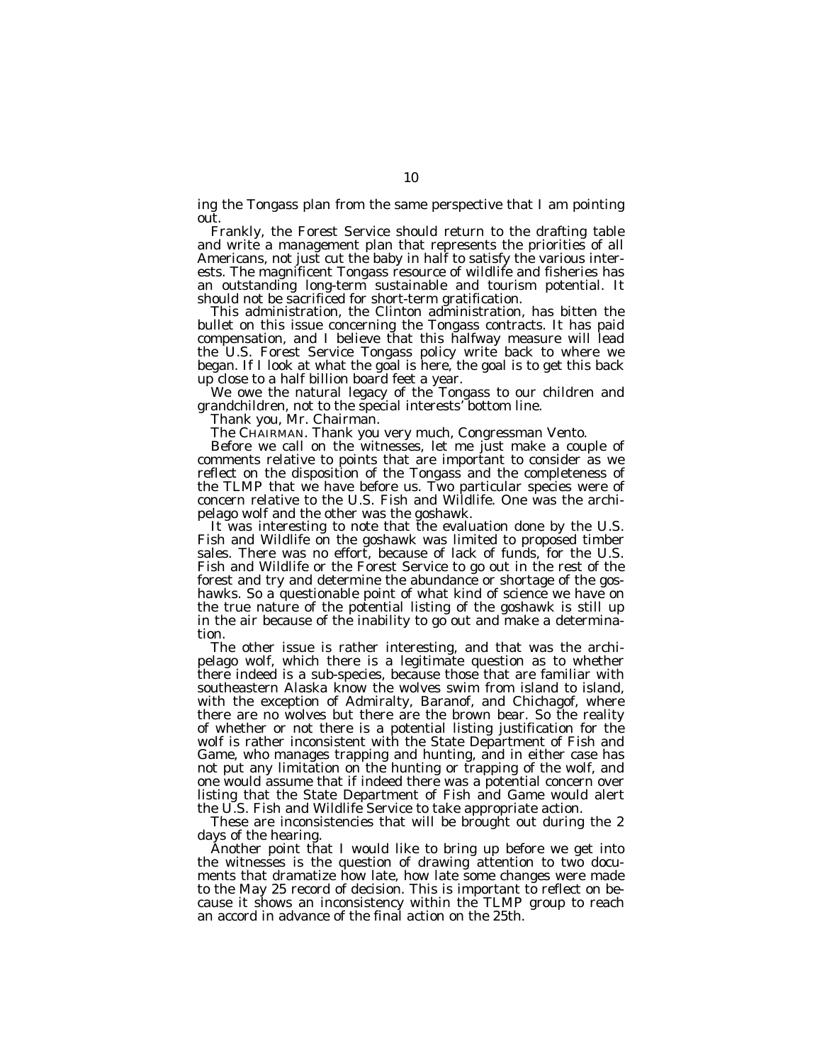ing the Tongass plan from the same perspective that I am pointing out.

Frankly, the Forest Service should return to the drafting table and write a management plan that represents the priorities of all Americans, not just cut the baby in half to satisfy the various interests. The magnificent Tongass resource of wildlife and fisheries has an outstanding long-term sustainable and tourism potential. It should not be sacrificed for short-term gratification.

This administration, the Clinton administration, has bitten the bullet on this issue concerning the Tongass contracts. It has paid compensation, and I believe that this halfway measure will lead the U.S. Forest Service Tongass policy write back to where we began. If I look at what the goal is here, the goal is to get this back up close to a half billion board feet a year.

We owe the natural legacy of the Tongass to our children and grandchildren, not to the special interests' bottom line.

Thank you, Mr. Chairman.

The CHAIRMAN. Thank you very much, Congressman Vento.

Before we call on the witnesses, let me just make a couple of comments relative to points that are important to consider as we reflect on the disposition of the Tongass and the completeness of the TLMP that we have before us. Two particular species were of concern relative to the U.S. Fish and Wildlife. One was the archipelago wolf and the other was the goshawk.

It was interesting to note that the evaluation done by the U.S. Fish and Wildlife on the goshawk was limited to proposed timber sales. There was no effort, because of lack of funds, for the U.S. Fish and Wildlife or the Forest Service to go out in the rest of the forest and try and determine the abundance or shortage of the goshawks. So a questionable point of what kind of science we have on the true nature of the potential listing of the goshawk is still up in the air because of the inability to go out and make a determination.

The other issue is rather interesting, and that was the archipelago wolf, which there is a legitimate question as to whether there indeed is a sub-species, because those that are familiar with southeastern Alaska know the wolves swim from island to island, with the exception of Admiralty, Baranof, and Chichagof, where there are no wolves but there are the brown bear. So the reality of whether or not there is a potential listing justification for the wolf is rather inconsistent with the State Department of Fish and Game, who manages trapping and hunting, and in either case has not put any limitation on the hunting or trapping of the wolf, and one would assume that if indeed there was a potential concern over listing that the State Department of Fish and Game would alert the U.S. Fish and Wildlife Service to take appropriate action.

These are inconsistencies that will be brought out during the 2 days of the hearing.

Another point that I would like to bring up before we get into the witnesses is the question of drawing attention to two documents that dramatize how late, how late some changes were made to the May 25 record of decision. This is important to reflect on because it shows an inconsistency within the TLMP group to reach an accord in advance of the final action on the 25th.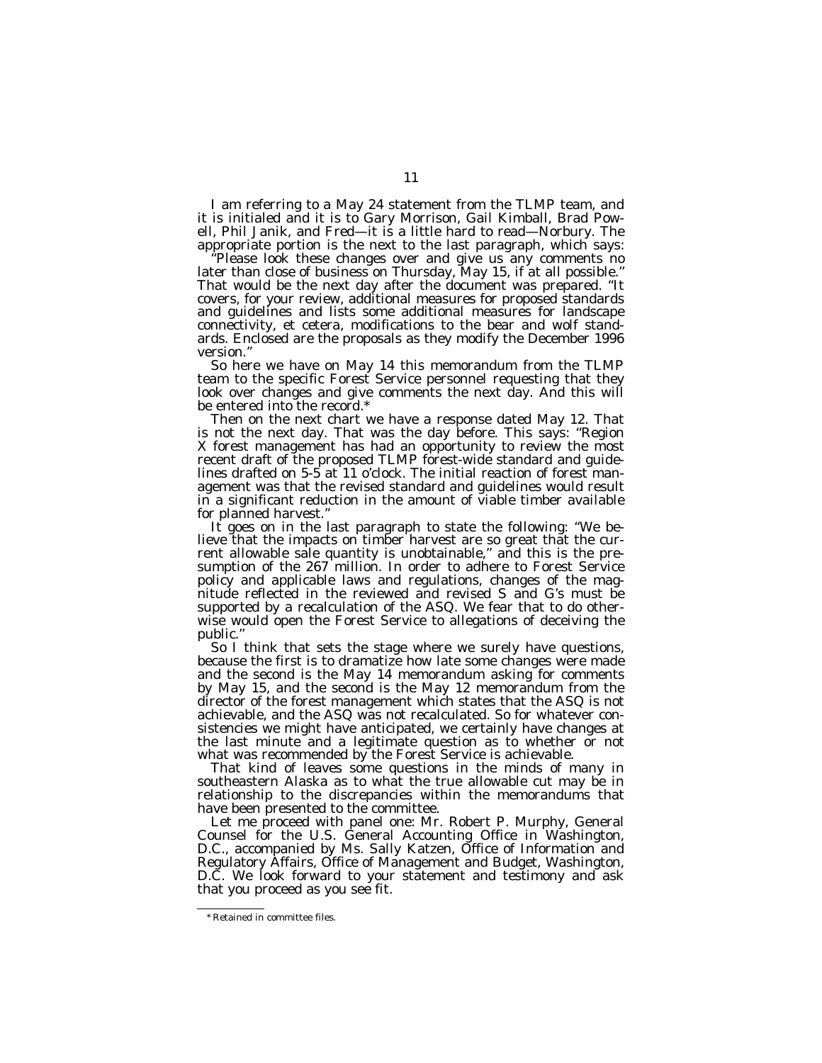I am referring to a May 24 statement from the TLMP team, and it is initialed and it is to Gary Morrison, Gail Kimball, Brad Powell, Phil Janik, and Fred—it is a little hard to read—Norbury. The appropriate portion is the next to the last paragraph, which says:

''Please look these changes over and give us any comments no later than close of business on Thursday, May 15, if at all possible.'' That would be the next day after the document was prepared. ''It covers, for your review, additional measures for proposed standards and guidelines and lists some additional measures for landscape connectivity, et cetera, modifications to the bear and wolf standards. Enclosed are the proposals as they modify the December 1996 version.''

So here we have on May 14 this memorandum from the TLMP team to the specific Forest Service personnel requesting that they look over changes and give comments the next day. And this will be entered into the record.\*

Then on the next chart we have a response dated May 12. That is not the next day. That was the day before. This says: ''Region X forest management has had an opportunity to review the most recent draft of the proposed TLMP forest-wide standard and guidelines drafted on 5-5 at 11 o'clock. The initial reaction of forest management was that the revised standard and guidelines would result in a significant reduction in the amount of viable timber available for planned harvest.''

It goes on in the last paragraph to state the following: ''We believe that the impacts on timber harvest are so great that the current allowable sale quantity is unobtainable,'' and this is the presumption of the 267 million. In order to adhere to Forest Service policy and applicable laws and regulations, changes of the magnitude reflected in the reviewed and revised S and G's must be supported by a recalculation of the ASQ. We fear that to do otherwise would open the Forest Service to allegations of deceiving the public.''

So I think that sets the stage where we surely have questions, because the first is to dramatize how late some changes were made and the second is the May 14 memorandum asking for comments by May 15, and the second is the May 12 memorandum from the director of the forest management which states that the ASQ is not achievable, and the ASQ was not recalculated. So for whatever consistencies we might have anticipated, we certainly have changes at the last minute and a legitimate question as to whether or not what was recommended by the Forest Service is achievable.

That kind of leaves some questions in the minds of many in southeastern Alaska as to what the true allowable cut may be in relationship to the discrepancies within the memorandums that have been presented to the committee.

Let me proceed with panel one: Mr. Robert P. Murphy, General Counsel for the U.S. General Accounting Office in Washington, D.C., accompanied by Ms. Sally Katzen, Office of Information and Regulatory Affairs, Office of Management and Budget, Washington, D.C. We look forward to your statement and testimony and ask that you proceed as you see fit.

<sup>\*</sup> Retained in committee files.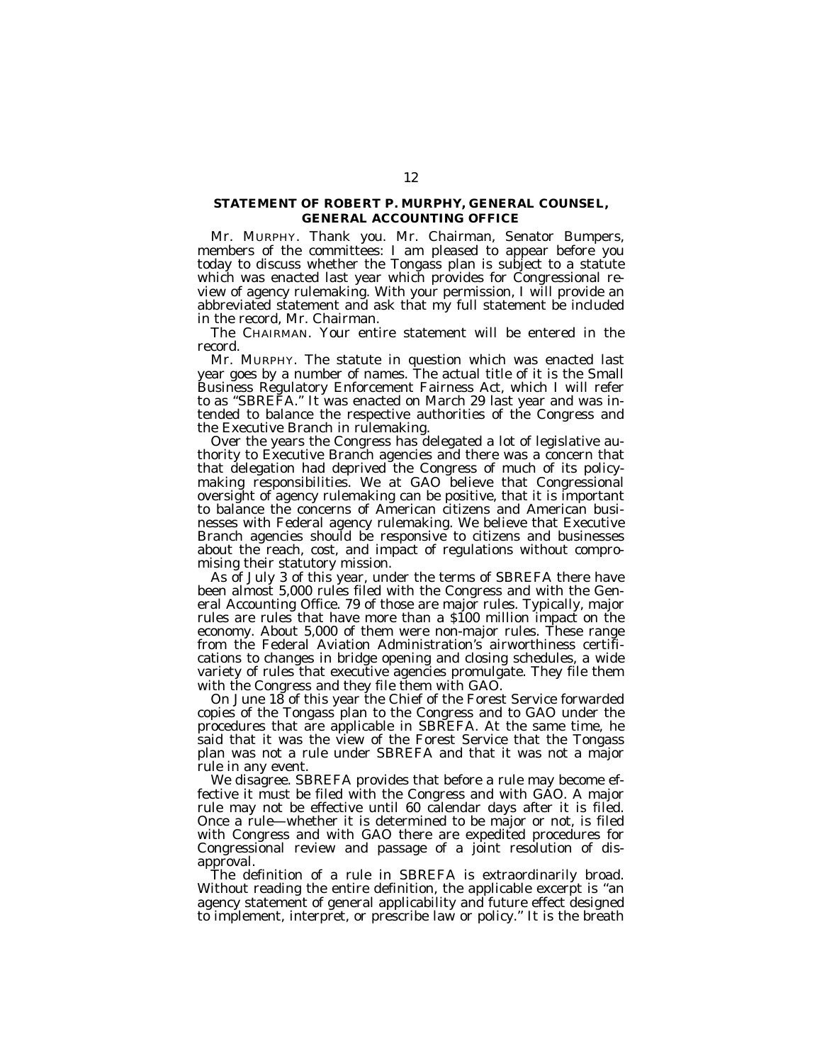## **STATEMENT OF ROBERT P. MURPHY, GENERAL COUNSEL, GENERAL ACCOUNTING OFFICE**

Mr. MURPHY. Thank you. Mr. Chairman, Senator Bumpers, members of the committees: I am pleased to appear before you today to discuss whether the Tongass plan is subject to a statute which was enacted last year which provides for Congressional review of agency rulemaking. With your permission, I will provide an abbreviated statement and ask that my full statement be included in the record, Mr. Chairman.

The CHAIRMAN. Your entire statement will be entered in the record.

Mr. MURPHY. The statute in question which was enacted last year goes by a number of names. The actual title of it is the Small Business Regulatory Enforcement Fairness Act, which I will refer to as ''SBREFA.'' It was enacted on March 29 last year and was intended to balance the respective authorities of the Congress and the Executive Branch in rulemaking.

Over the years the Congress has delegated a lot of legislative authority to Executive Branch agencies and there was a concern that that delegation had deprived the Congress of much of its policymaking responsibilities. We at GAO believe that Congressional oversight of agency rulemaking can be positive, that it is important to balance the concerns of American citizens and American businesses with Federal agency rulemaking. We believe that Executive Branch agencies should be responsive to citizens and businesses about the reach, cost, and impact of regulations without compromising their statutory mission.

As of July 3 of this year, under the terms of SBREFA there have been almost 5,000 rules filed with the Congress and with the General Accounting Office. 79 of those are major rules. Typically, major rules are rules that have more than a \$100 million impact on the economy. About 5,000 of them were non-major rules. These range from the Federal Aviation Administration's airworthiness certifications to changes in bridge opening and closing schedules, a wide variety of rules that executive agencies promulgate. They file them with the Congress and they file them with GAO.

On June 18 of this year the Chief of the Forest Service forwarded copies of the Tongass plan to the Congress and to GAO under the procedures that are applicable in SBREFA. At the same time, he said that it was the view of the Forest Service that the Tongass plan was not a rule under SBREFA and that it was not a major rule in any event.

We disagree. SBREFA provides that before a rule may become effective it must be filed with the Congress and with GAO. A major rule may not be effective until 60 calendar days after it is filed. Once a rule—whether it is determined to be major or not, is filed with Congress and with GAO there are expedited procedures for Congressional review and passage of a joint resolution of disapproval.

The definition of a rule in SBREFA is extraordinarily broad. Without reading the entire definition, the applicable excerpt is ''an agency statement of general applicability and future effect designed to implement, interpret, or prescribe law or policy.'' It is the breath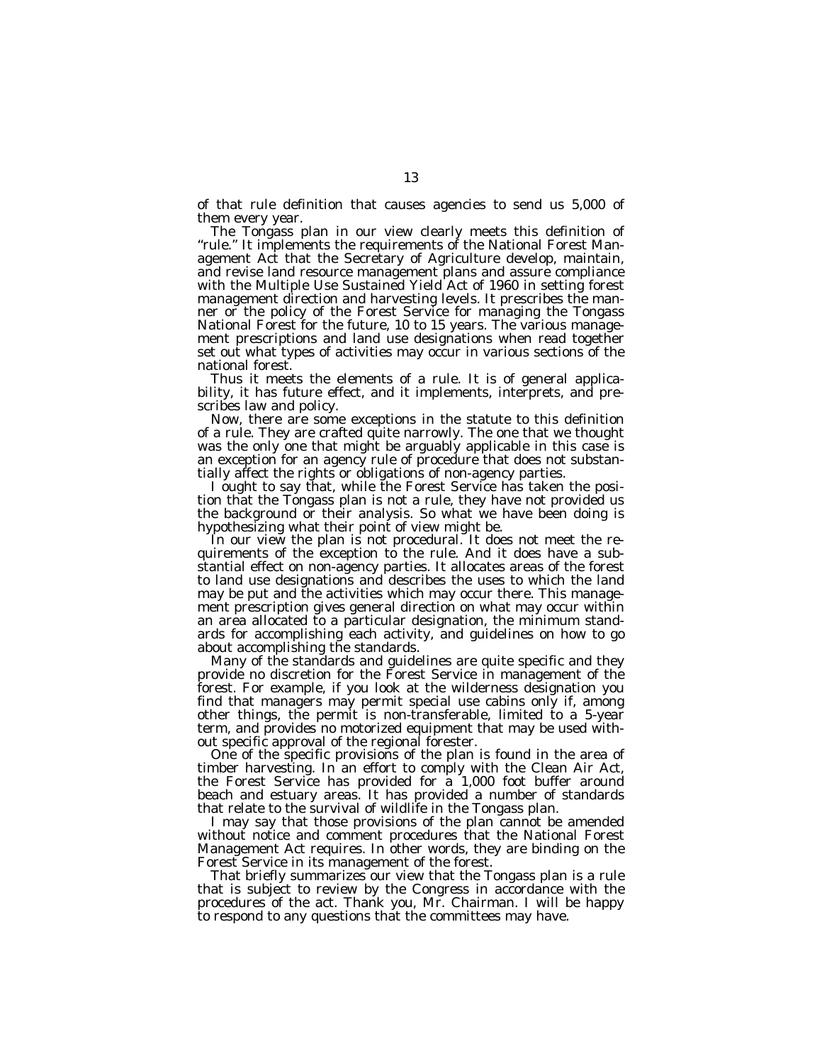of that rule definition that causes agencies to send us 5,000 of them every year.

The Tongass plan in our view clearly meets this definition of "rule." It implements the requirements of the National Forest Management Act that the Secretary of Agriculture develop, maintain, and revise land resource management plans and assure compliance with the Multiple Use Sustained Yield Act of 1960 in setting forest management direction and harvesting levels. It prescribes the manner or the policy of the Forest Service for managing the Tongass National Forest for the future, 10 to 15 years. The various management prescriptions and land use designations when read together set out what types of activities may occur in various sections of the national forest.

Thus it meets the elements of a rule. It is of general applicability, it has future effect, and it implements, interprets, and prescribes law and policy.

Now, there are some exceptions in the statute to this definition of a rule. They are crafted quite narrowly. The one that we thought was the only one that might be arguably applicable in this case is an exception for an agency rule of procedure that does not substantially affect the rights or obligations of non-agency parties.

I ought to say that, while the Forest Service has taken the position that the Tongass plan is not a rule, they have not provided us the background or their analysis. So what we have been doing is hypothesizing what their point of view might be.

In our view the plan is not procedural. It does not meet the requirements of the exception to the rule. And it does have a substantial effect on non-agency parties. It allocates areas of the forest to land use designations and describes the uses to which the land may be put and the activities which may occur there. This management prescription gives general direction on what may occur within an area allocated to a particular designation, the minimum standards for accomplishing each activity, and guidelines on how to go about accomplishing the standards.

Many of the standards and guidelines are quite specific and they provide no discretion for the Forest Service in management of the forest. For example, if you look at the wilderness designation you find that managers may permit special use cabins only if, among other things, the permit is non-transferable, limited to a 5-year term, and provides no motorized equipment that may be used without specific approval of the regional forester.

One of the specific provisions of the plan is found in the area of timber harvesting. In an effort to comply with the Clean Air Act, the Forest Service has provided for  $\hat{a}$  1,000 foot buffer around beach and estuary areas. It has provided a number of standards that relate to the survival of wildlife in the Tongass plan.

I may say that those provisions of the plan cannot be amended without notice and comment procedures that the National Forest Management Act requires. In other words, they are binding on the Forest Service in its management of the forest.

That briefly summarizes our view that the Tongass plan is a rule that is subject to review by the Congress in accordance with the procedures of the act. Thank you, Mr. Chairman. I will be happy to respond to any questions that the committees may have.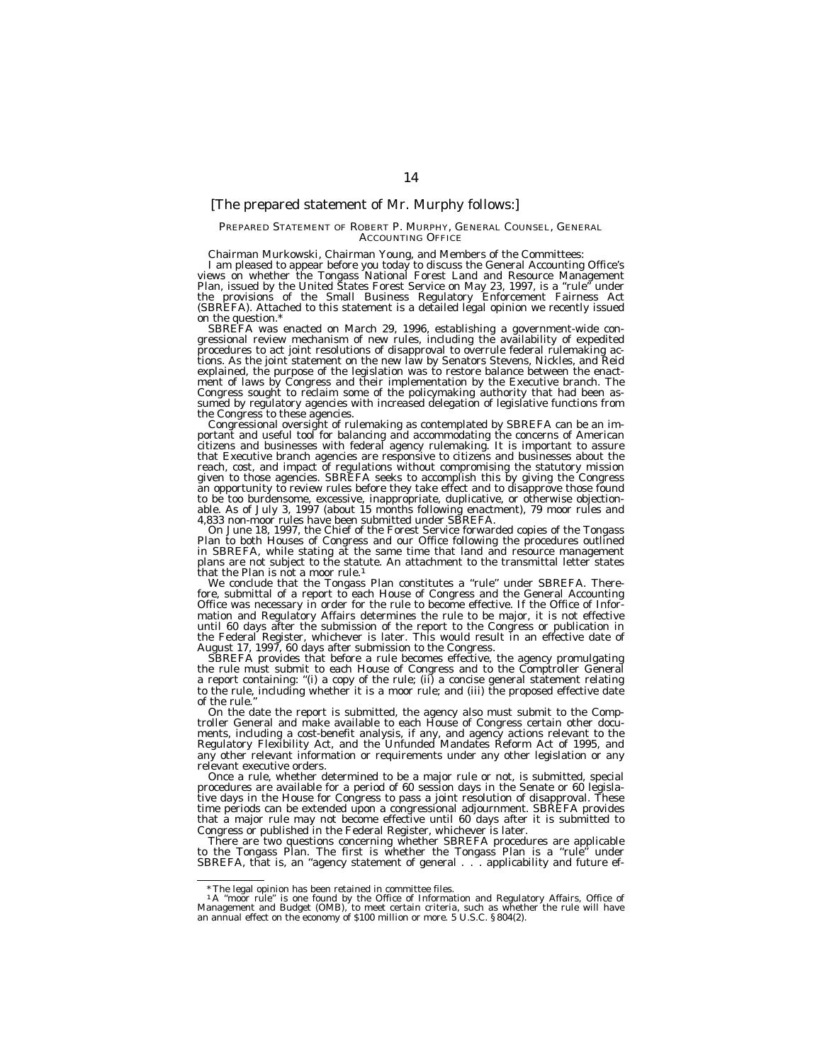### [The prepared statement of Mr. Murphy follows:]

#### PREPARED STATEMENT OF ROBERT P. MURPHY, GENERAL COUNSEL, GENERAL ACCOUNTING OFFICE

Chairman Murkowski, Chairman Young, and Members of the Committees: views on whether the Tongass National Forest Land and Resource Management Plan, issued by the United Štates Forest Service on May 23, 1997, is a "rule" under<br>the provisions of the Small Business Regulatory Enforcement Fairness Act<br>(SBREFA). Attached to this statement is a detailed legal on the question.

SBREFA was enacted on March 29, 1996, establishing a government-wide con- gressional review mechanism of new rules, including the availability of expedited procedures to act joint resolutions of disapproval to overrule federal rulemaking ac-tions. As the joint statement on the new law by Senators Stevens, Nickles, and Reid explained, the purpose of the legislation was to restore balance between the enactment of laws by Congress and their implementation by the Executive branch. The Congress sought to reclaim some of the policymaking authority that had been assumed by regulatory agencies with increased delegation of legislative functions from<br>the Congress to these agencies.

the Congress to these agencies.<br>Congressional oversight of rulemaking as contemplated by SBREFA can be an im-<br>portant and useful tool for balancing and accommodating the concerns of American<br>citizens and businesses with fe reach, cost, and impact of regulations without compromising the statutory mission given to those agencies. SBREFA seeks to accomplish this by giving the Congress an opportunity to review rules before they take effect and to disapprove those found to be too burdensome, excessive, inappropriate, duplicative, or otherwise objectionable. As of July 3, 1997 (about 15 months following enactment), 79 moor rules and 4,833 non-moor rules have been submitted under SBREFA.

On June 18, 1997, the Chief of the Forest Service forwarded copies of the Tongass Plan to both Houses of Congress and our Office following the procedures outlined in SBREFA, while stating at the same time that land and resource management plans are not subject to the statute. An attachment to the transmittal letter states that the Plan is not a moor rule.<sup>1</sup><br>We conclude that the Tongass Plan constitutes a "rule" under SBREFA. There-

fore, submittal of a report to each House of Congress and the General Accounting Office was necessary in order for the rule to become effective. If the Office of Information and Regulatory Affairs determines the rule to be major, it is not effective until 60 days after the submission of the report to the Congress or publication in the Federal Register, whichever is later. This would result in an effective date of August 17, 1997, 60 days after submission to the Congress.

SBREFA provides that before a rule becomes effective, the agency promulgating the rule must submit to each House of Congress and to the Comptroller General a report containing: ''(i) a copy of the rule; (ii) a concise general statement relating to the rule, including whether it is a moor rule; and (iii) the proposed effective date of the rule.

On the date the report is submitted, the agency also must submit to the Comptroller General and make available to each House of Congress certain other documents, including a cost-benefit analysis, if any, and agency actions relevant to the Regulatory Flexibility Act, and the Unfunded Mandates Reform Act of 1995, and any other relevant information or requirements under any other legislation or any relevant executive orders.

Once a rule, whether determined to be a major rule or not, is submitted, special procedures are available for a period of 60 session days in the Senate or 60 legislative days in the House for Congress to pass a joint resolution of disapproval. These time periods can be extended upon a congressional adjournment. SBREFA provides that a major rule may not become effective until 60 days after it is submitted to Congress or published in the Federal Register, whichever is later.

There are two questions concerning whether SBREFA procedures are applicable to the Tongass Plan. The first is whether the Tongass Plan is a ''rule'' under SBREFA, that is, an "agency statement of general . . . applicability and future ef-

<sup>\*</sup>The legal opinion has been retained in committee files.

<sup>&</sup>lt;sup>1</sup>A "moor rule" is one found by the Office of Information and Regulatory Affairs, Office of Management and Budget (OMB), to meet certain criteria, such as whether the rule will have an annual effect on the economy of \$10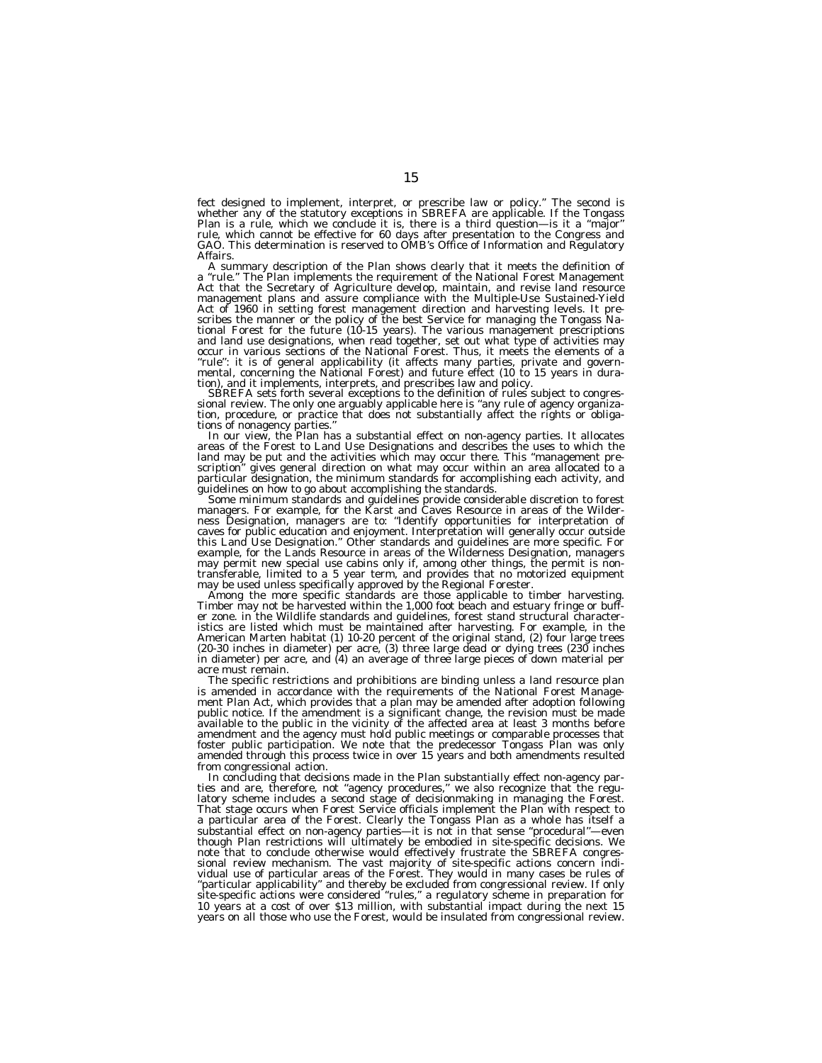fect designed to implement, interpret, or prescribe law or policy." The second is<br>whether any of the statutory exceptions in SBREFA are applicable. If the Tongass<br>Plan is a rule, which we conclude it is, there is a third q rule, which cannot be effective for 60 days after presentation to the Congress and GAO. This determination is reserved to OMB's Office of Information and Regulatory

Affairs.<br>A summary description of the Plan shows clearly that it meets the definition of<br>a summary description of the Plan shows clearly that it meets the definition of<br>Act that the Secretary of Agriculture develop, mainta ''rule'': it is of general applicability (it affects many parties, private and govern-mental, concerning the National Forest) and future effect (10 to 15 years in dura-

tion), and it implements, interprets, and prescribes law and policy.<br>SBREFA sets forth several exceptions to the definition of rules subject to congressional review. The only one arguably applicable here is "any rule of ag tion, procedure, or practice that does not substantially affect the rights or obligations of nonagency parties."<br>In our view, the Plan has a substantial effect on non-agency parties. It allocates

In the activities which may be put and the activities which may occur there. This "management pre-<br>land may be put and the activities which may occur there. This "management prescription'' gives general direction on what may occur within an area allocated to a particular designation, the minimum standards for accomplishing each activity, and

guidelines on how to go about accomplishing the standards.<br>Some minimum standards and guidelines provide considerable discretion to forest<br>managers. For example, for the Karst and Caves Resource in areas of the Wilder-<br>nes caves for public education and enjoyment. Interpretation will generally occur outside<br>this Land Use Designation." Other standards and guidelines are more specific. For<br>example, for the Lands Resource in areas of the Wilder may permit new special use cabins only if, among other things, the permit is nontransferable, limited to a 5 year term, and provides that no motorized equipment<br>may be used unless specifically approved by the Regional Forester.<br>Among the more specific standards are those applicable to timber harvestin

er zone. in the Wildlife standards and guidelines, forest stand structural characteristics are listed which must be maintained after harvesting. For example, in the American Marten habitat (1) 10-20 percent of the original stand, (2) four large trees (20-30 inches in diameter) per acre, (3) three large dead or dying trees (230 inches in diameter) per acre, and (4) an average of three large pieces of down material per acre must remain.

The specific restrictions and prohibitions are binding unless a land resource plan is amended in accordance with the requirements of the National Forest Management Plan Act, which provides that a plan may be amended after adoption following public notice. If the amendment is a significant change, the revision must be made available to the public in the vicinity of the affected area at least 3 months before amendment and the agency must hold public meetings or comparable processes that foster public participation. We note that the predecessor Tongass Plan was only amended through this process twice in over 15 years and both amendments resulted from congressional action.

In concluding that decisions made in the Plan substantially effect non-agency parties and are, therefore, not ''agency procedures,'' we also recognize that the regulatory scheme includes a second stage of decisionmaking in managing the Forest. That stage occurs when Forest Service officials implement the Plan with respect to a particular area of the Forest. Clearly the Tongass Plan as a whole has itself a substantial effect on non-agency parties—it is not in that sense ''procedural''—even though Plan restrictions will ultimately be embodied in site-specific decisions. We note that to conclude otherwise would effectively frustrate the SBREFA congressional review mechanism. The vast majority of site-specific actions concern individual use of particular areas of the Forest. They would in many cases be rules of "particular applicability" and thereby be excluded from congressional review. If only<br>site-specific actions were considered "rules," a regulatory scheme in preparation for<br>10 years at a cost of over \$13 million, with subst years on all those who use the Forest, would be insulated from congressional review.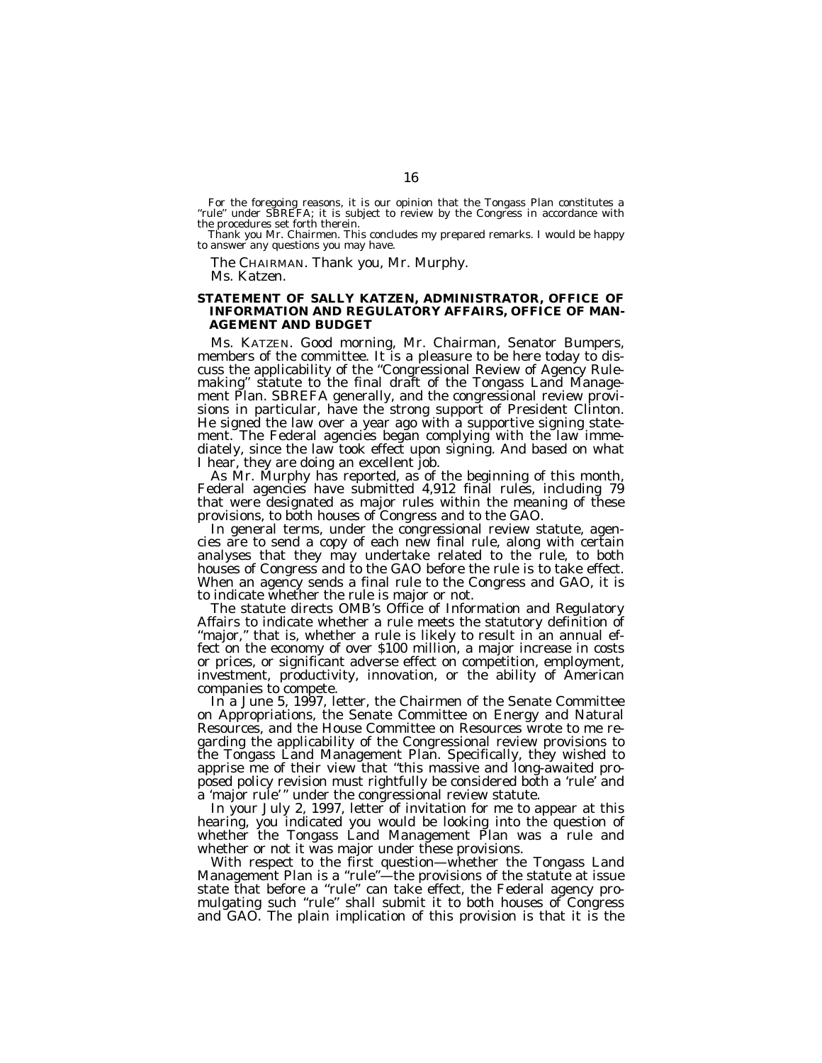For the foregoing reasons, it is our opinion that the Tongass Plan constitutes a ''rule'' under SBREFA; it is subject to review by the Congress in accordance with the procedures set forth therein.

Thank you Mr. Chairmen. This concludes my prepared remarks. I would be happy to answer any questions you may have.

The CHAIRMAN. Thank you, Mr. Murphy. Ms. Katzen.

#### **STATEMENT OF SALLY KATZEN, ADMINISTRATOR, OFFICE OF INFORMATION AND REGULATORY AFFAIRS, OFFICE OF MAN-AGEMENT AND BUDGET**

Ms. KATZEN. Good morning, Mr. Chairman, Senator Bumpers, members of the committee. It is a pleasure to be here today to discuss the applicability of the ''Congressional Review of Agency Rulemaking" statute to the final draft of the Tongass Land Management Plan. SBREFA generally, and the congressional review provisions in particular, have the strong support of President Clinton. He signed the law over a year ago with a supportive signing statement. The Federal agencies began complying with the law immediately, since the law took effect upon signing. And based on what

I hear, they are doing an excellent job.<br>As Mr. Murphy has reported, as of the beginning of this month,<br>Federal agencies have submitted 4,912 final rules, including 79 that were designated as major rules within the meaning of these

provisions, to both houses of Congress and to the GAO.<br>In general terms, under the congressional review statute, agen-<br>cies are to send a copy of each new final rule, along with certain analyses that they may undertake related to the rule, to both houses of Congress and to the GAO before the rule is to take effect. When an agency sends a final rule to the Congress and GAO, it is to indicate whether the rule is major or not.

The statute directs OMB's Office of Information and Regulatory<br>Affairs to indicate whether a rule meets the statutory definition of "major," that is, whether a rule is likely to result in an annual effect on the economy of over \$100 million, a major increase in costs or prices, or significant adverse effect on competition, employment, investment, productivity, innovation, or the ability of American companies to compete.

In a June 5, 1997, letter, the Chairmen of the Senate Committee on Appropriations, the Senate Committee on Energy and Natural Resources, and the House Committee on Resources wrote to me regarding the applicability of the Congressional review provisions to the Tongass Land Management Plan. Specifically, they wished to apprise me of their view that ''this massive and long-awaited proposed policy revision must rightfully be considered both a 'rule' and a 'major rule' '' under the congressional review statute.

In your July 2, 1997, letter of invitation for me to appear at this hearing, you indicated you would be looking into the question of whether the Tongass Land Management Plan was a rule and whether or not it was major under these provisions.

With respect to the first question—whether the Tongass Land Management Plan is a "rule"—the provisions of the statute at issue state that before a ''rule'' can take effect, the Federal agency promulgating such ''rule'' shall submit it to both houses of Congress and GAO. The plain implication of this provision is that it is the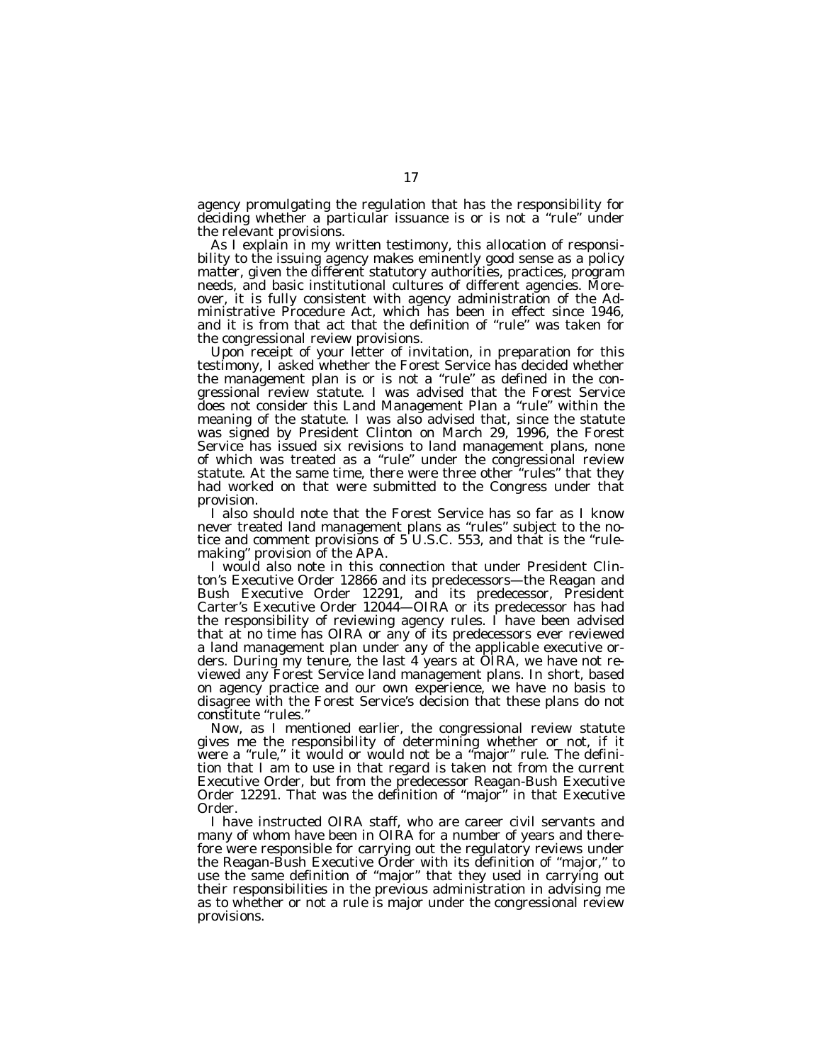agency promulgating the regulation that has the responsibility for deciding whether a particular issuance is or is not a ''rule'' under the relevant provisions.

As I explain in my written testimony, this allocation of responsibility to the issuing agency makes eminently good sense as a policy matter, given the different statutory authorities, practices, program needs, and basic institutional cultures of different agencies. Moreover, it is fully consistent with agency administration of the Administrative Procedure Act, which has been in effect since 1946, and it is from that act that the definition of ''rule'' was taken for the congressional review provisions.

Upon receipt of your letter of invitation, in preparation for this testimony, I asked whether the Forest Service has decided whether the management plan is or is not a ''rule'' as defined in the congressional review statute. I was advised that the Forest Service does not consider this Land Management Plan a ''rule'' within the meaning of the statute. I was also advised that, since the statute was signed by President Clinton on March 29, 1996, the Forest Service has issued six revisions to land management plans, none of which was treated as a ''rule'' under the congressional review statute. At the same time, there were three other ''rules'' that they had worked on that were submitted to the Congress under that provision.

I also should note that the Forest Service has so far as I know never treated land management plans as ''rules'' subject to the notice and comment provisions of 5 U.S.C. 553, and that is the ''rulemaking'' provision of the APA.

I would also note in this connection that under President Clinton's Executive Order 12866 and its predecessors—the Reagan and Bush Executive Order 12291, and its predecessor, President Carter's Executive Order 12044—OIRA or its predecessor has had the responsibility of reviewing agency rules. I have been advised that at no time has OIRA or any of its predecessors ever reviewed a land management plan under any of the applicable executive orders. During my tenure, the last 4 years at OIRA, we have not reviewed any Forest Service land management plans. In short, based on agency practice and our own experience, we have no basis to disagree with the Forest Service's decision that these plans do not constitute ''rules.''

Now, as I mentioned earlier, the congressional review statute gives me the responsibility of determining whether or not, if it were a ''rule,'' it would or would not be a ''major'' rule. The definition that I am to use in that regard is taken not from the current Executive Order, but from the predecessor Reagan-Bush Executive Order 12291. That was the definition of ''major'' in that Executive Order.

I have instructed OIRA staff, who are career civil servants and many of whom have been in OIRA for a number of years and therefore were responsible for carrying out the regulatory reviews under the Reagan-Bush Executive Order with its definition of ''major,'' to use the same definition of ''major'' that they used in carrying out their responsibilities in the previous administration in advising me as to whether or not a rule is major under the congressional review provisions.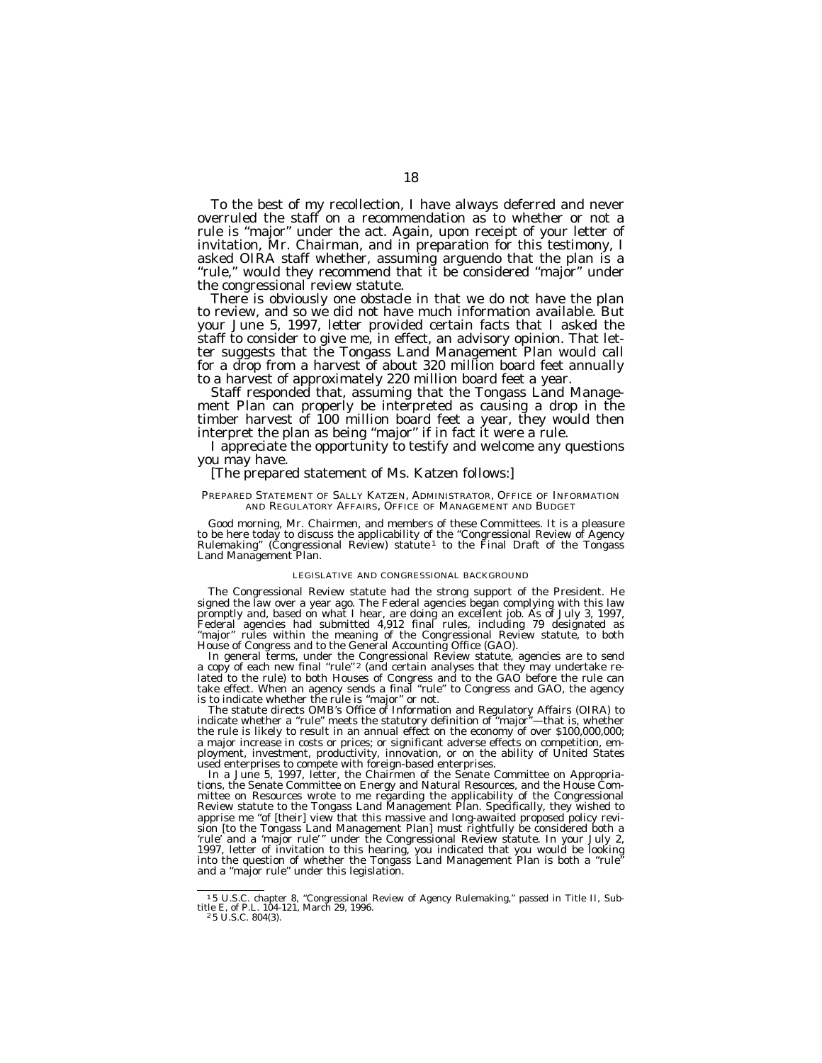To the best of my recollection, I have always deferred and never overruled the staff on a recommendation as to whether or not a rule is ''major'' under the act. Again, upon receipt of your letter of invitation, Mr. Chairman, and in preparation for this testimony, I asked OIRA staff whether, assuming arguendo that the plan is a ''rule,'' would they recommend that it be considered ''major'' under the congressional review statute.

There is obviously one obstacle in that we do not have the plan to review, and so we did not have much information available. But your June 5, 1997, letter provided certain facts that I asked the staff to consider to give me, in effect, an advisory opinion. That letter suggests that the Tongass Land Management Plan would call for a drop from a harvest of about 320 million board feet annually to a harvest of approximately 220 million board feet a year.

Staff responded that, assuming that the Tongass Land Management Plan can properly be interpreted as causing a drop in the timber harvest of 100 million board feet a year, they would then interpret the plan as being ''major'' if in fact it were a rule.

I appreciate the opportunity to testify and welcome any questions you may have.

#### [The prepared statement of Ms. Katzen follows:]

#### PREPARED STATEMENT OF SALLY KATZEN, ADMINISTRATOR, OFFICE OF INFORMATION AND REGULATORY AFFAIRS, OFFICE OF MANAGEMENT AND BUDGET

Good morning, Mr. Chairmen, and members of these Committees. It is a pleasure to be here today to discuss the applicability of the "Congressional Review of Agency<br>Rulemaking" (Congressional Review) statute <sup>1</sup> to the Final Draft of the Tongass Land Management Plan.

#### LEGISLATIVE AND CONGRESSIONAL BACKGROUND

The Congressional Review statute had the strong support of the President. He signed the law over a year ago. The Federal agencies began complying with this law promptly and, based on what I hear, are doing an excellent job. As of July 3, 1997, Federal agencies had submitted 4,912 final rules, including 79 designated as ''major'' rules within the meaning of the Congressional Review statute, to both House of Congress and to the General Accounting Office (GAO).

In general terms, under the Congressional Review statute, agencies are to send<br>a copy of each new final "rule"? (and certain analyses that they may undertake related to the rule) to both Houses of Congress and to the GAO before the rule can take effect. When an agency sends a final ''rule'' to Congress and GAO, the agency is to indicate whether the rule is ''major'' or not.

The statute directs OMB's Office of Information and Regulatory Affairs (OIRA) to indicate whether a ''rule'' meets the statutory definition of ''major''—that is, whether the rule is likely to result in an annual effect on the economy of over \$100,000,000; a major increase in costs or prices; or significant adverse effects on competition, employment, investment, productivity, innovation, or on the ability of United States used enterprises to compete with foreign-based enterprises.

In a June 5, 1997, letter, the Chairmen of the Senate Committee on Appropriations, the Senate Committee on Energy and Natural Resources, and the House Committee on Resources wrote to me regarding the applicability of the Congressional Review statute to the Tongass Land Management Plan. Specifically, they wished to apprise me ''of [their] view that this massive and long-awaited proposed policy revision [to the Tongass Land Management Plan] must rightfully be considered both a 'rule' and a 'major rule'" under the Congressional Review statute. In your July 2, 1997, letter of invitation to this hearing, you indicated that you would be looking into the question of whether the Tongass Land Management Plan is both a ''rule'' and a ''major rule'' under this legislation.

<sup>1</sup> 5 U.S.C. chapter 8, ''Congressional Review of Agency Rulemaking,'' passed in Title II, Sub-title E, of P.L. 104-121, March 29, 1996. <sup>2</sup> 5 U.S.C. 804(3).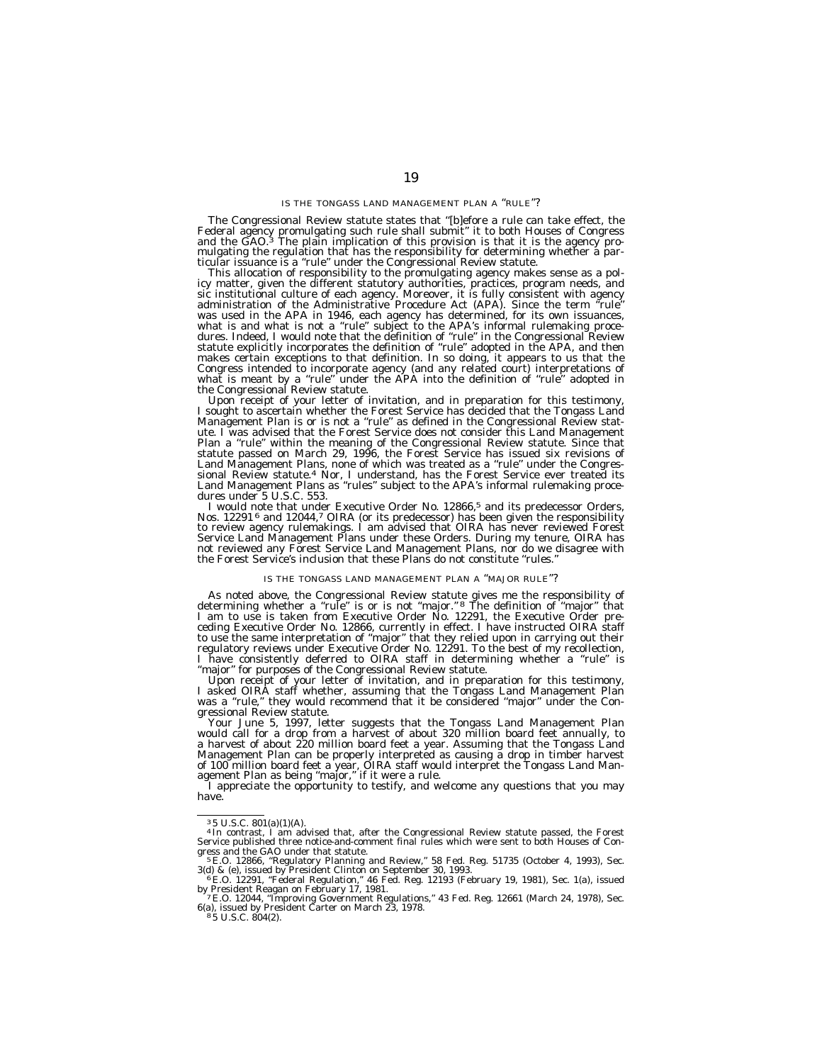#### IS THE TONGASS LAND MANAGEMENT PLAN A ''RULE''?

The Congressional Review statute states that ''[b]efore a rule can take effect, the Federal agency promulgating such rule shall submit'' it to both Houses of Congress and the GAO.<sup>3</sup> The plain implication of this provision is that it is the agency pro-<br>mulgating the regulation that has the responsibility for determining whether a par-Explaining the statute.<br>This allocation of responsibility to the promulgating agency makes sense as a pol-<br>This allocation of responsibility to the promulgating agency makes sense as a pol-

sic institutional culture of each agency. Moreover, it is fully consistent with agency<br>administration of the Administrative Procedure Act (APA). Since the term "rule"<br>was used in the APA in 1946, each agency has determined what is and what is not a ''rule'' subject to the APA's informal rulemaking proce-dures. Indeed, I would note that the definition of ''rule'' in the Congressional Review statute explicitly incorporates the definition of ''rule'' adopted in the APA, and then makes certain exceptions to that definition. In so doing, it appears to us that the Congress intended to incorporate agency (and any related court) interpretations of what is meant by a ''rule'' under the APA into the definition of ''rule'' adopted in

the Congressional Review statute. Upon receipt of your letter of invitation, and in preparation for this testimony, I sought to ascertain whether the Forest Service has decided that the Tongass Land Management Plan is or is not a ''rule'' as defined in the Congressional Review statute. I was advised that the Forest Service does not consider this Land Management Plan a ''rule'' within the meaning of the Congressional Review statute. Since that statute passed on March 29, 1996, the Forest Service has issued six revisions of Land Management Plans, none of which was treated as a "rule" under the Congressional Review statute.4 Nor, I understand, has the Forest Service ever treated its Land Management Plans as ''rules'' subject to the APA's informal rulemaking procedures under 5 U.S.C. 553.

I would note that under Executive Order No. 12866,<sup>5</sup> and its predecessor Orders, Nos. 12291<sup>6</sup> and 12044,<sup>7</sup> OIRA (or its predecessor) has been given the responsibility to review agency rulemakings.  $\hat{I}$  am advised that OIRA has never reviewed Forest Service Land Management Plans under these Orders. During my tenure, OIRA has not reviewed any Forest Service Land Management Plans, nor do we disagree with the Forest Service's inclusion that these Plans do not constitute ''rules.''

#### IS THE TONGASS LAND MANAGEMENT PLAN A ''MAJOR RULE''?

As noted above, the Congressional Review statute gives me the responsibility of determining whether a "rule" is or is not "major." <sup>8</sup> The definition of "major" that I am to use is taken from Executive Order No. 12291, the ceding Executive Order No. 12866, currently in effect. I have instructed OIRA staff to use the same interpretation of ''major'' that they relied upon in carrying out their regulatory reviews under Executive Order No. 12291. To the best of my recollection, I have consistently deferred to OIRA staff in determining whether a "rule" is<br>"major" for purposes of the Congressional Review statute.

''major'' for purposes of the Congressional Review statute. Upon receipt of your letter of invitation, and in preparation for this testimony, I asked OIRA staff whether, assuming that the Tongass Land Management Plan was a ''rule,'' they would recommend that it be considered ''major'' under the Con-

gressional Review statute. Your June 5, 1997, letter suggests that the Tongass Land Management Plan would call for a drop from a harvest of about 320 million board feet annually, to a harvest of about 220 million board feet a year. Assuming that the Tongass Land Management Plan can be properly interpreted as causing a drop in timber harvest

of 100 million board feet a year, OIRA staff would interpret the Tongass Land Man-<br>agement Plan as being "major," if it were a rule.<br>I appreciate the opportunity to testify, and welcome any questions that you may<br>have.

<sup>&</sup>lt;sup>3</sup>5 U.S.C. 801(a)(1)(A).<br><sup>4</sup> In contrast, I am advised that, after the Congressional Review statute passed, the Forest<br>Service published three notice-and-comment final rules which were sent to both Houses of Con-<br>gress a

<sup>3(</sup>d) & (e), issued by President Clinton on September 30, 1993.<br>6 E.O. 12291, ''Federal Regulation,'' 46 Fed. Reg. 12193 (February 19, 1981), Sec. 1(a), issued

by President Reagan on February 17, 1981.<br>7 E.O. 12044, ''Improving Government Regulations,'' 43 Fed. Reg. 12661 (March 24, 1978), Sec.

F.C. 12044, "Improving Government Regulations," 43 Fed. Reg. 12661 (March 24, 1978), Sec.<br>6(a), issued by President Carter on March 23, 1978.<br>8 5 U.S.C. 804(2).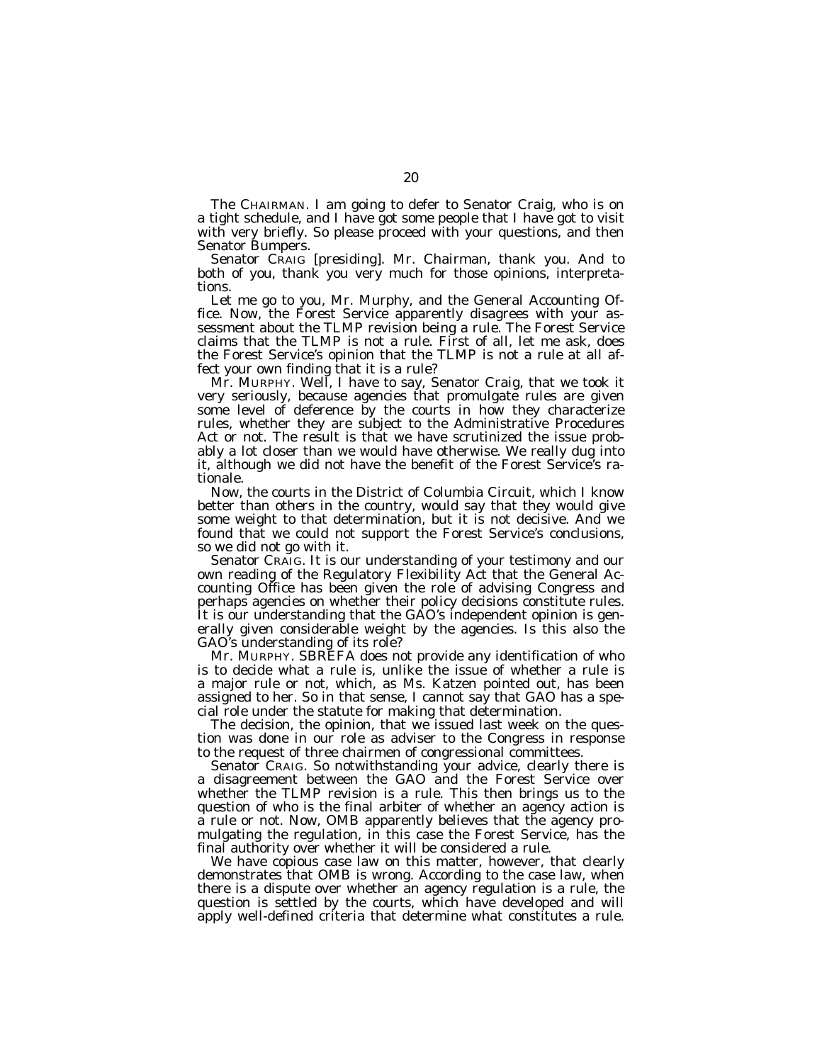The CHAIRMAN. I am going to defer to Senator Craig, who is on a tight schedule, and I have got some people that I have got to visit with very briefly. So please proceed with your questions, and then Senator Bumpers.

Senator CRAIG [presiding]. Mr. Chairman, thank you. And to both of you, thank you very much for those opinions, interpretations.

Let me go to you, Mr. Murphy, and the General Accounting Office. Now, the Forest Service apparently disagrees with your assessment about the TLMP revision being a rule. The Forest Service claims that the TLMP is not a rule. First of all, let me ask, does the Forest Service's opinion that the TLMP is not a rule at all affect your own finding that it is a rule?

Mr. MURPHY. Well, I have to say, Senator Craig, that we took it very seriously, because agencies that promulgate rules are given some level of deference by the courts in how they characterize rules, whether they are subject to the Administrative Procedures Act or not. The result is that we have scrutinized the issue probably a lot closer than we would have otherwise. We really dug into it, although we did not have the benefit of the Forest Service's rationale.

Now, the courts in the District of Columbia Circuit, which I know better than others in the country, would say that they would give some weight to that determination, but it is not decisive. And we found that we could not support the Forest Service's conclusions, so we did not go with it.

Senator CRAIG. It is our understanding of your testimony and our own reading of the Regulatory Flexibility Act that the General Accounting Office has been given the role of advising Congress and perhaps agencies on whether their policy decisions constitute rules. It is our understanding that the GAO's independent opinion is generally given considerable weight by the agencies. Is this also the GAO's understanding of its role?

Mr. MURPHY. SBREFA does not provide any identification of who is to decide what a rule is, unlike the issue of whether a rule is a major rule or not, which, as Ms. Katzen pointed out, has been assigned to her. So in that sense, I cannot say that GAO has a special role under the statute for making that determination.

The decision, the opinion, that we issued last week on the question was done in our role as adviser to the Congress in response to the request of three chairmen of congressional committees.

Senator CRAIG. So notwithstanding your advice, clearly there is a disagreement between the GAO and the Forest Service over whether the TLMP revision is a rule. This then brings us to the question of who is the final arbiter of whether an agency action is a rule or not. Now, OMB apparently believes that the agency promulgating the regulation, in this case the Forest Service, has the final authority over whether it will be considered a rule.

We have copious case law on this matter, however, that clearly demonstrates that OMB is wrong. According to the case law, when there is a dispute over whether an agency regulation is a rule, the question is settled by the courts, which have developed and will apply well-defined criteria that determine what constitutes a rule.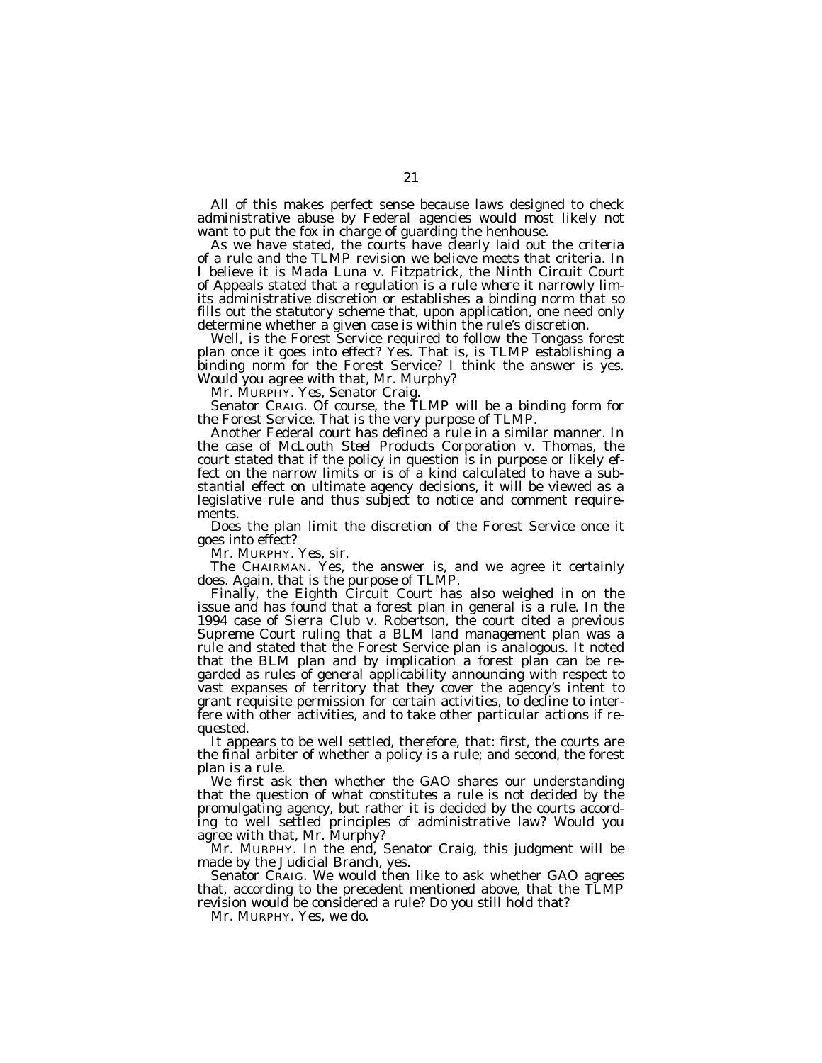All of this makes perfect sense because laws designed to check administrative abuse by Federal agencies would most likely not want to put the fox in charge of guarding the henhouse.

As we have stated, the courts have clearly laid out the criteria of a rule and the TLMP revision we believe meets that criteria. In I believe it is *Mada Luna* v. *Fitzpatrick,* the Ninth Circuit Court of Appeals stated that a regulation is a rule where it narrowly limits administrative discretion or establishes a binding norm that so fills out the statutory scheme that, upon application, one need only determine whether a given case is within the rule's discretion.

Well, is the Forest Service required to follow the Tongass forest plan once it goes into effect? Yes. That is, is TLMP establishing a binding norm for the Forest Service? I think the answer is yes. Would you agree with that, Mr. Murphy?

Mr. MURPHY. Yes, Senator Craig.

Senator CRAIG. Of course, the TLMP will be a binding form for the Forest Service. That is the very purpose of TLMP.

Another Federal court has defined a rule in a similar manner. In the case of *McLouth Steel Products Corporation* v. *Thomas,* the court stated that if the policy in question is in purpose or likely effect on the narrow limits or is of a kind calculated to have a substantial effect on ultimate agency decisions, it will be viewed as a legislative rule and thus subject to notice and comment requirements.

Does the plan limit the discretion of the Forest Service once it goes into effect?

Mr. MURPHY. Yes, sir.

The CHAIRMAN. Yes, the answer is, and we agree it certainly does. Again, that is the purpose of TLMP.

Finally, the Eighth Circuit Court has also weighed in on the issue and has found that a forest plan in general is a rule. In the 1994 case of *Sierra Club* v. *Robertson,* the court cited a previous Supreme Court ruling that a BLM land management plan was a rule and stated that the Forest Service plan is analogous. It noted that the BLM plan and by implication a forest plan can be regarded as rules of general applicability announcing with respect to vast expanses of territory that they cover the agency's intent to grant requisite permission for certain activities, to decline to interfere with other activities, and to take other particular actions if requested.

It appears to be well settled, therefore, that: first, the courts are the final arbiter of whether a policy is a rule; and second, the forest plan is a rule.

We first ask then whether the GAO shares our understanding that the question of what constitutes a rule is not decided by the promulgating agency, but rather it is decided by the courts according to well settled principles of administrative law? Would you agree with that, Mr. Murphy?

Mr. MURPHY. In the end, Senator Craig, this judgment will be made by the Judicial Branch, yes.

Senator CRAIG. We would then like to ask whether GAO agrees that, according to the precedent mentioned above, that the TLMP revision would be considered a rule? Do you still hold that?

Mr. MURPHY. Yes, we do.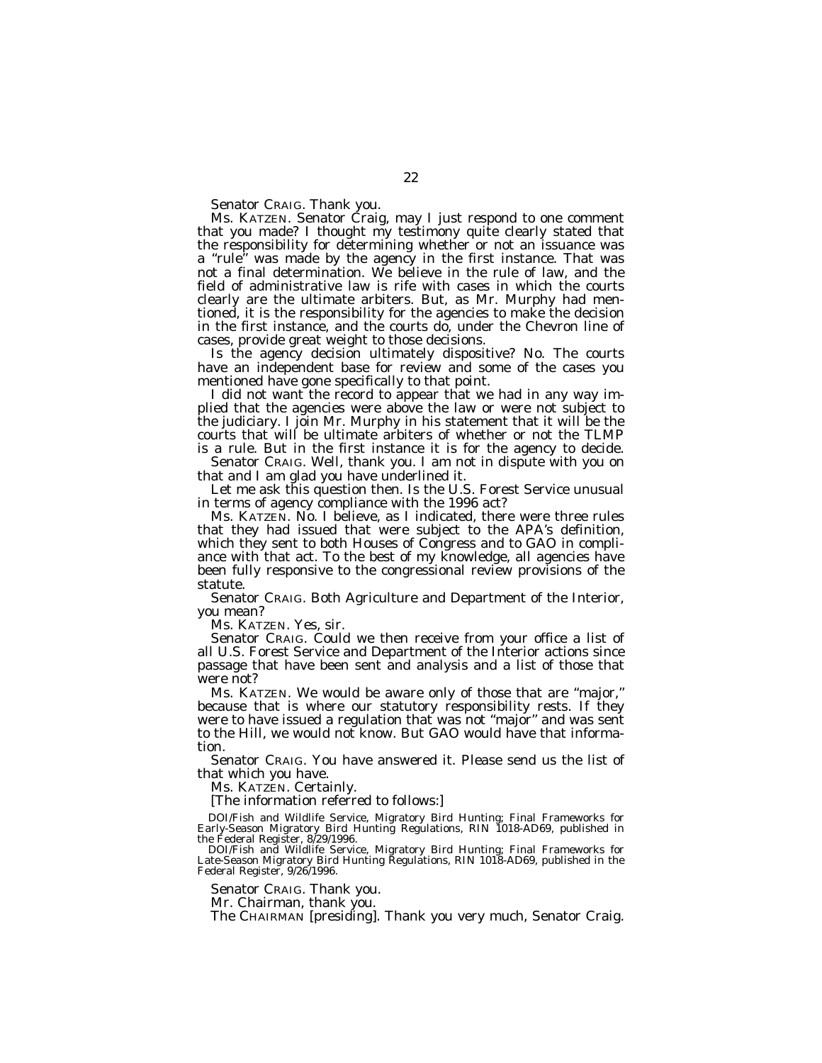Senator CRAIG. Thank you.

Ms. KATZEN. Senator Craig, may I just respond to one comment that you made? I thought my testimony quite clearly stated that the responsibility for determining whether or not an issuance was a ''rule'' was made by the agency in the first instance. That was not a final determination. We believe in the rule of law, and the field of administrative law is rife with cases in which the courts clearly are the ultimate arbiters. But, as Mr. Murphy had mentioned, it is the responsibility for the agencies to make the decision in the first instance, and the courts do, under the Chevron line of cases, provide great weight to those decisions.

Is the agency decision ultimately dispositive? No. The courts have an independent base for review and some of the cases you mentioned have gone specifically to that point.

I did not want the record to appear that we had in any way implied that the agencies were above the law or were not subject to the judiciary. I join Mr. Murphy in his statement that it will be the courts that will be ultimate arbiters of whether or not the TLMP is a rule. But in the first instance it is for the agency to decide.

Senator CRAIG. Well, thank you. I am not in dispute with you on that and I am glad you have underlined it.

Let me ask this question then. Is the U.S. Forest Service unusual in terms of agency compliance with the 1996 act?

Ms. KATZEN. No. I believe, as I indicated, there were three rules that they had issued that were subject to the APA's definition, which they sent to both Houses of Congress and to GAO in compliance with that act. To the best of my knowledge, all agencies have been fully responsive to the congressional review provisions of the statute.

Senator CRAIG. Both Agriculture and Department of the Interior, you mean?

Ms. KATZEN. Yes, sir.

Senator CRAIG. Could we then receive from your office a list of all U.S. Forest Service and Department of the Interior actions since passage that have been sent and analysis and a list of those that were not?

Ms. KATZEN. We would be aware only of those that are ''major,'' because that is where our statutory responsibility rests. If they were to have issued a regulation that was not "major" and was sent to the Hill, we would not know. But GAO would have that information.

Senator CRAIG. You have answered it. Please send us the list of that which you have.

Ms. KATZEN. Certainly.

[The information referred to follows:]

DOI/Fish and Wildlife Service, Migratory Bird Hunting; Final Frameworks for Early-Season Migratory Bird Hunting Regulations, RIN 1018-AD69, published in the Federal Register, 8/29/1996.

DOI/Fish and Wildlife Service, Migratory Bird Hunting; Final Frameworks for Late-Season Migratory Bird Hunting Regulations, RIN 1018-AD69, published in the Federal Register, 9/26/1996.

Senator CRAIG. Thank you.

Mr. Chairman, thank you.

The CHAIRMAN [presiding]. Thank you very much, Senator Craig.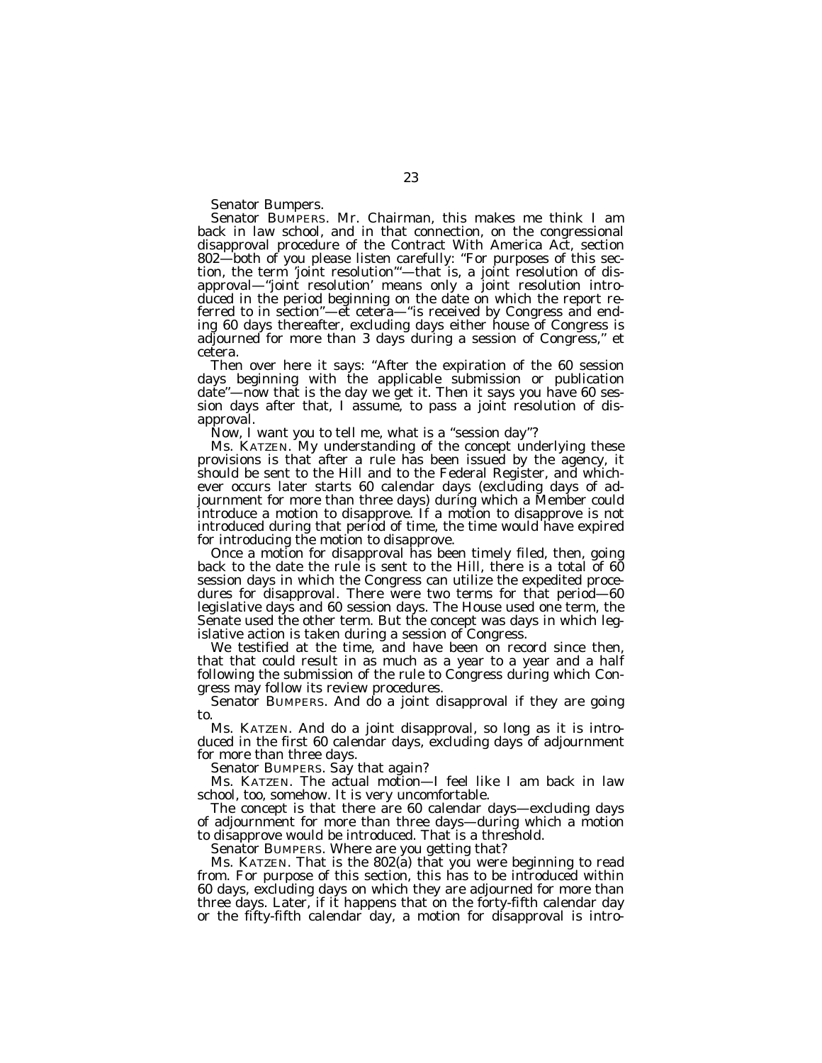Senator Bumpers.

Senator BUMPERS. Mr. Chairman, this makes me think I am back in law school, and in that connection, on the congressional disapproval procedure of the Contract With America Act, section 802—both of you please listen carefully: ''For purposes of this section, the term 'joint resolution'''—that is, a joint resolution of disapproval—''joint resolution' means only a joint resolution introduced in the period beginning on the date on which the report referred to in section''—et cetera—''is received by Congress and ending 60 days thereafter, excluding days either house of Congress is adjourned for more than 3 days during a session of Congress,'' et cetera.

Then over here it says: "After the expiration of the 60 session days beginning with the applicable submission or publication date''—now that is the day we get it. Then it says you have 60 session days after that, I assume, to pass a joint resolution of disapproval.

Now, I want you to tell me, what is a "session day"?

Ms. KATZEN. My understanding of the concept underlying these provisions is that after a rule has been issued by the agency, it should be sent to the Hill and to the Federal Register, and whichever occurs later starts 60 calendar days (excluding days of adjournment for more than three days) during which a Member could introduce a motion to disapprove. If a motion to disapprove is not introduced during that period of time, the time would have expired for introducing the motion to disapprove.

Once a motion for disapproval has been timely filed, then, going back to the date the rule is sent to the Hill, there is a total of 60 session days in which the Congress can utilize the expedited procedures for disapproval. There were two terms for that period—60 legislative days and 60 session days. The House used one term, the Senate used the other term. But the concept was days in which legislative action is taken during a session of Congress.

We testified at the time, and have been on record since then, that that could result in as much as a year to a year and a half following the submission of the rule to Congress during which Congress may follow its review procedures.

Senator BUMPERS. And do a joint disapproval if they are going to.

Ms. KATZEN. And do a joint disapproval, so long as it is introduced in the first 60 calendar days, excluding days of adjournment for more than three days.

Senator BUMPERS. Say that again?

Ms. KATZEN. The actual motion—I feel like I am back in law school, too, somehow. It is very uncomfortable.

The concept is that there are 60 calendar days—excluding days of adjournment for more than three days—during which a motion to disapprove would be introduced. That is a threshold.

Senator BUMPERS. Where are you getting that?

Ms. KATZEN. That is the 802(a) that you were beginning to read from. For purpose of this section, this has to be introduced within 60 days, excluding days on which they are adjourned for more than three days. Later, if it happens that on the forty-fifth calendar day or the fifty-fifth calendar day, a motion for disapproval is intro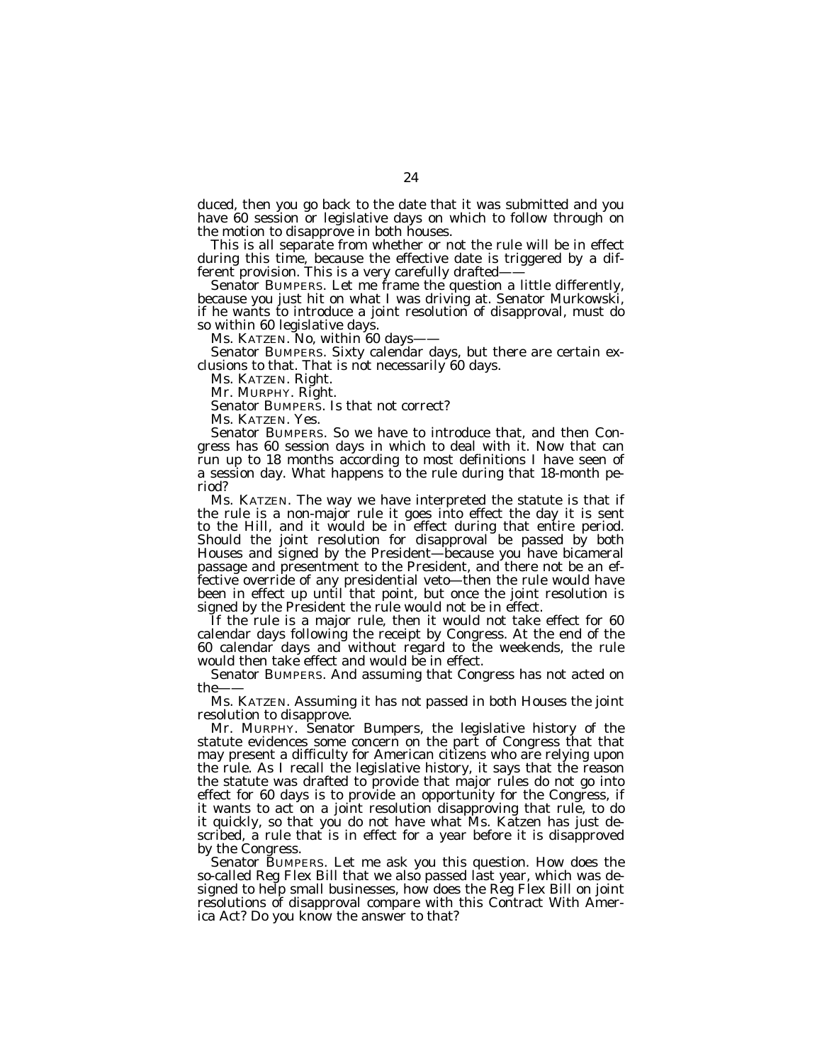duced, then you go back to the date that it was submitted and you have 60 session or legislative days on which to follow through on the motion to disapprove in both houses.

This is all separate from whether or not the rule will be in effect during this time, because the effective date is triggered by a different provision. This is a very carefully drafted——

Senator BUMPERS. Let me frame the question a little differently, because you just hit on what I was driving at. Senator Murkowski, if he wants to introduce a joint resolution of disapproval, must do so within 60 legislative days.

Ms. KATZEN. No, within 60 days-

Senator BUMPERS. Sixty calendar days, but there are certain exclusions to that. That is not necessarily 60 days.

Ms. KATZEN. Right.

Mr. MURPHY. Right.

Senator BUMPERS. Is that not correct?

Ms. KATZEN. Yes.

Senator BUMPERS. So we have to introduce that, and then Congress has 60 session days in which to deal with it. Now that can run up to 18 months according to most definitions I have seen of a session day. What happens to the rule during that 18-month period?

Ms. KATZEN. The way we have interpreted the statute is that if the rule is a non-major rule it goes into effect the day it is sent to the Hill, and it would be in effect during that entire period. Should the joint resolution for disapproval be passed by both Houses and signed by the President—because you have bicameral passage and presentment to the President, and there not be an effective override of any presidential veto—then the rule would have been in effect up until that point, but once the joint resolution is signed by the President the rule would not be in effect.

If the rule is a major rule, then it would not take effect for 60 calendar days following the receipt by Congress. At the end of the 60 calendar days and without regard to the weekends, the rule would then take effect and would be in effect.

Senator BUMPERS. And assuming that Congress has not acted on the-

Ms. KATZEN. Assuming it has not passed in both Houses the joint resolution to disapprove.

Mr. MURPHY. Senator Bumpers, the legislative history of the statute evidences some concern on the part of Congress that that may present a difficulty for American citizens who are relying upon the rule. As I recall the legislative history, it says that the reason the statute was drafted to provide that major rules do not go into effect for 60 days is to provide an opportunity for the Congress, if it wants to act on a joint resolution disapproving that rule, to do it quickly, so that you do not have what Ms. Katzen has just described, a rule that is in effect for a year before it is disapproved by the Congress.

Senator BUMPERS. Let me ask you this question. How does the so-called Reg Flex Bill that we also passed last year, which was designed to help small businesses, how does the Reg Flex Bill on joint resolutions of disapproval compare with this Contract With America Act? Do you know the answer to that?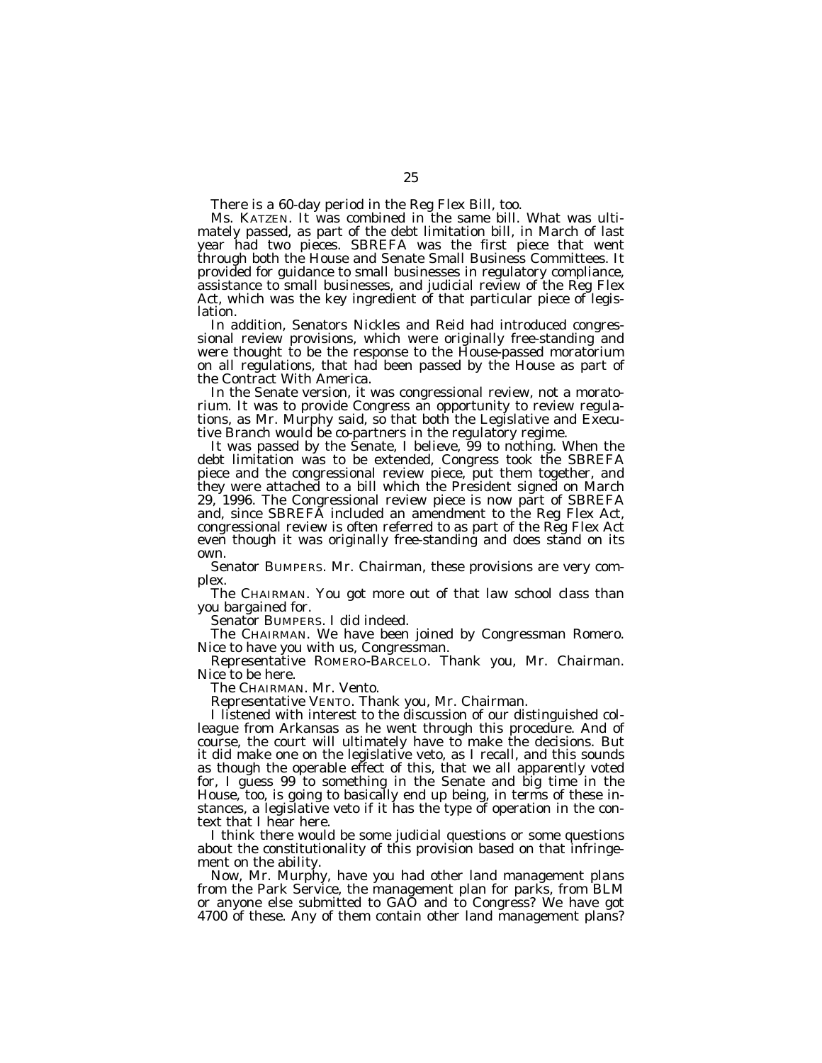There is a 60-day period in the Reg Flex Bill, too.

Ms. KATZEN. It was combined in the same bill. What was ultimately passed, as part of the debt limitation bill, in March of last year had two pieces. SBREFA was the first piece that went through both the House and Senate Small Business Committees. It provided for guidance to small businesses in regulatory compliance, assistance to small businesses, and judicial review of the Reg Flex Act, which was the key ingredient of that particular piece of legislation.

In addition, Senators Nickles and Reid had introduced congressional review provisions, which were originally free-standing and were thought to be the response to the House-passed moratorium on all regulations, that had been passed by the House as part of the Contract With America.

In the Senate version, it was congressional review, not a moratorium. It was to provide Congress an opportunity to review regulations, as Mr. Murphy said, so that both the Legislative and Executive Branch would be co-partners in the regulatory regime.

It was passed by the Senate, I believe, 99 to nothing. When the debt limitation was to be extended, Congress took the SBREFA piece and the congressional review piece, put them together, and they were attached to a bill which the President signed on March 29, 1996. The Congressional review piece is now part of SBREFA and, since SBREFA included an amendment to the Reg Flex Act, congressional review is often referred to as part of the Reg Flex Act even though it was originally free-standing and does stand on its own.

Senator BUMPERS. Mr. Chairman, these provisions are very complex.

The CHAIRMAN. You got more out of that law school class than you bargained for.

Senator BUMPERS. I did indeed.

The CHAIRMAN. We have been joined by Congressman Romero. Nice to have you with us, Congressman.

Representative ROMERO-BARCELO. Thank you, Mr. Chairman. Nice to be here.

The CHAIRMAN. Mr. Vento.

Representative VENTO. Thank you, Mr. Chairman.

I listened with interest to the discussion of our distinguished colleague from Arkansas as he went through this procedure. And of course, the court will ultimately have to make the decisions. But it did make one on the legislative veto, as I recall, and this sounds as though the operable effect of this, that we all apparently voted for, I guess 99 to something in the Senate and big time in the House, too, is going to basically end up being, in terms of these instances, a legislative veto if it has the type of operation in the context that I hear here.

I think there would be some judicial questions or some questions about the constitutionality of this provision based on that infringement on the ability.

Now, Mr. Murphy, have you had other land management plans from the Park Service, the management plan for parks, from BLM or anyone else submitted to GAO and to Congress? We have got 4700 of these. Any of them contain other land management plans?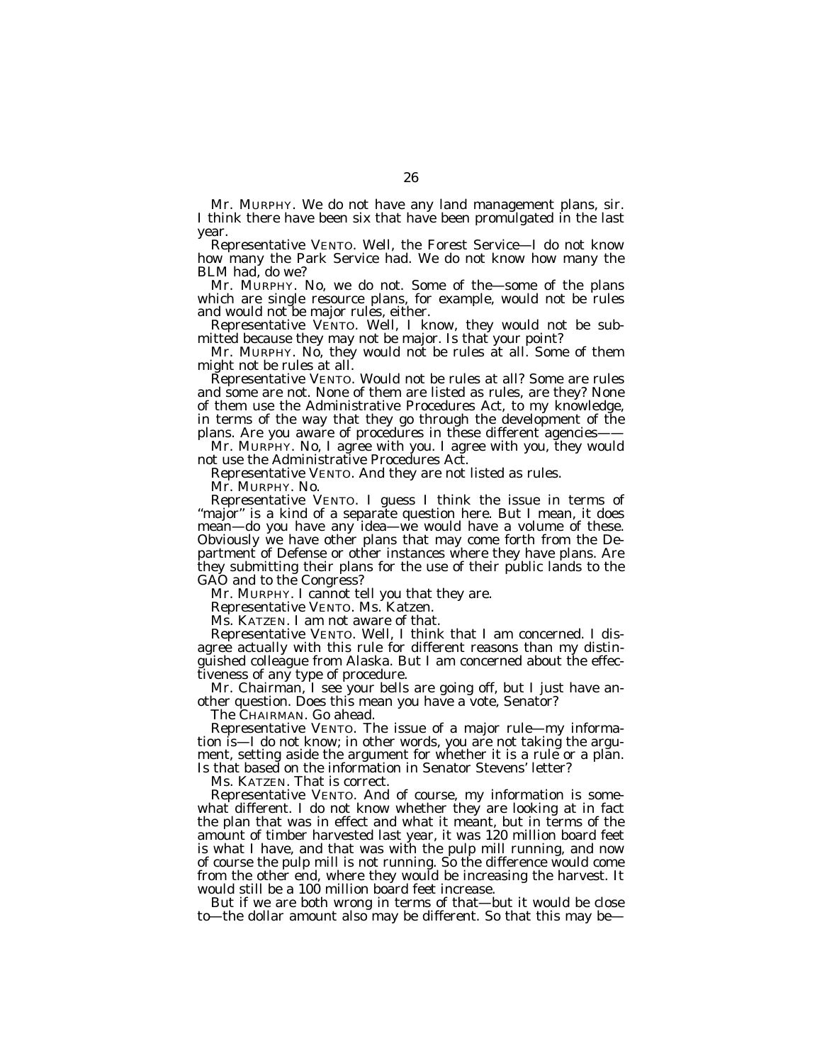Mr. MURPHY. We do not have any land management plans, sir. I think there have been six that have been promulgated in the last year.

Representative VENTO. Well, the Forest Service—I do not know how many the Park Service had. We do not know how many the BLM had, do we?

Mr. MURPHY. No, we do not. Some of the—some of the plans which are single resource plans, for example, would not be rules and would not be major rules, either.

Representative VENTO. Well, I know, they would not be submitted because they may not be major. Is that your point?

Mr. MURPHY. No, they would not be rules at all. Some of them might not be rules at all.

Representative VENTO. Would not be rules at all? Some are rules and some are not. None of them are listed as rules, are they? None of them use the Administrative Procedures Act, to my knowledge, in terms of the way that they go through the development of the plans. Are you aware of procedures in these different agencies-

Mr. MURPHY. No, I agree with you. I agree with you, they would not use the Administrative Procedures Act.

Representative VENTO. And they are not listed as rules.

Mr. MURPHY. No.

Representative VENTO. I guess I think the issue in terms of "major" is a kind of a separate question here. But I mean, it does mean—do you have any idea—we would have a volume of these. Obviously we have other plans that may come forth from the Department of Defense or other instances where they have plans. Are they submitting their plans for the use of their public lands to the GAO and to the Congress?

Mr. MURPHY. I cannot tell you that they are.

Representative VENTO. Ms. Katzen.

Ms. KATZEN. I am not aware of that.

Representative VENTO. Well, I think that I am concerned. I disagree actually with this rule for different reasons than my distinguished colleague from Alaska. But I am concerned about the effectiveness of any type of procedure.

Mr. Chairman, I see your bells are going off, but I just have another question. Does this mean you have a vote, Senator?

The CHAIRMAN. Go ahead.

Representative VENTO. The issue of a major rule—my information is—I do not know; in other words, you are not taking the argument, setting aside the argument for whether it is a rule or a plan. Is that based on the information in Senator Stevens' letter?

Ms. KATZEN. That is correct.

Representative VENTO. And of course, my information is somewhat different. I do not know whether they are looking at in fact the plan that was in effect and what it meant, but in terms of the amount of timber harvested last year, it was 120 million board feet is what I have, and that was with the pulp mill running, and now of course the pulp mill is not running. So the difference would come from the other end, where they would be increasing the harvest. It would still be a 100 million board feet increase.

But if we are both wrong in terms of that—but it would be close to—the dollar amount also may be different. So that this may be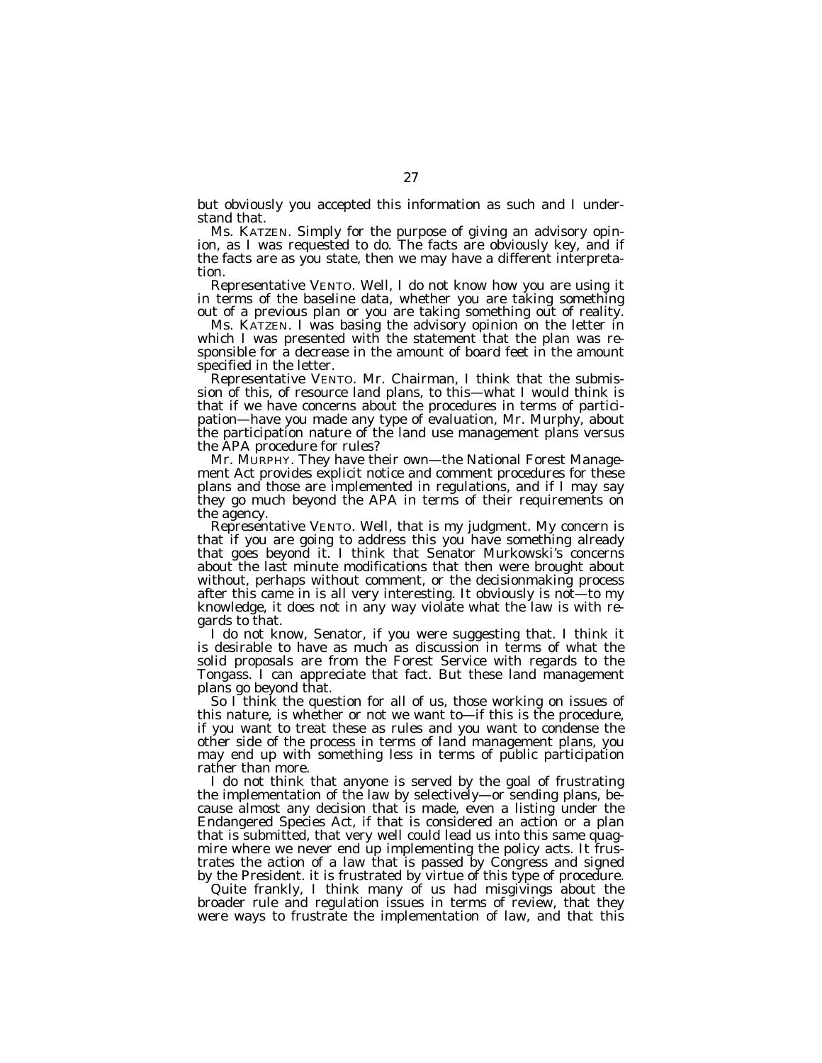but obviously you accepted this information as such and I understand that.

Ms. KATZEN. Simply for the purpose of giving an advisory opinion, as I was requested to do. The facts are obviously key, and if the facts are as you state, then we may have a different interpretation.

Representative VENTO. Well, I do not know how you are using it in terms of the baseline data, whether you are taking something out of a previous plan or you are taking something out of reality.

Ms. KATZEN. I was basing the advisory opinion on the letter in which I was presented with the statement that the plan was responsible for a decrease in the amount of board feet in the amount specified in the letter.

Representative VENTO. Mr. Chairman, I think that the submission of this, of resource land plans, to this—what I would think is that if we have concerns about the procedures in terms of participation—have you made any type of evaluation, Mr. Murphy, about the participation nature of the land use management plans versus the APA procedure for rules?

Mr. MURPHY. They have their own—the National Forest Management Act provides explicit notice and comment procedures for these plans and those are implemented in regulations, and if I may say they go much beyond the APA in terms of their requirements on the agency.

Representative VENTO. Well, that is my judgment. My concern is that if you are going to address this you have something already that goes beyond it. I think that Senator Murkowski's concerns about the last minute modifications that then were brought about without, perhaps without comment, or the decisionmaking process after this came in is all very interesting. It obviously is not—to my knowledge, it does not in any way violate what the law is with regards to that.

I do not know, Senator, if you were suggesting that. I think it is desirable to have as much as discussion in terms of what the solid proposals are from the Forest Service with regards to the Tongass. I can appreciate that fact. But these land management plans go beyond that.

So  $\tilde{\Gamma}$  think the question for all of us, those working on issues of this nature, is whether or not we want to—if this is the procedure, if you want to treat these as rules and you want to condense the other side of the process in terms of land management plans, you may end up with something less in terms of public participation rather than more.

I do not think that anyone is served by the goal of frustrating the implementation of the law by selectively—or sending plans, because almost any decision that is made, even a listing under the Endangered Species Act, if that is considered an action or a plan that is submitted, that very well could lead us into this same quagmire where we never end up implementing the policy acts. It frustrates the action of a law that is passed by Congress and signed by the President. it is frustrated by virtue of this type of procedure.

Quite frankly, I think many of us had misgivings about the broader rule and regulation issues in terms of review, that they were ways to frustrate the implementation of law, and that this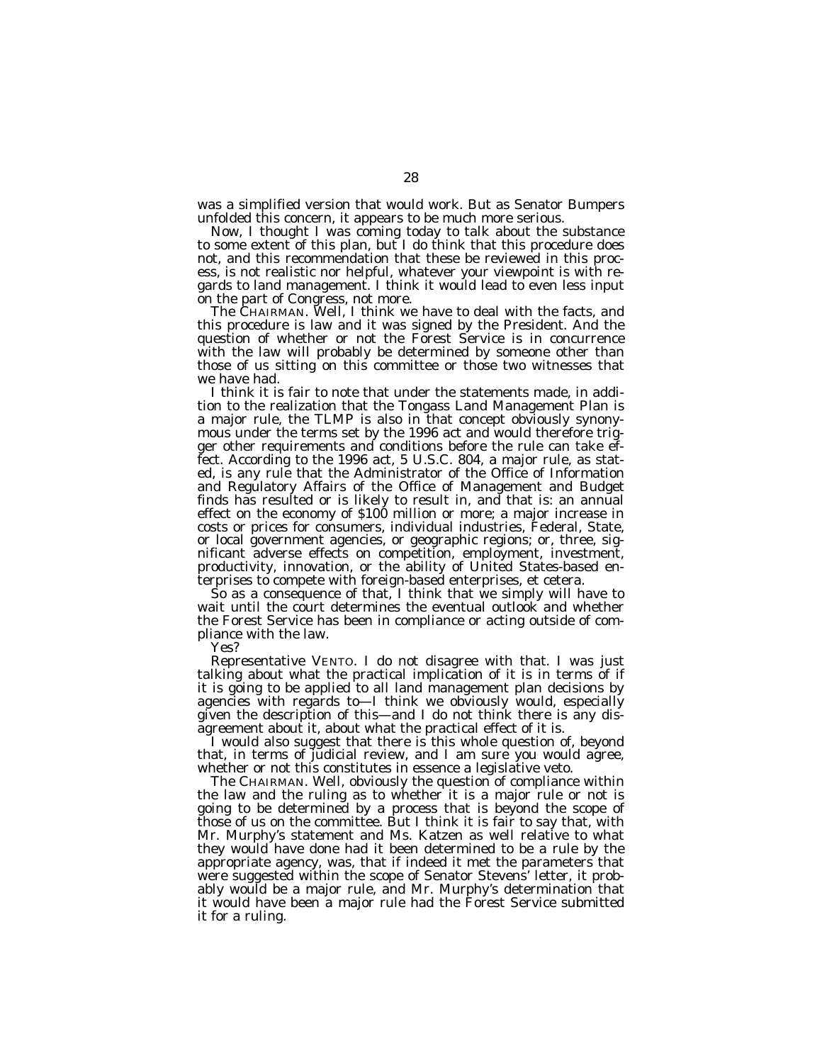was a simplified version that would work. But as Senator Bumpers unfolded this concern, it appears to be much more serious.

Now, I thought I was coming today to talk about the substance to some extent of this plan, but I do think that this procedure does not, and this recommendation that these be reviewed in this process, is not realistic nor helpful, whatever your viewpoint is with regards to land management. I think it would lead to even less input on the part of Congress, not more.

The CHAIRMAN. Well, I think we have to deal with the facts, and this procedure is law and it was signed by the President. And the question of whether or not the Forest Service is in concurrence with the law will probably be determined by someone other than those of us sitting on this committee or those two witnesses that we have had.

I think it is fair to note that under the statements made, in addition to the realization that the Tongass Land Management Plan is a major rule, the TLMP is also in that concept obviously synonymous under the terms set by the 1996 act and would therefore trigger other requirements and conditions before the rule can take effect. According to the 1996 act, 5 U.S.C. 804, a major rule, as stated, is any rule that the Administrator of the Office of Information and Regulatory Affairs of the Office of Management and Budget finds has resulted or is likely to result in, and that is: an annual effect on the economy of \$100 million or more; a major increase in costs or prices for consumers, individual industries, Federal, State, or local government agencies, or geographic regions; or, three, significant adverse effects on competition, employment, investment, productivity, innovation, or the ability of United States-based enterprises to compete with foreign-based enterprises, et cetera.

So as a consequence of that, I think that we simply will have to wait until the court determines the eventual outlook and whether the Forest Service has been in compliance or acting outside of compliance with the law.

Yes?

Representative VENTO. I do not disagree with that. I was just talking about what the practical implication of it is in terms of if it is going to be applied to all land management plan decisions by agencies with regards to—I think we obviously would, especially given the description of this—and I do not think there is any disagreement about it, about what the practical effect of it is.

I would also suggest that there is this whole question of, beyond that, in terms of judicial review, and I am sure you would agree, whether or not this constitutes in essence a legislative veto.

The CHAIRMAN. Well, obviously the question of compliance within the law and the ruling as to whether it is a major rule or not is going to be determined by a process that is beyond the scope of those of us on the committee. But I think it is fair to say that, with Mr. Murphy's statement and Ms. Katzen as well relative to what they would have done had it been determined to be a rule by the appropriate agency, was, that if indeed it met the parameters that were suggested within the scope of Senator Stevens' letter, it probably would be a major rule, and Mr. Murphy's determination that it would have been a major rule had the Forest Service submitted it for a ruling.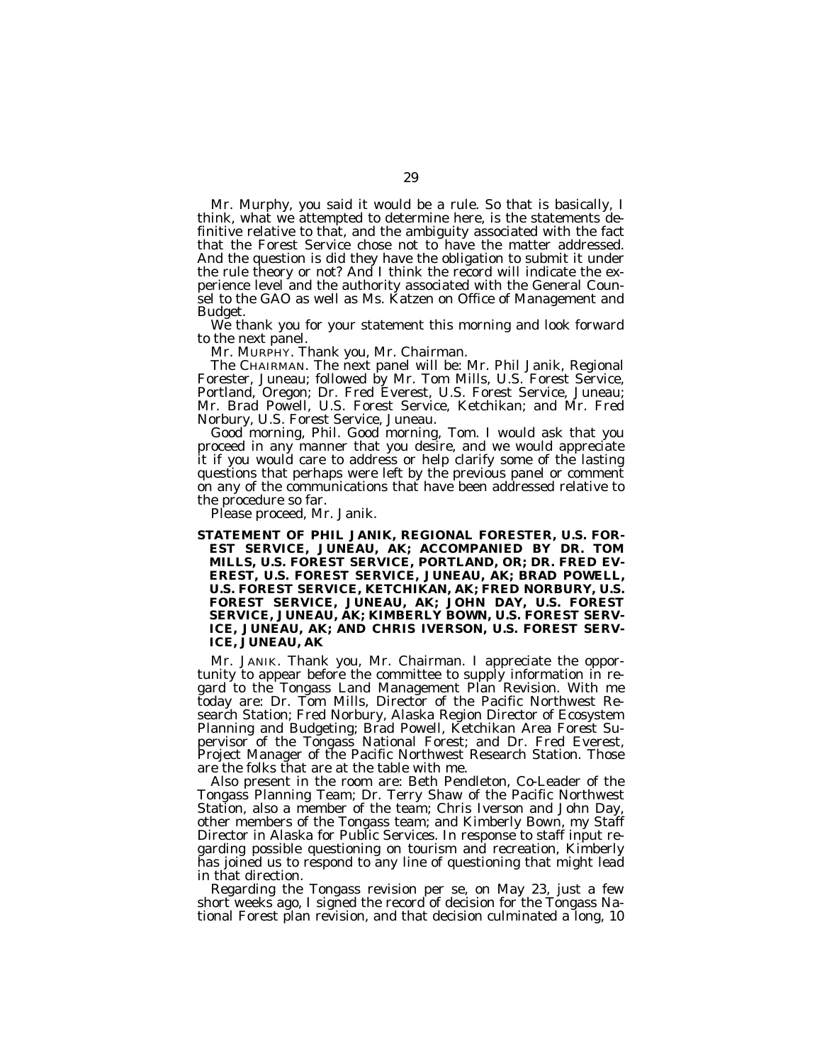Mr. Murphy, you said it would be a rule. So that is basically, I think, what we attempted to determine here, is the statements definitive relative to that, and the ambiguity associated with the fact that the Forest Service chose not to have the matter addressed. And the question is did they have the obligation to submit it under the rule theory or not? And I think the record will indicate the experience level and the authority associated with the General Counsel to the GAO as well as Ms. Katzen on Office of Management and Budget.

We thank you for your statement this morning and look forward to the next panel.

Mr. MURPHY. Thank you, Mr. Chairman.

The CHAIRMAN. The next panel will be: Mr. Phil Janik, Regional Forester, Juneau; followed by Mr. Tom Mills, U.S. Forest Service, Portland, Oregon; Dr. Fred Everest, U.S. Forest Service, Juneau; Mr. Brad Powell, U.S. Forest Service, Ketchikan; and Mr. Fred Norbury, U.S. Forest Service, Juneau.

Good morning, Phil. Good morning, Tom. I would ask that you proceed in any manner that you desire, and we would appreciate it if you would care to address or help clarify some of the lasting questions that perhaps were left by the previous panel or comment on any of the communications that have been addressed relative to the procedure so far.

Please proceed, Mr. Janik.

**STATEMENT OF PHIL JANIK, REGIONAL FORESTER, U.S. FOR-EST SERVICE, JUNEAU, AK; ACCOMPANIED BY DR. TOM MILLS, U.S. FOREST SERVICE, PORTLAND, OR; DR. FRED EV-EREST, U.S. FOREST SERVICE, JUNEAU, AK; BRAD POWELL, U.S. FOREST SERVICE, KETCHIKAN, AK; FRED NORBURY, U.S. FOREST SERVICE, JUNEAU, AK; JOHN DAY, U.S. FOREST SERVICE, JUNEAU, AK; KIMBERLY BOWN, U.S. FOREST SERV-ICE, JUNEAU, AK; AND CHRIS IVERSON, U.S. FOREST SERV-ICE, JUNEAU, AK**

Mr. JANIK. Thank you, Mr. Chairman. I appreciate the opportunity to appear before the committee to supply information in regard to the Tongass Land Management Plan Revision. With me today are: Dr. Tom Mills, Director of the Pacific Northwest Research Station; Fred Norbury, Alaska Region Director of Ecosystem Planning and Budgeting; Brad Powell, Ketchikan Area Forest Supervisor of the Tongass National Forest; and Dr. Fred Everest, Project Manager of the Pacific Northwest Research Station. Those are the folks that are at the table with me.

Also present in the room are: Beth Pendleton, Co-Leader of the Tongass Planning Team; Dr. Terry Shaw of the Pacific Northwest Station, also a member of the team; Chris Iverson and John Day, other members of the Tongass team; and Kimberly Bown, my Staff Director in Alaska for Public Services. In response to staff input regarding possible questioning on tourism and recreation, Kimberly has joined us to respond to any line of questioning that might lead in that direction.

Regarding the Tongass revision per se, on May 23, just a few short weeks ago, I signed the record of decision for the Tongass National Forest plan revision, and that decision culminated a long, 10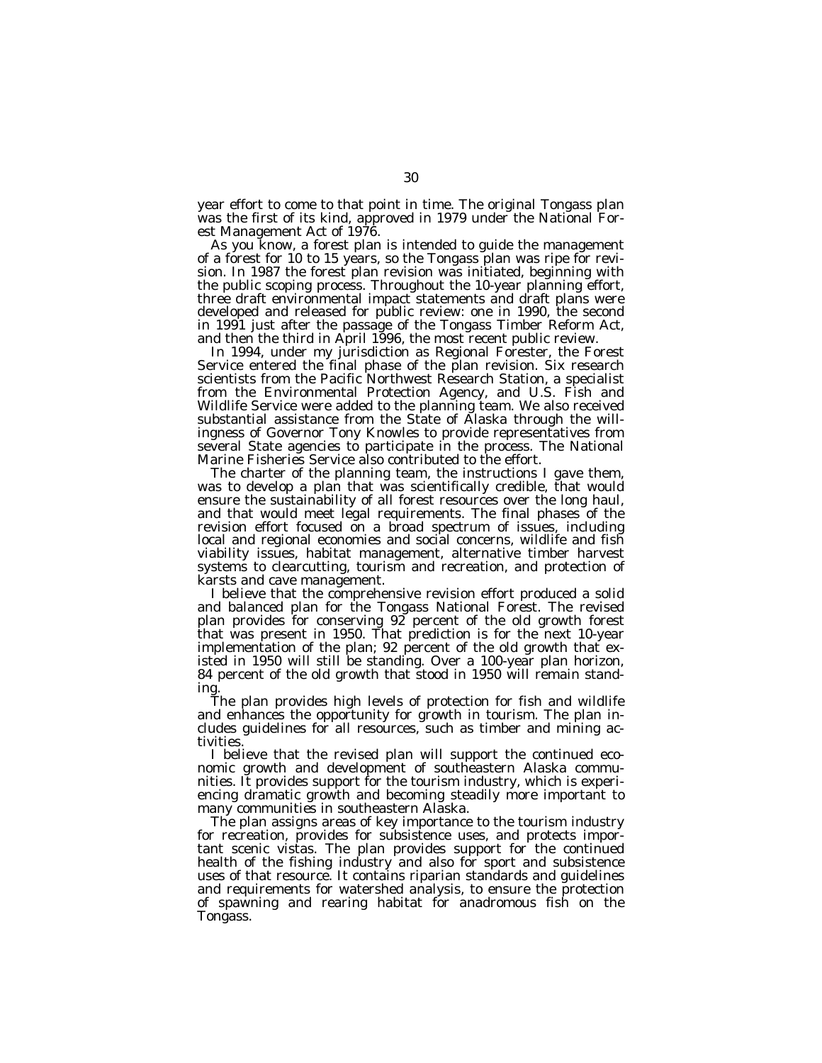year effort to come to that point in time. The original Tongass plan was the first of its kind, approved in 1979 under the National Forest Management Act of 1976.

As you know, a forest plan is intended to guide the management of a forest for 10 to 15 years, so the Tongass plan was ripe for revision. In 1987 the forest plan revision was initiated, beginning with the public scoping process. Throughout the 10-year planning effort, three draft environmental impact statements and draft plans were developed and released for public review: one in 1990, the second in 1991 just after the passage of the Tongass Timber Reform Act, and then the third in April 1996, the most recent public review.

In 1994, under my jurisdiction as Regional Forester, the Forest Service entered the final phase of the plan revision. Six research scientists from the Pacific Northwest Research Station, a specialist from the Environmental Protection Agency, and U.S. Fish and Wildlife Service were added to the planning team. We also received substantial assistance from the State of Alaska through the willingness of Governor Tony Knowles to provide representatives from several State agencies to participate in the process. The National Marine Fisheries Service also contributed to the effort.

The charter of the planning team, the instructions I gave them, was to develop a plan that was scientifically credible, that would ensure the sustainability of all forest resources over the long haul, and that would meet legal requirements. The final phases of the revision effort focused on a broad spectrum of issues, including local and regional economies and social concerns, wildlife and fish viability issues, habitat management, alternative timber harvest systems to clearcutting, tourism and recreation, and protection of karsts and cave management.

I believe that the comprehensive revision effort produced a solid and balanced plan for the Tongass National Forest. The revised plan provides for conserving 92 percent of the old growth forest that was present in 1950. That prediction is for the next 10-year implementation of the plan; 92 percent of the old growth that existed in 1950 will still be standing. Over a 100-year plan horizon, 84 percent of the old growth that stood in 1950 will remain standing.

The plan provides high levels of protection for fish and wildlife and enhances the opportunity for growth in tourism. The plan includes guidelines for all resources, such as timber and mining activities.

I believe that the revised plan will support the continued economic growth and development of southeastern Alaska communities. It provides support for the tourism industry, which is experiencing dramatic growth and becoming steadily more important to many communities in southeastern Alaska.

The plan assigns areas of key importance to the tourism industry for recreation, provides for subsistence uses, and protects important scenic vistas. The plan provides support for the continued health of the fishing industry and also for sport and subsistence uses of that resource. It contains riparian standards and guidelines and requirements for watershed analysis, to ensure the protection of spawning and rearing habitat for anadromous fish on the Tongass.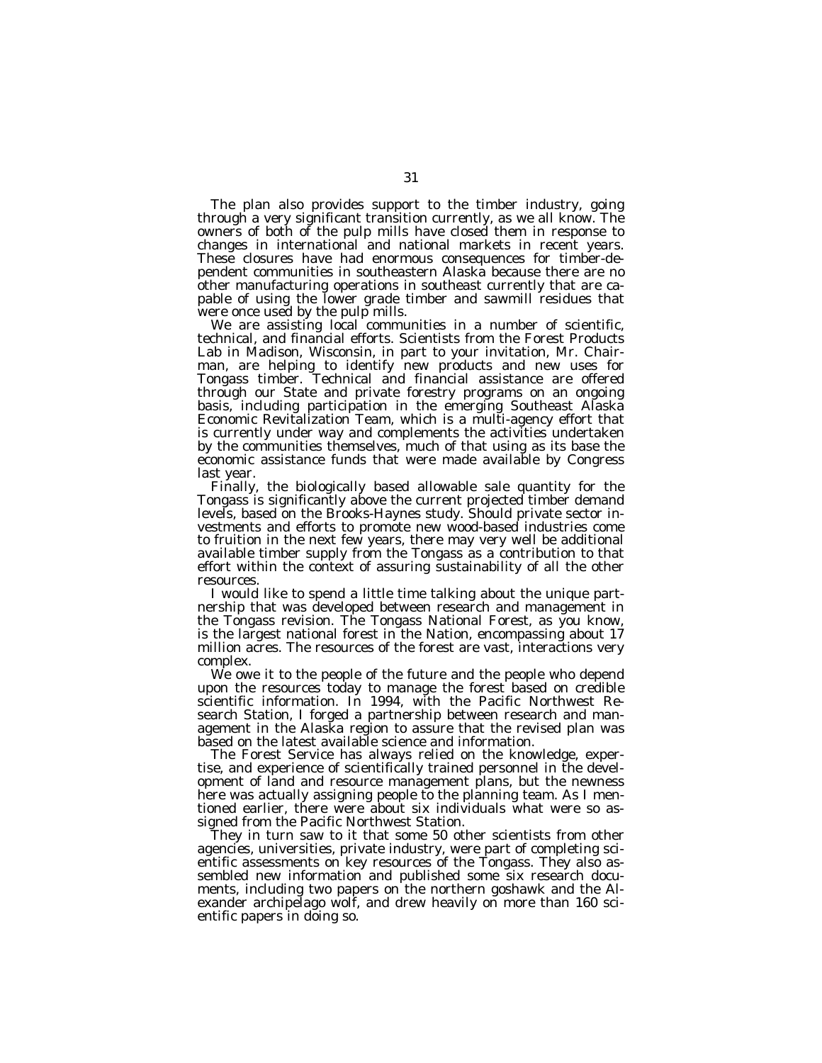The plan also provides support to the timber industry, going through a very significant transition currently, as we all know. The owners of both of the pulp mills have closed them in response to changes in international and national markets in recent years. These closures have had enormous consequences for timber-dependent communities in southeastern Alaska because there are no other manufacturing operations in southeast currently that are capable of using the lower grade timber and sawmill residues that were once used by the pulp mills.

We are assisting local communities in a number of scientific, technical, and financial efforts. Scientists from the Forest Products Lab in Madison, Wisconsin, in part to your invitation, Mr. Chairman, are helping to identify new products and new uses for Tongass timber. Technical and financial assistance are offered through our State and private forestry programs on an ongoing basis, including participation in the emerging Southeast Alaska Economic Revitalization Team, which is a multi-agency effort that is currently under way and complements the activities undertaken by the communities themselves, much of that using as its base the economic assistance funds that were made available by Congress last year.

Finally, the biologically based allowable sale quantity for the Tongass is significantly above the current projected timber demand levels, based on the Brooks-Haynes study. Should private sector investments and efforts to promote new wood-based industries come to fruition in the next few years, there may very well be additional available timber supply from the Tongass as a contribution to that effort within the context of assuring sustainability of all the other resources.

I would like to spend a little time talking about the unique partnership that was developed between research and management in the Tongass revision. The Tongass National Forest, as you know, is the largest national forest in the Nation, encompassing about 17 million acres. The resources of the forest are vast, interactions very complex.

We owe it to the people of the future and the people who depend upon the resources today to manage the forest based on credible scientific information. In 1994, with the Pacific Northwest Research Station, I forged a partnership between research and management in the Alaska region to assure that the revised plan was based on the latest available science and information.

The Forest Service has always relied on the knowledge, expertise, and experience of scientifically trained personnel in the development of land and resource management plans, but the newness here was actually assigning people to the planning team. As I mentioned earlier, there were about six individuals what were so assigned from the Pacific Northwest Station.

They in turn saw to it that some 50 other scientists from other agencies, universities, private industry, were part of completing scientific assessments on key resources of the Tongass. They also assembled new information and published some six research documents, including two papers on the northern goshawk and the Alexander archipelago wolf, and drew heavily on more than 160 scientific papers in doing so.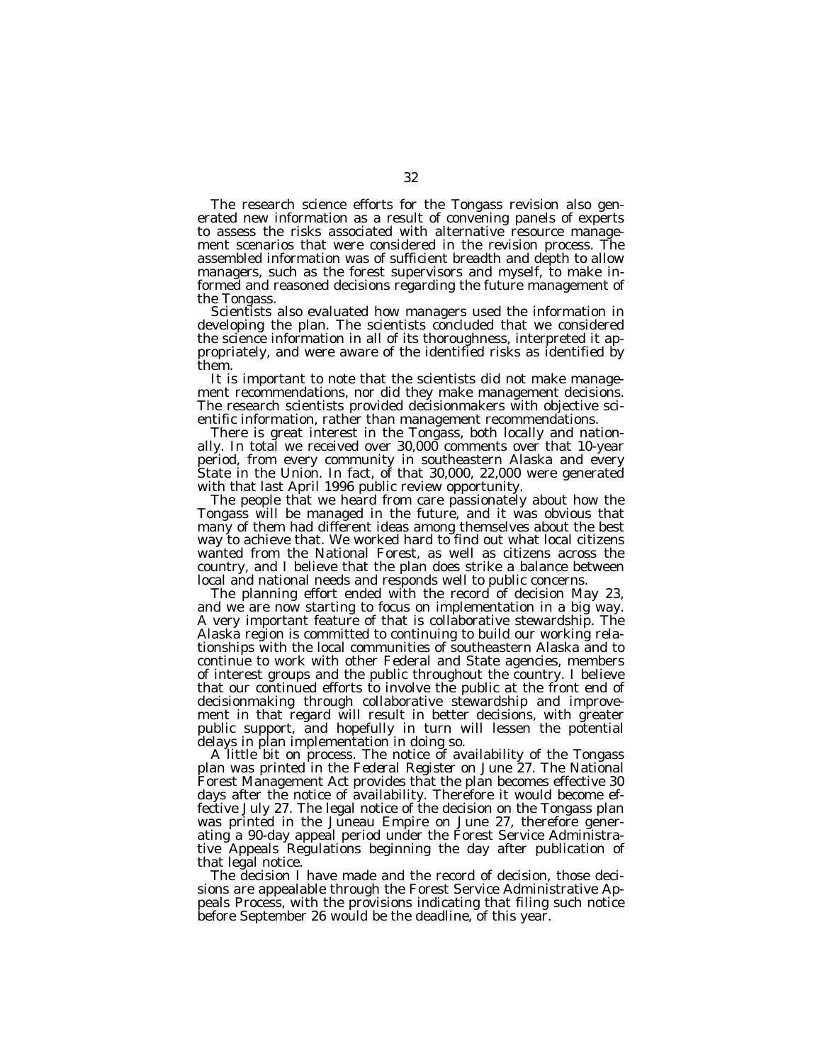The research science efforts for the Tongass revision also generated new information as a result of convening panels of experts to assess the risks associated with alternative resource management scenarios that were considered in the revision process. The assembled information was of sufficient breadth and depth to allow managers, such as the forest supervisors and myself, to make informed and reasoned decisions regarding the future management of the Tongass.

Scientists also evaluated how managers used the information in developing the plan. The scientists concluded that we considered the science information in all of its thoroughness, interpreted it appropriately, and were aware of the identified risks as identified by them.

It is important to note that the scientists did not make management recommendations, nor did they make management decisions. The research scientists provided decisionmakers with objective scientific information, rather than management recommendations.

There is great interest in the Tongass, both locally and nationally. In total we received over 30,000 comments over that 10-year period, from every community in southeastern Alaska and every State in the Union. In fact, of that 30,000, 22,000 were generated with that last April 1996 public review opportunity.

The people that we heard from care passionately about how the Tongass will be managed in the future, and it was obvious that many of them had different ideas among themselves about the best way to achieve that. We worked hard to find out what local citizens wanted from the National Forest, as well as citizens across the country, and I believe that the plan does strike a balance between local and national needs and responds well to public concerns.

The planning effort ended with the record of decision May 23, and we are now starting to focus on implementation in a big way. A very important feature of that is collaborative stewardship. The Alaska region is committed to continuing to build our working relationships with the local communities of southeastern Alaska and to continue to work with other Federal and State agencies, members of interest groups and the public throughout the country. I believe that our continued efforts to involve the public at the front end of decisionmaking through collaborative stewardship and improvement in that regard will result in better decisions, with greater public support, and hopefully in turn will lessen the potential delays in plan implementation in doing so.

A little bit on process. The notice of availability of the Tongass plan was printed in the *Federal Register* on June 27. The National Forest Management Act provides that the plan becomes effective 30 days after the notice of availability. Therefore it would become effective July 27. The legal notice of the decision on the Tongass plan was printed in the Juneau Empire on June 27, therefore generating a 90-day appeal period under the Forest Service Administrative Appeals Regulations beginning the day after publication of that legal notice.

The decision I have made and the record of decision, those decisions are appealable through the Forest Service Administrative Appeals Process, with the provisions indicating that filing such notice before September 26 would be the deadline, of this year.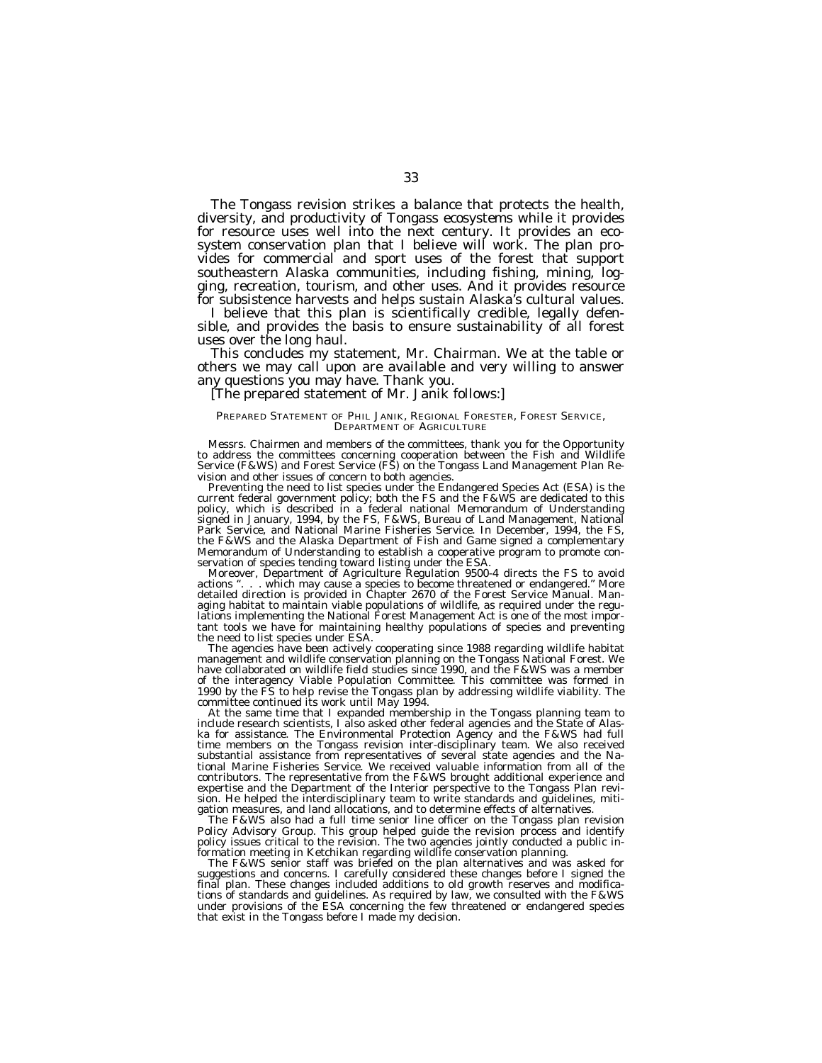The Tongass revision strikes a balance that protects the health, diversity, and productivity of Tongass ecosystems while it provides for resource uses well into the next century. It provides an ecosystem conservation plan that I believe will work. The plan provides for commercial and sport uses of the forest that support southeastern Alaska communities, including fishing, mining, logging, recreation, tourism, and other uses. And it provides resource for subsistence harvests and helps sustain Alaska's cultural values.

I believe that this plan is scientifically credible, legally defensible, and provides the basis to ensure sustainability of all forest uses over the long haul.

This concludes my statement, Mr. Chairman. We at the table or others we may call upon are available and very willing to answer any questions you may have. Thank you.

## [The prepared statement of Mr. Janik follows:]

#### PREPARED STATEMENT OF PHIL JANIK, REGIONAL FORESTER, FOREST SERVICE, DEPARTMENT OF AGRICULTURE

Messrs. Chairmen and members of the committees, thank you for the Opportunity to address the committees concerning cooperation between the Fish and Wildlife Service (F&WS) and Forest Service (FS) on the Tongass Land Management Plan Revision and other issues of concern to both agencies.

Preventing the need to list species under the Endangered Species Act (ESA) is the current federal government policy; both the FS and the F&WS are dedicated to this policy, which is described in a federal national Memorandum of Understanding signed in January, 1994, by the FS, F&WS, Bureau of Land Management, National Park Service, and National Marine Fisheries Service. In December, 1994, the FS, the F&WS and the Alaska Department of Fish and Game signed a complementary Memorandum of Understanding to establish a cooperative program to promote conservation of species tending toward listing under the ESA.

Moreover, Department of Agriculture Regulation 9500-4 directs the FS to avoid actions ". . . which may cause a species to become threatened or endangered." More detailed direction is provided in Chapter 2670 of the Forest Service Manual. Managing habitat to maintain viable populations of wildlife, as required under the regulations implementing the National Forest Management Act is one of the most important tools we have for maintaining healthy populations of species and preventing the need to list species under ESA.

The agencies have been actively cooperating since 1988 regarding wildlife habitat management and wildlife conservation planning on the Tongass National Forest. We have collaborated on wildlife field studies since 1990, and the F&WS was a member of the interagency Viable Population Committee. This committee was formed in 1990 by the FS to help revise the Tongass plan by addressing wildlife viability. The committee continued its work until May 1994.

At the same time that I expanded membership in the Tongass planning team to include research scientists, I also asked other federal agencies and the State of Alaska for assistance. The Environmental Protection Agency and the F&WS had full time members on the Tongass revision inter-disciplinary team. We also received substantial assistance from representatives of several state agencies and the National Marine Fisheries Service. We received valuable information from all of the contributors. The representative from the F&WS brought additional experience and expertise and the Department of the Interior perspective to the Tongass Plan revision. He helped the interdisciplinary team to write standards and guidelines, mitigation measures, and land allocations, and to determine effects of alternatives.

The F&WS also had a full time senior line officer on the Tongass plan revision Policy Advisory Group. This group helped guide the revision process and identify policy issues critical to the revision. The two agencies jointly conducted a public information meeting in Ketchikan regarding wildlife conservation planning.

The F&WS senior staff was briefed on the plan alternatives and was asked for suggestions and concerns. I carefully considered these changes before I signed the final plan. These changes included additions to old growth reserves and modifications of standards and guidelines. As required by law, we consulted with the F&WS under provisions of the ESA concerning the few threatened or endangered species that exist in the Tongass before I made my decision.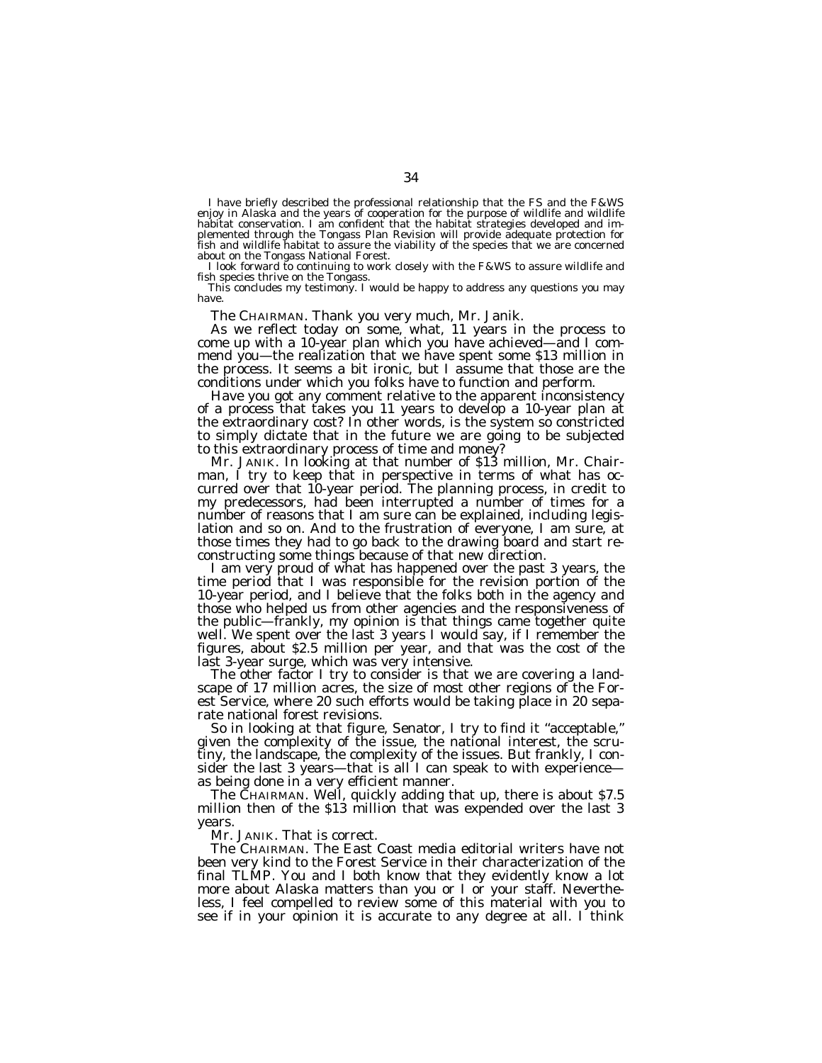I have briefly described the professional relationship that the FS and the F&WS<br>enjoy in Alaska and the years of cooperation for the purpose of wildlife and wildlife<br>habitat conservation. I am confident that the habitat st plemented through the Tongass Plan Revision will provide adequate protection for fish and wildlife habitat to assure the viability of the species that we are concerned

about on the Tongass National Forest.<br>
I look forward to continuing to work closely with the F&WS to assure wildlife and<br>
fish species thrive on the Tongass.<br>
This concludes my testimony. I would be happy to address any qu

The CHAIRMAN. Thank you very much, Mr. Janik. As we reflect today on some, what, 11 years in the process to come up with a 10-year plan which you have achieved—and I commend you—the realization that we have spent some \$13 million in the process. It seems a bit ironic, but I assume that those are the conditions under which you folks have to function and perform.

Have you got any comment relative to the apparent inconsistency of a process that takes you 11 years to develop a 10-year plan at the extraordinary cost? In other words, is the system so constricted to simply dictate that in the future we are going to be subjected to this extraordinary process of time and money?<br>Mr. JANIK. In looking at that number of \$13 million, Mr. Chair-

Mr. JANIK. In looking at that number of \$13 million, Mr. Chair- man, I try to keep that in perspective in terms of what has occurred over that 10-year period. The planning process, in credit to my predecessors, had been interrupted a number of times for a number of reasons that I am sure can be explained, including legislation and so on. And to the frustration of everyone, I am sure, at those times they had to go back to the drawing board and start re-

constructing some things because of that new direction. I am very proud of what has happened over the past 3 years, the time period that I was responsible for the revision portion of the 10-year period, and I believe that the folks both in the agency and those who helped us from other agencies and the responsiveness of the public—frankly, my opinion is that things came together quite well. We spent over the last 3 years I would say, if I remember the figures, about \$2.5 million per year, and that was the cost of the last 3-year surge, which was very intensive.

The other factor I try to consider is that we are covering a land-<br>scape of 17 million acres, the size of most other regions of the Forest Service, where 20 such efforts would be taking place in 20 separate national forest revisions.

So in looking at that figure, Senator, I try to find it ''acceptable,'' given the complexity of the issue, the national interest, the scrutiny, the landscape, the complexity of the issues. But frankly, I consider the last 3 years—that is all I can speak to with experience as being done in a very efficient manner.

The CHAIRMAN. Well, quickly adding that up, there is about \$7.5 million then of the \$13 million that was expended over the last 3 years.

Mr. JANIK. That is correct.

The CHAIRMAN. The East Coast media editorial writers have not been very kind to the Forest Service in their characterization of the final TLMP. You and I both know that they evidently know a lot more about Alaska matters than you or I or your staff. Nevertheless, I feel compelled to review some of this material with you to see if in your opinion it is accurate to any degree at all. I think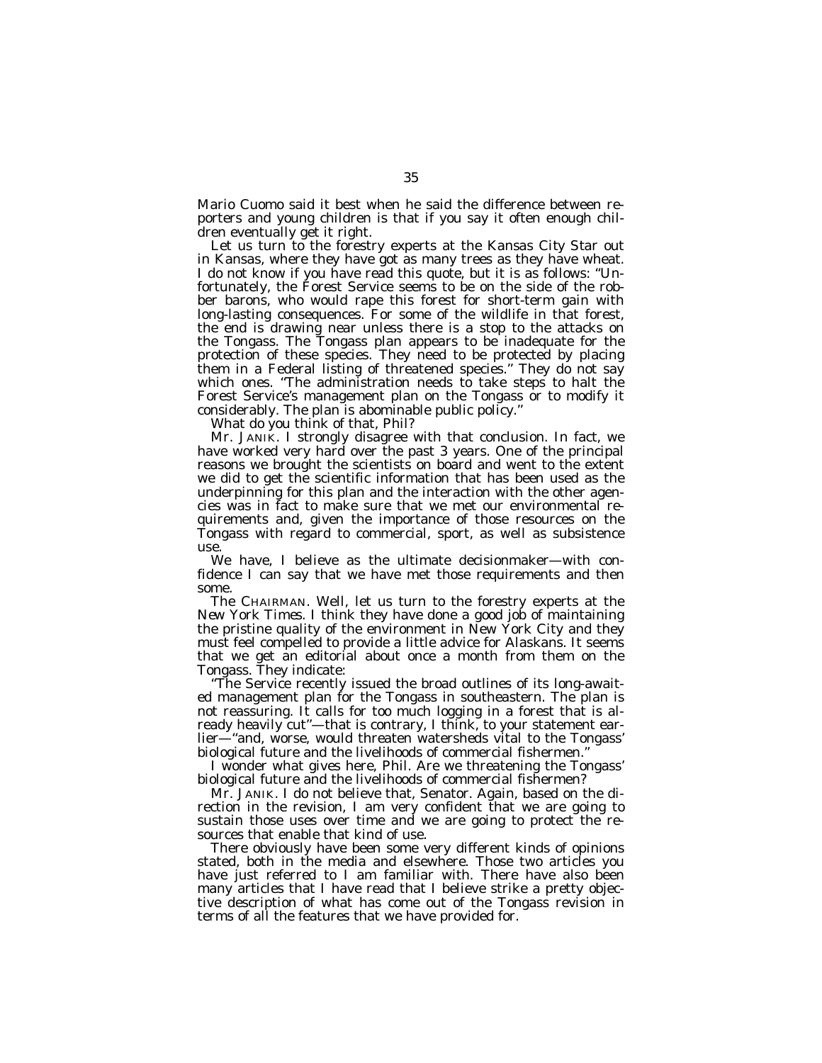Mario Cuomo said it best when he said the difference between reporters and young children is that if you say it often enough children eventually get it right.

Let us turn to the forestry experts at the *Kansas City Star* out in Kansas, where they have got as many trees as they have wheat. I do not know if you have read this quote, but it is as follows: ''Unfortunately, the Forest Service seems to be on the side of the robber barons, who would rape this forest for short-term gain with long-lasting consequences. For some of the wildlife in that forest, the end is drawing near unless there is a stop to the attacks on the Tongass. The Tongass plan appears to be inadequate for the protection of these species. They need to be protected by placing them in a Federal listing of threatened species.'' They do not say which ones. "The administration needs to take steps to halt the Forest Service's management plan on the Tongass or to modify it considerably. The plan is abominable public policy.''

What do you think of that, Phil?

Mr. JANIK. I strongly disagree with that conclusion. In fact, we have worked very hard over the past 3 years. One of the principal reasons we brought the scientists on board and went to the extent we did to get the scientific information that has been used as the underpinning for this plan and the interaction with the other agencies was in fact to make sure that we met our environmental requirements and, given the importance of those resources on the Tongass with regard to commercial, sport, as well as subsistence use.

We have, I believe as the ultimate decisionmaker—with confidence I can say that we have met those requirements and then some.

The CHAIRMAN. Well, let us turn to the forestry experts at the *New York Times.* I think they have done a good job of maintaining the pristine quality of the environment in New York City and they must feel compelled to provide a little advice for Alaskans. It seems that we get an editorial about once a month from them on the Tongass. They indicate:

''The Service recently issued the broad outlines of its long-awaited management plan for the Tongass in southeastern. The plan is not reassuring. It calls for too much logging in a forest that is already heavily cut''—that is contrary, I think, to your statement earlier—''and, worse, would threaten watersheds vital to the Tongass' biological future and the livelihoods of commercial fishermen.''

I wonder what gives here, Phil. Are we threatening the Tongass' biological future and the livelihoods of commercial fishermen?

Mr. JANIK. I do not believe that, Senator. Again, based on the direction in the revision, I am very confident that we are going to sustain those uses over time and we are going to protect the resources that enable that kind of use.

There obviously have been some very different kinds of opinions stated, both in the media and elsewhere. Those two articles you have just referred to I am familiar with. There have also been many articles that I have read that I believe strike a pretty objective description of what has come out of the Tongass revision in terms of all the features that we have provided for.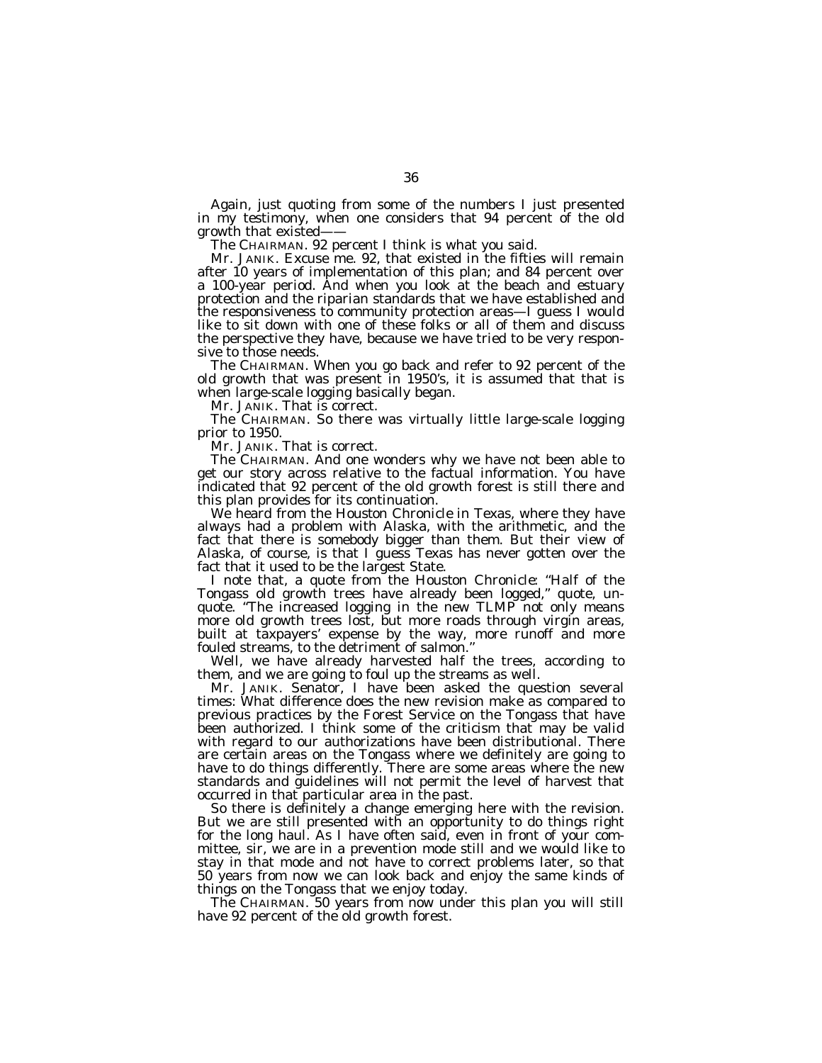Again, just quoting from some of the numbers I just presented in my testimony, when one considers that 94 percent of the old growth that existed——

The CHAIRMAN. 92 percent I think is what you said.

Mr. JANIK. Excuse me. 92, that existed in the fifties will remain after 10 years of implementation of this plan; and 84 percent over a 100-year period. And when you look at the beach and estuary protection and the riparian standards that we have established and the responsiveness to community protection areas—I guess I would like to sit down with one of these folks or all of them and discuss the perspective they have, because we have tried to be very responsive to those needs.

The CHAIRMAN. When you go back and refer to 92 percent of the old growth that was present in 1950's, it is assumed that that is when large-scale logging basically began.

Mr. JANIK. That is correct.

The CHAIRMAN. So there was virtually little large-scale logging prior to 1950.

Mr. JANIK. That is correct.

The CHAIRMAN. And one wonders why we have not been able to get our story across relative to the factual information. You have indicated that 92 percent of the old growth forest is still there and this plan provides for its continuation.

We heard from the *Houston Chronicle* in Texas, where they have always had a problem with Alaska, with the arithmetic, and the fact that there is somebody bigger than them. But their view of Alaska, of course, is that I guess Texas has never gotten over the fact that it used to be the largest State.

I note that, a quote from the *Houston Chronicle:* ''Half of the Tongass old growth trees have already been logged,'' quote, unquote. ''The increased logging in the new TLMP not only means more old growth trees lost, but more roads through virgin areas, built at taxpayers' expense by the way, more runoff and more fouled streams, to the detriment of salmon.''

Well, we have already harvested half the trees, according to them, and we are going to foul up the streams as well.

Mr. JANIK. Senator, I have been asked the question several times: What difference does the new revision make as compared to previous practices by the Forest Service on the Tongass that have been authorized. I think some of the criticism that may be valid with regard to our authorizations have been distributional. There are certain areas on the Tongass where we definitely are going to have to do things differently. There are some areas where the new standards and guidelines will not permit the level of harvest that occurred in that particular area in the past.

So there is definitely a change emerging here with the revision. But we are still presented with an opportunity to do things right for the long haul. As I have often said, even in front of your committee, sir, we are in a prevention mode still and we would like to stay in that mode and not have to correct problems later, so that 50 years from now we can look back and enjoy the same kinds of things on the Tongass that we enjoy today.

The CHAIRMAN. 50 years from now under this plan you will still have 92 percent of the old growth forest.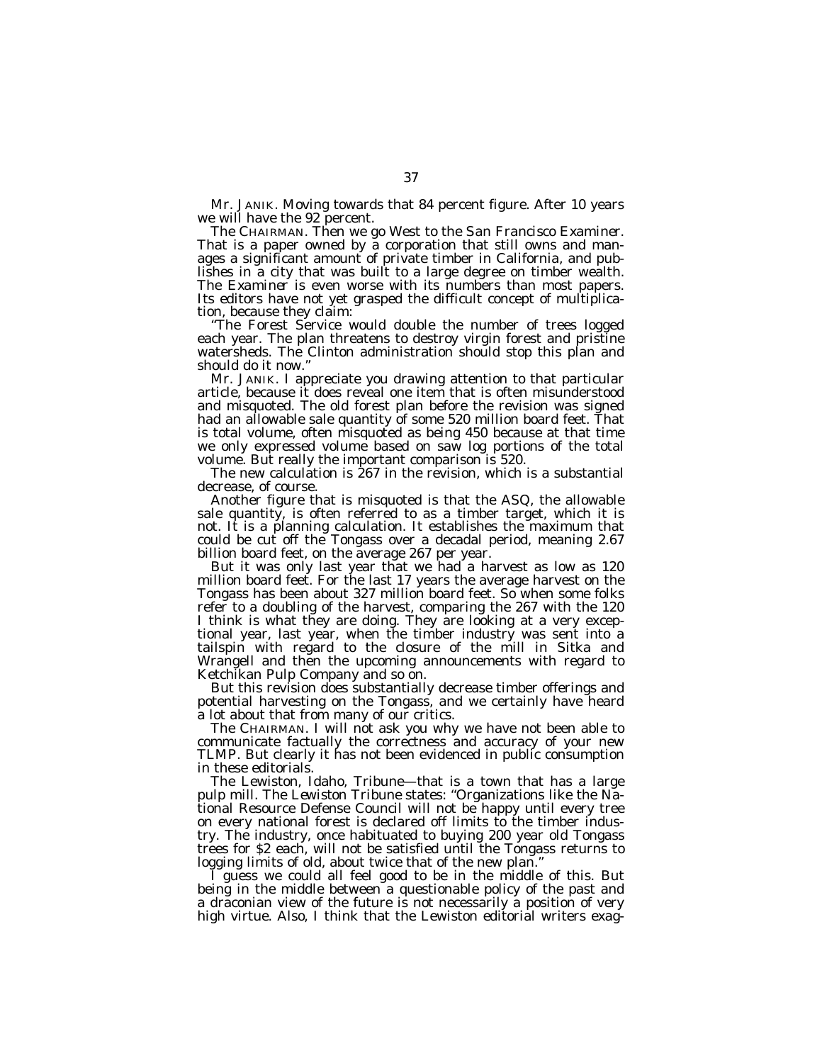Mr. JANIK. Moving towards that 84 percent figure. After 10 years we will have the 92 percent.

The CHAIRMAN. Then we go West to the *San Francisco Examiner.* That is a paper owned by a corporation that still owns and manages a significant amount of private timber in California, and publishes in a city that was built to a large degree on timber wealth. The *Examiner* is even worse with its numbers than most papers. Its editors have not yet grasped the difficult concept of multiplication, because they claim:

''The Forest Service would double the number of trees logged each year. The plan threatens to destroy virgin forest and pristine watersheds. The Clinton administration should stop this plan and should do it now.''

Mr. JANIK. I appreciate you drawing attention to that particular article, because it does reveal one item that is often misunderstood and misquoted. The old forest plan before the revision was signed had an allowable sale quantity of some 520 million board feet. That is total volume, often misquoted as being 450 because at that time we only expressed volume based on saw log portions of the total volume. But really the important comparison is 520.

The new calculation is 267 in the revision, which is a substantial decrease, of course.

Another figure that is misquoted is that the ASQ, the allowable sale quantity, is often referred to as a timber target, which it is not. It is a planning calculation. It establishes the maximum that could be cut off the Tongass over a decadal period, meaning 2.67 billion board feet, on the average 267 per year.

But it was only last year that we had a harvest as low as 120 million board feet. For the last 17 years the average harvest on the Tongass has been about 327 million board feet. So when some folks refer to a doubling of the harvest, comparing the 267 with the 120 I think is what they are doing. They are looking at a very exceptional year, last year, when the timber industry was sent into a tailspin with regard to the closure of the mill in Sitka and Wrangell and then the upcoming announcements with regard to Ketchikan Pulp Company and so on.

But this revision does substantially decrease timber offerings and potential harvesting on the Tongass, and we certainly have heard a lot about that from many of our critics.

The CHAIRMAN. I will not ask you why we have not been able to communicate factually the correctness and accuracy of your new TLMP. But clearly it has not been evidenced in public consumption in these editorials.

The Lewiston, Idaho, Tribune—that is a town that has a large pulp mill. The *Lewiston Tribune* states: ''Organizations like the National Resource Defense Council will not be happy until every tree on every national forest is declared off limits to the timber industry. The industry, once habituated to buying 200 year old Tongass trees for \$2 each, will not be satisfied until the Tongass returns to logging limits of old, about twice that of the new plan.''

I guess we could all feel good to be in the middle of this. But being in the middle between a questionable policy of the past and a draconian view of the future is not necessarily a position of very high virtue. Also, I think that the Lewiston editorial writers exag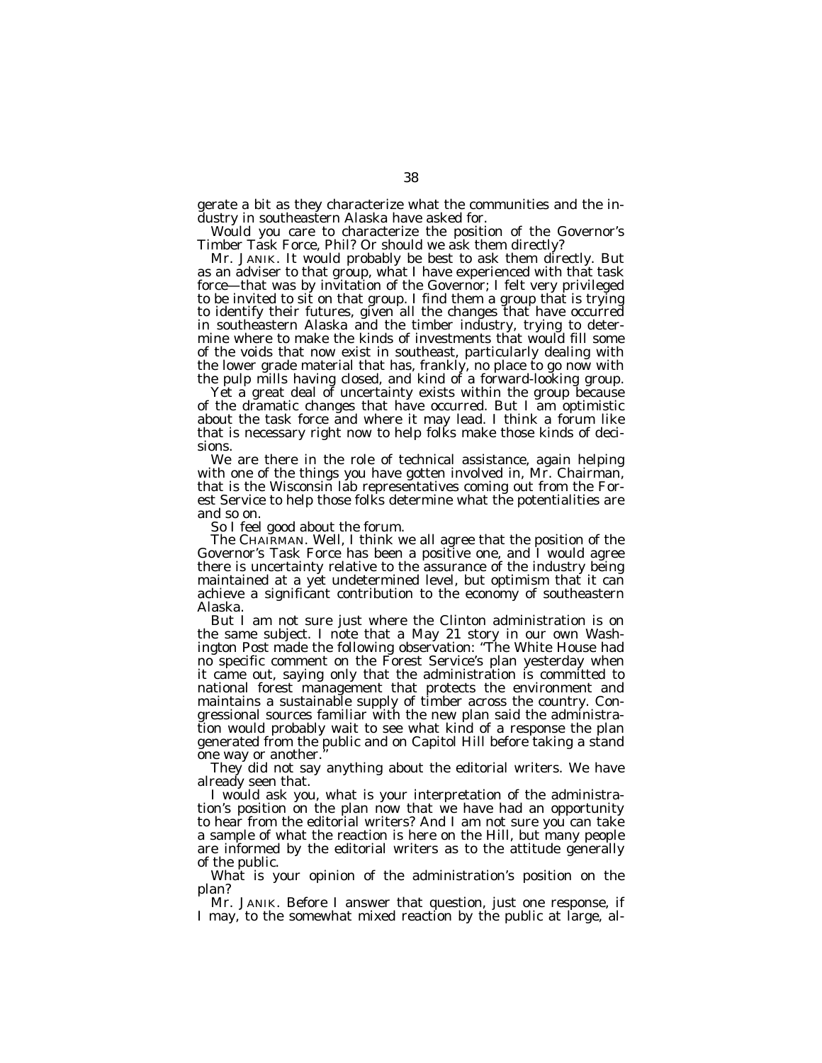gerate a bit as they characterize what the communities and the industry in southeastern Alaska have asked for.

Would you care to characterize the position of the Governor's Timber Task Force, Phil? Or should we ask them directly?

Mr. JANIK. It would probably be best to ask them directly. But as an adviser to that group, what I have experienced with that task force—that was by invitation of the Governor; I felt very privileged to be invited to sit on that group. I find them a group that is trying to identify their futures, given all the changes that have occurred in southeastern Alaska and the timber industry, trying to determine where to make the kinds of investments that would fill some of the voids that now exist in southeast, particularly dealing with the lower grade material that has, frankly, no place to go now with the pulp mills having closed, and kind of a forward-looking group.

Yet a great deal of uncertainty exists within the group because of the dramatic changes that have occurred. But I am optimistic about the task force and where it may lead. I think a forum like that is necessary right now to help folks make those kinds of decisions.

We are there in the role of technical assistance, again helping with one of the things you have gotten involved in, Mr. Chairman, that is the Wisconsin lab representatives coming out from the Forest Service to help those folks determine what the potentialities are and so on.

So I feel good about the forum.

The CHAIRMAN. Well, I think we all agree that the position of the Governor's Task Force has been a positive one, and I would agree there is uncertainty relative to the assurance of the industry being maintained at a yet undetermined level, but optimism that it can achieve a significant contribution to the economy of southeastern Alaska.

But I am not sure just where the Clinton administration is on the same subject. I note that a May 21 story in our own *Washington Post* made the following observation: ''The White House had no specific comment on the Forest Service's plan yesterday when it came out, saying only that the administration is committed to national forest management that protects the environment and maintains a sustainable supply of timber across the country. Congressional sources familiar with the new plan said the administration would probably wait to see what kind of a response the plan generated from the public and on Capitol Hill before taking a stand one way or another.''

They did not say anything about the editorial writers. We have already seen that.

I would ask you, what is your interpretation of the administration's position on the plan now that we have had an opportunity to hear from the editorial writers? And I am not sure you can take a sample of what the reaction is here on the Hill, but many people are informed by the editorial writers as to the attitude generally of the public.

What is your opinion of the administration's position on the plan?

Mr. JANIK. Before I answer that question, just one response, if I may, to the somewhat mixed reaction by the public at large, al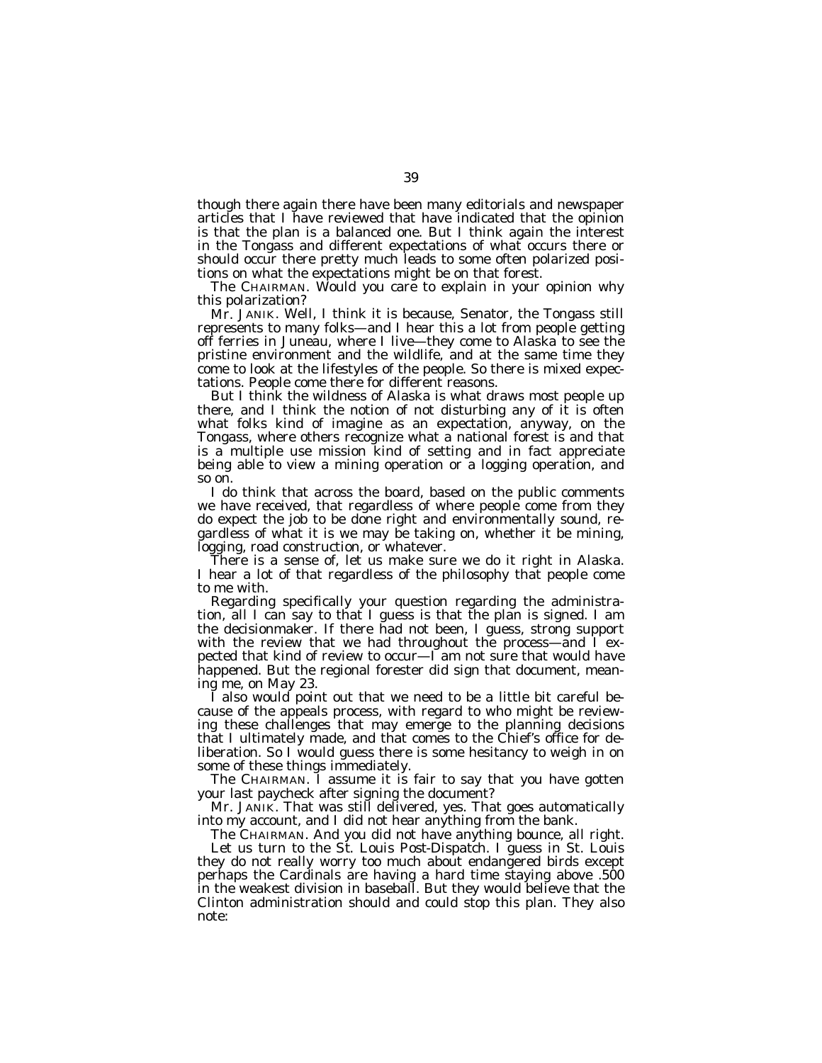though there again there have been many editorials and newspaper articles that I have reviewed that have indicated that the opinion is that the plan is a balanced one. But I think again the interest in the Tongass and different expectations of what occurs there or should occur there pretty much leads to some often polarized positions on what the expectations might be on that forest.

The CHAIRMAN. Would you care to explain in your opinion why this polarization?

Mr. JANIK. Well, I think it is because, Senator, the Tongass still represents to many folks—and I hear this a lot from people getting off ferries in Juneau, where I live—they come to Alaska to see the pristine environment and the wildlife, and at the same time they come to look at the lifestyles of the people. So there is mixed expectations. People come there for different reasons.

But I think the wildness of Alaska is what draws most people up there, and I think the notion of not disturbing any of it is often what folks kind of imagine as an expectation, anyway, on the Tongass, where others recognize what a national forest is and that is a multiple use mission kind of setting and in fact appreciate being able to view a mining operation or a logging operation, and so on.

I do think that across the board, based on the public comments we have received, that regardless of where people come from they do expect the job to be done right and environmentally sound, regardless of what it is we may be taking on, whether it be mining, logging, road construction, or whatever.

There is a sense of, let us make sure we do it right in Alaska. I hear a lot of that regardless of the philosophy that people come to me with.

Regarding specifically your question regarding the administration, all I can say to that I guess is that the plan is signed. I am the decisionmaker. If there had not been, I guess, strong support with the review that we had throughout the process—and  $\tilde{\Gamma}$  expected that kind of review to occur— $\check{I}$  am not sure that would have happened. But the regional forester did sign that document, meaning me, on May 23.

I also would point out that we need to be a little bit careful because of the appeals process, with regard to who might be reviewing these challenges that may emerge to the planning decisions that I ultimately made, and that comes to the Chief's office for deliberation. So I would guess there is some hesitancy to weigh in on some of these things immediately.

The CHAIRMAN. I assume it is fair to say that you have gotten your last paycheck after signing the document?

Mr. JANIK. That was still delivered, yes. That goes automatically into my account, and I did not hear anything from the bank.

The CHAIRMAN. And you did not have anything bounce, all right.

Let us turn to the *St. Louis Post-Dispatch.* I guess in St. Louis they do not really worry too much about endangered birds except perhaps the Cardinals are having a hard time staying above .500 in the weakest division in baseball. But they would believe that the Clinton administration should and could stop this plan. They also note: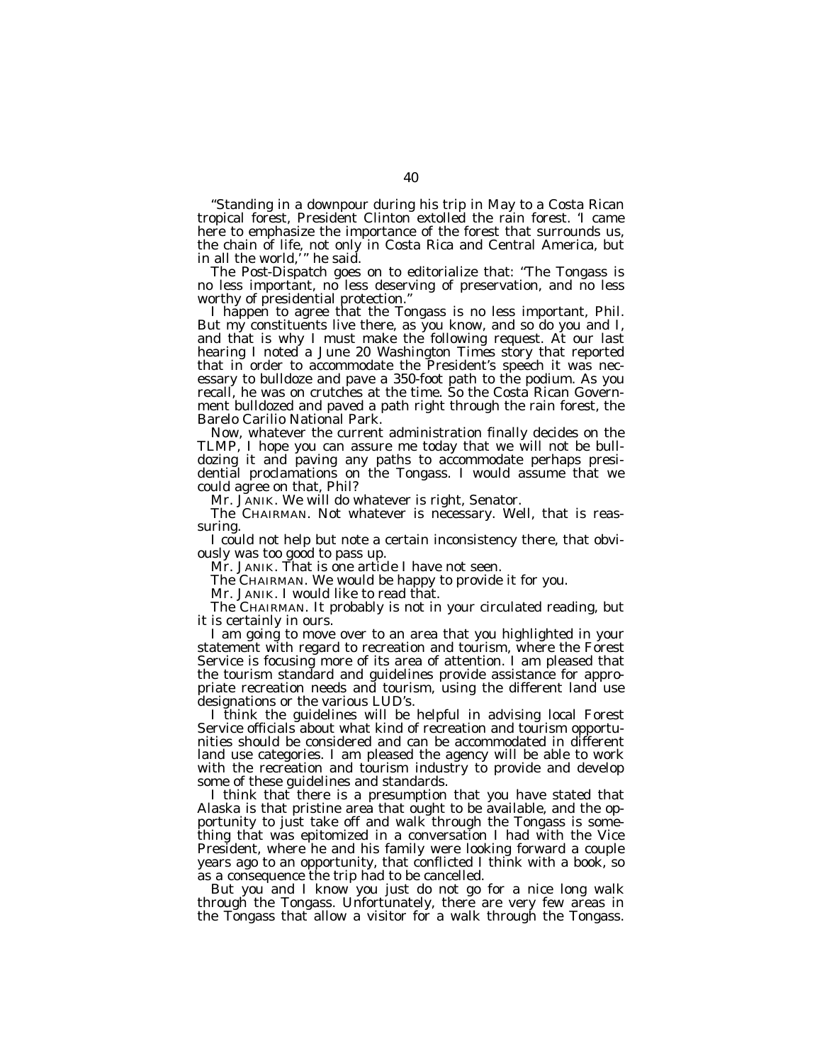''Standing in a downpour during his trip in May to a Costa Rican tropical forest, President Clinton extolled the rain forest. 'I came here to emphasize the importance of the forest that surrounds us, the chain of life, not only in Costa Rica and Central America, but in all the world,' '' he said.

The *Post-Dispatch* goes on to editorialize that: ''The Tongass is no less important, no less deserving of preservation, and no less worthy of presidential protection."

I happen to agree that the Tongass is no less important, Phil. But my constituents live there, as you know, and so do you and I, and that is why I must make the following request. At our last hearing I noted a June 20 *Washington Times* story that reported that in order to accommodate the President's speech it was necessary to bulldoze and pave a 350-foot path to the podium. As you recall, he was on crutches at the time. So the Costa Rican Government bulldozed and paved a path right through the rain forest, the Barelo Carilio National Park.

Now, whatever the current administration finally decides on the TLMP, I hope you can assure me today that we will not be bulldozing it and paving any paths to accommodate perhaps presidential proclamations on the Tongass. I would assume that we could agree on that, Phil?

Mr. JANIK. We will do whatever is right, Senator.

The CHAIRMAN. Not whatever is necessary. Well, that is reassuring.

I could not help but note a certain inconsistency there, that obviously was too good to pass up.

Mr. JANIK. That is one article I have not seen.

The CHAIRMAN. We would be happy to provide it for you.

Mr. JANIK. I would like to read that.

The CHAIRMAN. It probably is not in your circulated reading, but it is certainly in ours.

I am going to move over to an area that you highlighted in your statement with regard to recreation and tourism, where the Forest Service is focusing more of its area of attention. I am pleased that the tourism standard and guidelines provide assistance for appropriate recreation needs and tourism, using the different land use designations or the various LUD's.

I think the guidelines will be helpful in advising local Forest Service officials about what kind of recreation and tourism opportunities should be considered and can be accommodated in different land use categories. I am pleased the agency will be able to work with the recreation and tourism industry to provide and develop some of these guidelines and standards.

I think that there is a presumption that you have stated that Alaska is that pristine area that ought to be available, and the opportunity to just take off and walk through the Tongass is something that was epitomized in a conversation I had with the Vice President, where he and his family were looking forward a couple years ago to an opportunity, that conflicted I think with a book, so as a consequence the trip had to be cancelled.

But you and I know you just do not go for a nice long walk through the Tongass. Unfortunately, there are very few areas in the Tongass that allow a visitor for a walk through the Tongass.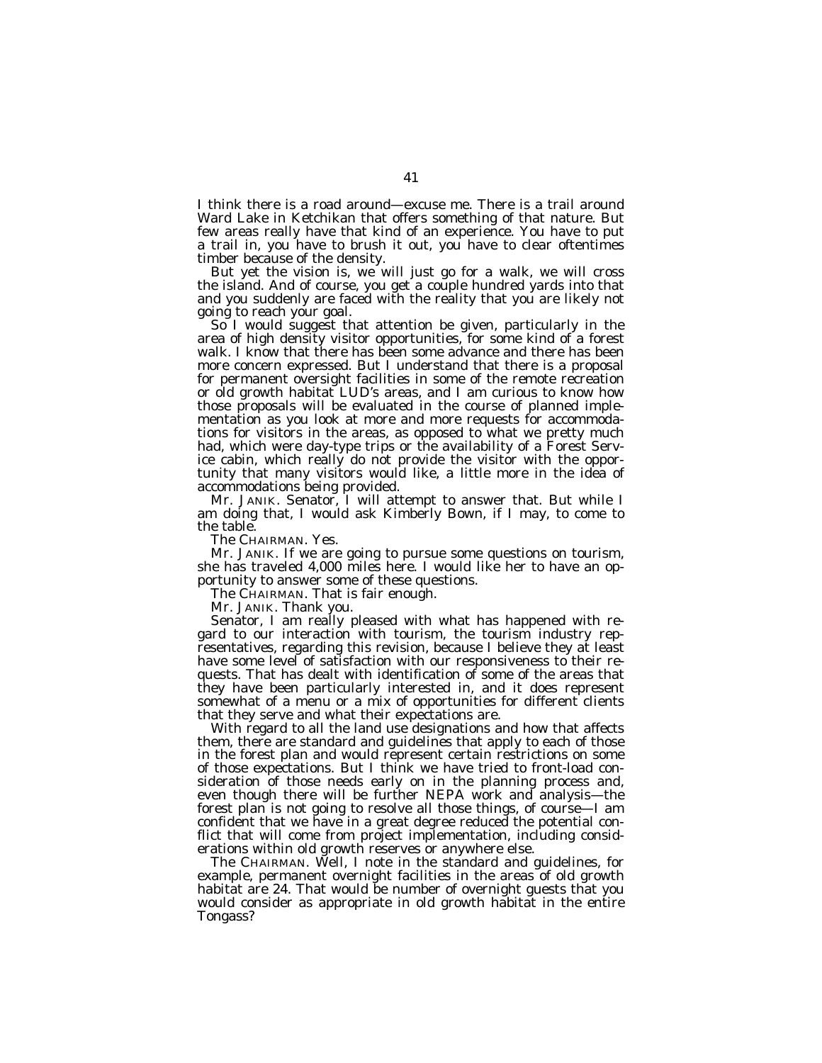I think there is a road around—excuse me. There is a trail around Ward Lake in Ketchikan that offers something of that nature. But few areas really have that kind of an experience. You have to put a trail in, you have to brush it out, you have to clear oftentimes timber because of the density.

But yet the vision is, we will just go for a walk, we will cross the island. And of course, you get a couple hundred yards into that and you suddenly are faced with the reality that you are likely not going to reach your goal.

So I would suggest that attention be given, particularly in the area of high density visitor opportunities, for some kind of a forest walk. I know that there has been some advance and there has been more concern expressed. But I understand that there is a proposal for permanent oversight facilities in some of the remote recreation or old growth habitat LUD's areas, and I am curious to know how those proposals will be evaluated in the course of planned implementation as you look at more and more requests for accommodations for visitors in the areas, as opposed to what we pretty much had, which were day-type trips or the availability of a Forest Service cabin, which really do not provide the visitor with the opportunity that many visitors would like, a little more in the idea of accommodations being provided.

Mr. JANIK. Senator, I will attempt to answer that. But while I am doing that, I would ask Kimberly Bown, if I may, to come to the table.

The CHAIRMAN. Yes.

Mr. JANIK. If we are going to pursue some questions on tourism, she has traveled 4,000 miles here. I would like her to have an opportunity to answer some of these questions.

The CHAIRMAN. That is fair enough.

Mr. JANIK. Thank you.

Senator, I am really pleased with what has happened with regard to our interaction with tourism, the tourism industry representatives, regarding this revision, because I believe they at least have some level of satisfaction with our responsiveness to their requests. That has dealt with identification of some of the areas that they have been particularly interested in, and it does represent somewhat of a menu or a mix of opportunities for different clients that they serve and what their expectations are.

With regard to all the land use designations and how that affects them, there are standard and guidelines that apply to each of those in the forest plan and would represent certain restrictions on some of those expectations. But I think we have tried to front-load consideration of those needs early on in the planning process and, even though there will be further NEPA work and analysis—the forest plan is not going to resolve all those things, of course—I am confident that we have in a great degree reduced the potential conflict that will come from project implementation, including considerations within old growth reserves or anywhere else.

The CHAIRMAN. Well, I note in the standard and guidelines, for example, permanent overnight facilities in the areas of old growth habitat are 24. That would be number of overnight guests that you would consider as appropriate in old growth habitat in the entire Tongass?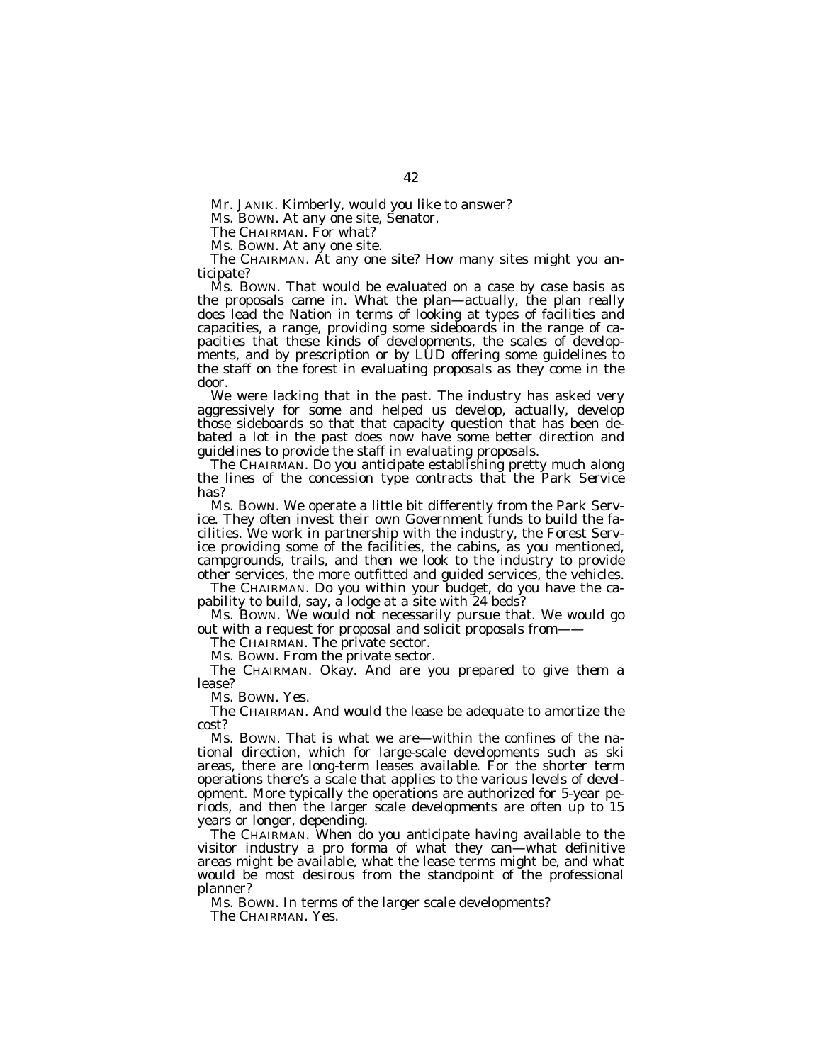Mr. JANIK. Kimberly, would you like to answer?

Ms. BOWN. At any one site, Senator.

The CHAIRMAN. For what?

Ms. BOWN. At any one site.

The CHAIRMAN. At any one site? How many sites might you anticipate?

Ms. BOWN. That would be evaluated on a case by case basis as the proposals came in. What the plan—actually, the plan really does lead the Nation in terms of looking at types of facilities and capacities, a range, providing some sideboards in the range of capacities that these kinds of developments, the scales of developments, and by prescription or by LUD offering some guidelines to the staff on the forest in evaluating proposals as they come in the door.

We were lacking that in the past. The industry has asked very aggressively for some and helped us develop, actually, develop those sideboards so that that capacity question that has been debated a lot in the past does now have some better direction and guidelines to provide the staff in evaluating proposals.

The CHAIRMAN. Do you anticipate establishing pretty much along the lines of the concession type contracts that the Park Service has?

Ms. BOWN. We operate a little bit differently from the Park Service. They often invest their own Government funds to build the facilities. We work in partnership with the industry, the Forest Service providing some of the facilities, the cabins, as you mentioned, campgrounds, trails, and then we look to the industry to provide other services, the more outfitted and guided services, the vehicles.

The CHAIRMAN. Do you within your budget, do you have the capability to build, say, a lodge at a site with 24 beds?

Ms. BOWN. We would not necessarily pursue that. We would go out with a request for proposal and solicit proposals from——

The CHAIRMAN. The private sector.

Ms. BOWN. From the private sector.

The CHAIRMAN. Okay. And are you prepared to give them a lease?

Ms. BOWN. Yes.

The CHAIRMAN. And would the lease be adequate to amortize the cost?

Ms. BOWN. That is what we are—within the confines of the national direction, which for large-scale developments such as ski areas, there are long-term leases available. For the shorter term operations there's a scale that applies to the various levels of development. More typically the operations are authorized for 5-year periods, and then the larger scale developments are often up to 15 years or longer, depending.

The CHAIRMAN. When do you anticipate having available to the visitor industry a pro forma of what they can—what definitive areas might be available, what the lease terms might be, and what would be most desirous from the standpoint of the professional planner?

Ms. BOWN. In terms of the larger scale developments?

The CHAIRMAN. Yes.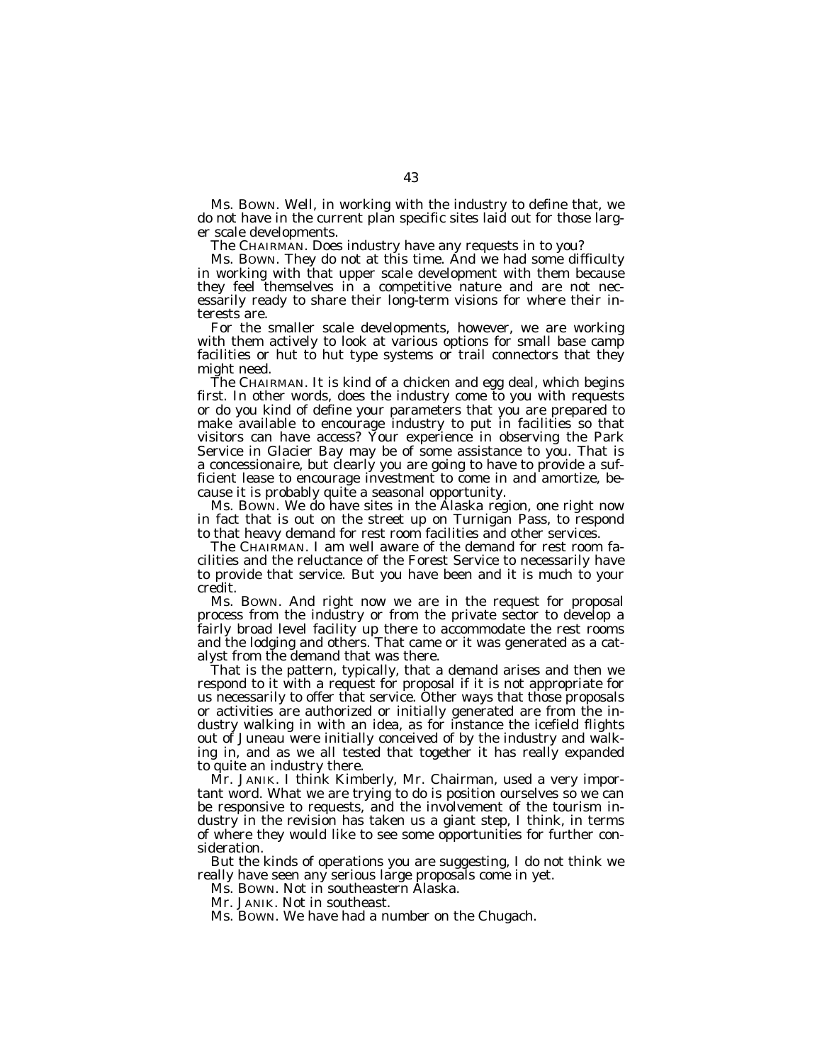Ms. BOWN. Well, in working with the industry to define that, we do not have in the current plan specific sites laid out for those larger scale developments.

The CHAIRMAN. Does industry have any requests in to you?

Ms. Bown. They do not at this time. And we had some difficulty in working with that upper scale development with them because they feel themselves in a competitive nature and are not necessarily ready to share their long-term visions for where their interests are.

For the smaller scale developments, however, we are working with them actively to look at various options for small base camp facilities or hut to hut type systems or trail connectors that they might need.

The CHAIRMAN. It is kind of a chicken and egg deal, which begins first. In other words, does the industry come to you with requests or do you kind of define your parameters that you are prepared to make available to encourage industry to put in facilities so that visitors can have access? Your experience in observing the Park Service in Glacier Bay may be of some assistance to you. That is a concessionaire, but clearly you are going to have to provide a sufficient lease to encourage investment to come in and amortize, because it is probably quite a seasonal opportunity.

Ms. BOWN. We do have sites in the Alaska region, one right now in fact that is out on the street up on Turnigan Pass, to respond to that heavy demand for rest room facilities and other services.

The CHAIRMAN. I am well aware of the demand for rest room facilities and the reluctance of the Forest Service to necessarily have to provide that service. But you have been and it is much to your credit.

Ms. BOWN. And right now we are in the request for proposal process from the industry or from the private sector to develop a fairly broad level facility up there to accommodate the rest rooms and the lodging and others. That came or it was generated as a catalyst from the demand that was there.

That is the pattern, typically, that a demand arises and then we respond to it with a request for proposal if it is not appropriate for us necessarily to offer that service. Other ways that those proposals or activities are authorized or initially generated are from the industry walking in with an idea, as for instance the icefield flights out of Juneau were initially conceived of by the industry and walking in, and as we all tested that together it has really expanded to quite an industry there.

Mr. JANIK. I think Kimberly, Mr. Chairman, used a very important word. What we are trying to do is position ourselves so we can be responsive to requests, and the involvement of the tourism industry in the revision has taken us a giant step, I think, in terms of where they would like to see some opportunities for further consideration.

But the kinds of operations you are suggesting, I do not think we really have seen any serious large proposals come in yet.

Ms. BOWN. Not in southeastern Alaska.

Mr. JANIK. Not in southeast.

Ms. BOWN. We have had a number on the Chugach.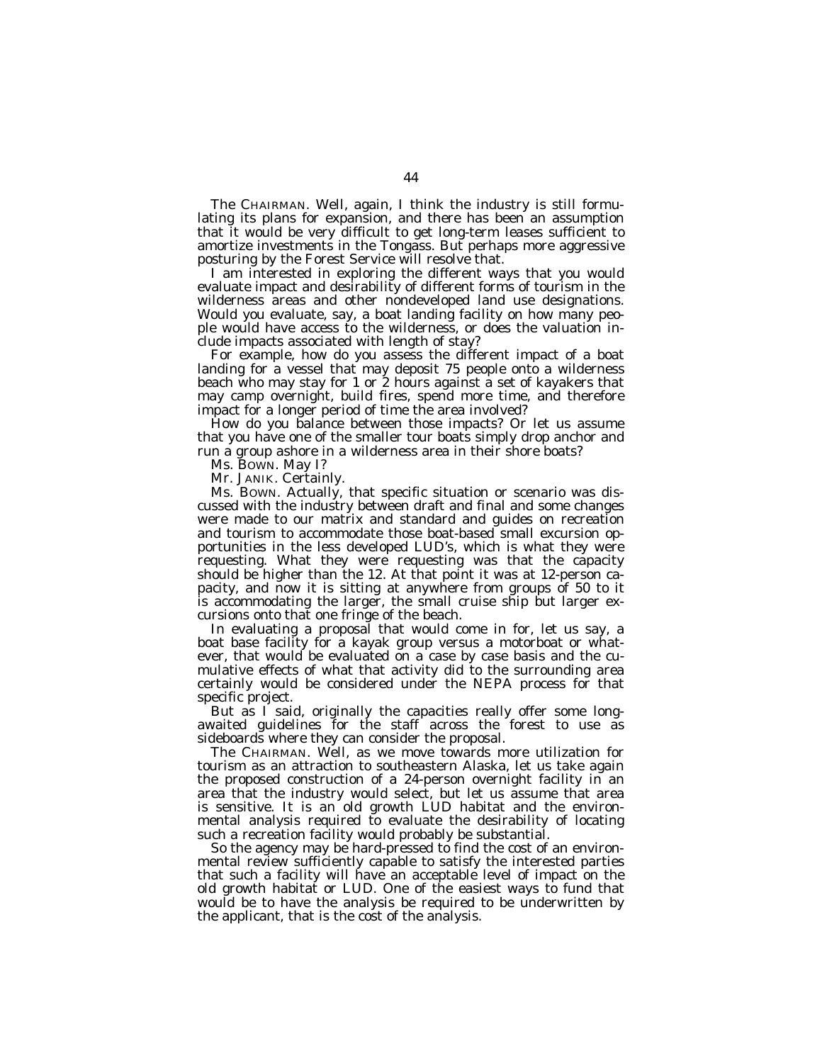The CHAIRMAN. Well, again, I think the industry is still formulating its plans for expansion, and there has been an assumption that it would be very difficult to get long-term leases sufficient to amortize investments in the Tongass. But perhaps more aggressive posturing by the Forest Service will resolve that.

I am interested in exploring the different ways that you would evaluate impact and desirability of different forms of tourism in the wilderness areas and other nondeveloped land use designations. Would you evaluate, say, a boat landing facility on how many people would have access to the wilderness, or does the valuation include impacts associated with length of stay?

For example, how do you assess the different impact of a boat landing for a vessel that may deposit 75 people onto a wilderness beach who may stay for 1 or 2 hours against a set of kayakers that may camp overnight, build fires, spend more time, and therefore impact for a longer period of time the area involved?

How do you balance between those impacts? Or let us assume that you have one of the smaller tour boats simply drop anchor and run a group ashore in a wilderness area in their shore boats?

Ms. BOWN. May I?

Mr. JANIK. Certainly.

Ms. BOWN. Actually, that specific situation or scenario was discussed with the industry between draft and final and some changes were made to our matrix and standard and guides on recreation and tourism to accommodate those boat-based small excursion opportunities in the less developed LUD's, which is what they were requesting. What they were requesting was that the capacity should be higher than the 12. At that point it was at 12-person capacity, and now it is sitting at anywhere from groups of 50 to it is accommodating the larger, the small cruise ship but larger excursions onto that one fringe of the beach.

In evaluating a proposal that would come in for, let us say, a boat base facility for a kayak group versus a motorboat or whatever, that would be evaluated on a case by case basis and the cumulative effects of what that activity did to the surrounding area certainly would be considered under the NEPA process for that specific project.

But as I said, originally the capacities really offer some longawaited guidelines for the staff across the forest to use as sideboards where they can consider the proposal.

The CHAIRMAN. Well, as we move towards more utilization for tourism as an attraction to southeastern Alaska, let us take again the proposed construction of a 24-person overnight facility in an area that the industry would select, but let us assume that area is sensitive. It is an old growth LUD habitat and the environmental analysis required to evaluate the desirability of locating such a recreation facility would probably be substantial.

So the agency may be hard-pressed to find the cost of an environmental review sufficiently capable to satisfy the interested parties that such a facility will have an acceptable level of impact on the old growth habitat or LUD. One of the easiest ways to fund that would be to have the analysis be required to be underwritten by the applicant, that is the cost of the analysis.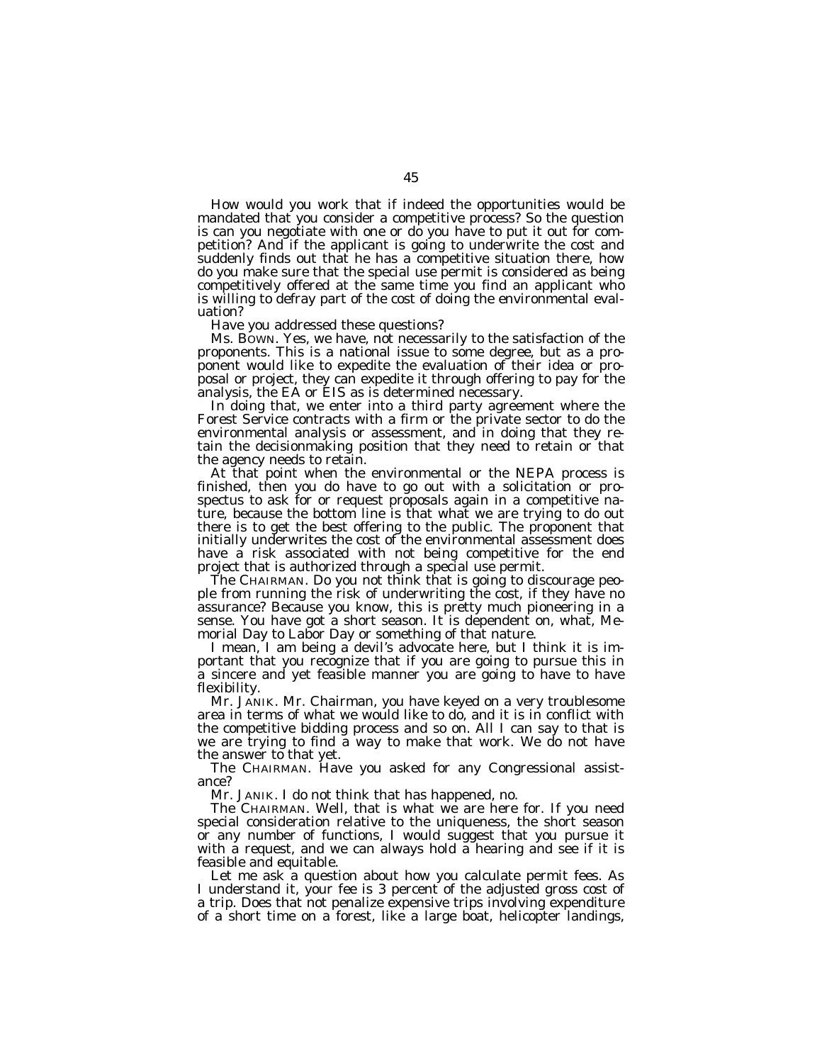How would you work that if indeed the opportunities would be mandated that you consider a competitive process? So the question is can you negotiate with one or do you have to put it out for competition? And if the applicant is going to underwrite the cost and suddenly finds out that he has a competitive situation there, how do you make sure that the special use permit is considered as being competitively offered at the same time you find an applicant who is willing to defray part of the cost of doing the environmental evaluation?

Have you addressed these questions?

Ms. BOWN. Yes, we have, not necessarily to the satisfaction of the proponents. This is a national issue to some degree, but as a proponent would like to expedite the evaluation of their idea or proposal or project, they can expedite it through offering to pay for the analysis, the EA or EIS as is determined necessary.

In doing that, we enter into a third party agreement where the Forest Service contracts with a firm or the private sector to do the environmental analysis or assessment, and in doing that they retain the decisionmaking position that they need to retain or that the agency needs to retain.

At that point when the environmental or the NEPA process is finished, then you do have to go out with a solicitation or prospectus to ask for or request proposals again in a competitive nature, because the bottom line is that what we are trying to do out there is to get the best offering to the public. The proponent that initially underwrites the cost of the environmental assessment does have a risk associated with not being competitive for the end project that is authorized through a special use permit.

The CHAIRMAN. Do you not think that is going to discourage people from running the risk of underwriting the cost, if they have no assurance? Because you know, this is pretty much pioneering in a sense. You have got a short season. It is dependent on, what, Memorial Day to Labor Day or something of that nature.

I mean, I am being a devil's advocate here, but I think it is important that you recognize that if you are going to pursue this in a sincere and yet feasible manner you are going to have to have flexibility.

Mr. JANIK. Mr. Chairman, you have keyed on a very troublesome area in terms of what we would like to do, and it is in conflict with the competitive bidding process and so on. All I can say to that is we are trying to find a way to make that work. We do not have the answer to that yet.

The CHAIRMAN. Have you asked for any Congressional assistance?

Mr. JANIK. I do not think that has happened, no.

The CHAIRMAN. Well, that is what we are here for. If you need special consideration relative to the uniqueness, the short season or any number of functions, I would suggest that you pursue it with a request, and we can always hold a hearing and see if it is feasible and equitable.

Let me ask a question about how you calculate permit fees. As I understand it, your fee is 3 percent of the adjusted gross cost of a trip. Does that not penalize expensive trips involving expenditure of a short time on a forest, like a large boat, helicopter landings,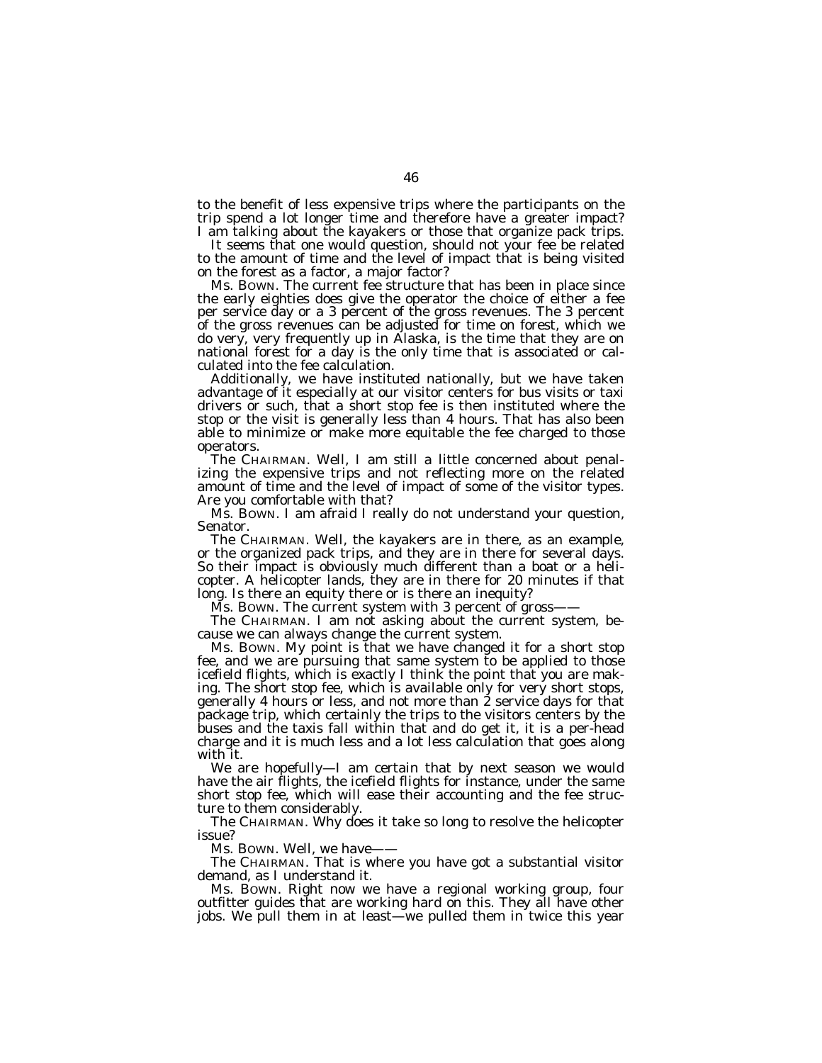to the benefit of less expensive trips where the participants on the trip spend a lot longer time and therefore have a greater impact? I am talking about the kayakers or those that organize pack trips.

It seems that one would question, should not your fee be related to the amount of time and the level of impact that is being visited on the forest as a factor, a major factor?

Ms. BOWN. The current fee structure that has been in place since the early eighties does give the operator the choice of either a fee per service day or a 3 percent of the gross revenues. The 3 percent of the gross revenues can be adjusted for time on forest, which we do very, very frequently up in Alaska, is the time that they are on national forest for a day is the only time that is associated or calculated into the fee calculation.

Additionally, we have instituted nationally, but we have taken advantage of it especially at our visitor centers for bus visits or taxi drivers or such, that a short stop fee is then instituted where the stop or the visit is generally less than 4 hours. That has also been able to minimize or make more equitable the fee charged to those operators.

The CHAIRMAN. Well, I am still a little concerned about penalizing the expensive trips and not reflecting more on the related amount of time and the level of impact of some of the visitor types. Are you comfortable with that?

Ms. BOWN. I am afraid I really do not understand your question, Senator.

The CHAIRMAN. Well, the kayakers are in there, as an example, or the organized pack trips, and they are in there for several days. So their impact is obviously much different than a boat or a helicopter. A helicopter lands, they are in there for 20 minutes if that long. Is there an equity there or is there an inequity?

Ms. Bown. The current system with 3 percent of gross-

The CHAIRMAN. I am not asking about the current system, because we can always change the current system.

Ms. BOWN. My point is that we have changed it for a short stop fee, and we are pursuing that same system to be applied to those icefield flights, which is exactly I think the point that you are making. The short stop fee, which is available only for very short stops, generally 4 hours or less, and not more than 2 service days for that package trip, which certainly the trips to the visitors centers by the buses and the taxis fall within that and do get it, it is a per-head charge and it is much less and a lot less calculation that goes along with it.

We are hopefully—I am certain that by next season we would have the air flights, the icefield flights for instance, under the same short stop fee, which will ease their accounting and the fee structure to them considerably.

The CHAIRMAN. Why does it take so long to resolve the helicopter issue?

Ms. Bown. Well, we have-

The CHAIRMAN. That is where you have got a substantial visitor demand, as I understand it.

Ms. BOWN. Right now we have a regional working group, four outfitter guides that are working hard on this. They all have other jobs. We pull them in at least—we pulled them in twice this year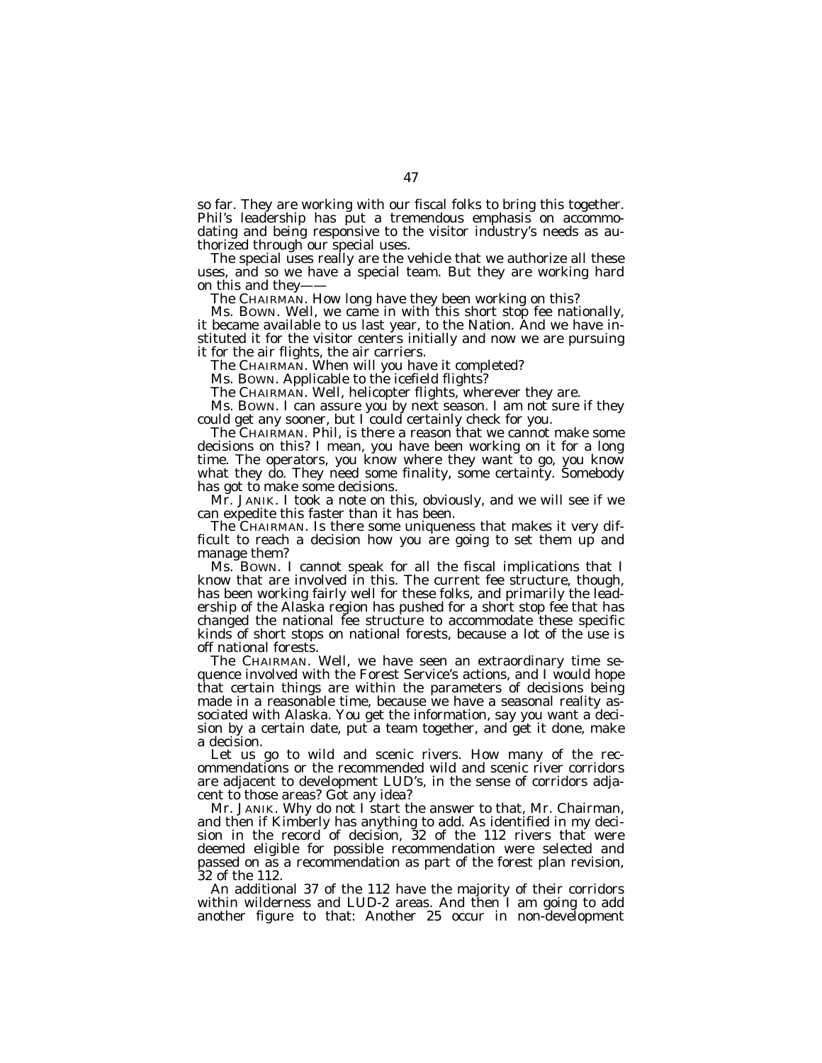so far. They are working with our fiscal folks to bring this together. Phil's leadership has put a tremendous emphasis on accommodating and being responsive to the visitor industry's needs as authorized through our special uses.

The special uses really are the vehicle that we authorize all these uses, and so we have a special team. But they are working hard on this and they-

The CHAIRMAN. How long have they been working on this?

Ms. BOWN. Well, we came in with this short stop fee nationally, it became available to us last year, to the Nation. And we have instituted it for the visitor centers initially and now we are pursuing it for the air flights, the air carriers.

The CHAIRMAN. When will you have it completed?

Ms. BOWN. Applicable to the icefield flights?

The CHAIRMAN. Well, helicopter flights, wherever they are.

Ms. BOWN. I can assure you by next season. I am not sure if they could get any sooner, but I could certainly check for you.

The CHAIRMAN. Phil, is there a reason that we cannot make some decisions on this? I mean, you have been working on it for a long time. The operators, you know where they want to go, you know what they do. They need some finality, some certainty. Somebody has got to make some decisions.

Mr. JANIK. I took a note on this, obviously, and we will see if we can expedite this faster than it has been.

The CHAIRMAN. Is there some uniqueness that makes it very difficult to reach a decision how you are going to set them up and manage them?

Ms. BOWN. I cannot speak for all the fiscal implications that I know that are involved in this. The current fee structure, though, has been working fairly well for these folks, and primarily the leadership of the Alaska region has pushed for a short stop fee that has changed the national fee structure to accommodate these specific kinds of short stops on national forests, because a lot of the use is off national forests.

The CHAIRMAN. Well, we have seen an extraordinary time sequence involved with the Forest Service's actions, and I would hope that certain things are within the parameters of decisions being made in a reasonable time, because we have a seasonal reality associated with Alaska. You get the information, say you want a decision by a certain date, put a team together, and get it done, make a decision.

Let us go to wild and scenic rivers. How many of the recommendations or the recommended wild and scenic river corridors are adjacent to development LUD's, in the sense of corridors adjacent to those areas? Got any idea?

Mr. JANIK. Why do not I start the answer to that, Mr. Chairman, and then if Kimberly has anything to add. As identified in my decision in the record of decision, 32 of the 112 rivers that were deemed eligible for possible recommendation were selected and passed on as a recommendation as part of the forest plan revision, 32 of the 112.

An additional 37 of the 112 have the majority of their corridors within wilderness and LUD-2 areas. And then I am going to add another figure to that: Another 25 occur in non-development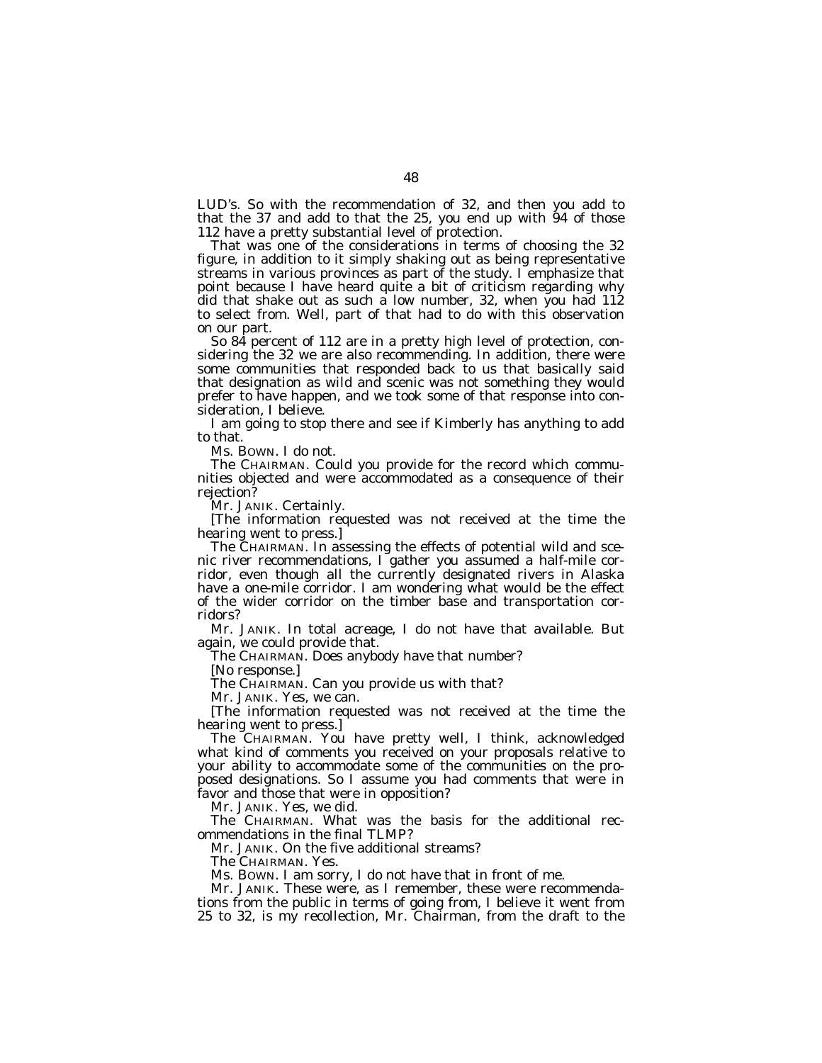LUD's. So with the recommendation of 32, and then you add to that the 37 and add to that the 25, you end up with 94 of those 112 have a pretty substantial level of protection.

That was one of the considerations in terms of choosing the 32 figure, in addition to it simply shaking out as being representative streams in various provinces as part of the study. I emphasize that point because I have heard quite a bit of criticism regarding why did that shake out as such a low number, 32, when you had 112 to select from. Well, part of that had to do with this observation on our part.

So 84 percent of 112 are in a pretty high level of protection, considering the 32 we are also recommending. In addition, there were some communities that responded back to us that basically said that designation as wild and scenic was not something they would prefer to have happen, and we took some of that response into consideration, I believe.

I am going to stop there and see if Kimberly has anything to add to that.

Ms. BOWN. I do not.

The CHAIRMAN. Could you provide for the record which communities objected and were accommodated as a consequence of their rejection?

Mr. JANIK. Certainly.

[The information requested was not received at the time the hearing went to press.]

The CHAIRMAN. In assessing the effects of potential wild and scenic river recommendations, I gather you assumed a half-mile corridor, even though all the currently designated rivers in Alaska have a one-mile corridor. I am wondering what would be the effect of the wider corridor on the timber base and transportation corridors?

Mr. JANIK. In total acreage, I do not have that available. But again, we could provide that.

The CHAIRMAN. Does anybody have that number?

[No response.]

The CHAIRMAN. Can you provide us with that?

Mr. JANIK. Yes, we can.

[The information requested was not received at the time the hearing went to press.]

The CHAIRMAN. You have pretty well, I think, acknowledged what kind of comments you received on your proposals relative to your ability to accommodate some of the communities on the proposed designations. So I assume you had comments that were in favor and those that were in opposition?

Mr. JANIK. Yes, we did.

The CHAIRMAN. What was the basis for the additional recommendations in the final TLMP?

Mr. JANIK. On the five additional streams?

The CHAIRMAN. Yes.

Ms. BOWN. I am sorry, I do not have that in front of me.

Mr. JANIK. These were, as I remember, these were recommendations from the public in terms of going from, I believe it went from 25 to 32, is my recollection, Mr. Chairman, from the draft to the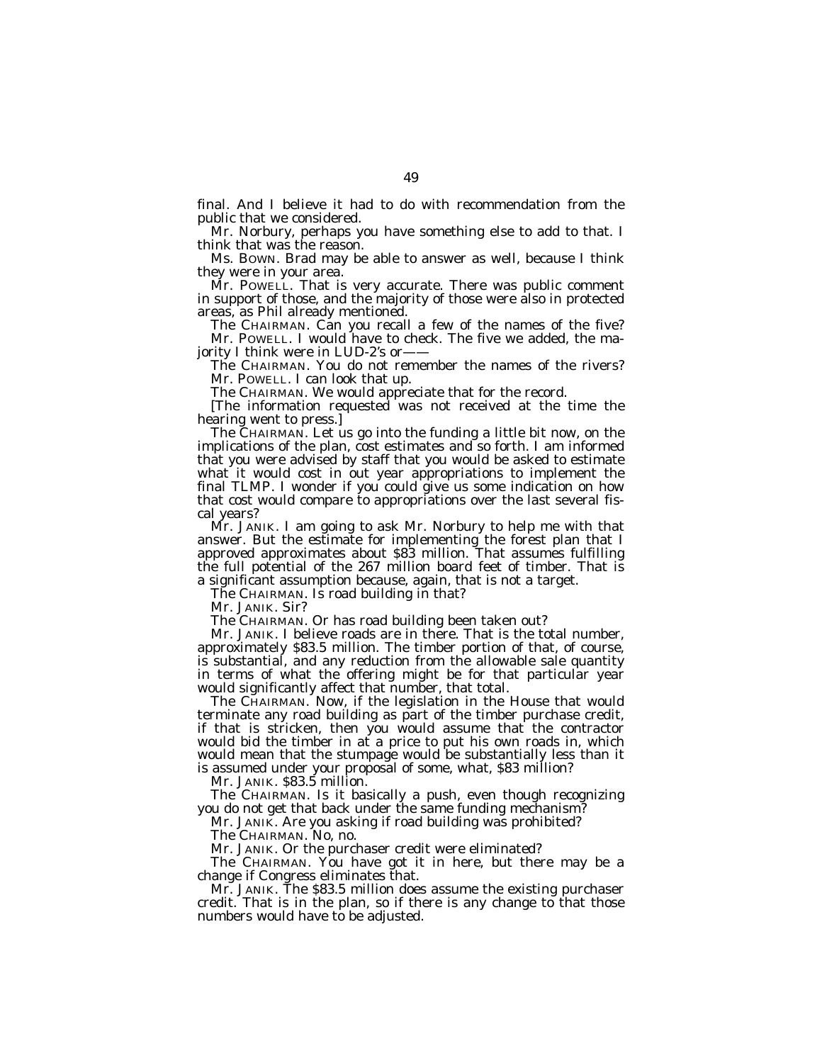final. And I believe it had to do with recommendation from the public that we considered.

Mr. Norbury, perhaps you have something else to add to that. I think that was the reason.

Ms. BOWN. Brad may be able to answer as well, because I think they were in your area.

Mr. POWELL. That is very accurate. There was public comment in support of those, and the majority of those were also in protected areas, as Phil already mentioned.

The CHAIRMAN. Can you recall a few of the names of the five? Mr. POWELL. I would have to check. The five we added, the majority I think were in  $LUD-2$ 's or-

The CHAIRMAN. You do not remember the names of the rivers? Mr. POWELL. I can look that up.

The CHAIRMAN. We would appreciate that for the record.

[The information requested was not received at the time the hearing went to press.]

The CHAIRMAN. Let us go into the funding a little bit now, on the implications of the plan, cost estimates and so forth. I am informed that you were advised by staff that you would be asked to estimate what it would cost in out year appropriations to implement the final TLMP. I wonder if you could give us some indication on how that cost would compare to appropriations over the last several fiscal years?

Mr. JANIK. I am going to ask Mr. Norbury to help me with that answer. But the estimate for implementing the forest plan that I approved approximates about \$83 million. That assumes fulfilling the full potential of the 267 million board feet of timber. That is a significant assumption because, again, that is not a target.

The CHAIRMAN. Is road building in that?

Mr. JANIK. Sir?

The CHAIRMAN. Or has road building been taken out?

Mr. JANIK. I believe roads are in there. That is the total number, approximately \$83.5 million. The timber portion of that, of course, is substantial, and any reduction from the allowable sale quantity in terms of what the offering might be for that particular year would significantly affect that number, that total.

The CHAIRMAN. Now, if the legislation in the House that would terminate any road building as part of the timber purchase credit, if that is stricken, then you would assume that the contractor would bid the timber in at a price to put his own roads in, which would mean that the stumpage would be substantially less than it is assumed under your proposal of some, what, \$83 million?

Mr. JANIK. \$83.5 million.

The CHAIRMAN. Is it basically a push, even though recognizing you do not get that back under the same funding mechanism?

Mr. JANIK. Are you asking if road building was prohibited?

The CHAIRMAN. No, no.

Mr. JANIK. Or the purchaser credit were eliminated?

The CHAIRMAN. You have got it in here, but there may be a change if Congress eliminates that.

Mr. JANIK. The \$83.5 million does assume the existing purchaser credit. That is in the plan, so if there is any change to that those numbers would have to be adjusted.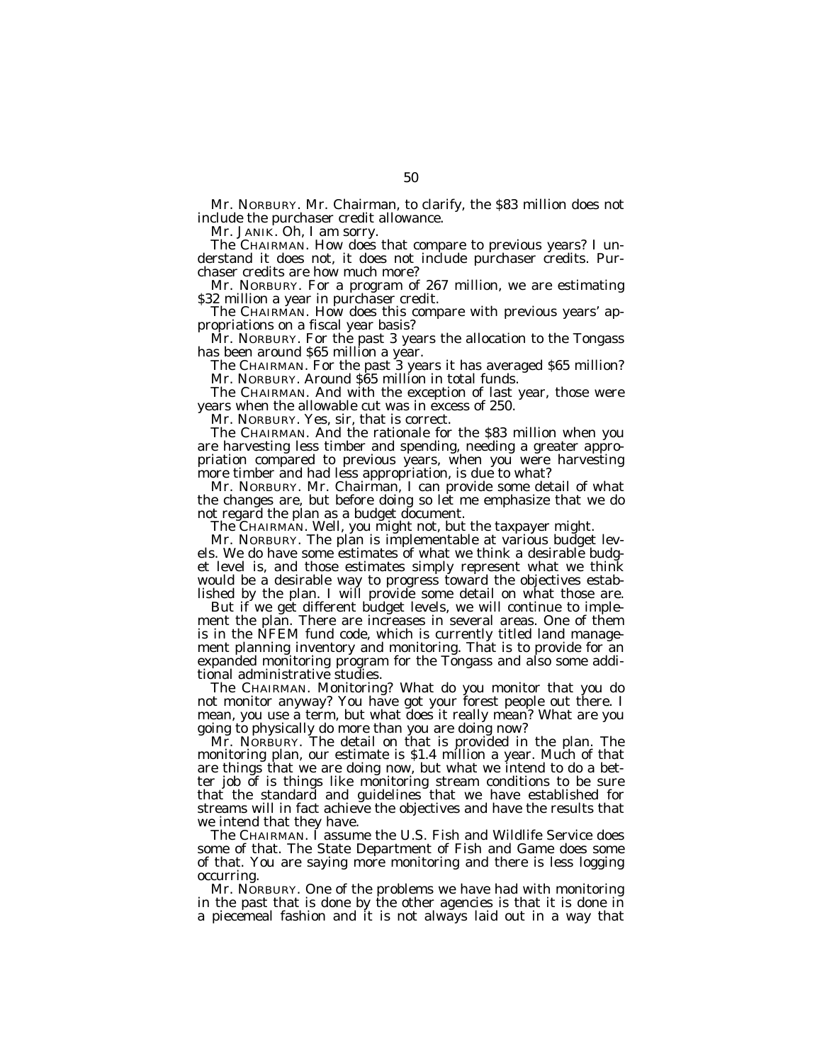Mr. NORBURY. Mr. Chairman, to clarify, the \$83 million does not include the purchaser credit allowance.

Mr. JANIK. Oh, I am sorry.

The CHAIRMAN. How does that compare to previous years? I understand it does not, it does not include purchaser credits. Purchaser credits are how much more?

Mr. NORBURY. For a program of 267 million, we are estimating \$32 million a year in purchaser credit.

The CHAIRMAN. How does this compare with previous years' appropriations on a fiscal year basis?

Mr. NORBURY. For the past 3 years the allocation to the Tongass has been around \$65 million a year.

The CHAIRMAN. For the past 3 years it has averaged \$65 million? Mr. NORBURY. Around \$65 million in total funds.

The CHAIRMAN. And with the exception of last year, those were years when the allowable cut was in excess of 250.

Mr. NORBURY. Yes, sir, that is correct.

The CHAIRMAN. And the rationale for the \$83 million when you are harvesting less timber and spending, needing a greater appropriation compared to previous years, when you were harvesting more timber and had less appropriation, is due to what?

Mr. NORBURY. Mr. Chairman, I can provide some detail of what the changes are, but before doing so let me emphasize that we do not regard the plan as a budget document.

The CHAIRMAN. Well, you might not, but the taxpayer might.

Mr. NORBURY. The plan is implementable at various budget levels. We do have some estimates of what we think a desirable budget level is, and those estimates simply represent what we think would be a desirable way to progress toward the objectives established by the plan. I will provide some detail on what those are.

But if we get different budget levels, we will continue to implement the plan. There are increases in several areas. One of them is in the NFEM fund code, which is currently titled land management planning inventory and monitoring. That is to provide for an expanded monitoring program for the Tongass and also some additional administrative studies.

The CHAIRMAN. Monitoring? What do you monitor that you do not monitor anyway? You have got your forest people out there. I mean, you use a term, but what does it really mean? What are you going to physically do more than you are doing now?

Mr. NORBURY. The detail on that is provided in the plan. The monitoring plan, our estimate is \$1.4 million a year. Much of that are things that we are doing now, but what we intend to do a better job of is things like monitoring stream conditions to be sure that the standard and guidelines that we have established for streams will in fact achieve the objectives and have the results that we intend that they have.

The CHAIRMAN. I assume the U.S. Fish and Wildlife Service does some of that. The State Department of Fish and Game does some of that. You are saying more monitoring and there is less logging occurring.

Mr. NORBURY. One of the problems we have had with monitoring in the past that is done by the other agencies is that it is done in a piecemeal fashion and it is not always laid out in a way that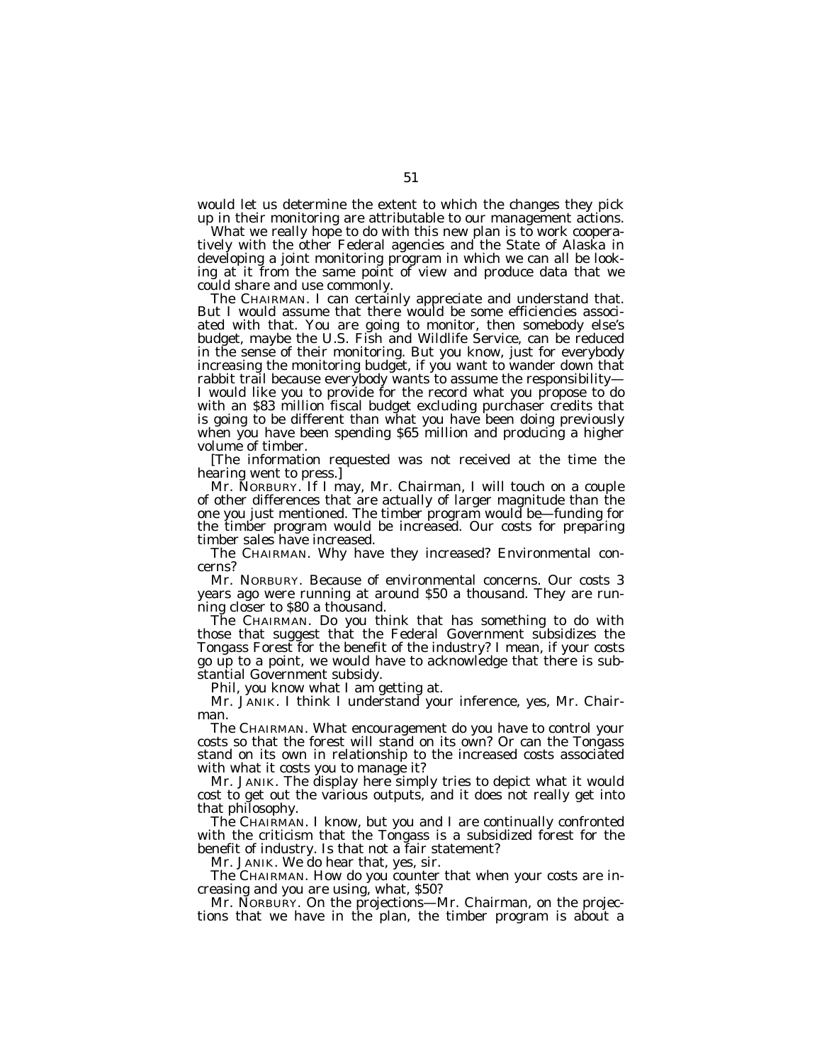would let us determine the extent to which the changes they pick up in their monitoring are attributable to our management actions.

What we really hope to do with this new plan is to work cooperatively with the other Federal agencies and the State of Alaska in developing a joint monitoring program in which we can all be looking at it from the same point of view and produce data that we could share and use commonly.

The CHAIRMAN. I can certainly appreciate and understand that. But I would assume that there would be some efficiencies associated with that. You are going to monitor, then somebody else's budget, maybe the U.S. Fish and Wildlife Service, can be reduced in the sense of their monitoring. But you know, just for everybody increasing the monitoring budget, if you want to wander down that rabbit trail because everybody wants to assume the responsibility— I would like you to provide for the record what you propose to do with an \$83 million fiscal budget excluding purchaser credits that is going to be different than what you have been doing previously when you have been spending \$65 million and producing a higher volume of timber.

[The information requested was not received at the time the hearing went to press.]

Mr. NORBURY. If I may, Mr. Chairman, I will touch on a couple of other differences that are actually of larger magnitude than the one you just mentioned. The timber program would be—funding for the timber program would be increased. Our costs for preparing timber sales have increased.

The CHAIRMAN. Why have they increased? Environmental concerns?

Mr. NORBURY. Because of environmental concerns. Our costs 3 years ago were running at around \$50 a thousand. They are running closer to \$80 a thousand.

The CHAIRMAN. Do you think that has something to do with those that suggest that the Federal Government subsidizes the Tongass Forest for the benefit of the industry? I mean, if your costs go up to a point, we would have to acknowledge that there is substantial Government subsidy.

Phil, you know what I am getting at.

Mr. JANIK. I think I understand your inference, yes, Mr. Chairman.

The CHAIRMAN. What encouragement do you have to control your costs so that the forest will stand on its own? Or can the Tongass stand on its own in relationship to the increased costs associated with what it costs you to manage it?

Mr. JANIK. The display here simply tries to depict what it would cost to get out the various outputs, and it does not really get into that philosophy.

The CHAIRMAN. I know, but you and I are continually confronted with the criticism that the Tongass is a subsidized forest for the benefit of industry. Is that not a fair statement?

Mr. JANIK. We do hear that, yes, sir.

The CHAIRMAN. How do you counter that when your costs are increasing and you are using, what, \$50?

Mr. NORBURY. On the projections—Mr. Chairman, on the projections that we have in the plan, the timber program is about a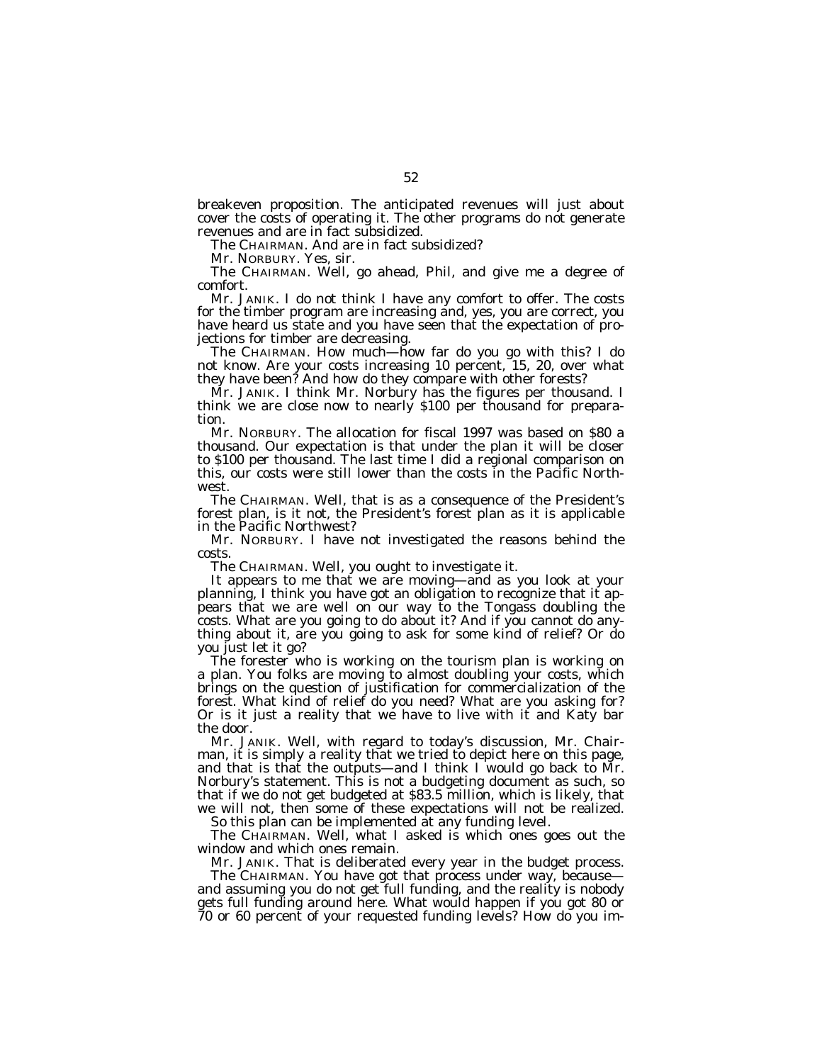breakeven proposition. The anticipated revenues will just about cover the costs of operating it. The other programs do not generate revenues and are in fact subsidized.

The CHAIRMAN. And are in fact subsidized?

Mr. NORBURY. Yes, sir.

The CHAIRMAN. Well, go ahead, Phil, and give me a degree of comfort.

Mr. JANIK. I do not think I have any comfort to offer. The costs for the timber program are increasing and, yes, you are correct, you have heard us state and you have seen that the expectation of projections for timber are decreasing.

The CHAIRMAN. How much—how far do you go with this? I do not know. Are your costs increasing 10 percent, 15, 20, over what they have been? And how do they compare with other forests?

Mr. JANIK. I think Mr. Norbury has the figures per thousand. I think we are close now to nearly \$100 per thousand for preparation.

Mr. NORBURY. The allocation for fiscal 1997 was based on \$80 a thousand. Our expectation is that under the plan it will be closer to \$100 per thousand. The last time I did a regional comparison on this, our costs were still lower than the costs in the Pacific Northwest.

The CHAIRMAN. Well, that is as a consequence of the President's forest plan, is it not, the President's forest plan as it is applicable in the Pacific Northwest?

Mr. NORBURY. I have not investigated the reasons behind the costs.

The CHAIRMAN. Well, you ought to investigate it.

It appears to me that we are moving—and as you look at your planning, I think you have got an obligation to recognize that it appears that we are well on our way to the Tongass doubling the costs. What are you going to do about it? And if you cannot do anything about it, are you going to ask for some kind of relief? Or do you just let it go?

The forester who is working on the tourism plan is working on a plan. You folks are moving to almost doubling your costs, which brings on the question of justification for commercialization of the forest. What kind of relief do you need? What are you asking for? Or is it just a reality that we have to live with it and Katy bar the door.

Mr. JANIK. Well, with regard to today's discussion, Mr. Chairman, it is simply a reality that we tried to depict here on this page, and that is that the outputs—and I think I would go back to Mr. Norbury's statement. This is not a budgeting document as such, so that if we do not get budgeted at \$83.5 million, which is likely, that we will not, then some of these expectations will not be realized.

So this plan can be implemented at any funding level. The CHAIRMAN. Well, what I asked is which ones goes out the

window and which ones remain.

Mr. JANIK. That is deliberated every year in the budget process.

The CHAIRMAN. You have got that process under way, because and assuming you do not get full funding, and the reality is nobody gets full funding around here. What would happen if you got 80 or 70 or 60 percent of your requested funding levels? How do you im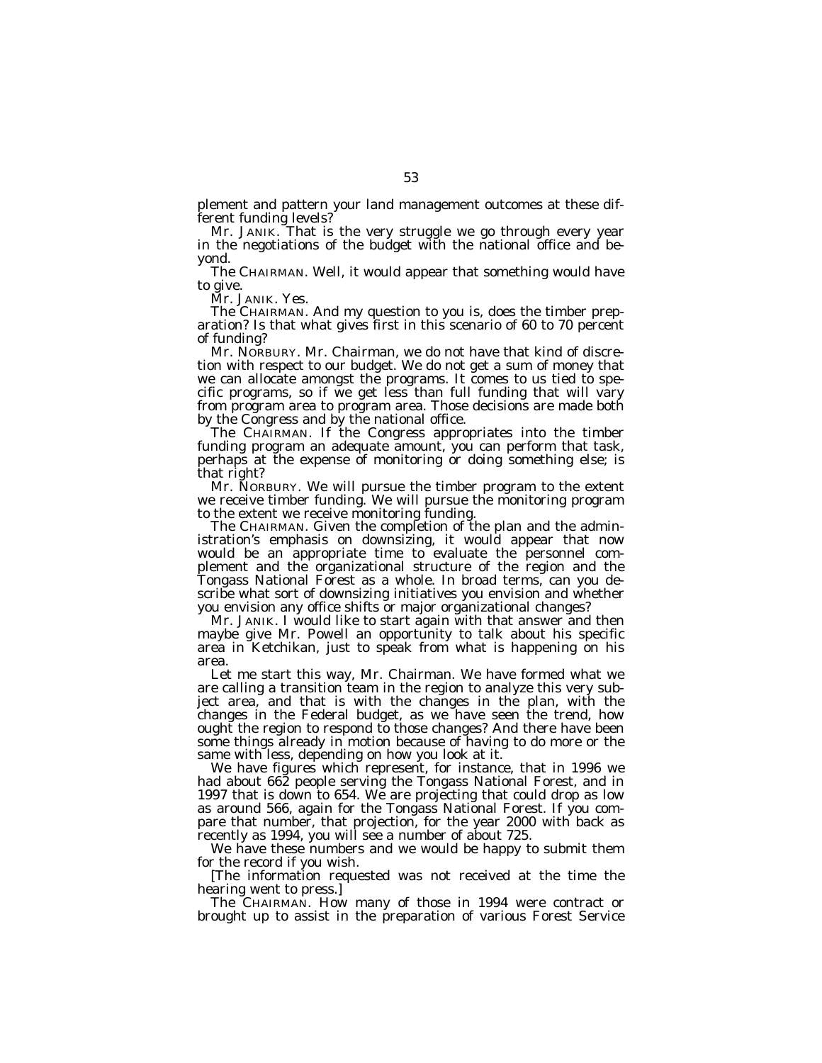plement and pattern your land management outcomes at these different funding levels?

Mr. JANIK. That is the very struggle we go through every year in the negotiations of the budget with the national office and beyond.

The CHAIRMAN. Well, it would appear that something would have to give.

Mr. JANIK. Yes.

The CHAIRMAN. And my question to you is, does the timber preparation? Is that what gives first in this scenario of 60 to 70 percent of funding?

Mr. NORBURY. Mr. Chairman, we do not have that kind of discretion with respect to our budget. We do not get a sum of money that we can allocate amongst the programs. It comes to us tied to specific programs, so if we get less than full funding that will vary from program area to program area. Those decisions are made both by the Congress and by the national office.

The CHAIRMAN. If the Congress appropriates into the timber funding program an adequate amount, you can perform that task, perhaps at the expense of monitoring or doing something else; is that right?

Mr. NORBURY. We will pursue the timber program to the extent we receive timber funding. We will pursue the monitoring program to the extent we receive monitoring funding.

The CHAIRMAN. Given the completion of the plan and the administration's emphasis on downsizing, it would appear that now would be an appropriate time to evaluate the personnel complement and the organizational structure of the region and the Tongass National Forest as a whole. In broad terms, can you describe what sort of downsizing initiatives you envision and whether you envision any office shifts or major organizational changes?

Mr. JANIK. I would like to start again with that answer and then maybe give Mr. Powell an opportunity to talk about his specific area in Ketchikan, just to speak from what is happening on his area.

Let me start this way, Mr. Chairman. We have formed what we are calling a transition team in the region to analyze this very subject area, and that is with the changes in the plan, with the changes in the Federal budget, as we have seen the trend, how ought the region to respond to those changes? And there have been some things already in motion because of having to do more or the same with less, depending on how you look at it.

We have figures which represent, for instance, that in 1996 we had about 662 people serving the Tongass National Forest, and in 1997 that is down to 654. We are projecting that could drop as low as around 566, again for the Tongass National Forest. If you compare that number, that projection, for the year 2000 with back as recently as 1994, you will see a number of about 725.

We have these numbers and we would be happy to submit them for the record if you wish.

[The information requested was not received at the time the hearing went to press.]

The CHAIRMAN. How many of those in 1994 were contract or brought up to assist in the preparation of various Forest Service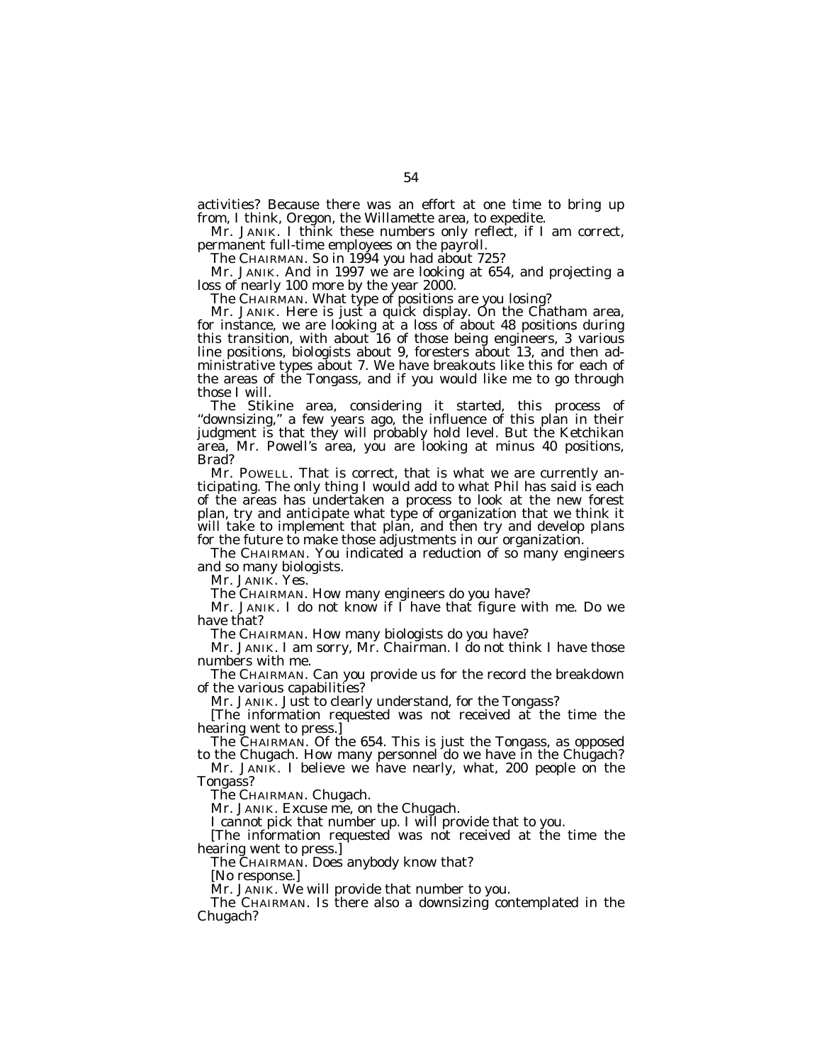activities? Because there was an effort at one time to bring up from, I think, Oregon, the Willamette area, to expedite.

Mr. JANIK. I think these numbers only reflect, if I am correct, permanent full-time employees on the payroll.

The CHAIRMAN. So in 1994 you had about 725?

Mr. JANIK. And in 1997 we are looking at 654, and projecting a loss of nearly 100 more by the year 2000.

The CHAIRMAN. What type of positions are you losing?

Mr. JANIK. Here is just a quick display. On the Chatham area, for instance, we are looking at a loss of about 48 positions during this transition, with about 16 of those being engineers, 3 various line positions, biologists about 9, foresters about 13, and then administrative types about 7. We have breakouts like this for each of the areas of the Tongass, and if you would like me to go through those I will.

The Stikine area, considering it started, this process of "downsizing," a few years ago, the influence of this plan in their judgment is that they will probably hold level. But the Ketchikan area, Mr. Powell's area, you are looking at minus 40 positions, Brad?

Mr. POWELL. That is correct, that is what we are currently anticipating. The only thing I would add to what Phil has said is each of the areas has undertaken a process to look at the new forest plan, try and anticipate what type of organization that we think it will take to implement that plan, and then try and develop plans for the future to make those adjustments in our organization.

The CHAIRMAN. You indicated a reduction of so many engineers and so many biologists.

Mr. JANIK. Yes.

The CHAIRMAN. How many engineers do you have?

Mr. JANIK. I do not know if  $\tilde{I}$  have that figure with me. Do we have that?

The CHAIRMAN. How many biologists do you have?

Mr. JANIK. I am sorry, Mr. Chairman. I do not think I have those numbers with me.

The CHAIRMAN. Can you provide us for the record the breakdown of the various capabilities?

Mr. JANIK. Just to clearly understand, for the Tongass?

[The information requested was not received at the time the hearing went to press.]

The CHAIRMAN. Of the 654. This is just the Tongass, as opposed to the Chugach. How many personnel do we have in the Chugach?

Mr. JANIK. I believe we have nearly, what, 200 people on the Tongass?

The CHAIRMAN. Chugach.

Mr. JANIK. Excuse me, on the Chugach.

I cannot pick that number up. I will provide that to you.

[The information requested was not received at the time the hearing went to press.]

The CHAIRMAN. Does anybody know that?

[No response.]

Mr. JANIK. We will provide that number to you.

The CHAIRMAN. Is there also a downsizing contemplated in the Chugach?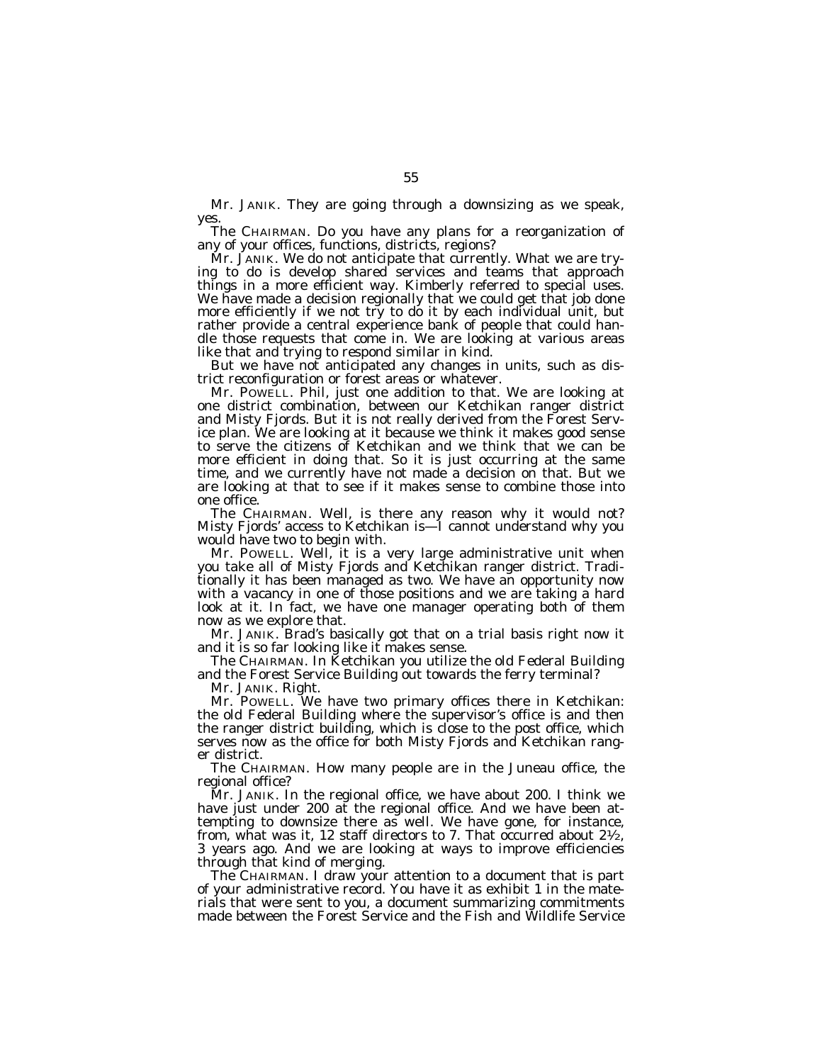Mr. JANIK. They are going through a downsizing as we speak, yes.

The CHAIRMAN. Do you have any plans for a reorganization of any of your offices, functions, districts, regions?

Mr. JANIK. We do not anticipate that currently. What we are trying to do is develop shared services and teams that approach things in a more efficient way. Kimberly referred to special uses. We have made a decision regionally that we could get that job done more efficiently if we not try to do it by each individual unit, but rather provide a central experience bank of people that could handle those requests that come in. We are looking at various areas like that and trying to respond similar in kind.

But we have not anticipated any changes in units, such as district reconfiguration or forest areas or whatever.

Mr. POWELL. Phil, just one addition to that. We are looking at one district combination, between our Ketchikan ranger district and Misty Fjords. But it is not really derived from the Forest Service plan. We are looking at it because we think it makes good sense to serve the citizens of Ketchikan and we think that we can be more efficient in doing that. So it is just occurring at the same time, and we currently have not made a decision on that. But we are looking at that to see if it makes sense to combine those into one office.

The CHAIRMAN. Well, is there any reason why it would not? Misty Fjords' access to Ketchikan is—I cannot understand why you would have two to begin with.

Mr. POWELL. Well, it is a very large administrative unit when you take all of Misty Fjords and Ketchikan ranger district. Traditionally it has been managed as two. We have an opportunity now with a vacancy in one of those positions and we are taking a hard look at it. In fact, we have one manager operating both of them now as we explore that.

Mr. JANIK. Brad's basically got that on a trial basis right now it and it is so far looking like it makes sense.

The CHAIRMAN. In Ketchikan you utilize the old Federal Building and the Forest Service Building out towards the ferry terminal?

Mr. JANIK. Right.

Mr. POWELL. We have two primary offices there in Ketchikan: the old Federal Building where the supervisor's office is and then the ranger district building, which is close to the post office, which serves now as the office for both Misty Fjords and Ketchikan ranger district.

The CHAIRMAN. How many people are in the Juneau office, the regional office?

Mr. JANIK. In the regional office, we have about 200. I think we have just under 200 at the regional office. And we have been attempting to downsize there as well. We have gone, for instance, from, what was it, 12 staff directors to 7. That occurred about  $2\frac{1}{2}$ , 3 years ago. And we are looking at ways to improve efficiencies through that kind of merging.

The CHAIRMAN. I draw your attention to a document that is part of your administrative record. You have it as exhibit 1 in the materials that were sent to you, a document summarizing commitments made between the Forest Service and the Fish and Wildlife Service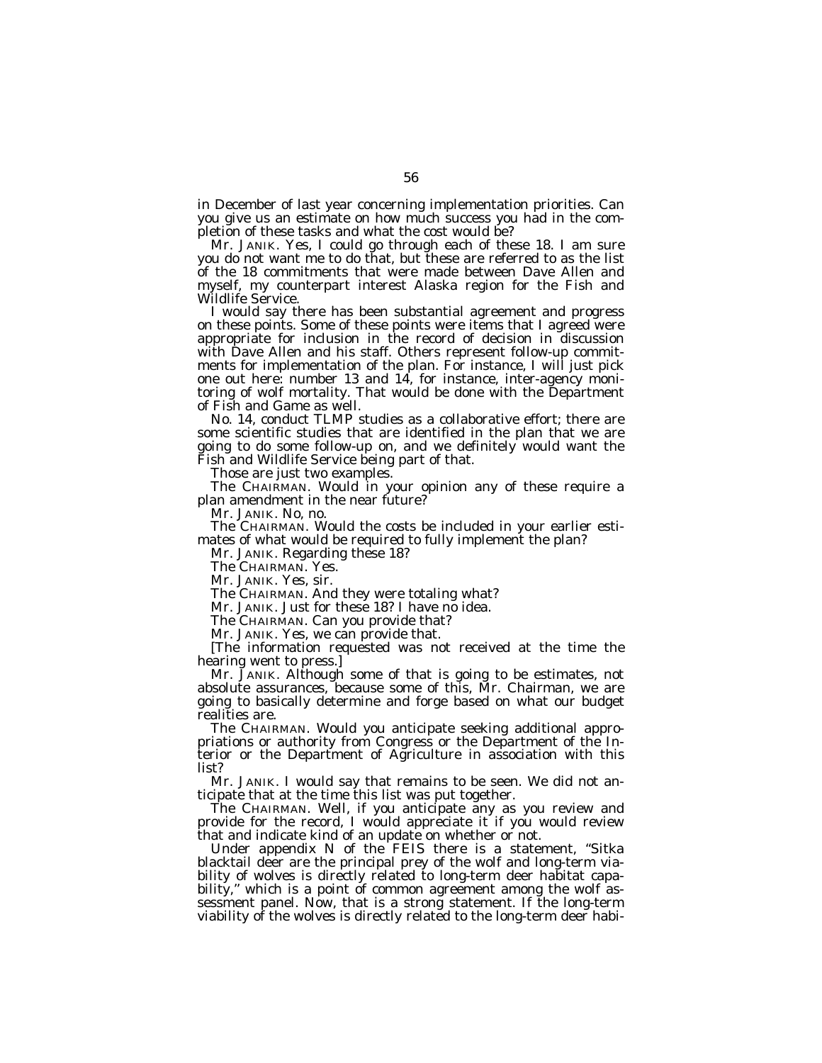in December of last year concerning implementation priorities. Can you give us an estimate on how much success you had in the completion of these tasks and what the cost would be?

Mr. JANIK. Yes, I could go through each of these 18. I am sure you do not want me to do that, but these are referred to as the list of the 18 commitments that were made between Dave Allen and myself, my counterpart interest Alaska region for the Fish and Wildlife Service.

I would say there has been substantial agreement and progress on these points. Some of these points were items that I agreed were appropriate for inclusion in the record of decision in discussion with Dave Allen and his staff. Others represent follow-up commitments for implementation of the plan. For instance, I will just pick one out here: number 13 and 14, for instance, inter-agency monitoring of wolf mortality. That would be done with the Department of Fish and Game as well.

No. 14, conduct TLMP studies as a collaborative effort; there are some scientific studies that are identified in the plan that we are going to do some follow-up on, and we definitely would want the Fish and Wildlife Service being part of that.

Those are just two examples.

The CHAIRMAN. Would in your opinion any of these require a plan amendment in the near future?

Mr. JANIK. No, no.

The CHAIRMAN. Would the costs be included in your earlier estimates of what would be required to fully implement the plan?

Mr. JANIK. Regarding these 18?

The CHAIRMAN. Yes.

Mr. JANIK. Yes, sir.

The CHAIRMAN. And they were totaling what?

Mr. JANIK. Just for these 18? I have no idea.

The CHAIRMAN. Can you provide that?

Mr. JANIK. Yes, we can provide that.

[The information requested was not received at the time the hearing went to press.]

Mr. JANIK. Although some of that is going to be estimates, not absolute assurances, because some of this, Mr. Chairman, we are going to basically determine and forge based on what our budget realities are.

The CHAIRMAN. Would you anticipate seeking additional appropriations or authority from Congress or the Department of the Interior or the Department of Agriculture in association with this list?

Mr. JANIK. I would say that remains to be seen. We did not anticipate that at the time this list was put together.

The CHAIRMAN. Well, if you anticipate any as you review and provide for the record, I would appreciate it if you would review that and indicate kind of an update on whether or not.

Under appendix N of the FEIS there is a statement, "Sitka blacktail deer are the principal prey of the wolf and long-term viability of wolves is directly related to long-term deer habitat capability," which is a point of common agreement among the wolf assessment panel. Now, that is a strong statement. If the long-term viability of the wolves is directly related to the long-term deer habi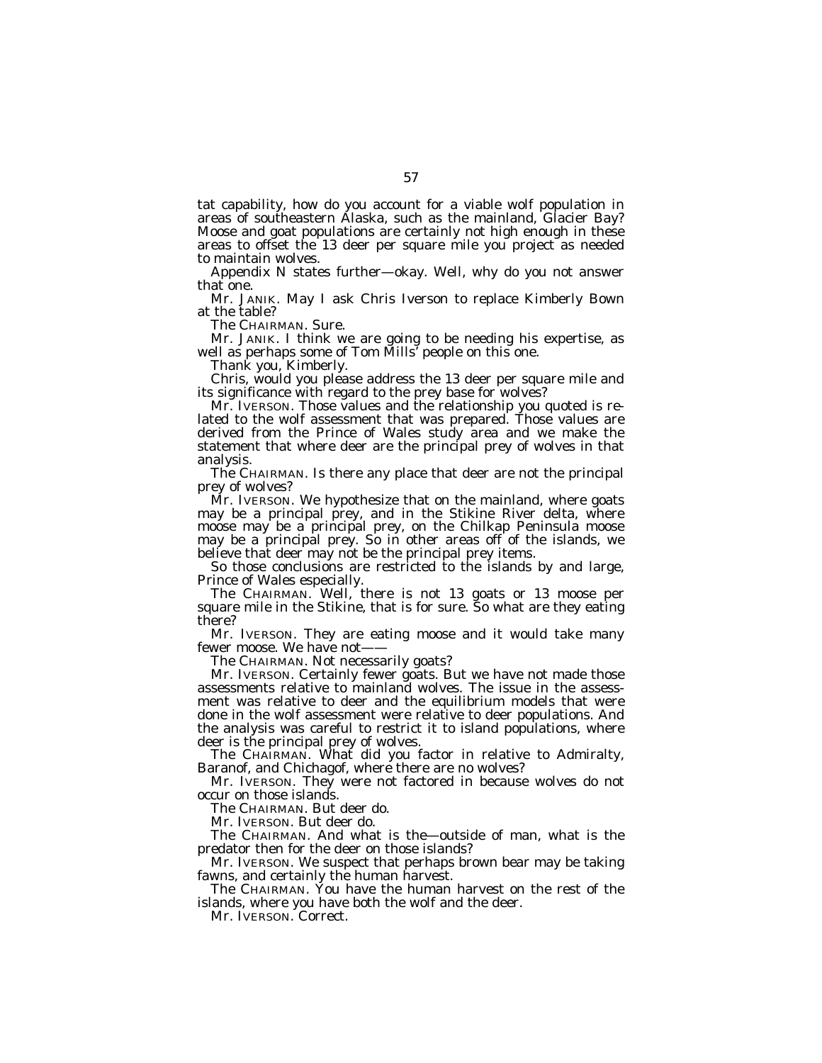tat capability, how do you account for a viable wolf population in areas of southeastern Alaska, such as the mainland, Glacier Bay? Moose and goat populations are certainly not high enough in these areas to offset the 13 deer per square mile you project as needed to maintain wolves.

Appendix N states further—okay. Well, why do you not answer that one.

Mr. JANIK. May I ask Chris Iverson to replace Kimberly Bown at the table?

The CHAIRMAN. Sure.

Mr. JANIK. I think we are going to be needing his expertise, as well as perhaps some of Tom Mills' people on this one.

Thank you, Kimberly.

Chris, would you please address the 13 deer per square mile and its significance with regard to the prey base for wolves?

Mr. IVERSON. Those values and the relationship you quoted is related to the wolf assessment that was prepared. Those values are derived from the Prince of Wales study area and we make the statement that where deer are the principal prey of wolves in that analysis.

The CHAIRMAN. Is there any place that deer are not the principal prey of wolves?

Mr. IVERSON. We hypothesize that on the mainland, where goats may be a principal prey, and in the Stikine River delta, where moose may be a principal prey, on the Chilkap Peninsula moose may be a principal prey. So in other areas off of the islands, we believe that deer may not be the principal prey items.

So those conclusions are restricted to the islands by and large, Prince of Wales especially.

The CHAIRMAN. Well, there is not 13 goats or 13 moose per square mile in the Stikine, that is for sure. So what are they eating there?

Mr. IVERSON. They are eating moose and it would take many fewer moose. We have not-

The CHAIRMAN. Not necessarily goats?

Mr. IVERSON. Certainly fewer goats. But we have not made those assessments relative to mainland wolves. The issue in the assessment was relative to deer and the equilibrium models that were done in the wolf assessment were relative to deer populations. And the analysis was careful to restrict it to island populations, where deer is the principal prey of wolves.

The CHAIRMAN. What did you factor in relative to Admiralty, Baranof, and Chichagof, where there are no wolves?

Mr. IVERSON. They were not factored in because wolves do not occur on those islands.

The CHAIRMAN. But deer do.

Mr. IVERSON. But deer do.

The CHAIRMAN. And what is the—outside of man, what is the predator then for the deer on those islands?

Mr. IVERSON. We suspect that perhaps brown bear may be taking fawns, and certainly the human harvest.

The CHAIRMAN. You have the human harvest on the rest of the islands, where you have both the wolf and the deer.

Mr. IVERSON. Correct.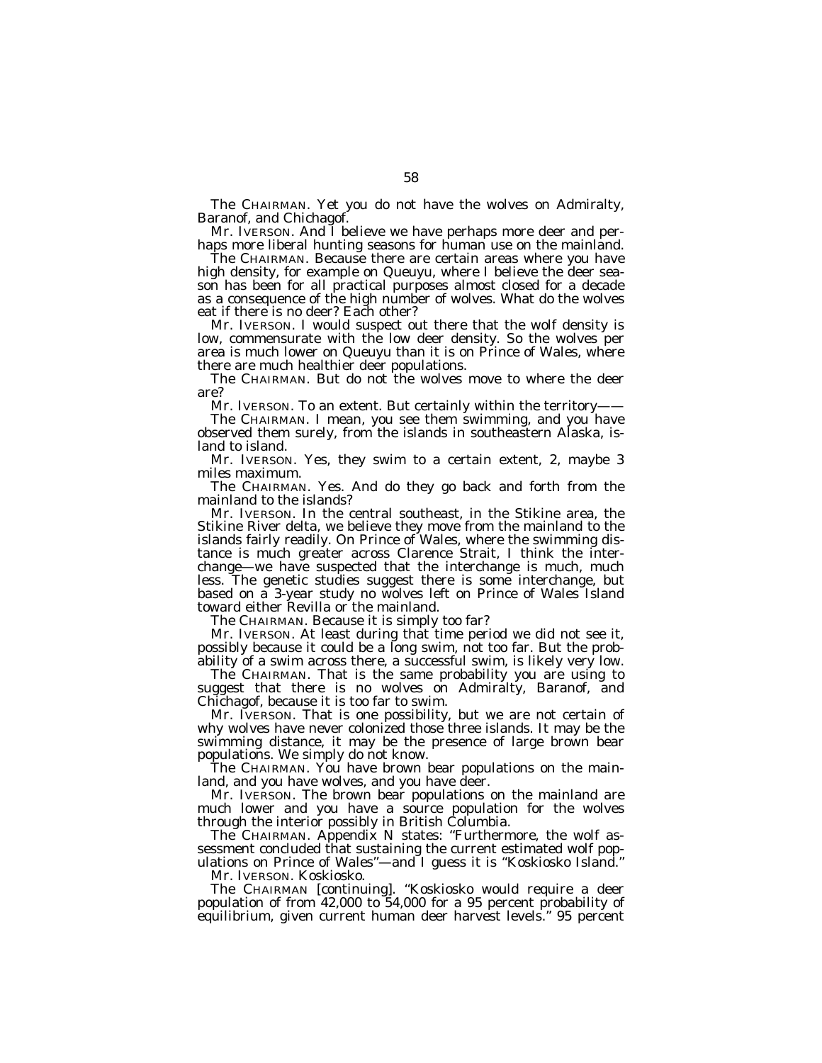The CHAIRMAN. Yet you do not have the wolves on Admiralty, Baranof, and Chichagof.

Mr. IVERSON. And I believe we have perhaps more deer and perhaps more liberal hunting seasons for human use on the mainland.

The CHAIRMAN. Because there are certain areas where you have high density, for example on Queuyu, where I believe the deer season has been for all practical purposes almost closed for a decade as a consequence of the high number of wolves. What do the wolves eat if there is no deer? Each other?

Mr. IVERSON. I would suspect out there that the wolf density is low, commensurate with the low deer density. So the wolves per area is much lower on Queuyu than it is on Prince of Wales, where there are much healthier deer populations.

The CHAIRMAN. But do not the wolves move to where the deer are?

Mr. IVERSON. To an extent. But certainly within the territory-

The CHAIRMAN. I mean, you see them swimming, and you have observed them surely, from the islands in southeastern Alaska, island to island.

Mr. IVERSON. Yes, they swim to a certain extent, 2, maybe 3 miles maximum.

The CHAIRMAN. Yes. And do they go back and forth from the mainland to the islands?

Mr. IVERSON. In the central southeast, in the Stikine area, the Stikine River delta, we believe they move from the mainland to the islands fairly readily. On Prince of Wales, where the swimming distance is much greater across Clarence Strait, I think the interchange—we have suspected that the interchange is much, much less. The genetic studies suggest there is some interchange, but based on a 3-year study no wolves left on Prince of Wales Island toward either Revilla or the mainland.

The CHAIRMAN. Because it is simply too far?

Mr. IVERSON. At least during that time period we did not see it, possibly because it could be a long swim, not too far. But the probability of a swim across there, a successful swim, is likely very low.

The CHAIRMAN. That is the same probability you are using to suggest that there is no wolves on Admiralty, Baranof, and Chichagof, because it is too far to swim.

Mr. IVERSON. That is one possibility, but we are not certain of why wolves have never colonized those three islands. It may be the swimming distance, it may be the presence of large brown bear populations. We simply do not know.

The CHAIRMAN. You have brown bear populations on the mainland, and you have wolves, and you have deer.

Mr. IVERSON. The brown bear populations on the mainland are much lower and you have a source population for the wolves through the interior possibly in British Columbia.

The CHAIRMAN. Appendix N states: ''Furthermore, the wolf assessment concluded that sustaining the current estimated wolf populations on Prince of Wales''—and I guess it is ''Koskiosko Island.''

Mr. IVERSON. Koskiosko.

The CHAIRMAN [continuing]. ''Koskiosko would require a deer population of from 42,000 to 54,000 for a 95 percent probability of equilibrium, given current human deer harvest levels.'' 95 percent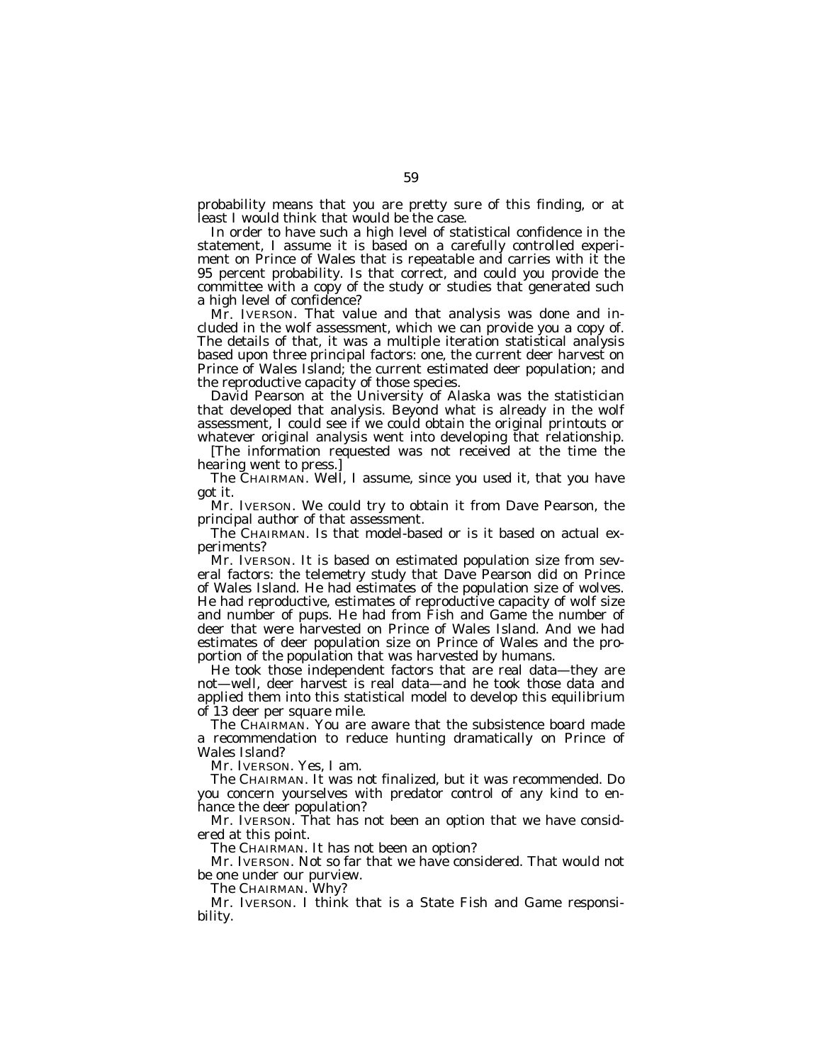probability means that you are pretty sure of this finding, or at least I would think that would be the case.

In order to have such a high level of statistical confidence in the statement, I assume it is based on a carefully controlled experiment on Prince of Wales that is repeatable and carries with it the 95 percent probability. Is that correct, and could you provide the committee with a copy of the study or studies that generated such a high level of confidence?

Mr. IVERSON. That value and that analysis was done and included in the wolf assessment, which we can provide you a copy of. The details of that, it was a multiple iteration statistical analysis based upon three principal factors: one, the current deer harvest on Prince of Wales Island; the current estimated deer population; and the reproductive capacity of those species.

David Pearson at the University of Alaska was the statistician that developed that analysis. Beyond what is already in the wolf assessment, I could see if we could obtain the original printouts or whatever original analysis went into developing that relationship.

[The information requested was not received at the time the hearing went to press.]

The CHAIRMAN. Well, I assume, since you used it, that you have got it.

Mr. IVERSON. We could try to obtain it from Dave Pearson, the principal author of that assessment.

The CHAIRMAN. Is that model-based or is it based on actual experiments?

Mr. IVERSON. It is based on estimated population size from several factors: the telemetry study that Dave Pearson did on Prince of Wales Island. He had estimates of the population size of wolves. He had reproductive, estimates of reproductive capacity of wolf size and number of pups. He had from Fish and Game the number of deer that were harvested on Prince of Wales Island. And we had estimates of deer population size on Prince of Wales and the proportion of the population that was harvested by humans.

He took those independent factors that are real data—they are not—well, deer harvest is real data—and he took those data and applied them into this statistical model to develop this equilibrium of 13 deer per square mile.

The CHAIRMAN. You are aware that the subsistence board made a recommendation to reduce hunting dramatically on Prince of Wales Island?

Mr. IVERSON. Yes, I am.

The CHAIRMAN. It was not finalized, but it was recommended. Do you concern yourselves with predator control of any kind to enhance the deer population?

Mr. IVERSON. That has not been an option that we have considered at this point.

The CHAIRMAN. It has not been an option?

Mr. IVERSON. Not so far that we have considered. That would not be one under our purview.

The CHAIRMAN. Why?

Mr. IVERSON. I think that is a State Fish and Game responsibility.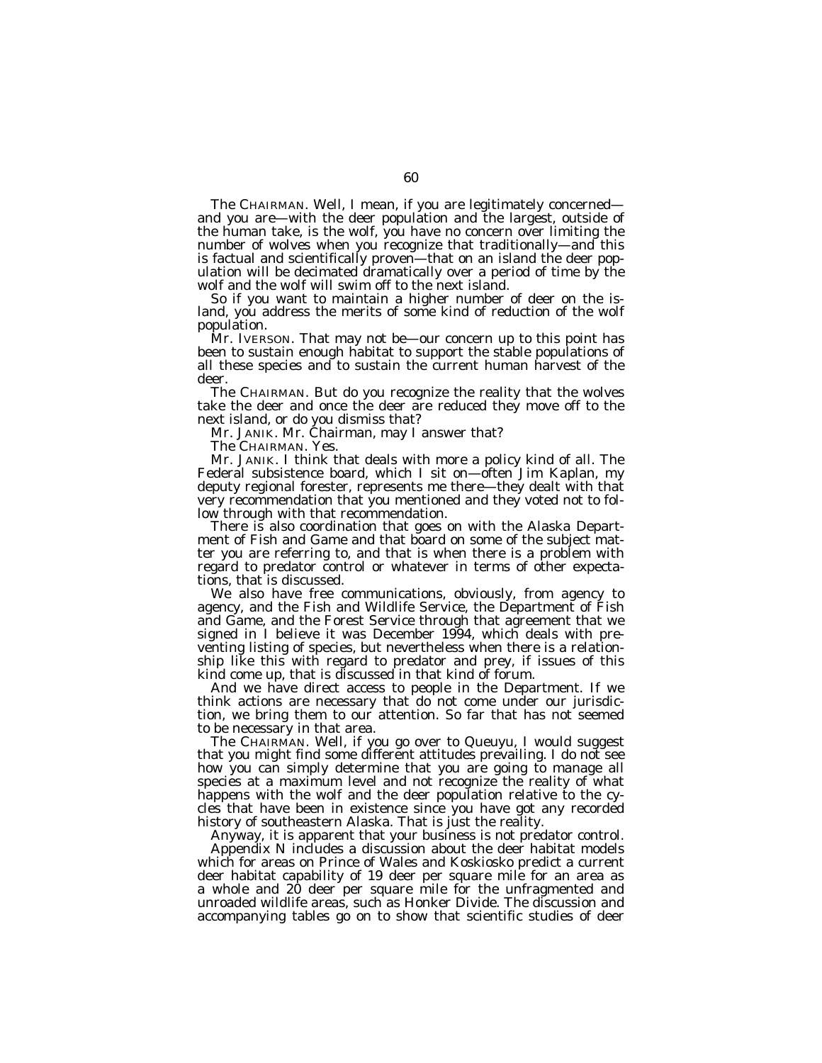The CHAIRMAN. Well, I mean, if you are legitimately concerned and you are—with the deer population and the largest, outside of the human take, is the wolf, you have no concern over limiting the number of wolves when you recognize that traditionally—and this is factual and scientifically proven—that on an island the deer population will be decimated dramatically over a period of time by the wolf and the wolf will swim off to the next island.

So if you want to maintain a higher number of deer on the island, you address the merits of some kind of reduction of the wolf population.

Mr. IVERSON. That may not be—our concern up to this point has been to sustain enough habitat to support the stable populations of all these species and to sustain the current human harvest of the deer.

The CHAIRMAN. But do you recognize the reality that the wolves take the deer and once the deer are reduced they move off to the next island, or do you dismiss that?

Mr. JANIK. Mr. Chairman, may I answer that?

The CHAIRMAN. Yes.

Mr. JANIK. I think that deals with more a policy kind of all. The Federal subsistence board, which I sit on—often Jim Kaplan, my deputy regional forester, represents me there—they dealt with that very recommendation that you mentioned and they voted not to follow through with that recommendation.

There is also coordination that goes on with the Alaska Department of Fish and Game and that board on some of the subject matter you are referring to, and that is when there is a problem with regard to predator control or whatever in terms of other expectations, that is discussed.

We also have free communications, obviously, from agency to agency, and the Fish and Wildlife Service, the Department of Fish and Game, and the Forest Service through that agreement that we signed in I believe it was December 1994, which deals with preventing listing of species, but nevertheless when there is a relationship like this with regard to predator and prey, if issues of this kind come up, that is discussed in that kind of forum.

And we have direct access to people in the Department. If we think actions are necessary that do not come under our jurisdiction, we bring them to our attention. So far that has not seemed to be necessary in that area.

The CHAIRMAN. Well, if you go over to Queuyu, I would suggest that you might find some different attitudes prevailing. I do not see how you can simply determine that you are going to manage all species at a maximum level and not recognize the reality of what happens with the wolf and the deer population relative to the cycles that have been in existence since you have got any recorded history of southeastern Alaska. That is just the reality.

Anyway, it is apparent that your business is not predator control. Appendix N includes a discussion about the deer habitat models which for areas on Prince of Wales and Koskiosko predict a current deer habitat capability of 19 deer per square mile for an area as a whole and 20 deer per square mile for the unfragmented and unroaded wildlife areas, such as Honker Divide. The discussion and accompanying tables go on to show that scientific studies of deer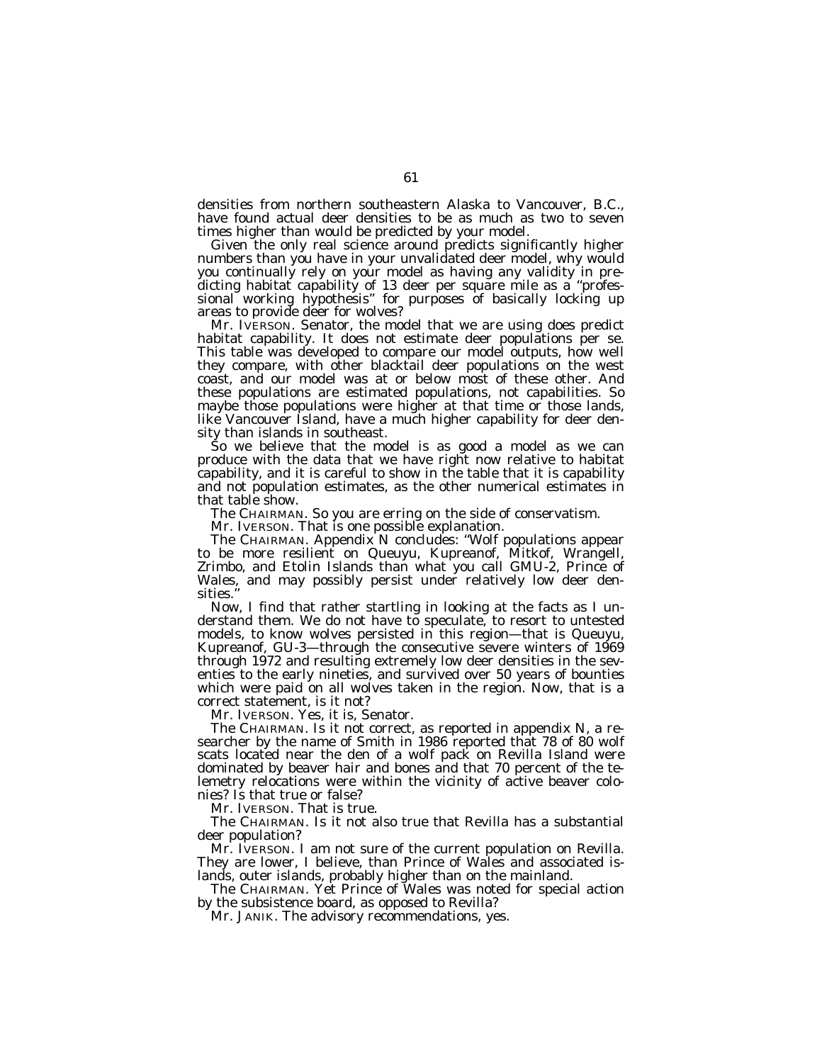densities from northern southeastern Alaska to Vancouver, B.C., have found actual deer densities to be as much as two to seven times higher than would be predicted by your model.

Given the only real science around predicts significantly higher numbers than you have in your unvalidated deer model, why would you continually rely on your model as having any validity in predicting habitat capability of 13 deer per square mile as a ''professional working hypothesis" for purposes of basically locking up areas to provide deer for wolves?

Mr. IVERSON. Senator, the model that we are using does predict habitat capability. It does not estimate deer populations per se. This table was developed to compare our model outputs, how well they compare, with other blacktail deer populations on the west coast, and our model was at or below most of these other. And these populations are estimated populations, not capabilities. So maybe those populations were higher at that time or those lands, like Vancouver Island, have a much higher capability for deer density than islands in southeast.

So we believe that the model is as good a model as we can produce with the data that we have right now relative to habitat capability, and it is careful to show in the table that it is capability and not population estimates, as the other numerical estimates in that table show.

The CHAIRMAN. So you are erring on the side of conservatism.

Mr. IVERSON. That is one possible explanation.

The CHAIRMAN. Appendix N concludes: "Wolf populations appear to be more resilient on Queuyu, Kupreanof, Mitkof, Wrangell, Zrimbo, and Etolin Islands than what you call GMU-2, Prince of Wales, and may possibly persist under relatively low deer densities.

Now, I find that rather startling in looking at the facts as I understand them. We do not have to speculate, to resort to untested models, to know wolves persisted in this region—that is Queuyu, Kupreanof, GU-3—through the consecutive severe winters of 1969 through 1972 and resulting extremely low deer densities in the seventies to the early nineties, and survived over 50 years of bounties which were paid on all wolves taken in the region. Now, that is a correct statement, is it not?

Mr. IVERSON. Yes, it is, Senator.

The CHAIRMAN. Is it not correct, as reported in appendix N, a researcher by the name of Smith in 1986 reported that 78 of 80 wolf scats located near the den of a wolf pack on Revilla Island were dominated by beaver hair and bones and that 70 percent of the telemetry relocations were within the vicinity of active beaver colonies? Is that true or false?

Mr. IVERSON. That is true.

The CHAIRMAN. Is it not also true that Revilla has a substantial deer population?

Mr. IVERSON. I am not sure of the current population on Revilla. They are lower, I believe, than Prince of Wales and associated islands, outer islands, probably higher than on the mainland.

The CHAIRMAN. Yet Prince of Wales was noted for special action by the subsistence board, as opposed to Revilla?

Mr. JANIK. The advisory recommendations, yes.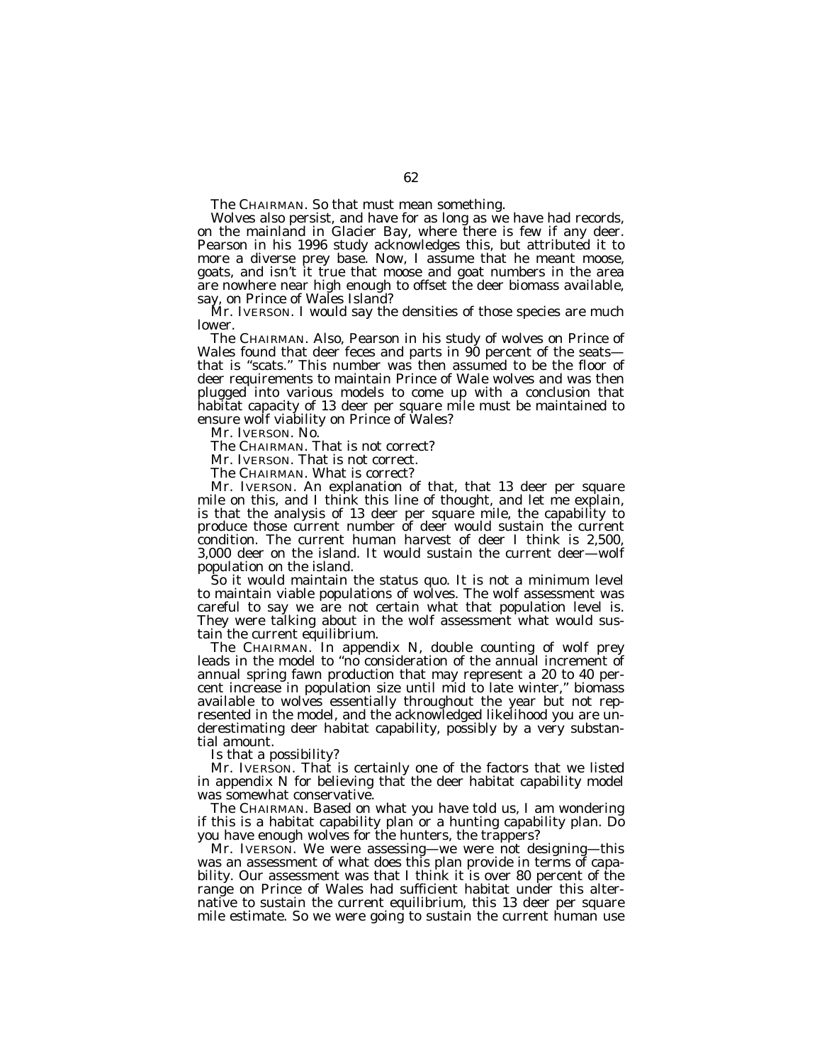The CHAIRMAN. So that must mean something.

Wolves also persist, and have for as long as we have had records, on the mainland in Glacier Bay, where there is few if any deer. Pearson in his 1996 study acknowledges this, but attributed it to more a diverse prey base. Now, I assume that he meant moose, goats, and isn't it true that moose and goat numbers in the area are nowhere near high enough to offset the deer biomass available, say, on Prince of Wales Island?

Mr. IVERSON. I would say the densities of those species are much lower.

The CHAIRMAN. Also, Pearson in his study of wolves on Prince of Wales found that deer feces and parts in 90 percent of the seatsthat is ''scats.'' This number was then assumed to be the floor of deer requirements to maintain Prince of Wale wolves and was then plugged into various models to come up with a conclusion that habitat capacity of 13 deer per square mile must be maintained to ensure wolf viability on Prince of Wales?

Mr. IVERSON. No.

The CHAIRMAN. That is not correct?

Mr. IVERSON. That is not correct.

The CHAIRMAN. What is correct?

Mr. IVERSON. An explanation of that, that 13 deer per square mile on this, and I think this line of thought, and let me explain, is that the analysis of 13 deer per square mile, the capability to produce those current number of deer would sustain the current condition. The current human harvest of deer I think is 2,500, 3,000 deer on the island. It would sustain the current deer—wolf population on the island.

So it would maintain the status quo. It is not a minimum level to maintain viable populations of wolves. The wolf assessment was careful to say we are not certain what that population level is. They were talking about in the wolf assessment what would sustain the current equilibrium.

The CHAIRMAN. In appendix N, double counting of wolf prey leads in the model to ''no consideration of the annual increment of annual spring fawn production that may represent a 20 to 40 percent increase in population size until mid to late winter,'' biomass available to wolves essentially throughout the year but not represented in the model, and the acknowledged likelihood you are underestimating deer habitat capability, possibly by a very substantial amount.

Is that a possibility?

Mr. IVERSON. That is certainly one of the factors that we listed in appendix N for believing that the deer habitat capability model was somewhat conservative.

The CHAIRMAN. Based on what you have told us, I am wondering if this is a habitat capability plan or a hunting capability plan. Do you have enough wolves for the hunters, the trappers?

Mr. IVERSON. We were assessing—we were not designing—this was an assessment of what does this plan provide in terms of capability. Our assessment was that I think it is over 80 percent of the range on Prince of Wales had sufficient habitat under this alternative to sustain the current equilibrium, this 13 deer per square mile estimate. So we were going to sustain the current human use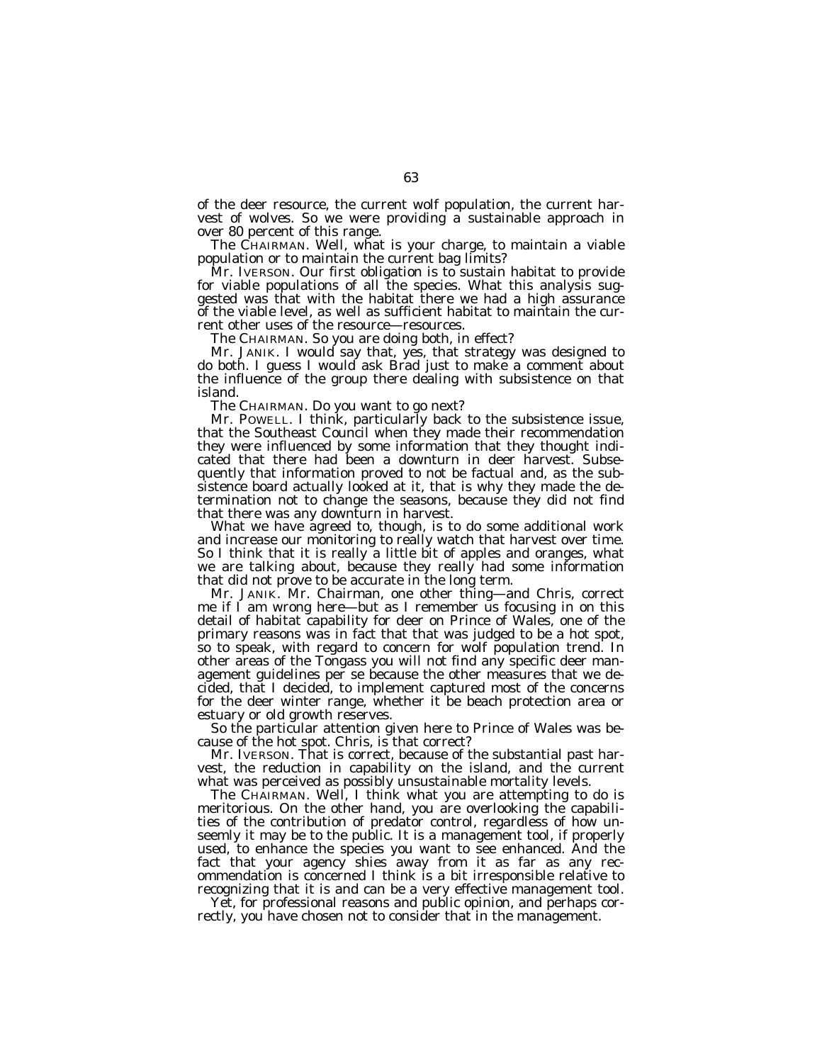of the deer resource, the current wolf population, the current harvest of wolves. So we were providing a sustainable approach in over 80 percent of this range.

The CHAIRMAN. Well, what is your charge, to maintain a viable population or to maintain the current bag limits?

Mr. IVERSON. Our first obligation is to sustain habitat to provide for viable populations of all the species. What this analysis suggested was that with the habitat there we had a high assurance of the viable level, as well as sufficient habitat to maintain the current other uses of the resource—resources.

The CHAIRMAN. So you are doing both, in effect?

Mr. JANIK. I would say that, yes, that strategy was designed to do both. I guess I would ask Brad just to make a comment about the influence of the group there dealing with subsistence on that island.

The CHAIRMAN. Do you want to go next?

Mr. POWELL. I think, particularly back to the subsistence issue, that the Southeast Council when they made their recommendation they were influenced by some information that they thought indicated that there had been a downturn in deer harvest. Subsequently that information proved to not be factual and, as the subsistence board actually looked at it, that is why they made the determination not to change the seasons, because they did not find that there was any downturn in harvest.

What we have agreed to, though, is to do some additional work and increase our monitoring to really watch that harvest over time. So I think that it is really a little bit of apples and oranges, what we are talking about, because they really had some information that did not prove to be accurate in the long term.

Mr. JANIK. Mr. Chairman, one other thing—and Chris, correct me if I am wrong here—but as I remember us focusing in on this detail of habitat capability for deer on Prince of Wales, one of the primary reasons was in fact that that was judged to be a hot spot, so to speak, with regard to concern for wolf population trend. In other areas of the Tongass you will not find any specific deer management guidelines per se because the other measures that we decided, that I decided, to implement captured most of the concerns for the deer winter range, whether it be beach protection area or estuary or old growth reserves.

So the particular attention given here to Prince of Wales was because of the hot spot. Chris, is that correct?

Mr. IVERSON. That is correct, because of the substantial past harvest, the reduction in capability on the island, and the current what was perceived as possibly unsustainable mortality levels.

The CHAIRMAN. Well, I think what you are attempting to do is meritorious. On the other hand, you are overlooking the capabilities of the contribution of predator control, regardless of how unseemly it may be to the public. It is a management tool, if properly used, to enhance the species you want to see enhanced. And the fact that your agency shies away from it as far as any recommendation is concerned I think is a bit irresponsible relative to recognizing that it is and can be a very effective management tool.

Yet, for professional reasons and public opinion, and perhaps correctly, you have chosen not to consider that in the management.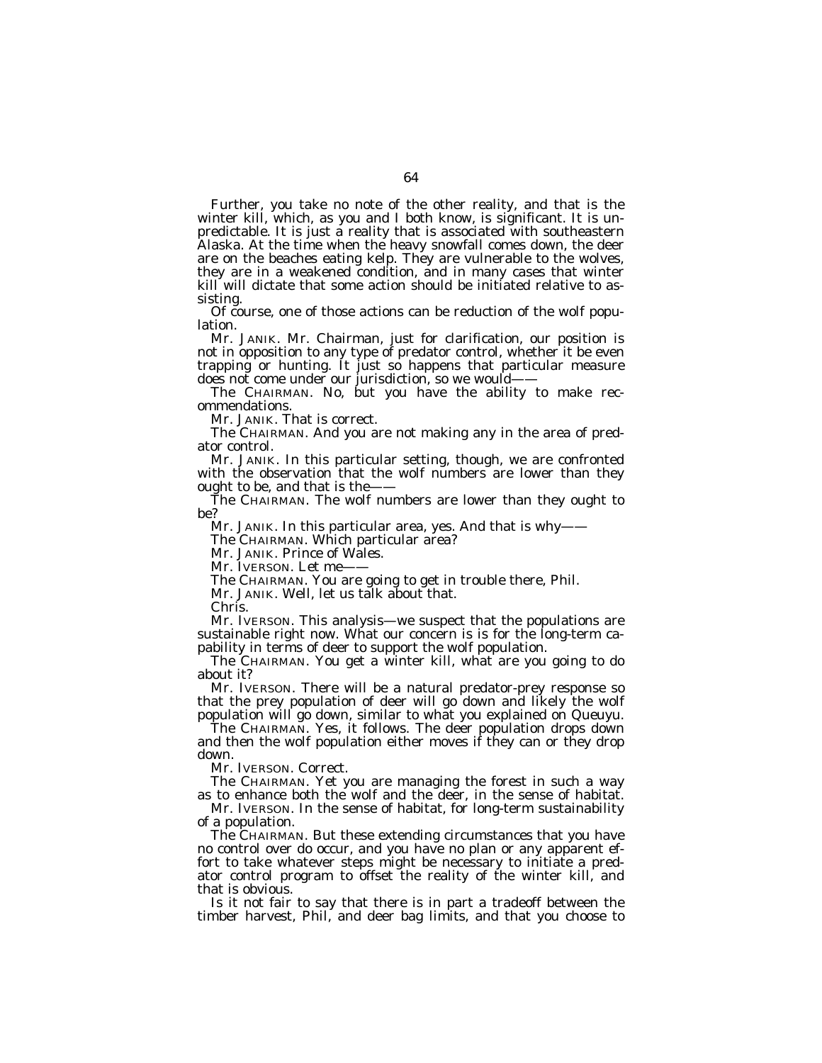Further, you take no note of the other reality, and that is the winter kill, which, as you and I both know, is significant. It is unpredictable. It is just a reality that is associated with southeastern Alaska. At the time when the heavy snowfall comes down, the deer are on the beaches eating kelp. They are vulnerable to the wolves, they are in a weakened condition, and in many cases that winter kill will dictate that some action should be initiated relative to assisting.

Of course, one of those actions can be reduction of the wolf population.

Mr. JANIK. Mr. Chairman, just for clarification, our position is not in opposition to any type of predator control, whether it be even trapping or hunting. It just so happens that particular measure does not come under our jurisdiction, so we would——

The CHAIRMAN. No, but you have the ability to make recommendations.

Mr. JANIK. That is correct.

The CHAIRMAN. And you are not making any in the area of predator control.

Mr. JANIK. In this particular setting, though, we are confronted with the observation that the wolf numbers are lower than they ought to be, and that is the-

The CHAIRMAN. The wolf numbers are lower than they ought to be?

Mr. JANIK. In this particular area, yes. And that is why——

The CHAIRMAN. Which particular area?

Mr. JANIK. Prince of Wales.

Mr. IVERSON. Let me-

The CHAIRMAN. You are going to get in trouble there, Phil.

Mr. JANIK. Well, let us talk about that.

Chris.

Mr. IVERSON. This analysis—we suspect that the populations are sustainable right now. What our concern is is for the long-term capability in terms of deer to support the wolf population.

The CHAIRMAN. You get a winter kill, what are you going to do about it?

Mr. IVERSON. There will be a natural predator-prey response so that the prey population of deer will go down and likely the wolf population will go down, similar to what you explained on Queuyu.

The CHAIRMAN. Yes, it follows. The deer population drops down and then the wolf population either moves if they can or they drop down.

Mr. IVERSON. Correct.

The CHAIRMAN. Yet you are managing the forest in such a way as to enhance both the wolf and the deer, in the sense of habitat.

Mr. IVERSON. In the sense of habitat, for long-term sustainability of a population.

The CHAIRMAN. But these extending circumstances that you have no control over do occur, and you have no plan or any apparent effort to take whatever steps might be necessary to initiate a predator control program to offset the reality of the winter kill, and that is obvious.

Is it not fair to say that there is in part a tradeoff between the timber harvest, Phil, and deer bag limits, and that you choose to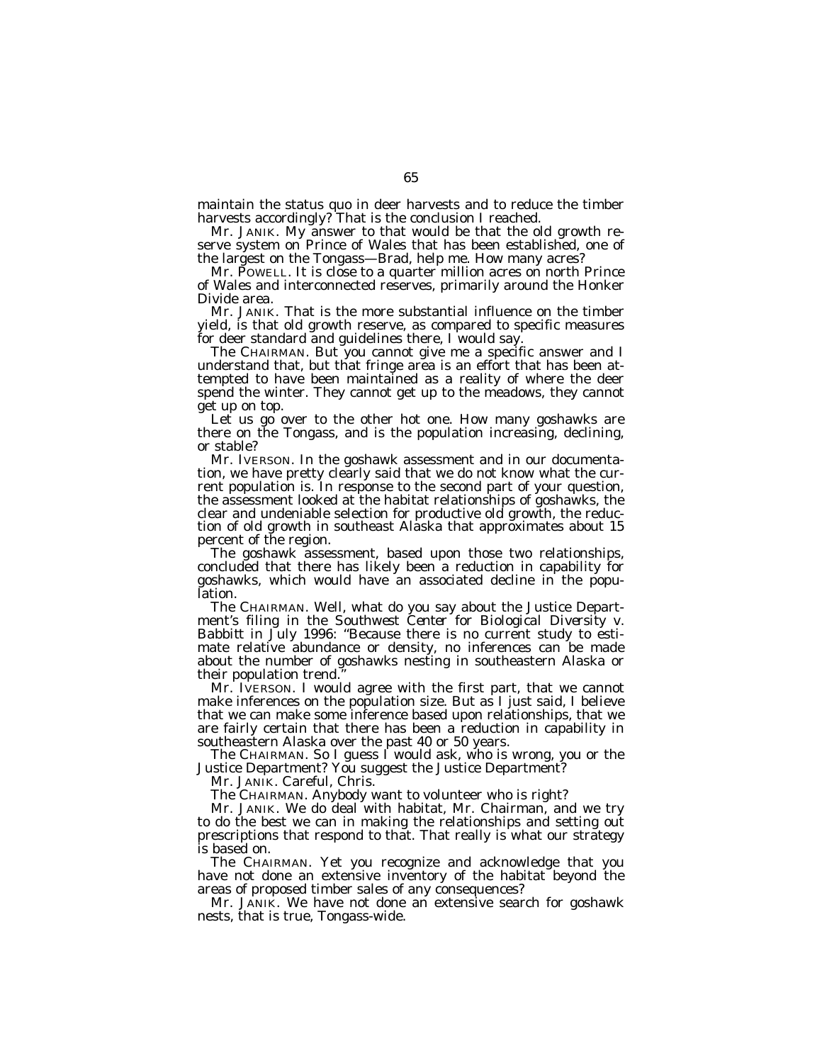maintain the status quo in deer harvests and to reduce the timber harvests accordingly? That is the conclusion I reached.

Mr. JANIK. My answer to that would be that the old growth reserve system on Prince of Wales that has been established, one of the largest on the Tongass—Brad, help me. How many acres?

Mr. POWELL. It is close to a quarter million acres on north Prince of Wales and interconnected reserves, primarily around the Honker Divide area.

Mr. JANIK. That is the more substantial influence on the timber yield, is that old growth reserve, as compared to specific measures for deer standard and guidelines there, I would say.

The CHAIRMAN. But you cannot give me a specific answer and I understand that, but that fringe area is an effort that has been attempted to have been maintained as a reality of where the deer spend the winter. They cannot get up to the meadows, they cannot get up on top.

Let us go over to the other hot one. How many goshawks are there on the Tongass, and is the population increasing, declining, or stable?

Mr. IVERSON. In the goshawk assessment and in our documentation, we have pretty clearly said that we do not know what the current population is. In response to the second part of your question, the assessment looked at the habitat relationships of goshawks, the clear and undeniable selection for productive old growth, the reduction of old growth in southeast Alaska that approximates about 15 percent of the region.

The goshawk assessment, based upon those two relationships, concluded that there has likely been a reduction in capability for goshawks, which would have an associated decline in the population.

The CHAIRMAN. Well, what do you say about the Justice Department's filing in the *Southwest Center for Biological Diversity* v. *Babbitt* in July 1996: "Because there is no current study to estimate relative abundance or density, no inferences can be made about the number of goshawks nesting in southeastern Alaska or their population trend.''

Mr. IVERSON. I would agree with the first part, that we cannot make inferences on the population size. But as I just said, I believe that we can make some inference based upon relationships, that we are fairly certain that there has been a reduction in capability in southeastern Alaska over the past 40 or 50 years.

The CHAIRMAN. So I guess I would ask, who is wrong, you or the Justice Department? You suggest the Justice Department?

Mr. JANIK. Careful, Chris.

The CHAIRMAN. Anybody want to volunteer who is right?

Mr. JANIK. We do deal with habitat, Mr. Chairman, and we try to do the best we can in making the relationships and setting out prescriptions that respond to that. That really is what our strategy is based on.

The CHAIRMAN. Yet you recognize and acknowledge that you have not done an extensive inventory of the habitat beyond the areas of proposed timber sales of any consequences?

Mr. JANIK. We have not done an extensive search for goshawk nests, that is true, Tongass-wide.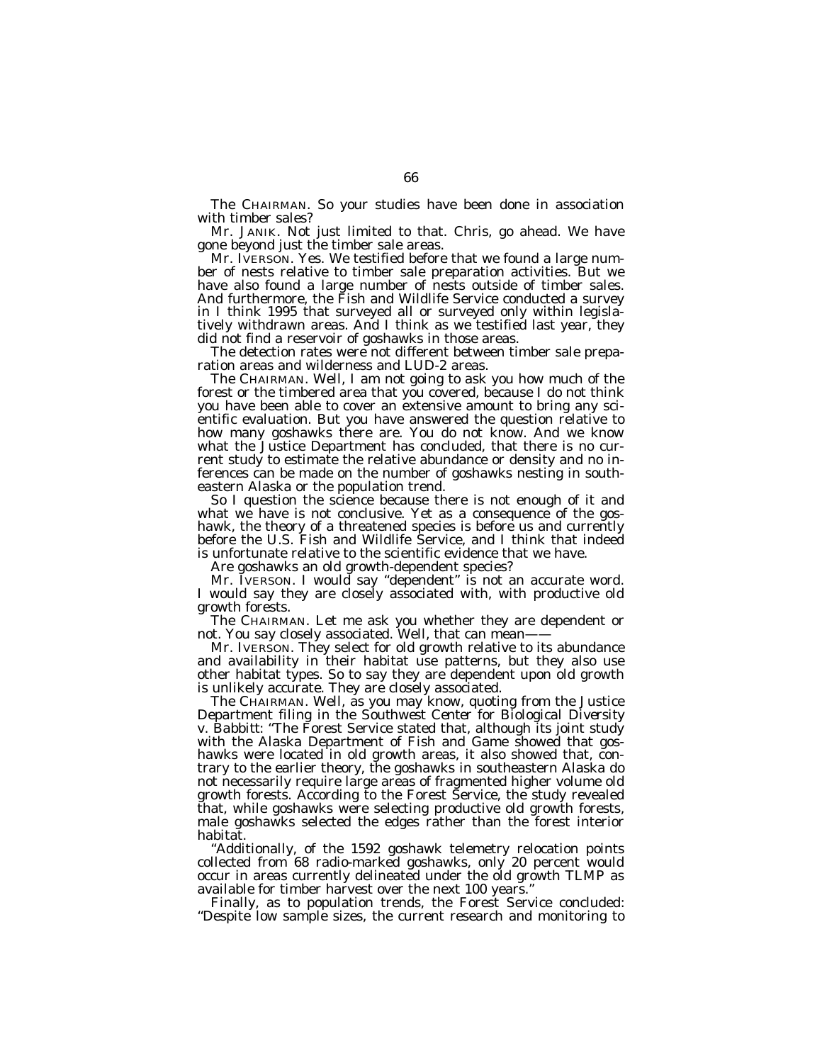The CHAIRMAN. So your studies have been done in association with timber sales?

Mr. JANIK. Not just limited to that. Chris, go ahead. We have gone beyond just the timber sale areas.

Mr. IVERSON. Yes. We testified before that we found a large number of nests relative to timber sale preparation activities. But we have also found a large number of nests outside of timber sales. And furthermore, the Fish and Wildlife Service conducted a survey in I think 1995 that surveyed all or surveyed only within legislatively withdrawn areas. And I think as we testified last year, they did not find a reservoir of goshawks in those areas.

The detection rates were not different between timber sale preparation areas and wilderness and LUD-2 areas.

The CHAIRMAN. Well, I am not going to ask you how much of the forest or the timbered area that you covered, because I do not think you have been able to cover an extensive amount to bring any scientific evaluation. But you have answered the question relative to how many goshawks there are. You do not know. And we know what the Justice Department has concluded, that there is no current study to estimate the relative abundance or density and no inferences can be made on the number of goshawks nesting in southeastern Alaska or the population trend.

So I question the science because there is not enough of it and what we have is not conclusive. Yet as a consequence of the goshawk, the theory of a threatened species is before us and currently before the U.S. Fish and Wildlife Service, and I think that indeed is unfortunate relative to the scientific evidence that we have.

Are goshawks an old growth-dependent species?

Mr. IVERSON. I would say ''dependent'' is not an accurate word. I would say they are closely associated with, with productive old growth forests.

The CHAIRMAN. Let me ask you whether they are dependent or not. You say closely associated. Well, that can mean-

Mr. IVERSON. They select for old growth relative to its abundance and availability in their habitat use patterns, but they also use other habitat types. So to say they are dependent upon old growth is unlikely accurate. They are closely associated.

The CHAIRMAN. Well, as you may know, quoting from the Justice Department filing in the *Southwest Center for Biological Diversity* v. *Babbitt:* ''The Forest Service stated that, although its joint study with the Alaska Department of Fish and Game showed that goshawks were located in old growth areas, it also showed that, contrary to the earlier theory, the goshawks in southeastern Alaska do not necessarily require large areas of fragmented higher volume old growth forests. According to the Forest Service, the study revealed that, while goshawks were selecting productive old growth forests, male goshawks selected the edges rather than the forest interior habitat.

''Additionally, of the 1592 goshawk telemetry relocation points collected from 68 radio-marked goshawks, only 20 percent would occur in areas currently delineated under the old growth TLMP as available for timber harvest over the next 100 years.''

Finally, as to population trends, the Forest Service concluded: ''Despite low sample sizes, the current research and monitoring to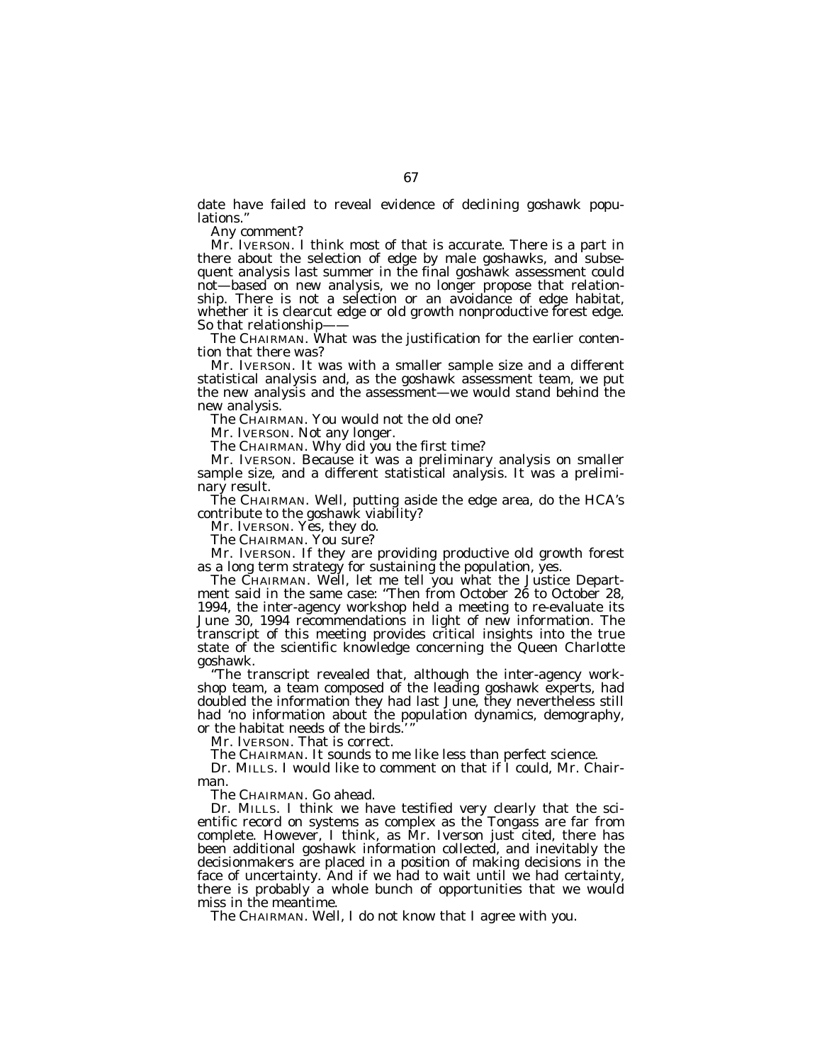date have failed to reveal evidence of declining goshawk populations.

Any comment?

Mr. IVERSON. I think most of that is accurate. There is a part in there about the selection of edge by male goshawks, and subsequent analysis last summer in the final goshawk assessment could not—based on new analysis, we no longer propose that relationship. There is not a selection or an avoidance of edge habitat, whether it is clearcut edge or old growth nonproductive forest edge. So that relationship-

The CHAIRMAN. What was the justification for the earlier contention that there was?

Mr. IVERSON. It was with a smaller sample size and a different statistical analysis and, as the goshawk assessment team, we put the new analysis and the assessment—we would stand behind the new analysis.

The CHAIRMAN. You would not the old one?

Mr. IVERSON. Not any longer.

The CHAIRMAN. Why did you the first time?

Mr. IVERSON. Because it was a preliminary analysis on smaller sample size, and a different statistical analysis. It was a preliminary result.

The CHAIRMAN. Well, putting aside the edge area, do the HCA's contribute to the goshawk viability?

Mr. IVERSON. Yes, they do.

The CHAIRMAN. You sure?

Mr. IVERSON. If they are providing productive old growth forest as a long term strategy for sustaining the population, yes.

The CHAIRMAN. Well, let me tell you what the Justice Department said in the same case: ''Then from October 26 to October 28, 1994, the inter-agency workshop held a meeting to re-evaluate its June 30, 1994 recommendations in light of new information. The transcript of this meeting provides critical insights into the true state of the scientific knowledge concerning the Queen Charlotte goshawk.

''The transcript revealed that, although the inter-agency workshop team, a team composed of the leading goshawk experts, had doubled the information they had last June, they nevertheless still had 'no information about the population dynamics, demography, or the habitat needs of the birds.

Mr. IVERSON. That is correct.

The CHAIRMAN. It sounds to me like less than perfect science.

Dr. MILLS. I would like to comment on that if I could, Mr. Chairman.

The CHAIRMAN. Go ahead.

Dr. MILLS. I think we have testified very clearly that the scientific record on systems as complex as the Tongass are far from complete. However, I think, as Mr. Iverson just cited, there has been additional goshawk information collected, and inevitably the decisionmakers are placed in a position of making decisions in the face of uncertainty. And if we had to wait until we had certainty, there is probably a whole bunch of opportunities that we would miss in the meantime.

The CHAIRMAN. Well, I do not know that I agree with you.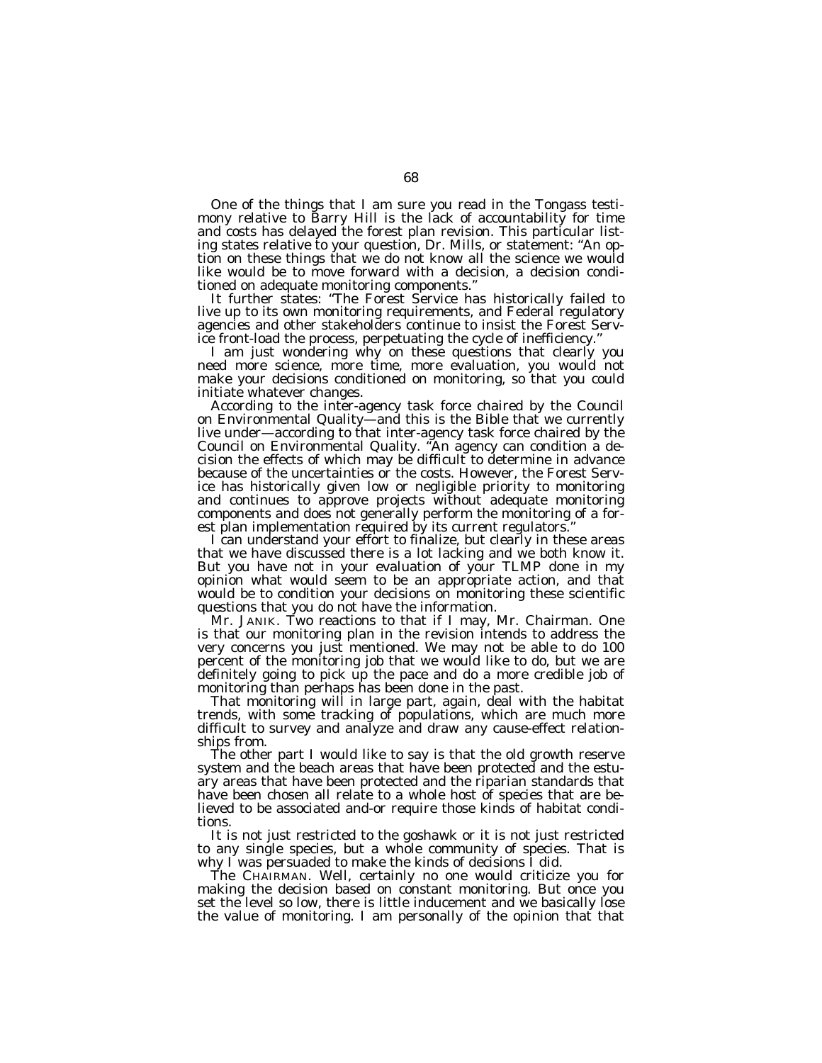One of the things that I am sure you read in the Tongass testimony relative to Barry Hill is the lack of accountability for time and costs has delayed the forest plan revision. This particular listing states relative to your question, Dr. Mills, or statement: ''An option on these things that we do not know all the science we would like would be to move forward with a decision, a decision conditioned on adequate monitoring components.''

It further states: ''The Forest Service has historically failed to live up to its own monitoring requirements, and Federal regulatory agencies and other stakeholders continue to insist the Forest Service front-load the process, perpetuating the cycle of inefficiency.''

I am just wondering why on these questions that clearly you need more science, more time, more evaluation, you would not make your decisions conditioned on monitoring, so that you could initiate whatever changes.

According to the inter-agency task force chaired by the Council on Environmental Quality—and this is the Bible that we currently live under—according to that inter-agency task force chaired by the Council on Environmental Quality. ''An agency can condition a decision the effects of which may be difficult to determine in advance because of the uncertainties or the costs. However, the Forest Service has historically given low or negligible priority to monitoring and continues to approve projects without adequate monitoring components and does not generally perform the monitoring of a forest plan implementation required by its current regulators.''

I can understand your effort to finalize, but clearly in these areas that we have discussed there is a lot lacking and we both know it. But you have not in your evaluation of your TLMP done in my opinion what would seem to be an appropriate action, and that would be to condition your decisions on monitoring these scientific questions that you do not have the information.

Mr. JANIK. Two reactions to that if I may, Mr. Chairman. One is that our monitoring plan in the revision intends to address the very concerns you just mentioned. We may not be able to do 100 percent of the monitoring job that we would like to do, but we are definitely going to pick up the pace and do a more credible job of monitoring than perhaps has been done in the past.

That monitoring will in large part, again, deal with the habitat trends, with some tracking of populations, which are much more difficult to survey and analyze and draw any cause-effect relationships from.

The other part I would like to say is that the old growth reserve system and the beach areas that have been protected and the estuary areas that have been protected and the riparian standards that have been chosen all relate to a whole host of species that are believed to be associated and-or require those kinds of habitat conditions.

It is not just restricted to the goshawk or it is not just restricted to any single species, but a whole community of species. That is why I was persuaded to make the kinds of decisions I did.

The CHAIRMAN. Well, certainly no one would criticize you for making the decision based on constant monitoring. But once you set the level so low, there is little inducement and we basically lose the value of monitoring. I am personally of the opinion that that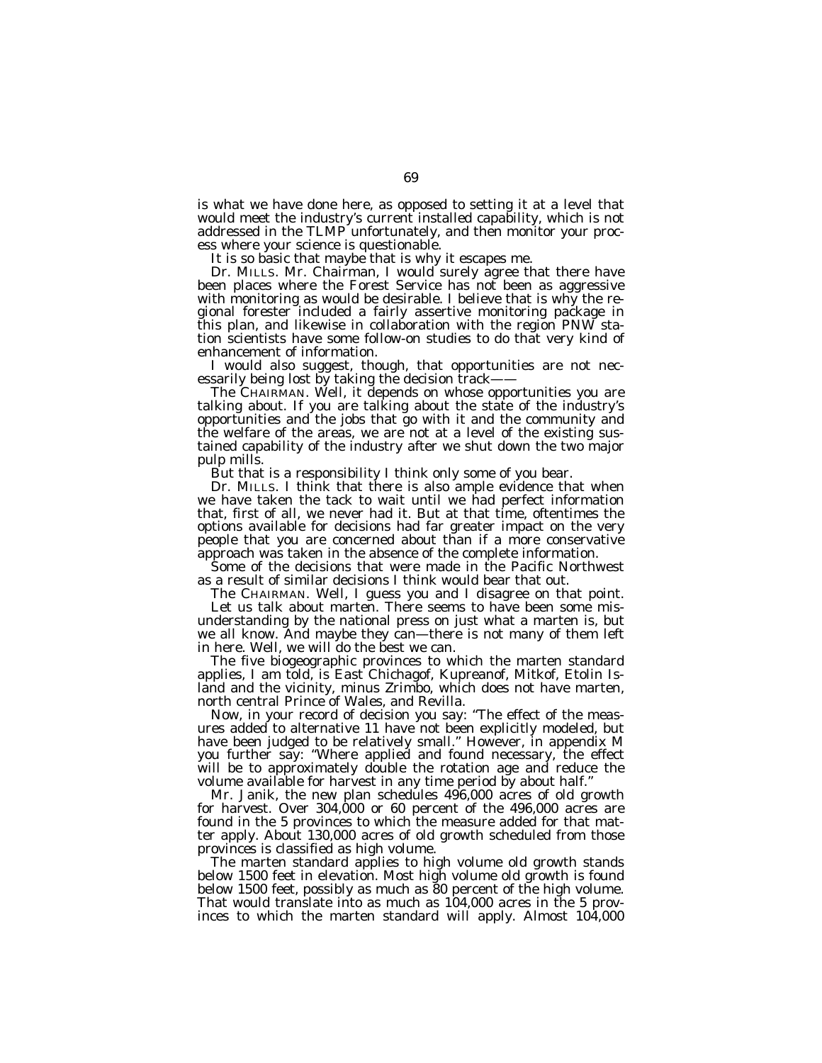is what we have done here, as opposed to setting it at a level that would meet the industry's current installed capability, which is not addressed in the TLMP unfortunately, and then monitor your process where your science is questionable.

It is so basic that maybe that is why it escapes me.

Dr. MILLS. Mr. Chairman, I would surely agree that there have been places where the Forest Service has not been as aggressive with monitoring as would be desirable. I believe that is why the regional forester included a fairly assertive monitoring package in this plan, and likewise in collaboration with the region PNW station scientists have some follow-on studies to do that very kind of enhancement of information.

I would also suggest, though, that opportunities are not necessarily being lost by taking the decision track-

The CHAIRMAN. Well, it depends on whose opportunities you are talking about. If you are talking about the state of the industry's opportunities and the jobs that go with it and the community and the welfare of the areas, we are not at a level of the existing sustained capability of the industry after we shut down the two major pulp mills.

But that is a responsibility I think only some of you bear.

Dr. MILLS. I think that there is also ample evidence that when we have taken the tack to wait until we had perfect information that, first of all, we never had it. But at that time, oftentimes the options available for decisions had far greater impact on the very people that you are concerned about than if a more conservative approach was taken in the absence of the complete information.

Some of the decisions that were made in the Pacific Northwest as a result of similar decisions I think would bear that out.

The CHAIRMAN. Well, I guess you and I disagree on that point. Let us talk about marten. There seems to have been some misunderstanding by the national press on just what a marten is, but we all know. And maybe they can—there is not many of them left in here. Well, we will do the best we can.

The five biogeographic provinces to which the marten standard applies, I am told, is East Chichagof, Kupreanof, Mitkof, Etolin Island and the vicinity, minus Zrimbo, which does not have marten, north central Prince of Wales, and Revilla.

Now, in your record of decision you say: ''The effect of the measures added to alternative 11 have not been explicitly modeled, but have been judged to be relatively small.'' However, in appendix M you further say: ''Where applied and found necessary, the effect will be to approximately double the rotation age and reduce the volume available for harvest in any time period by about half.''

Mr. Janik, the new plan schedules 496,000 acres of old growth for harvest. Over 304,000 or 60 percent of the 496,000 acres are found in the 5 provinces to which the measure added for that matter apply. About 130,000 acres of old growth scheduled from those provinces is classified as high volume.

The marten standard applies to high volume old growth stands below 1500 feet in elevation. Most high volume old growth is found below 1500 feet, possibly as much as 80 percent of the high volume. That would translate into as much as 104,000 acres in the 5 provinces to which the marten standard will apply. Almost 104,000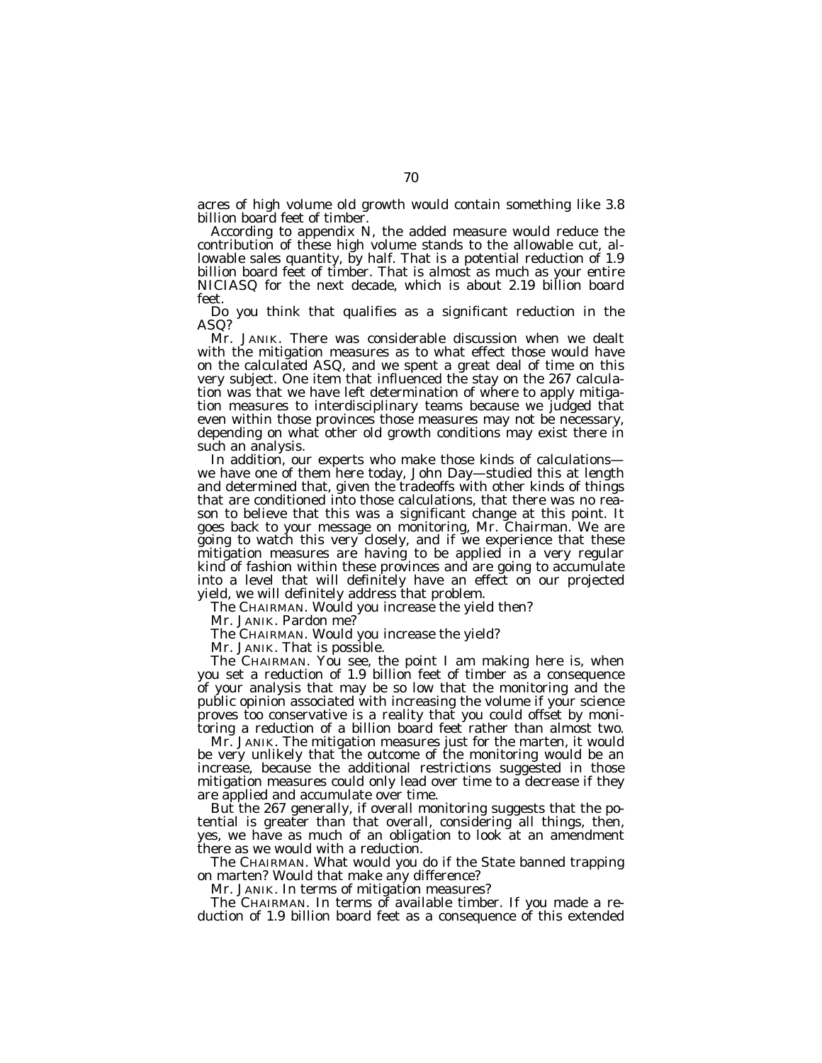acres of high volume old growth would contain something like 3.8 billion board feet of timber.

According to appendix N, the added measure would reduce the contribution of these high volume stands to the allowable cut, allowable sales quantity, by half. That is a potential reduction of 1.9 billion board feet of timber. That is almost as much as your entire NICIASQ for the next decade, which is about 2.19 billion board feet.

Do you think that qualifies as a significant reduction in the ASQ?

Mr. JANIK. There was considerable discussion when we dealt with the mitigation measures as to what effect those would have on the calculated ASQ, and we spent a great deal of time on this very subject. One item that influenced the stay on the 267 calculation was that we have left determination of where to apply mitigation measures to interdisciplinary teams because we judged that even within those provinces those measures may not be necessary, depending on what other old growth conditions may exist there in such an analysis.

In addition, our experts who make those kinds of calculations we have one of them here today, John Day—studied this at length and determined that, given the tradeoffs with other kinds of things that are conditioned into those calculations, that there was no reason to believe that this was a significant change at this point. It goes back to your message on monitoring, Mr. Chairman. We are going to watch this very closely, and if we experience that these mitigation measures are having to be applied in a very regular kind of fashion within these provinces and are going to accumulate into a level that will definitely have an effect on our projected yield, we will definitely address that problem.

The CHAIRMAN. Would you increase the yield then?

Mr. JANIK. Pardon me?

The CHAIRMAN. Would you increase the yield?

Mr. JANIK. That is possible.

The CHAIRMAN. You see, the point I am making here is, when you set a reduction of 1.9 billion feet of timber as a consequence of your analysis that may be so low that the monitoring and the public opinion associated with increasing the volume if your science proves too conservative is a reality that you could offset by monitoring a reduction of a billion board feet rather than almost two.

Mr. JANIK. The mitigation measures just for the marten, it would be very unlikely that the outcome of the monitoring would be an increase, because the additional restrictions suggested in those mitigation measures could only lead over time to a decrease if they are applied and accumulate over time.

But the 267 generally, if overall monitoring suggests that the potential is greater than that overall, considering all things, then, yes, we have as much of an obligation to look at an amendment there as we would with a reduction.

The CHAIRMAN. What would you do if the State banned trapping on marten? Would that make any difference?

Mr. JANIK. In terms of mitigation measures?

The CHAIRMAN. In terms of available timber. If you made a reduction of 1.9 billion board feet as a consequence of this extended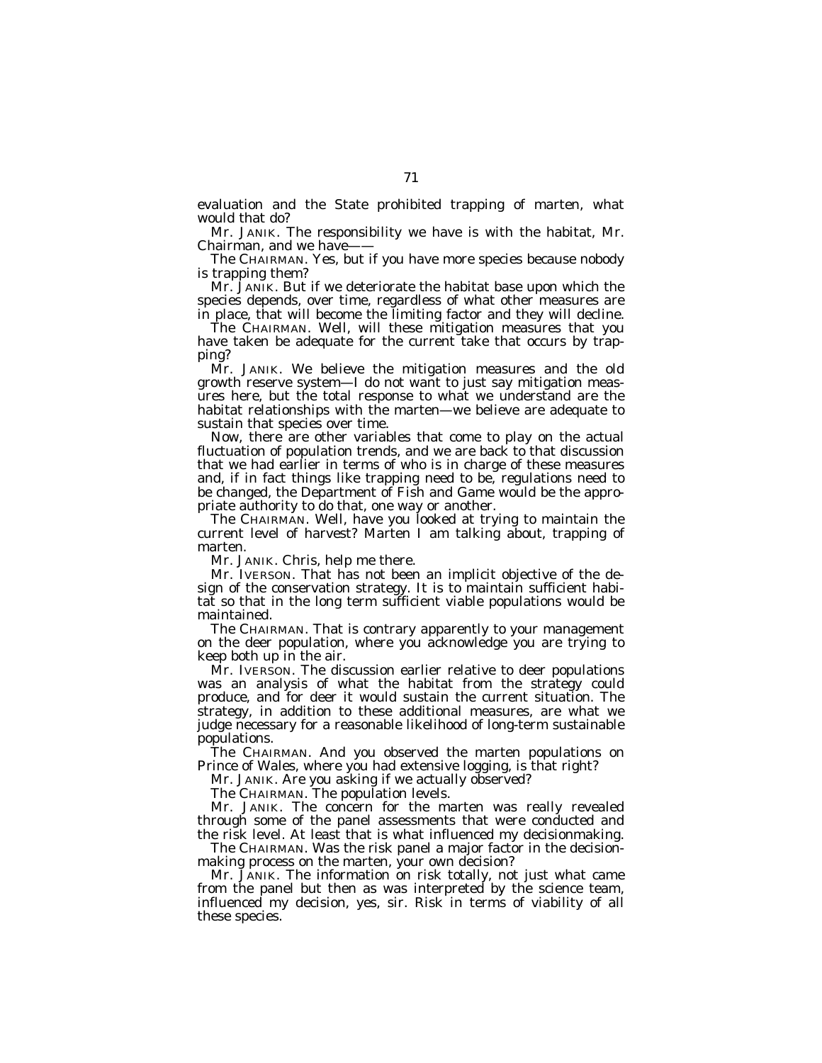evaluation and the State prohibited trapping of marten, what would that do?

Mr. JANIK. The responsibility we have is with the habitat, Mr. Chairman, and we have-

The CHAIRMAN. Yes, but if you have more species because nobody is trapping them?

Mr. JANIK. But if we deteriorate the habitat base upon which the species depends, over time, regardless of what other measures are in place, that will become the limiting factor and they will decline.

The CHAIRMAN. Well, will these mitigation measures that you have taken be adequate for the current take that occurs by trapping?

Mr. JANIK. We believe the mitigation measures and the old growth reserve system—I do not want to just say mitigation measures here, but the total response to what we understand are the habitat relationships with the marten—we believe are adequate to sustain that species over time.

Now, there are other variables that come to play on the actual fluctuation of population trends, and we are back to that discussion that we had earlier in terms of who is in charge of these measures and, if in fact things like trapping need to be, regulations need to be changed, the Department of Fish and Game would be the appropriate authority to do that, one way or another.

The CHAIRMAN. Well, have you looked at trying to maintain the current level of harvest? Marten I am talking about, trapping of marten.

Mr. JANIK. Chris, help me there.

Mr. IVERSON. That has not been an implicit objective of the design of the conservation strategy. It is to maintain sufficient habitat so that in the long term sufficient viable populations would be maintained.

The CHAIRMAN. That is contrary apparently to your management on the deer population, where you acknowledge you are trying to keep both up in the air.

Mr. IVERSON. The discussion earlier relative to deer populations was an analysis of what the habitat from the strategy could produce, and for deer it would sustain the current situation. The strategy, in addition to these additional measures, are what we judge necessary for a reasonable likelihood of long-term sustainable populations.

The CHAIRMAN. And you observed the marten populations on Prince of Wales, where you had extensive logging, is that right?

Mr. JANIK. Are you asking if we actually observed?

The CHAIRMAN. The population levels.

Mr. JANIK. The concern for the marten was really revealed through some of the panel assessments that were conducted and the risk level. At least that is what influenced my decisionmaking.

The CHAIRMAN. Was the risk panel a major factor in the decisionmaking process on the marten, your own decision?

Mr. JANIK. The information on risk totally, not just what came from the panel but then as was interpreted by the science team, influenced my decision, yes, sir. Risk in terms of viability of all these species.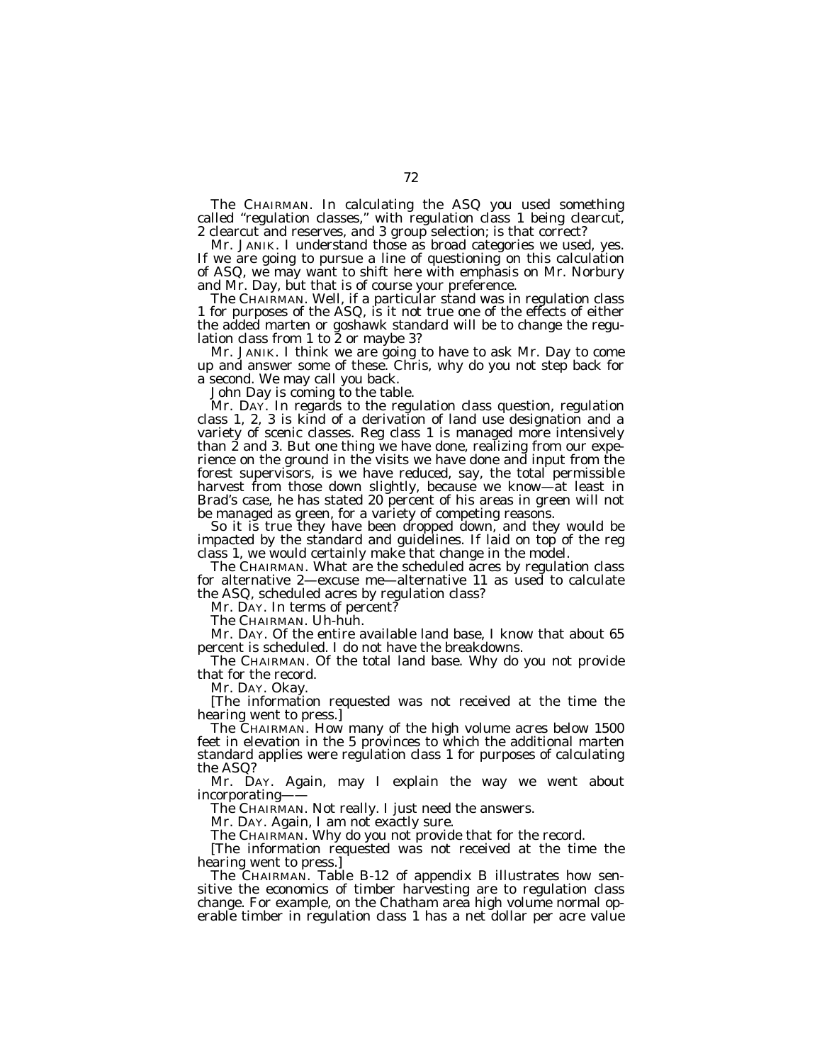The CHAIRMAN. In calculating the ASQ you used something called "regulation classes," with regulation class 1 being clearcut, 2 clearcut and reserves, and 3 group selection; is that correct?

Mr. JANIK. I understand those as broad categories we used, yes. If we are going to pursue a line of questioning on this calculation of ASQ, we may want to shift here with emphasis on Mr. Norbury and Mr. Day, but that is of course your preference.

The CHAIRMAN. Well, if a particular stand was in regulation class 1 for purposes of the ASQ, is it not true one of the effects of either the added marten or goshawk standard will be to change the regulation class from 1 to 2 or maybe 3?

Mr. JANIK. I think we are going to have to ask Mr. Day to come up and answer some of these. Chris, why do you not step back for a second. We may call you back.

John Day is coming to the table.

Mr. DAY. In regards to the regulation class question, regulation class 1, 2, 3 is kind of a derivation of land use designation and a variety of scenic classes. Reg class 1 is managed more intensively than 2 and 3. But one thing we have done, realizing from our experience on the ground in the visits we have done and input from the forest supervisors, is we have reduced, say, the total permissible harvest from those down slightly, because we know—at least in Brad's case, he has stated 20 percent of his areas in green will not be managed as green, for a variety of competing reasons.

So it is true they have been dropped down, and they would be impacted by the standard and guidelines. If laid on top of the reg class 1, we would certainly make that change in the model.

The CHAIRMAN. What are the scheduled acres by regulation class for alternative 2—excuse me—alternative 11 as used to calculate the ASQ, scheduled acres by regulation class?

Mr. DAY. In terms of percent?

The CHAIRMAN. Uh-huh.

Mr. DAY. Of the entire available land base, I know that about 65 percent is scheduled. I do not have the breakdowns.

The CHAIRMAN. Of the total land base. Why do you not provide that for the record.

Mr. DAY. Okay.

[The information requested was not received at the time the hearing went to press.]

The CHAIRMAN. How many of the high volume acres below 1500 feet in elevation in the 5 provinces to which the additional marten standard applies were regulation class 1 for purposes of calculating the ASQ?

Mr. DAY. Again, may I explain the way we went about incorporating——

The CHAIRMAN. Not really. I just need the answers.

Mr. DAY. Again, I am not exactly sure.

The CHAIRMAN. Why do you not provide that for the record.

[The information requested was not received at the time the hearing went to press.]

The CHAIRMAN. Table B-12 of appendix B illustrates how sensitive the economics of timber harvesting are to regulation class change. For example, on the Chatham area high volume normal operable timber in regulation class 1 has a net dollar per acre value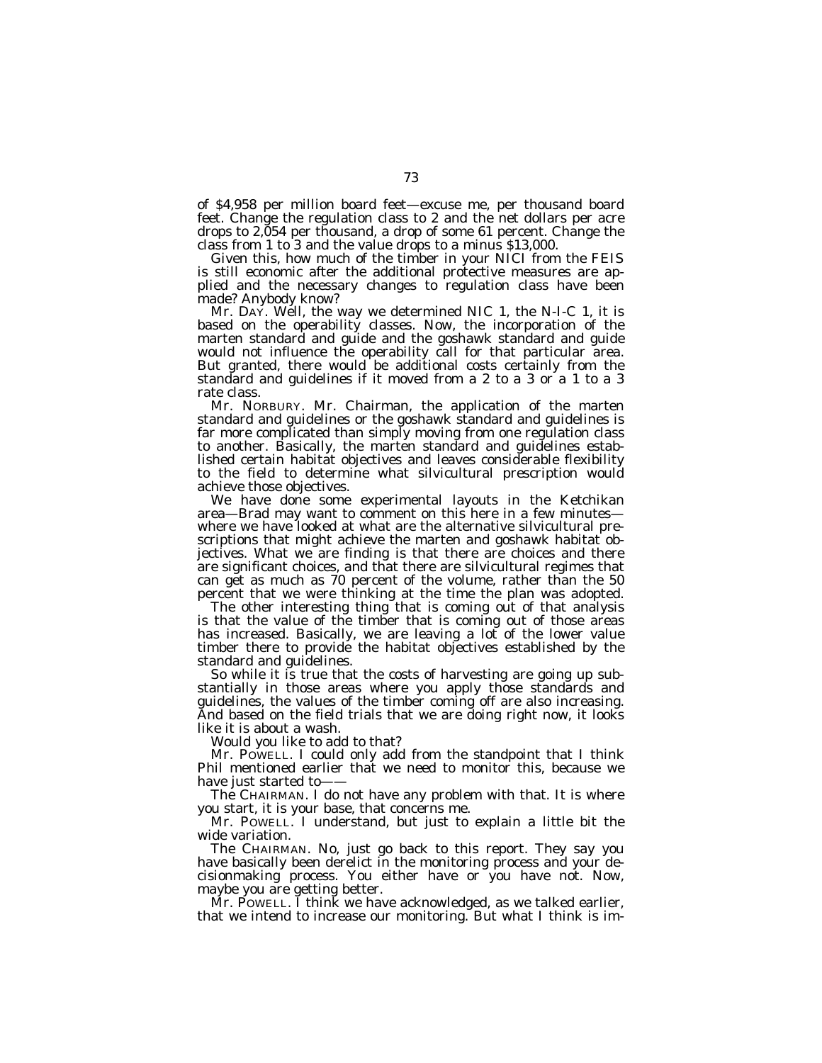of \$4,958 per million board feet—excuse me, per thousand board feet. Change the regulation class to 2 and the net dollars per acre drops to 2,054 per thousand, a drop of some 61 percent. Change the class from 1 to 3 and the value drops to a minus \$13,000.

Given this, how much of the timber in your NICI from the FEIS is still economic after the additional protective measures are applied and the necessary changes to regulation class have been made? Anybody know?

Mr. DAY. Well, the way we determined NIC 1, the N-I-C 1, it is based on the operability classes. Now, the incorporation of the marten standard and guide and the goshawk standard and guide would not influence the operability call for that particular area. But granted, there would be additional costs certainly from the standard and guidelines if it moved from a 2 to a 3 or a 1 to a 3 rate class.

Mr. NORBURY. Mr. Chairman, the application of the marten standard and guidelines or the goshawk standard and guidelines is far more complicated than simply moving from one regulation class to another. Basically, the marten standard and guidelines established certain habitat objectives and leaves considerable flexibility to the field to determine what silvicultural prescription would achieve those objectives.

We have done some experimental layouts in the Ketchikan area—Brad may want to comment on this here in a few minutes where we have looked at what are the alternative silvicultural prescriptions that might achieve the marten and goshawk habitat objectives. What we are finding is that there are choices and there are significant choices, and that there are silvicultural regimes that can get as much as 70 percent of the volume, rather than the 50 percent that we were thinking at the time the plan was adopted.

The other interesting thing that is coming out of that analysis is that the value of the timber that is coming out of those areas has increased. Basically, we are leaving a lot of the lower value timber there to provide the habitat objectives established by the standard and guidelines.

So while it is true that the costs of harvesting are going up substantially in those areas where you apply those standards and guidelines, the values of the timber coming off are also increasing. And based on the field trials that we are doing right now, it looks like it is about a wash.

Would you like to add to that?

Mr. POWELL. I could only add from the standpoint that I think Phil mentioned earlier that we need to monitor this, because we have just started to-

The CHAIRMAN. I do not have any problem with that. It is where you start, it is your base, that concerns me.

Mr. POWELL. I understand, but just to explain a little bit the wide variation.

The CHAIRMAN. No, just go back to this report. They say you have basically been derelict in the monitoring process and your decisionmaking process. You either have or you have not. Now, maybe you are getting better.

Mr. POWELL. I think we have acknowledged, as we talked earlier, that we intend to increase our monitoring. But what I think is im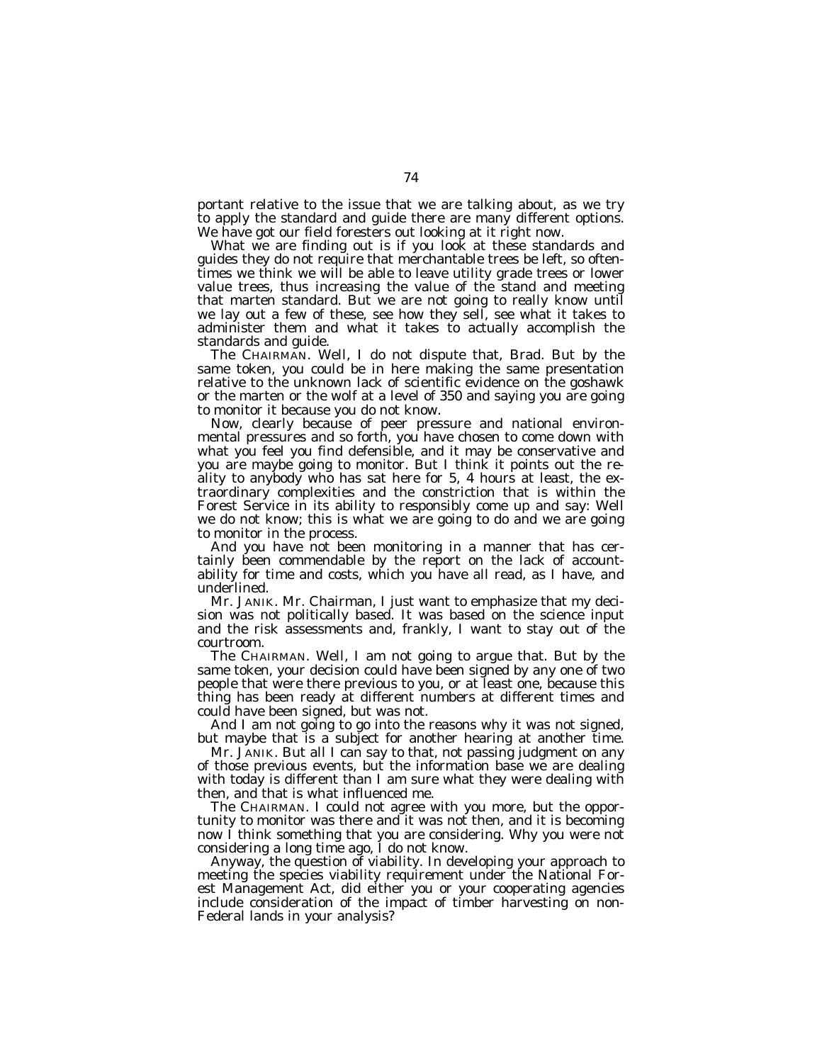portant relative to the issue that we are talking about, as we try to apply the standard and guide there are many different options. We have got our field foresters out looking at it right now.

What we are finding out is if you look at these standards and guides they do not require that merchantable trees be left, so oftentimes we think we will be able to leave utility grade trees or lower value trees, thus increasing the value of the stand and meeting that marten standard. But we are not going to really know until we lay out a few of these, see how they sell, see what it takes to administer them and what it takes to actually accomplish the standards and guide.

The CHAIRMAN. Well, I do not dispute that, Brad. But by the same token, you could be in here making the same presentation relative to the unknown lack of scientific evidence on the goshawk or the marten or the wolf at a level of 350 and saying you are going to monitor it because you do not know.

Now, clearly because of peer pressure and national environmental pressures and so forth, you have chosen to come down with what you feel you find defensible, and it may be conservative and you are maybe going to monitor. But I think it points out the reality to anybody who has sat here for 5, 4 hours at least, the extraordinary complexities and the constriction that is within the Forest Service in its ability to responsibly come up and say: Well we do not know; this is what we are going to do and we are going to monitor in the process.

And you have not been monitoring in a manner that has certainly been commendable by the report on the lack of accountability for time and costs, which you have all read, as I have, and underlined.

Mr. JANIK. Mr. Chairman, I just want to emphasize that my decision was not politically based. It was based on the science input and the risk assessments and, frankly, I want to stay out of the courtroom.

The CHAIRMAN. Well, I am not going to argue that. But by the same token, your decision could have been signed by any one of two people that were there previous to you, or at least one, because this thing has been ready at different numbers at different times and could have been signed, but was not.

And I am not going to go into the reasons why it was not signed, but maybe that is a subject for another hearing at another time.

Mr. JANIK. But all I can say to that, not passing judgment on any of those previous events, but the information base we are dealing with today is different than I am sure what they were dealing with then, and that is what influenced me.

The CHAIRMAN. I could not agree with you more, but the opportunity to monitor was there and it was not then, and it is becoming now I think something that you are considering. Why you were not considering a long time ago, I do not know.

Anyway, the question of viability. In developing your approach to meeting the species viability requirement under the National Forest Management Act, did either you or your cooperating agencies include consideration of the impact of timber harvesting on non-Federal lands in your analysis?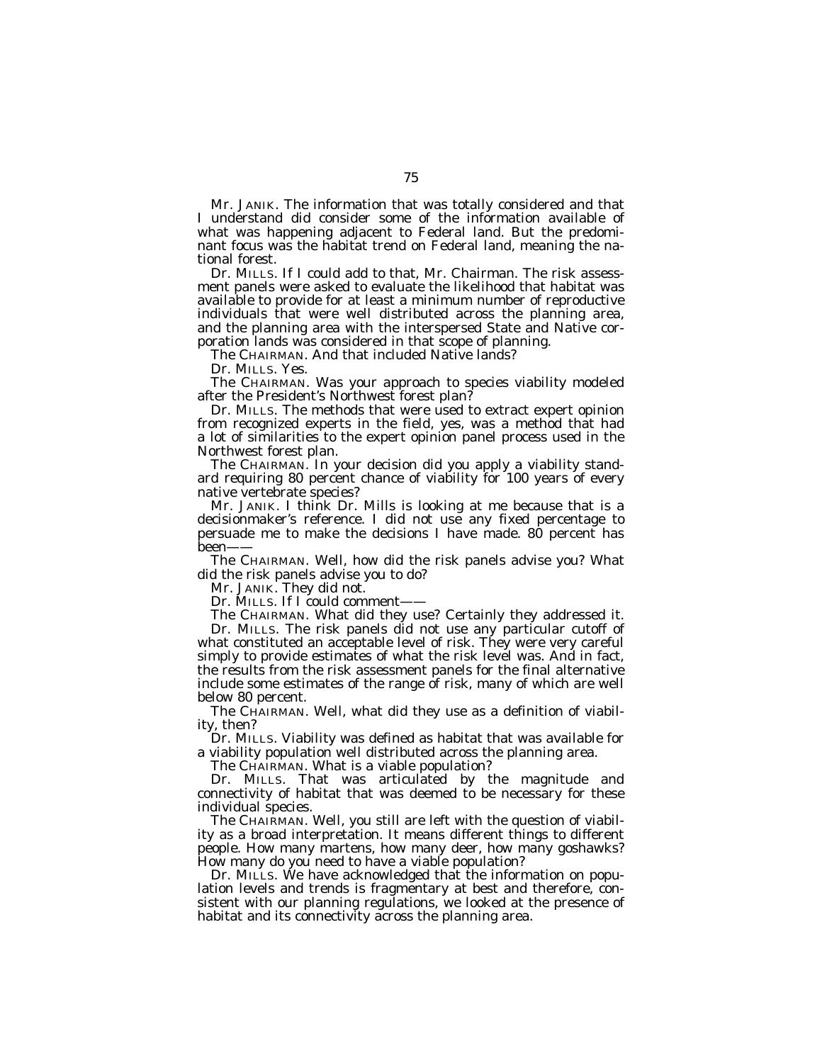Mr. JANIK. The information that was totally considered and that I understand did consider some of the information available of what was happening adjacent to Federal land. But the predominant focus was the habitat trend on Federal land, meaning the national forest.

Dr. MILLS. If I could add to that, Mr. Chairman. The risk assessment panels were asked to evaluate the likelihood that habitat was available to provide for at least a minimum number of reproductive individuals that were well distributed across the planning area, and the planning area with the interspersed State and Native corporation lands was considered in that scope of planning.

The CHAIRMAN. And that included Native lands?

Dr. MILLS. Yes.

The CHAIRMAN. Was your approach to species viability modeled after the President's Northwest forest plan?

Dr. MILLS. The methods that were used to extract expert opinion from recognized experts in the field, yes, was a method that had a lot of similarities to the expert opinion panel process used in the Northwest forest plan.

The CHAIRMAN. In your decision did you apply a viability standard requiring 80 percent chance of viability for 100 years of every native vertebrate species?

Mr. JANIK. I think Dr. Mills is looking at me because that is a decisionmaker's reference. I did not use any fixed percentage to persuade me to make the decisions I have made. 80 percent has been——

The CHAIRMAN. Well, how did the risk panels advise you? What did the risk panels advise you to do?

Mr. JANIK. They did not.

Dr. MILLS. If I could comment-

The CHAIRMAN. What did they use? Certainly they addressed it. Dr. MILLS. The risk panels did not use any particular cutoff of what constituted an acceptable level of risk. They were very careful simply to provide estimates of what the risk level was. And in fact, the results from the risk assessment panels for the final alternative include some estimates of the range of risk, many of which are well

below 80 percent. The CHAIRMAN. Well, what did they use as a definition of viability, then?

Dr. MILLS. Viability was defined as habitat that was available for a viability population well distributed across the planning area.

The CHAIRMAN. What is a viable population?

Dr. MILLS. That was articulated by the magnitude and connectivity of habitat that was deemed to be necessary for these individual species.

The CHAIRMAN. Well, you still are left with the question of viability as a broad interpretation. It means different things to different people. How many martens, how many deer, how many goshawks? How many do you need to have a viable population?

Dr. MILLS. We have acknowledged that the information on population levels and trends is fragmentary at best and therefore, consistent with our planning regulations, we looked at the presence of habitat and its connectivity across the planning area.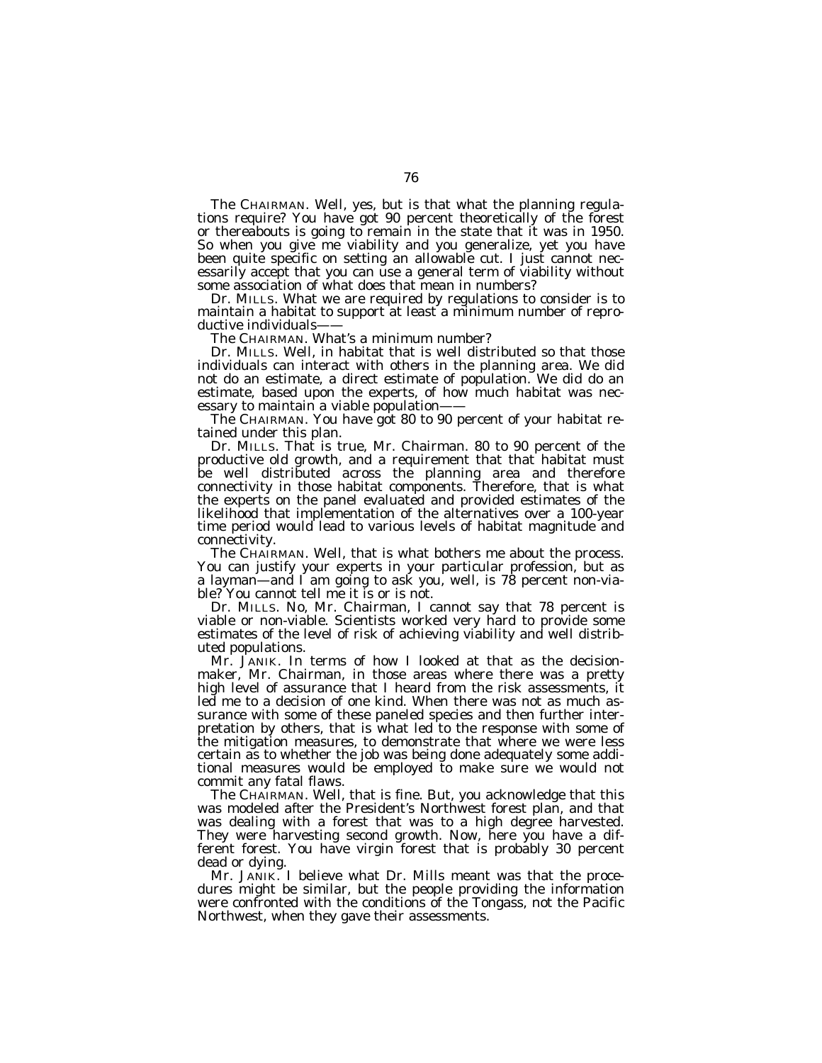The CHAIRMAN. Well, yes, but is that what the planning regulations require? You have got 90 percent theoretically of the forest or thereabouts is going to remain in the state that it was in 1950. So when you give me viability and you generalize, yet you have been quite specific on setting an allowable cut. I just cannot necessarily accept that you can use a general term of viability without some association of what does that mean in numbers?

Dr. MILLS. What we are required by regulations to consider is to maintain a habitat to support at least a minimum number of reproductive individuals-

The CHAIRMAN. What's a minimum number?

Dr. MILLS. Well, in habitat that is well distributed so that those individuals can interact with others in the planning area. We did not do an estimate, a direct estimate of population. We did do an estimate, based upon the experts, of how much habitat was necessary to maintain a viable population-

The CHAIRMAN. You have got 80 to 90 percent of your habitat retained under this plan.

Dr. MILLS. That is true, Mr. Chairman. 80 to 90 percent of the productive old growth, and a requirement that that habitat must be well distributed across the planning area and therefore connectivity in those habitat components. Therefore, that is what the experts on the panel evaluated and provided estimates of the likelihood that implementation of the alternatives over a 100-year time period would lead to various levels of habitat magnitude and connectivity.

The CHAIRMAN. Well, that is what bothers me about the process. You can justify your experts in your particular profession, but as a layman—and I am going to ask you, well, is 78 percent non-viable? You cannot tell me it is or is not.

Dr. MILLS. No, Mr. Chairman, I cannot say that 78 percent is viable or non-viable. Scientists worked very hard to provide some estimates of the level of risk of achieving viability and well distributed populations.

Mr. JANIK. In terms of how I looked at that as the decisionmaker, Mr. Chairman, in those areas where there was a pretty high level of assurance that I heard from the risk assessments, it led me to a decision of one kind. When there was not as much assurance with some of these paneled species and then further interpretation by others, that is what led to the response with some of the mitigation measures, to demonstrate that where we were less certain as to whether the job was being done adequately some additional measures would be employed to make sure we would not commit any fatal flaws.

The CHAIRMAN. Well, that is fine. But, you acknowledge that this was modeled after the President's Northwest forest plan, and that was dealing with a forest that was to a high degree harvested. They were harvesting second growth. Now, here you have a different forest. You have virgin forest that is probably 30 percent dead or dying.

Mr. JANIK. I believe what Dr. Mills meant was that the procedures might be similar, but the people providing the information were confronted with the conditions of the Tongass, not the Pacific Northwest, when they gave their assessments.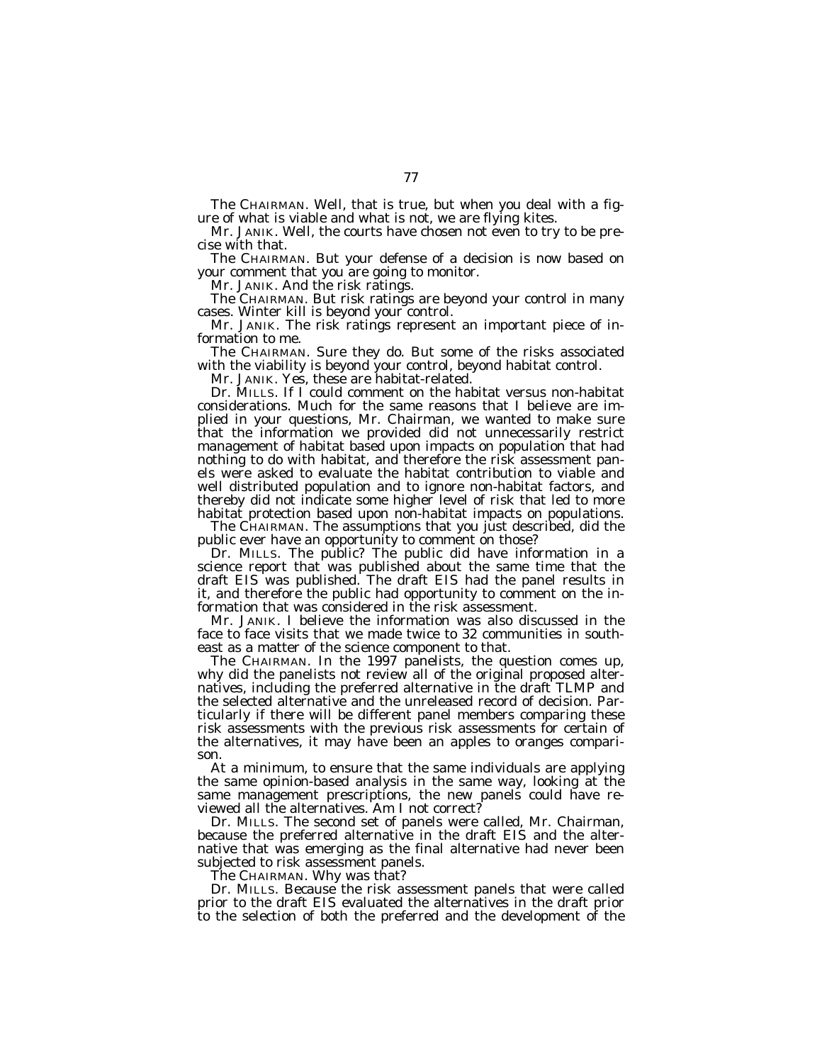The CHAIRMAN. Well, that is true, but when you deal with a figure of what is viable and what is not, we are flying kites.

Mr. JANIK. Well, the courts have chosen not even to try to be precise with that.

The CHAIRMAN. But your defense of a decision is now based on your comment that you are going to monitor.

Mr. JANIK. And the risk ratings.

The CHAIRMAN. But risk ratings are beyond your control in many cases. Winter kill is beyond your control.

Mr. JANIK. The risk ratings represent an important piece of information to me.

The CHAIRMAN. Sure they do. But some of the risks associated with the viability is beyond your control, beyond habitat control.

Mr. JANIK. Yes, these are habitat-related.

Dr. MILLS. If I could comment on the habitat versus non-habitat considerations. Much for the same reasons that I believe are implied in your questions, Mr. Chairman, we wanted to make sure that the information we provided did not unnecessarily restrict management of habitat based upon impacts on population that had nothing to do with habitat, and therefore the risk assessment panels were asked to evaluate the habitat contribution to viable and well distributed population and to ignore non-habitat factors, and thereby did not indicate some higher level of risk that led to more habitat protection based upon non-habitat impacts on populations.

The CHAIRMAN. The assumptions that you just described, did the public ever have an opportunity to comment on those?

Dr. MILLS. The public? The public did have information in a science report that was published about the same time that the draft EIS was published. The draft EIS had the panel results in it, and therefore the public had opportunity to comment on the information that was considered in the risk assessment.

Mr. JANIK. I believe the information was also discussed in the face to face visits that we made twice to 32 communities in southeast as a matter of the science component to that.

The CHAIRMAN. In the 1997 panelists, the question comes up, why did the panelists not review all of the original proposed alternatives, including the preferred alternative in the draft TLMP and the selected alternative and the unreleased record of decision. Particularly if there will be different panel members comparing these risk assessments with the previous risk assessments for certain of the alternatives, it may have been an apples to oranges comparison.

At a minimum, to ensure that the same individuals are applying the same opinion-based analysis in the same way, looking at the same management prescriptions, the new panels could have reviewed all the alternatives. Am I not correct?

Dr. MILLS. The second set of panels were called, Mr. Chairman, because the preferred alternative in the draft EIS and the alternative that was emerging as the final alternative had never been subjected to risk assessment panels.

The CHAIRMAN. Why was that?

Dr. MILLS. Because the risk assessment panels that were called prior to the draft EIS evaluated the alternatives in the draft prior to the selection of both the preferred and the development of the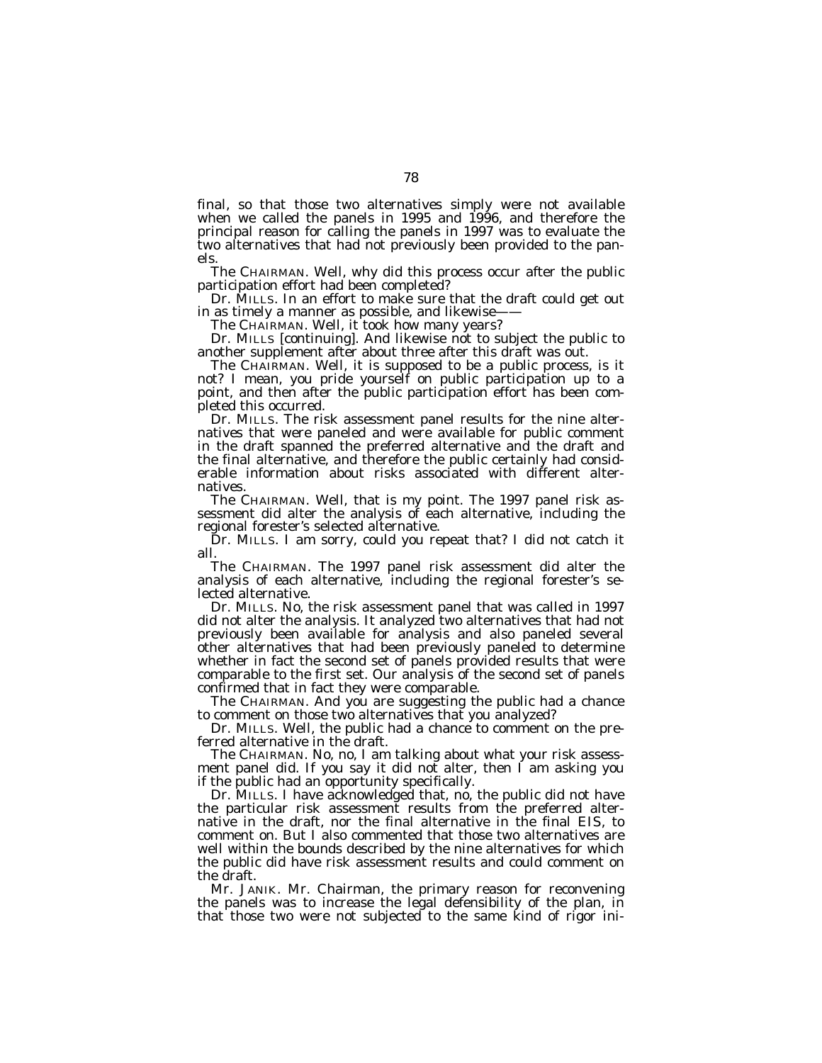final, so that those two alternatives simply were not available when we called the panels in 1995 and 1996, and therefore the principal reason for calling the panels in 1997 was to evaluate the two alternatives that had not previously been provided to the panels.

The CHAIRMAN. Well, why did this process occur after the public participation effort had been completed?

Dr. MILLS. In an effort to make sure that the draft could get out in as timely a manner as possible, and likewise-

The CHAIRMAN. Well, it took how many years?

Dr. MILLS [continuing]. And likewise not to subject the public to another supplement after about three after this draft was out.

The CHAIRMAN. Well, it is supposed to be a public process, is it not? I mean, you pride yourself on public participation up to a point, and then after the public participation effort has been completed this occurred.

Dr. MILLS. The risk assessment panel results for the nine alternatives that were paneled and were available for public comment in the draft spanned the preferred alternative and the draft and the final alternative, and therefore the public certainly had considerable information about risks associated with different alternatives.

The CHAIRMAN. Well, that is my point. The 1997 panel risk assessment did alter the analysis of each alternative, including the regional forester's selected alternative.

Dr. MILLS. I am sorry, could you repeat that? I did not catch it all.

The CHAIRMAN. The 1997 panel risk assessment did alter the analysis of each alternative, including the regional forester's selected alternative.

Dr. MILLS. No, the risk assessment panel that was called in 1997 did not alter the analysis. It analyzed two alternatives that had not previously been available for analysis and also paneled several other alternatives that had been previously paneled to determine whether in fact the second set of panels provided results that were comparable to the first set. Our analysis of the second set of panels confirmed that in fact they were comparable.

The CHAIRMAN. And you are suggesting the public had a chance to comment on those two alternatives that you analyzed?

Dr. MILLS. Well, the public had a chance to comment on the preferred alternative in the draft.

The CHAIRMAN. No, no, I am talking about what your risk assessment panel did. If you say it did not alter, then I am asking you if the public had an opportunity specifically.

Dr. MILLS. I have acknowledged that, no, the public did not have the particular risk assessment results from the preferred alternative in the draft, nor the final alternative in the final EIS, to comment on. But I also commented that those two alternatives are well within the bounds described by the nine alternatives for which the public did have risk assessment results and could comment on the draft.

Mr. JANIK. Mr. Chairman, the primary reason for reconvening the panels was to increase the legal defensibility of the plan, in that those two were not subjected to the same kind of rigor ini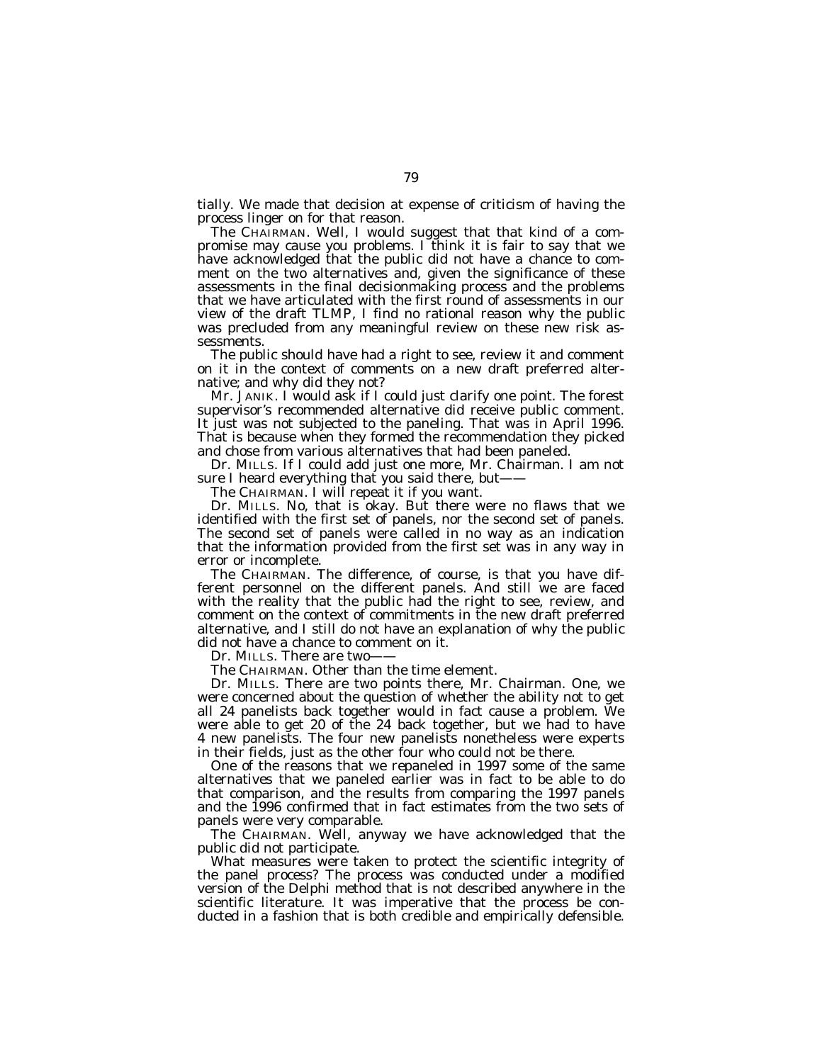tially. We made that decision at expense of criticism of having the process linger on for that reason.

The CHAIRMAN. Well, I would suggest that that kind of a compromise may cause you problems. I think it is fair to say that we have acknowledged that the public did not have a chance to comment on the two alternatives and, given the significance of these assessments in the final decisionmaking process and the problems that we have articulated with the first round of assessments in our view of the draft TLMP, I find no rational reason why the public was precluded from any meaningful review on these new risk assessments.

The public should have had a right to see, review it and comment on it in the context of comments on a new draft preferred alternative; and why did they not?

Mr. JANIK. I would ask if I could just clarify one point. The forest supervisor's recommended alternative did receive public comment. It just was not subjected to the paneling. That was in April 1996. That is because when they formed the recommendation they picked and chose from various alternatives that had been paneled.

Dr. MILLS. If I could add just one more, Mr. Chairman. I am not sure I heard everything that you said there, but-

The CHAIRMAN. I will repeat it if you want.

Dr. MILLS. No, that is okay. But there were no flaws that we identified with the first set of panels, nor the second set of panels. The second set of panels were called in no way as an indication that the information provided from the first set was in any way in error or incomplete.

The CHAIRMAN. The difference, of course, is that you have different personnel on the different panels. And still we are faced with the reality that the public had the right to see, review, and comment on the context of commitments in the new draft preferred alternative, and I still do not have an explanation of why the public did not have a chance to comment on it.

Dr. MILLS. There are two-

The CHAIRMAN. Other than the time element.

Dr. MILLS. There are two points there, Mr. Chairman. One, we were concerned about the question of whether the ability not to get all 24 panelists back together would in fact cause a problem. We were able to get 20 of the 24 back together, but we had to have 4 new panelists. The four new panelists nonetheless were experts in their fields, just as the other four who could not be there.

One of the reasons that we repaneled in 1997 some of the same alternatives that we paneled earlier was in fact to be able to do that comparison, and the results from comparing the 1997 panels and the 1996 confirmed that in fact estimates from the two sets of panels were very comparable.

The CHAIRMAN. Well, anyway we have acknowledged that the public did not participate.

What measures were taken to protect the scientific integrity of the panel process? The process was conducted under a modified version of the Delphi method that is not described anywhere in the scientific literature. It was imperative that the process be conducted in a fashion that is both credible and empirically defensible.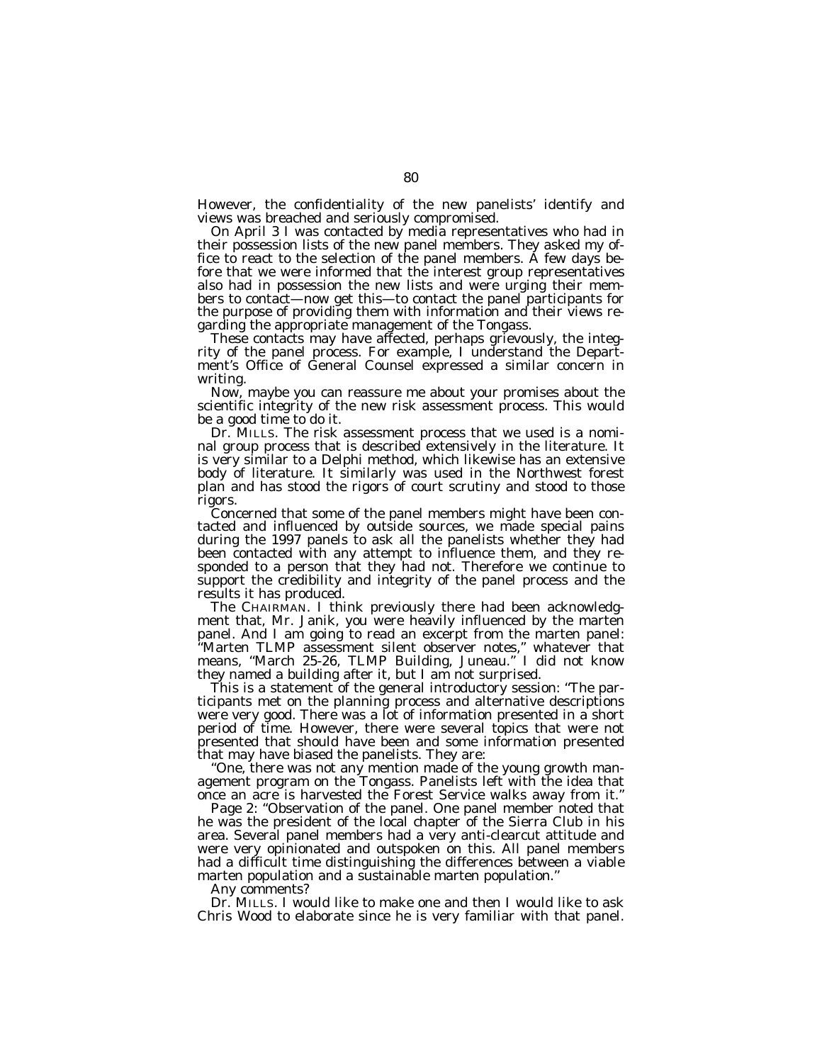However, the confidentiality of the new panelists' identify and views was breached and seriously compromised.

On April 3 I was contacted by media representatives who had in their possession lists of the new panel members. They asked my office to react to the selection of the panel members. A few days before that we were informed that the interest group representatives also had in possession the new lists and were urging their members to contact—now get this—to contact the panel participants for the purpose of providing them with information and their views regarding the appropriate management of the Tongass.

These contacts may have affected, perhaps grievously, the integrity of the panel process. For example, I understand the Department's Office of General Counsel expressed a similar concern in writing.

Now, maybe you can reassure me about your promises about the scientific integrity of the new risk assessment process. This would be a good time to do it.

Dr. MILLS. The risk assessment process that we used is a nominal group process that is described extensively in the literature. It is very similar to a Delphi method, which likewise has an extensive body of literature. It similarly was used in the Northwest forest plan and has stood the rigors of court scrutiny and stood to those rigors.

Concerned that some of the panel members might have been contacted and influenced by outside sources, we made special pains during the 1997 panels to ask all the panelists whether they had been contacted with any attempt to influence them, and they responded to a person that they had not. Therefore we continue to support the credibility and integrity of the panel process and the results it has produced.

The CHAIRMAN. I think previously there had been acknowledgment that, Mr. Janik, you were heavily influenced by the marten panel. And I am going to read an excerpt from the marten panel: ''Marten TLMP assessment silent observer notes,'' whatever that means, ''March 25-26, TLMP Building, Juneau.'' I did not know they named a building after it, but I am not surprised.

This is a statement of the general introductory session: ''The participants met on the planning process and alternative descriptions were very good. There was a lot of information presented in a short period of time. However, there were several topics that were not presented that should have been and some information presented that may have biased the panelists. They are:

''One, there was not any mention made of the young growth management program on the Tongass. Panelists left with the idea that once an acre is harvested the Forest Service walks away from it.''

Page 2: ''Observation of the panel. One panel member noted that he was the president of the local chapter of the Sierra Club in his area. Several panel members had a very anti-clearcut attitude and were very opinionated and outspoken on this. All panel members had a difficult time distinguishing the differences between a viable marten population and a sustainable marten population.''

Any comments?

Dr. MILLS. I would like to make one and then I would like to ask Chris Wood to elaborate since he is very familiar with that panel.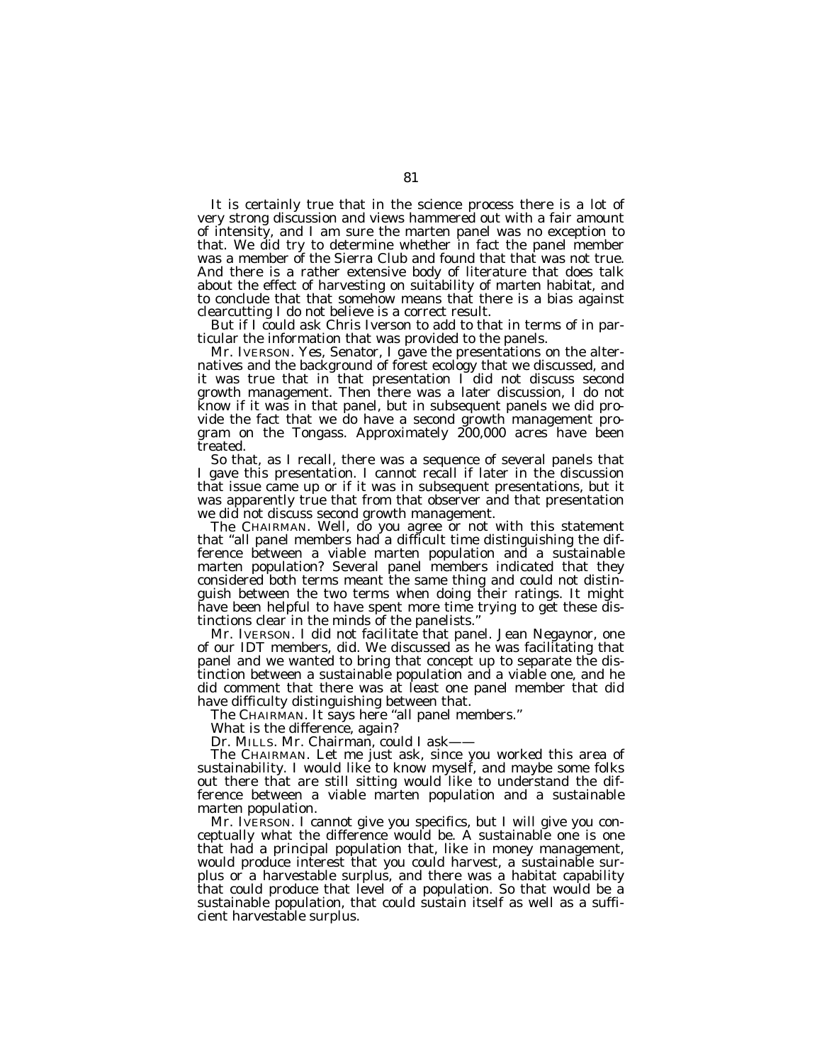It is certainly true that in the science process there is a lot of very strong discussion and views hammered out with a fair amount of intensity, and I am sure the marten panel was no exception to that. We did try to determine whether in fact the panel member was a member of the Sierra Club and found that that was not true. And there is a rather extensive body of literature that does talk about the effect of harvesting on suitability of marten habitat, and to conclude that that somehow means that there is a bias against clearcutting I do not believe is a correct result.

But if I could ask Chris Iverson to add to that in terms of in particular the information that was provided to the panels.

Mr. IVERSON. Yes, Senator, I gave the presentations on the alternatives and the background of forest ecology that we discussed, and it was true that in that presentation  $\tilde{\Gamma}$  did not discuss second growth management. Then there was a later discussion, I do not know if it was in that panel, but in subsequent panels we did provide the fact that we do have a second growth management program on the Tongass. Approximately 200,000 acres have been treated.

So that, as I recall, there was a sequence of several panels that I gave this presentation. I cannot recall if later in the discussion that issue came up or if it was in subsequent presentations, but it was apparently true that from that observer and that presentation we did not discuss second growth management.

The CHAIRMAN. Well, do you agree or not with this statement that ''all panel members had a difficult time distinguishing the difference between a viable marten population and a sustainable marten population? Several panel members indicated that they considered both terms meant the same thing and could not distinguish between the two terms when doing their ratings. It might have been helpful to have spent more time trying to get these distinctions clear in the minds of the panelists.''

Mr. IVERSON. I did not facilitate that panel. Jean Negaynor, one of our IDT members, did. We discussed as he was facilitating that panel and we wanted to bring that concept up to separate the distinction between a sustainable population and a viable one, and he did comment that there was at least one panel member that did have difficulty distinguishing between that.

The CHAIRMAN. It says here ''all panel members.''

What is the difference, again?

Dr. MILLS. Mr. Chairman, could I ask-

The CHAIRMAN. Let me just ask, since you worked this area of sustainability. I would like to know myself, and maybe some folks out there that are still sitting would like to understand the difference between a viable marten population and a sustainable marten population.

Mr. IVERSON. I cannot give you specifics, but I will give you conceptually what the difference would be. A sustainable one is one that had a principal population that, like in money management, would produce interest that you could harvest, a sustainable surplus or a harvestable surplus, and there was a habitat capability that could produce that level of a population. So that would be a sustainable population, that could sustain itself as well as a sufficient harvestable surplus.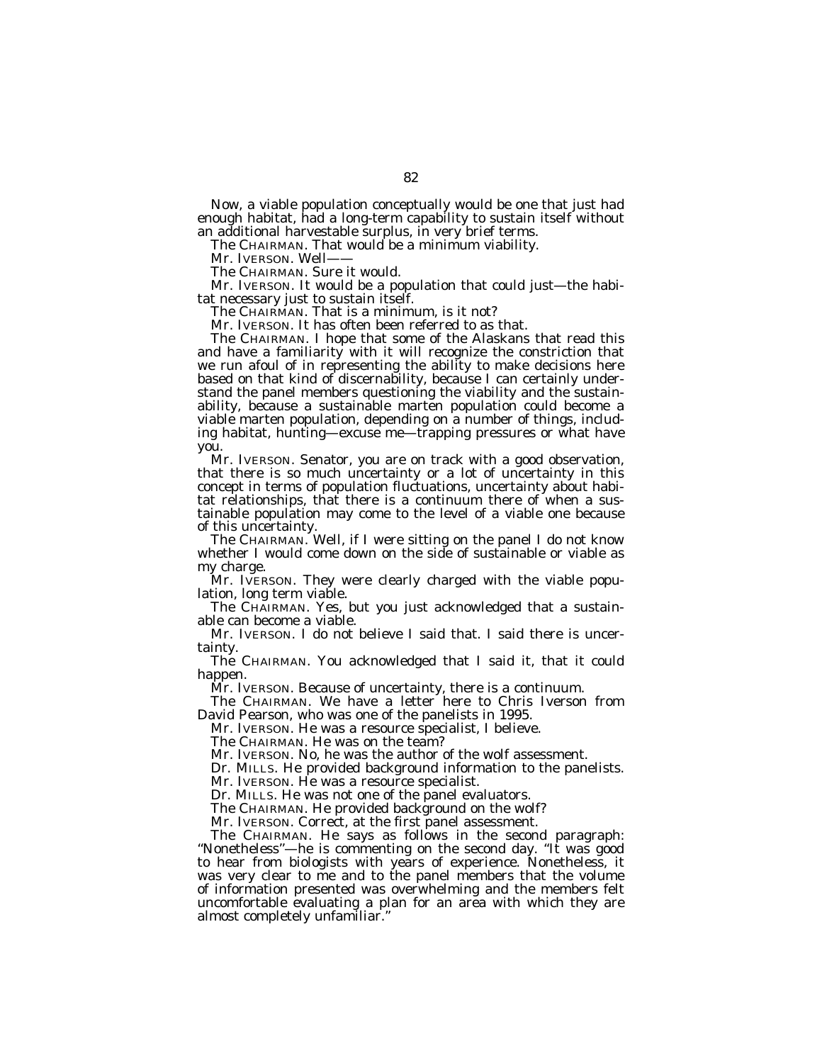Now, a viable population conceptually would be one that just had enough habitat, had a long-term capability to sustain itself without an additional harvestable surplus, in very brief terms.

The CHAIRMAN. That would be a minimum viability.

Mr. IVERSON. Well-

The CHAIRMAN. Sure it would.

Mr. IVERSON. It would be a population that could just—the habitat necessary just to sustain itself.

The CHAIRMAN. That is a minimum, is it not?

Mr. IVERSON. It has often been referred to as that.

The CHAIRMAN. I hope that some of the Alaskans that read this and have a familiarity with it will recognize the constriction that we run afoul of in representing the ability to make decisions here based on that kind of discernability, because I can certainly understand the panel members questioning the viability and the sustainability, because a sustainable marten population could become a viable marten population, depending on a number of things, including habitat, hunting—excuse me—trapping pressures or what have you.

Mr. IVERSON. Senator, you are on track with a good observation, that there is so much uncertainty or a lot of uncertainty in this concept in terms of population fluctuations, uncertainty about habitat relationships, that there is a continuum there of when a sustainable population may come to the level of a viable one because of this uncertainty.

The CHAIRMAN. Well, if I were sitting on the panel I do not know whether I would come down on the side of sustainable or viable as my charge.

Mr. IVERSON. They were clearly charged with the viable population, long term viable.

The CHAIRMAN. Yes, but you just acknowledged that a sustainable can become a viable.

Mr. IVERSON. I do not believe I said that. I said there is uncertainty.

The CHAIRMAN. You acknowledged that I said it, that it could happen.

Mr. IVERSON. Because of uncertainty, there is a continuum.

The CHAIRMAN. We have a letter here to Chris Iverson from David Pearson, who was one of the panelists in 1995.

Mr. IVERSON. He was a resource specialist, I believe.

The CHAIRMAN. He was on the team?

Mr. IVERSON. No, he was the author of the wolf assessment.

Dr. MILLS. He provided background information to the panelists.

Mr. IVERSON. He was a resource specialist.

Dr. MILLS. He was not one of the panel evaluators.

The CHAIRMAN. He provided background on the wolf?

Mr. IVERSON. Correct, at the first panel assessment.

The CHAIRMAN. He says as follows in the second paragraph: "Nonetheless"—he is commenting on the second day. "It was good to hear from biologists with years of experience. Nonetheless, it was very clear to me and to the panel members that the volume of information presented was overwhelming and the members felt uncomfortable evaluating a plan for an area with which they are almost completely unfamiliar.''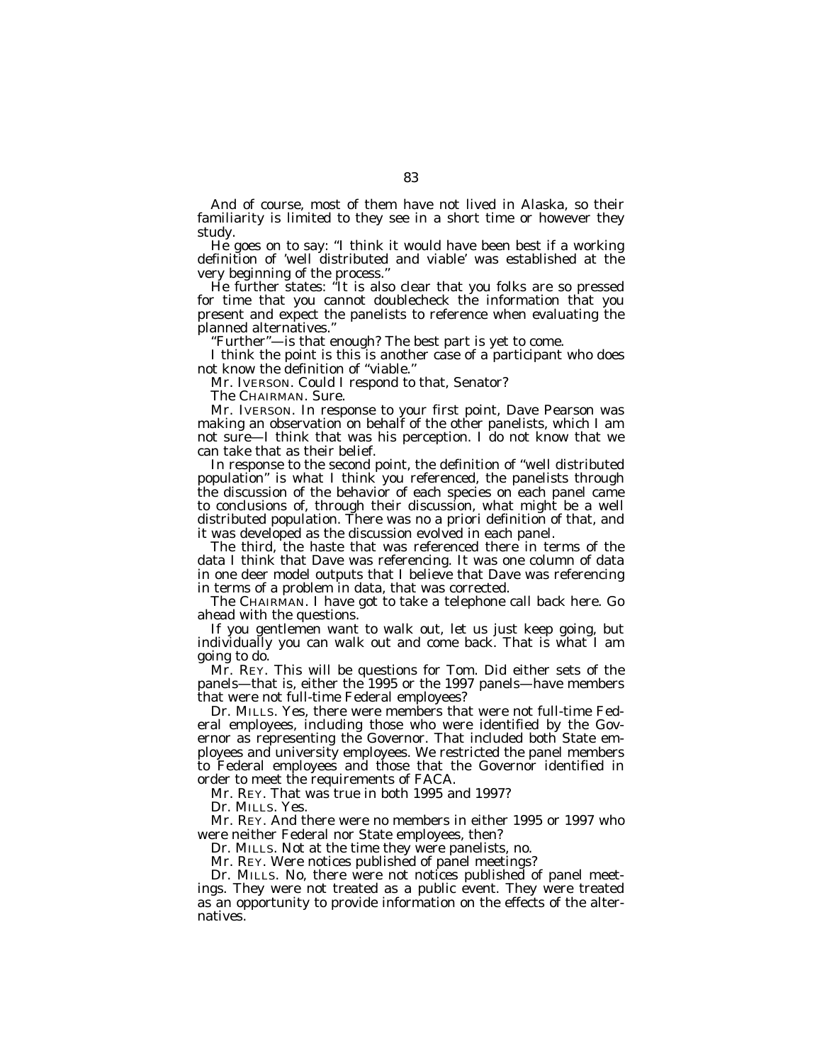And of course, most of them have not lived in Alaska, so their familiarity is limited to they see in a short time or however they study.

He goes on to say: ''I think it would have been best if a working definition of 'well distributed and viable' was established at the very beginning of the process.''

He further states: ''It is also clear that you folks are so pressed for time that you cannot doublecheck the information that you present and expect the panelists to reference when evaluating the planned alternatives.''

''Further''—is that enough? The best part is yet to come.

I think the point is this is another case of a participant who does not know the definition of ''viable.''

Mr. IVERSON. Could I respond to that, Senator?

The CHAIRMAN. Sure.

Mr. IVERSON. In response to your first point, Dave Pearson was making an observation on behalf of the other panelists, which I am not sure—I think that was his perception. I do not know that we can take that as their belief.

In response to the second point, the definition of ''well distributed population'' is what I think you referenced, the panelists through the discussion of the behavior of each species on each panel came to conclusions of, through their discussion, what might be a well distributed population. There was no a priori definition of that, and it was developed as the discussion evolved in each panel.

The third, the haste that was referenced there in terms of the data I think that Dave was referencing. It was one column of data in one deer model outputs that I believe that Dave was referencing in terms of a problem in data, that was corrected.

The CHAIRMAN. I have got to take a telephone call back here. Go ahead with the questions.

If you gentlemen want to walk out, let us just keep going, but individually you can walk out and come back. That is what I am going to do.

Mr. REY. This will be questions for Tom. Did either sets of the panels—that is, either the 1995 or the 1997 panels—have members that were not full-time Federal employees?

Dr. MILLS. Yes, there were members that were not full-time Federal employees, including those who were identified by the Governor as representing the Governor. That included both State employees and university employees. We restricted the panel members to Federal employees and those that the Governor identified in order to meet the requirements of FACA.

Mr. REY. That was true in both 1995 and 1997?

Dr. MILLS. Yes.

Mr. REY. And there were no members in either 1995 or 1997 who were neither Federal nor State employees, then?

Dr. MILLS. Not at the time they were panelists, no.

Mr. REY. Were notices published of panel meetings?

Dr. MILLS. No, there were not notices published of panel meetings. They were not treated as a public event. They were treated as an opportunity to provide information on the effects of the alternatives.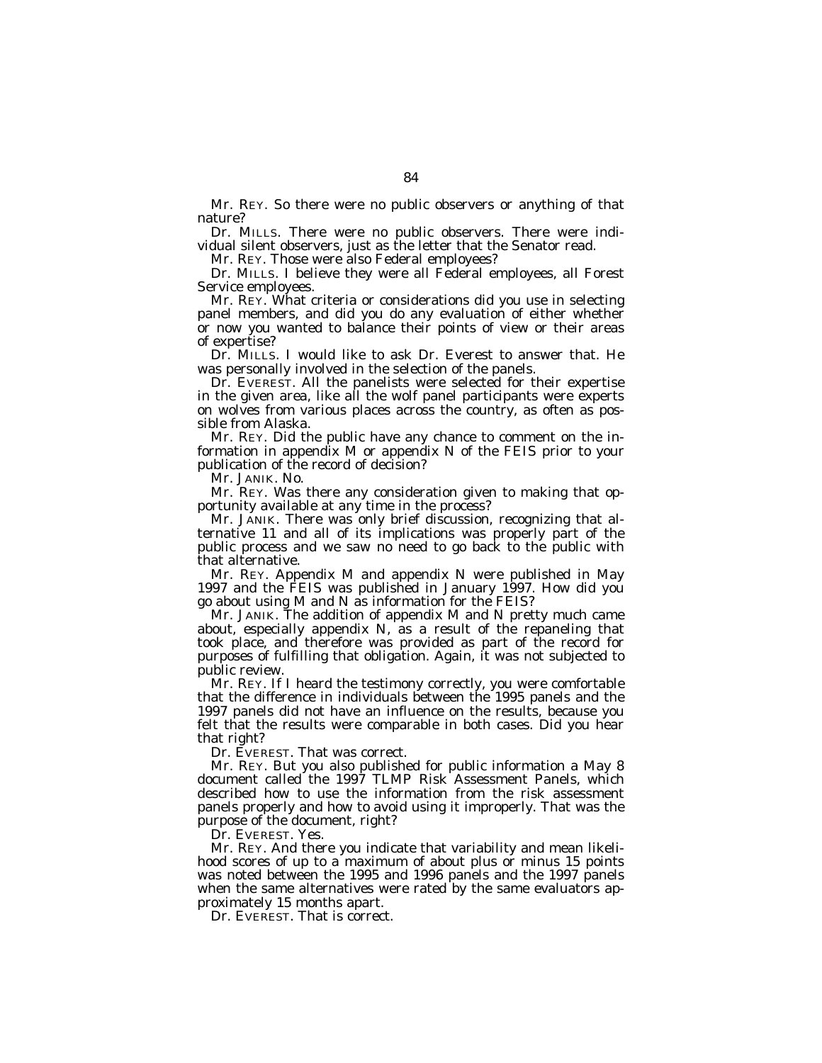Mr. REY. So there were no public observers or anything of that nature?

Dr. MILLS. There were no public observers. There were individual silent observers, just as the letter that the Senator read.

Mr. REY. Those were also Federal employees?

Dr. MILLS. I believe they were all Federal employees, all Forest Service employees.

Mr. REY. What criteria or considerations did you use in selecting panel members, and did you do any evaluation of either whether or now you wanted to balance their points of view or their areas of expertise?

Dr. MILLS. I would like to ask Dr. Everest to answer that. He was personally involved in the selection of the panels.

Dr. EVEREST. All the panelists were selected for their expertise in the given area, like all the wolf panel participants were experts on wolves from various places across the country, as often as possible from Alaska.

Mr. REY. Did the public have any chance to comment on the information in appendix M or appendix N of the FEIS prior to your publication of the record of decision?

Mr. JANIK. No.

Mr. REY. Was there any consideration given to making that opportunity available at any time in the process?

Mr. JANIK. There was only brief discussion, recognizing that alternative 11 and all of its implications was properly part of the public process and we saw no need to go back to the public with that alternative.

Mr. REY. Appendix M and appendix N were published in May 1997 and the FEIS was published in January 1997. How did you go about using M and N as information for the FEIS?

Mr. JANIK. The addition of appendix M and N pretty much came about, especially appendix N, as a result of the repaneling that took place, and therefore was provided as part of the record for purposes of fulfilling that obligation. Again, it was not subjected to public review.

Mr. REY. If I heard the testimony correctly, you were comfortable that the difference in individuals between the 1995 panels and the 1997 panels did not have an influence on the results, because you felt that the results were comparable in both cases. Did you hear that right?

Dr. EVEREST. That was correct.

Mr. REY. But you also published for public information a May 8 document called the 1997 TLMP Risk Assessment Panels, which described how to use the information from the risk assessment panels properly and how to avoid using it improperly. That was the purpose of the document, right?

Dr. EVEREST. Yes.

Mr. REY. And there you indicate that variability and mean likelihood scores of up to a maximum of about plus or minus 15 points was noted between the 1995 and 1996 panels and the 1997 panels when the same alternatives were rated by the same evaluators approximately 15 months apart.

Dr. EVEREST. That is correct.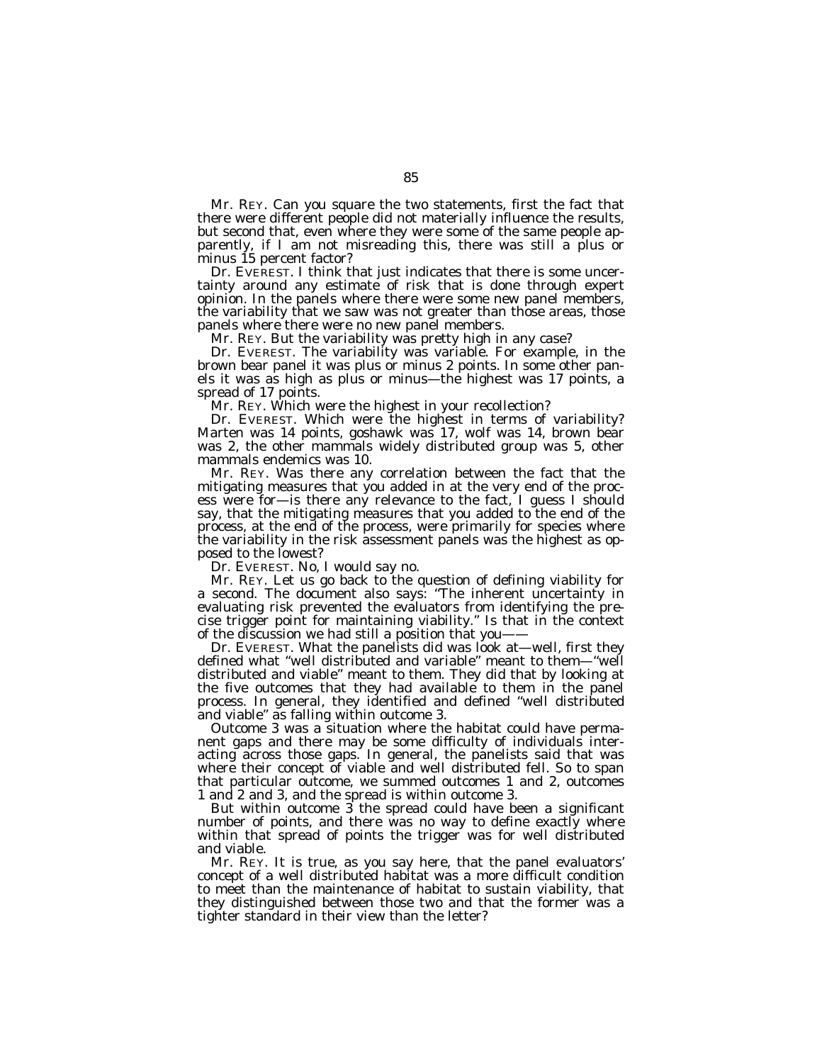Mr. REY. Can you square the two statements, first the fact that there were different people did not materially influence the results, but second that, even where they were some of the same people apparently, if I am not misreading this, there was still a plus or minus 15 percent factor?

Dr. EVEREST. I think that just indicates that there is some uncertainty around any estimate of risk that is done through expert opinion. In the panels where there were some new panel members, the variability that we saw was not greater than those areas, those panels where there were no new panel members.

Mr. REY. But the variability was pretty high in any case?

Dr. EVEREST. The variability was variable. For example, in the brown bear panel it was plus or minus 2 points. In some other panels it was as high as plus or minus—the highest was 17 points, a spread of 17 points.

Mr. REY. Which were the highest in your recollection?

Dr. EVEREST. Which were the highest in terms of variability? Marten was 14 points, goshawk was 17, wolf was 14, brown bear was 2, the other mammals widely distributed group was 5, other mammals endemics was 10.

Mr. REY. Was there any correlation between the fact that the mitigating measures that you added in at the very end of the process were for—is there any relevance to the fact, I guess I should say, that the mitigating measures that you added to the end of the process, at the end of the process, were primarily for species where the variability in the risk assessment panels was the highest as opposed to the lowest?

Dr. EVEREST. No, I would say no.

Mr. REY. Let us go back to the question of defining viability for a second. The document also says: ''The inherent uncertainty in evaluating risk prevented the evaluators from identifying the precise trigger point for maintaining viability.'' Is that in the context of the discussion we had still a position that you——

Dr. EVEREST. What the panelists did was look at—well, first they defined what ''well distributed and variable'' meant to them—''well distributed and viable'' meant to them. They did that by looking at the five outcomes that they had available to them in the panel process. In general, they identified and defined ''well distributed and viable'' as falling within outcome 3.

Outcome 3 was a situation where the habitat could have permanent gaps and there may be some difficulty of individuals interacting across those gaps. In general, the panelists said that was where their concept of viable and well distributed fell. So to span that particular outcome, we summed outcomes 1 and 2, outcomes 1 and 2 and 3, and the spread is within outcome 3.

But within outcome 3 the spread could have been a significant number of points, and there was no way to define exactly where within that spread of points the trigger was for well distributed and viable.

Mr. REY. It is true, as you say here, that the panel evaluators' concept of a well distributed habitat was a more difficult condition to meet than the maintenance of habitat to sustain viability, that they distinguished between those two and that the former was a tighter standard in their view than the letter?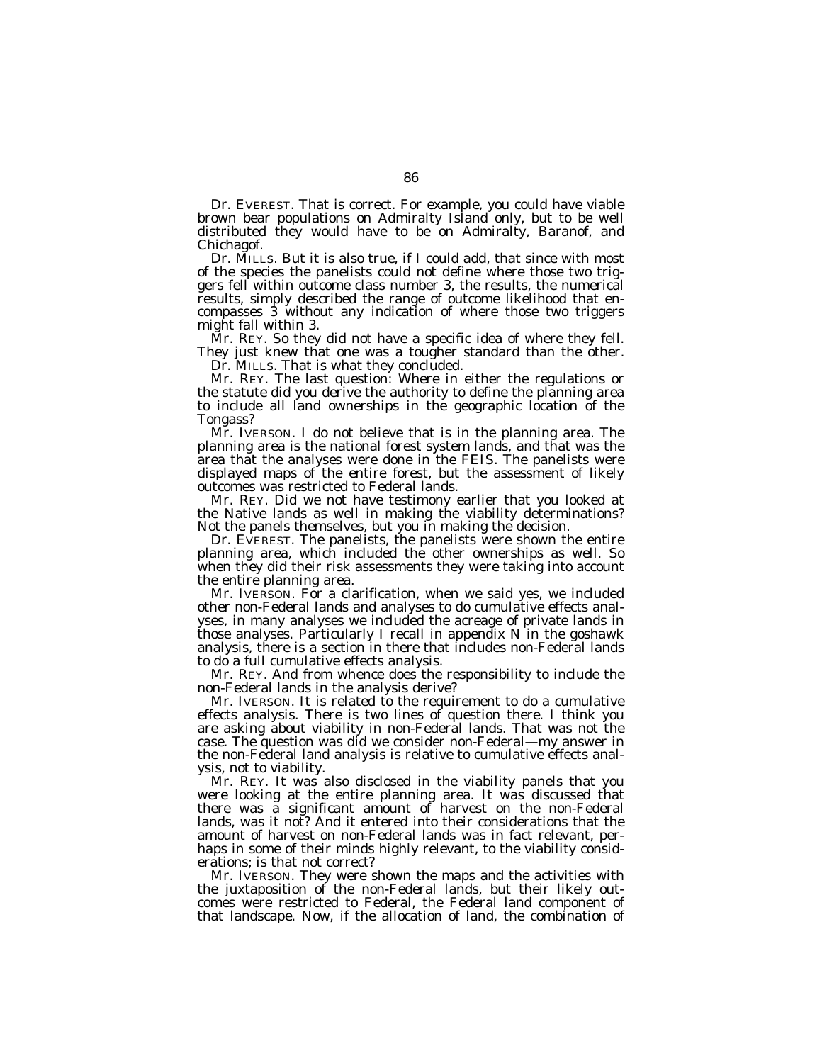Dr. EVEREST. That is correct. For example, you could have viable brown bear populations on Admiralty Island only, but to be well distributed they would have to be on Admiralty, Baranof, and Chichagof.

Dr. MILLS. But it is also true, if I could add, that since with most of the species the panelists could not define where those two triggers fell within outcome class number 3, the results, the numerical results, simply described the range of outcome likelihood that encompasses 3 without any indication of where those two triggers might fall within 3.

Mr. REY. So they did not have a specific idea of where they fell. They just knew that one was a tougher standard than the other. Dr. MILLS. That is what they concluded.

Mr. REY. The last question: Where in either the regulations or the statute did you derive the authority to define the planning area to include all land ownerships in the geographic location of the Tongass?

Mr. IVERSON. I do not believe that is in the planning area. The planning area is the national forest system lands, and that was the area that the analyses were done in the FEIS. The panelists were displayed maps of the entire forest, but the assessment of likely outcomes was restricted to Federal lands.

Mr. REY. Did we not have testimony earlier that you looked at the Native lands as well in making the viability determinations? Not the panels themselves, but you in making the decision.

Dr. EVEREST. The panelists, the panelists were shown the entire planning area, which included the other ownerships as well. So when they did their risk assessments they were taking into account the entire planning area.

Mr. IVERSON. For a clarification, when we said yes, we included other non-Federal lands and analyses to do cumulative effects analyses, in many analyses we included the acreage of private lands in those analyses. Particularly I recall in appendix N in the goshawk analysis, there is a section in there that includes non-Federal lands to do a full cumulative effects analysis.

Mr. REY. And from whence does the responsibility to include the non-Federal lands in the analysis derive?

Mr. IVERSON. It is related to the requirement to do a cumulative effects analysis. There is two lines of question there. I think you are asking about viability in non-Federal lands. That was not the case. The question was did we consider non-Federal—my answer in the non-Federal land analysis is relative to cumulative effects analysis, not to viability.

Mr. REY. It was also disclosed in the viability panels that you were looking at the entire planning area. It was discussed that there was a significant amount of harvest on the non-Federal lands, was it not? And it entered into their considerations that the amount of harvest on non-Federal lands was in fact relevant, perhaps in some of their minds highly relevant, to the viability considerations; is that not correct?

Mr. IVERSON. They were shown the maps and the activities with the juxtaposition of the non-Federal lands, but their likely outcomes were restricted to Federal, the Federal land component of that landscape. Now, if the allocation of land, the combination of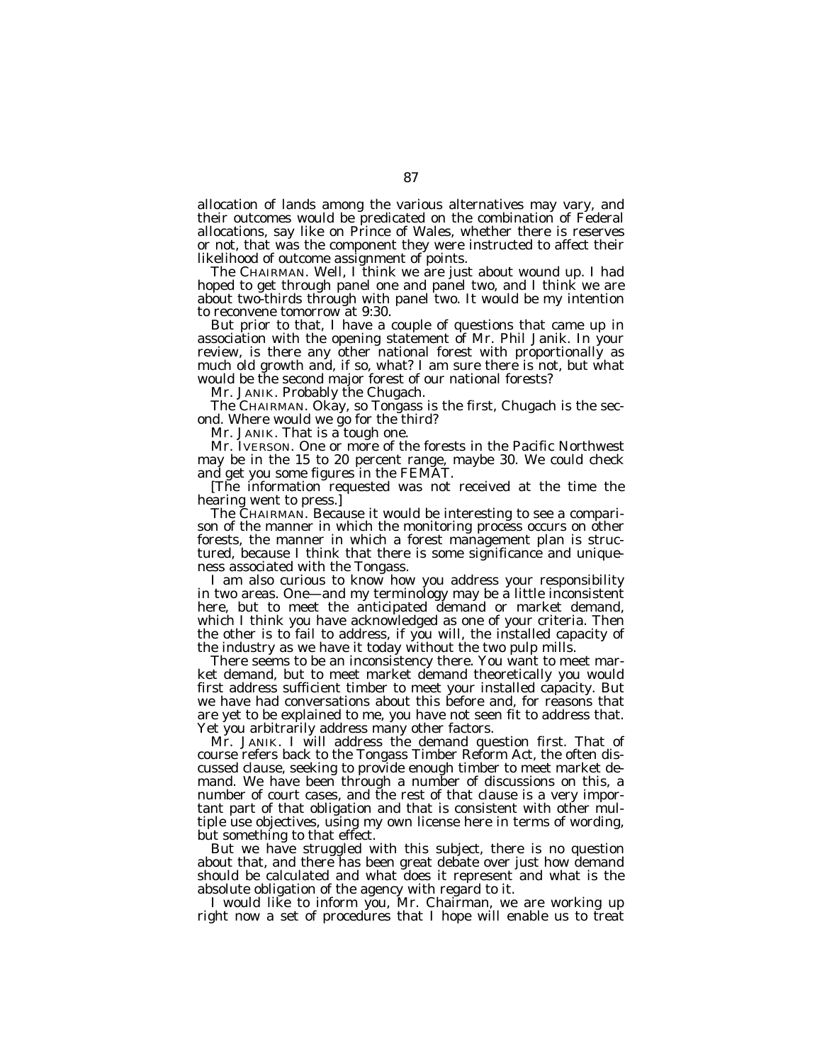allocation of lands among the various alternatives may vary, and their outcomes would be predicated on the combination of Federal allocations, say like on Prince of Wales, whether there is reserves or not, that was the component they were instructed to affect their likelihood of outcome assignment of points.

The CHAIRMAN. Well, I think we are just about wound up. I had hoped to get through panel one and panel two, and I think we are about two-thirds through with panel two. It would be my intention to reconvene tomorrow at 9:30.

But prior to that, I have a couple of questions that came up in association with the opening statement of Mr. Phil Janik. In your review, is there any other national forest with proportionally as much old growth and, if so, what? I am sure there is not, but what would be the second major forest of our national forests?

Mr. JANIK. Probably the Chugach.

The CHAIRMAN. Okay, so Tongass is the first, Chugach is the second. Where would we go for the third?

Mr. JANIK. That is a tough one.

Mr. IVERSON. One or more of the forests in the Pacific Northwest may be in the 15 to 20 percent range, maybe 30. We could check and get you some figures in the FEMAT.

[The information requested was not received at the time the hearing went to press.]

The CHAIRMAN. Because it would be interesting to see a comparison of the manner in which the monitoring process occurs on other forests, the manner in which a forest management plan is structured, because I think that there is some significance and uniqueness associated with the Tongass.

I am also curious to know how you address your responsibility in two areas. One—and my terminology may be a little inconsistent here, but to meet the anticipated demand or market demand, which I think you have acknowledged as one of your criteria. Then the other is to fail to address, if you will, the installed capacity of the industry as we have it today without the two pulp mills.

There seems to be an inconsistency there. You want to meet market demand, but to meet market demand theoretically you would first address sufficient timber to meet your installed capacity. But we have had conversations about this before and, for reasons that are yet to be explained to me, you have not seen fit to address that. Yet you arbitrarily address many other factors.

Mr. JANIK. I will address the demand question first. That of course refers back to the Tongass Timber Reform Act, the often discussed clause, seeking to provide enough timber to meet market demand. We have been through a number of discussions on this, a number of court cases, and the rest of that clause is a very important part of that obligation and that is consistent with other multiple use objectives, using my own license here in terms of wording, but something to that effect.

But we have struggled with this subject, there is no question about that, and there has been great debate over just how demand should be calculated and what does it represent and what is the absolute obligation of the agency with regard to it.

I would like to inform you, Mr. Chairman, we are working up right now a set of procedures that I hope will enable us to treat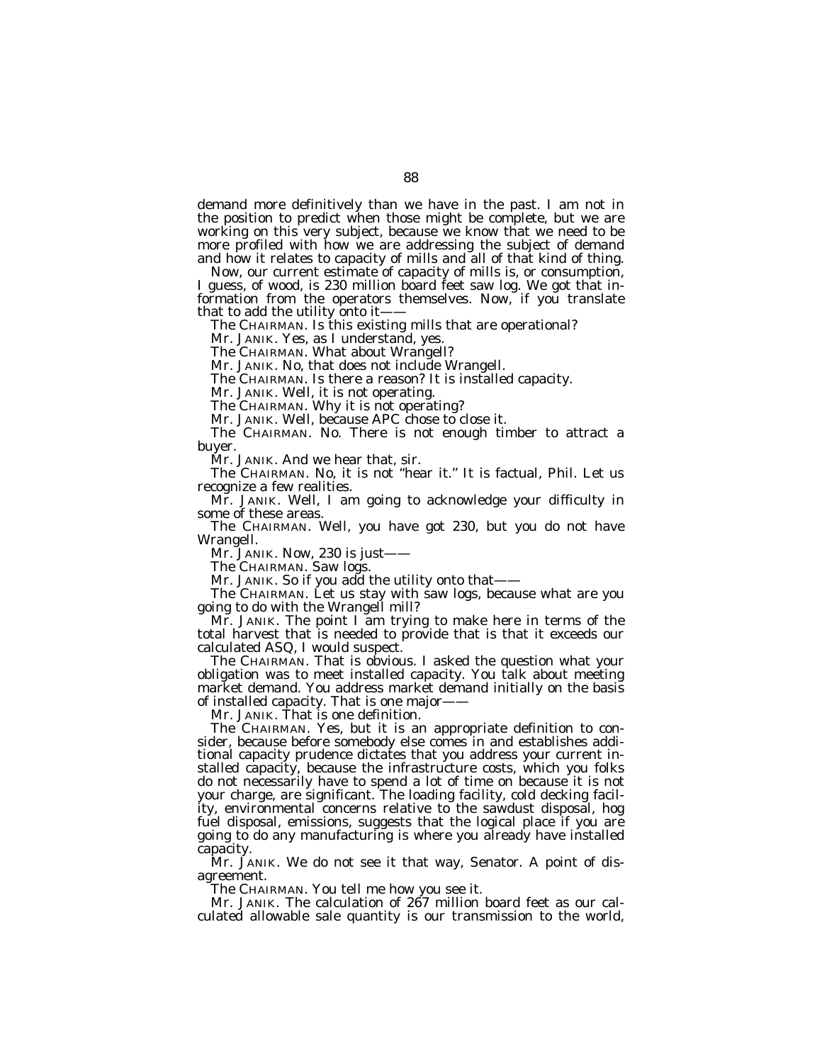demand more definitively than we have in the past. I am not in the position to predict when those might be complete, but we are working on this very subject, because we know that we need to be more profiled with how we are addressing the subject of demand and how it relates to capacity of mills and all of that kind of thing.

Now, our current estimate of capacity of mills is, or consumption, I guess, of wood, is 230 million board feet saw log. We got that information from the operators themselves. Now, if you translate that to add the utility onto it-

The CHAIRMAN. Is this existing mills that are operational?

Mr. JANIK. Yes, as I understand, yes.

The CHAIRMAN. What about Wrangell?

Mr. JANIK. No, that does not include Wrangell.

The CHAIRMAN. Is there a reason? It is installed capacity.

Mr. JANIK. Well, it is not operating.

The CHAIRMAN. Why it is not operating?

Mr. JANIK. Well, because APC chose to close it.

The CHAIRMAN. No. There is not enough timber to attract a buyer.

Mr. JANIK. And we hear that, sir.

The CHAIRMAN. No, it is not ''hear it.'' It is factual, Phil. Let us recognize a few realities.

Mr. JANIK. Well, I am going to acknowledge your difficulty in some of these areas.

The CHAIRMAN. Well, you have got 230, but you do not have Wrangell.

Mr. JANIK. Now, 230 is just-

The CHAIRMAN. Saw logs.

Mr. JANIK. So if you add the utility onto that-

The CHAIRMAN. Let us stay with saw logs, because what are you going to do with the Wrangell mill?

Mr. JANIK. The point I am trying to make here in terms of the total harvest that is needed to provide that is that it exceeds our calculated ASQ, I would suspect.

The CHAIRMAN. That is obvious. I asked the question what your obligation was to meet installed capacity. You talk about meeting market demand. You address market demand initially on the basis of installed capacity. That is one major-

Mr. JANIK. That is one definition.

The CHAIRMAN. Yes, but it is an appropriate definition to consider, because before somebody else comes in and establishes additional capacity prudence dictates that you address your current installed capacity, because the infrastructure costs, which you folks do not necessarily have to spend a lot of time on because it is not your charge, are significant. The loading facility, cold decking facility, environmental concerns relative to the sawdust disposal, hog fuel disposal, emissions, suggests that the logical place if you are going to do any manufacturing is where you already have installed capacity.

Mr. JANIK. We do not see it that way, Senator. A point of disagreement.

The CHAIRMAN. You tell me how you see it.

Mr. JANIK. The calculation of 267 million board feet as our calculated allowable sale quantity is our transmission to the world,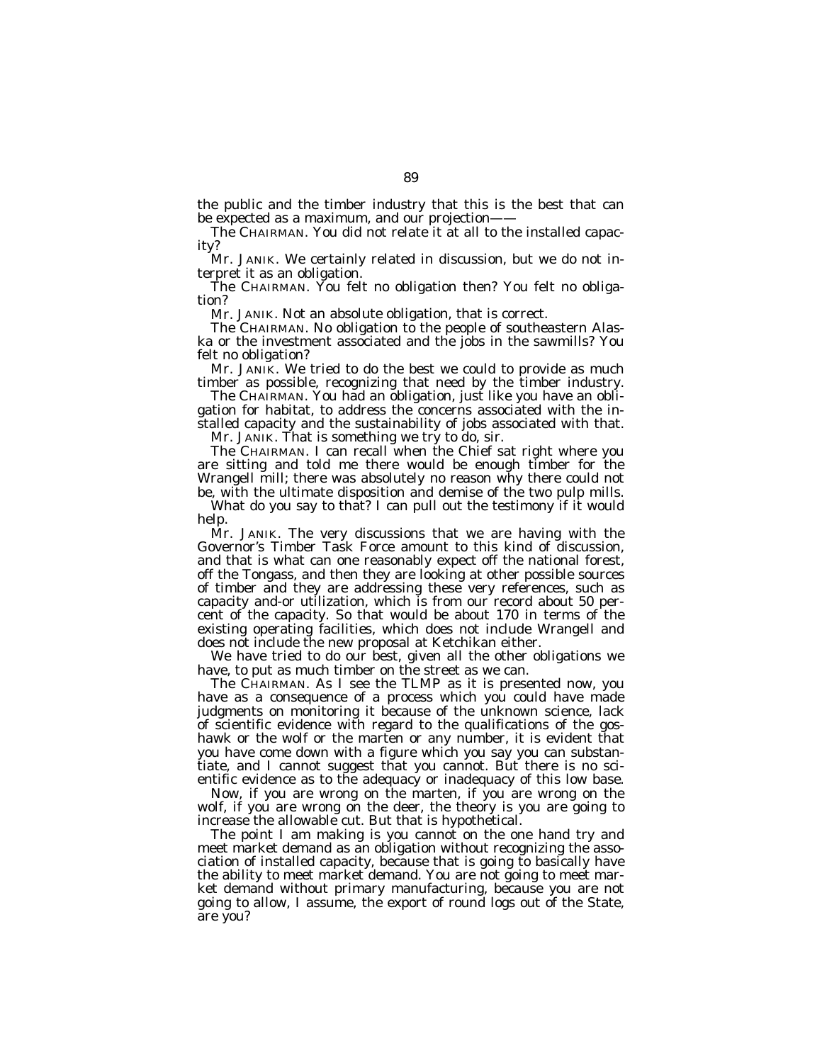the public and the timber industry that this is the best that can be expected as a maximum, and our projection-

The CHAIRMAN. You did not relate it at all to the installed capacity?

Mr. JANIK. We certainly related in discussion, but we do not interpret it as an obligation.

The CHAIRMAN. You felt no obligation then? You felt no obligation?

Mr. JANIK. Not an absolute obligation, that is correct.

The CHAIRMAN. No obligation to the people of southeastern Alaska or the investment associated and the jobs in the sawmills? You felt no obligation?

Mr. JANIK. We tried to do the best we could to provide as much timber as possible, recognizing that need by the timber industry.

The CHAIRMAN. You had an obligation, just like you have an obligation for habitat, to address the concerns associated with the installed capacity and the sustainability of jobs associated with that.

Mr. JANIK. That is something we try to do, sir.

The CHAIRMAN. I can recall when the Chief sat right where you are sitting and told me there would be enough timber for the Wrangell mill; there was absolutely no reason why there could not be, with the ultimate disposition and demise of the two pulp mills.

What do you say to that? I can pull out the testimony if it would help.

Mr. JANIK. The very discussions that we are having with the Governor's Timber Task Force amount to this kind of discussion, and that is what can one reasonably expect off the national forest, off the Tongass, and then they are looking at other possible sources of timber and they are addressing these very references, such as capacity and-or utilization, which is from our record about 50 percent of the capacity. So that would be about 170 in terms of the existing operating facilities, which does not include Wrangell and does not include the new proposal at Ketchikan either.

We have tried to do our best, given all the other obligations we have, to put as much timber on the street as we can.

The CHAIRMAN. As I see the TLMP as it is presented now, you have as a consequence of a process which you could have made judgments on monitoring it because of the unknown science, lack of scientific evidence with regard to the qualifications of the goshawk or the wolf or the marten or any number, it is evident that you have come down with a figure which you say you can substantiate, and I cannot suggest that you cannot. But there is no scientific evidence as to the adequacy or inadequacy of this low base.

Now, if you are wrong on the marten, if you are wrong on the wolf, if you are wrong on the deer, the theory is you are going to increase the allowable cut. But that is hypothetical.

The point I am making is you cannot on the one hand try and meet market demand as an obligation without recognizing the association of installed capacity, because that is going to basically have the ability to meet market demand. You are not going to meet market demand without primary manufacturing, because you are not going to allow, I assume, the export of round logs out of the State, are you?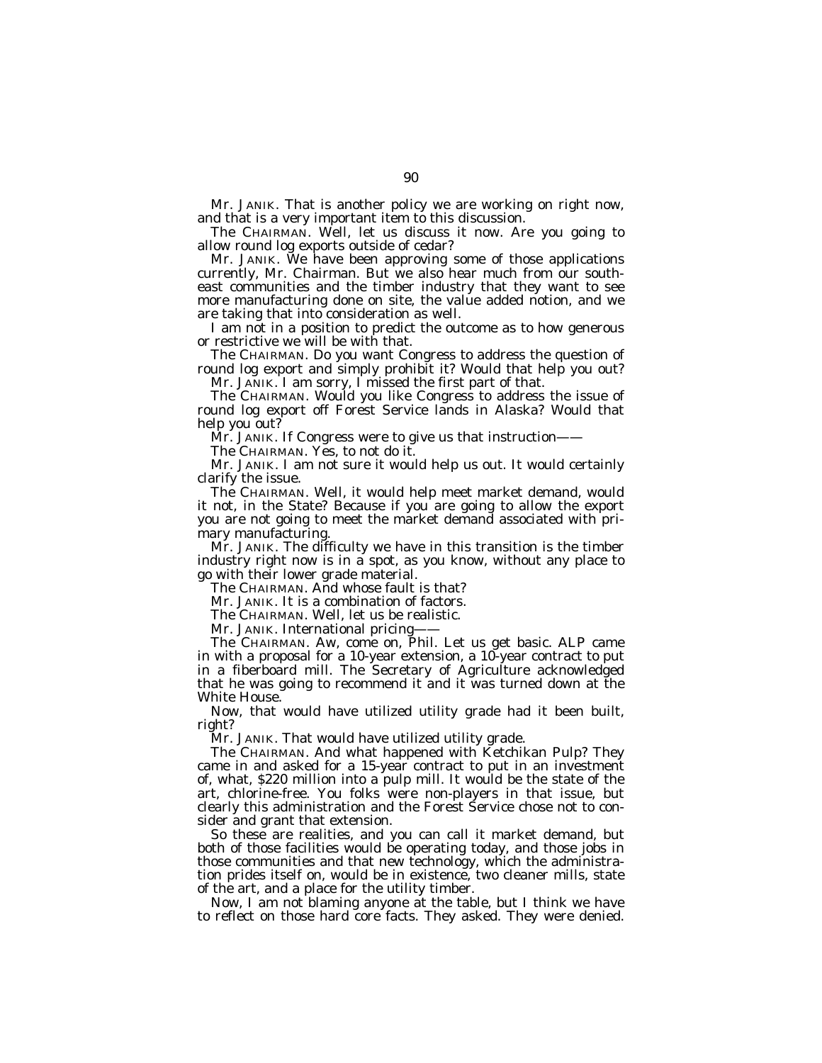Mr. JANIK. That is another policy we are working on right now, and that is a very important item to this discussion.

The CHAIRMAN. Well, let us discuss it now. Are you going to allow round log exports outside of cedar?

Mr. JANIK. We have been approving some of those applications currently, Mr. Chairman. But we also hear much from our southeast communities and the timber industry that they want to see more manufacturing done on site, the value added notion, and we are taking that into consideration as well.

I am not in a position to predict the outcome as to how generous or restrictive we will be with that.

The CHAIRMAN. Do you want Congress to address the question of round log export and simply prohibit it? Would that help you out? Mr. JANIK. I am sorry, I missed the first part of that.

The CHAIRMAN. Would you like Congress to address the issue of

round log export off Forest Service lands in Alaska? Would that help you out?

Mr. JANIK. If Congress were to give us that instruction——

The CHAIRMAN. Yes, to not do it.

Mr. JANIK. I am not sure it would help us out. It would certainly clarify the issue.

The CHAIRMAN. Well, it would help meet market demand, would it not, in the State? Because if you are going to allow the export you are not going to meet the market demand associated with primary manufacturing.

Mr. JANIK. The difficulty we have in this transition is the timber industry right now is in a spot, as you know, without any place to go with their lower grade material.

The CHAIRMAN. And whose fault is that?

Mr. JANIK. It is a combination of factors.

The CHAIRMAN. Well, let us be realistic.

Mr. JANIK. International pricing

The CHAIRMAN. Aw, come on, Phil. Let us get basic. ALP came in with a proposal for a 10-year extension, a 10-year contract to put in a fiberboard mill. The Secretary of Agriculture acknowledged that he was going to recommend it and it was turned down at the White House.

Now, that would have utilized utility grade had it been built, right?

Mr. JANIK. That would have utilized utility grade.

The CHAIRMAN. And what happened with Ketchikan Pulp? They came in and asked for a 15-year contract to put in an investment of, what, \$220 million into a pulp mill. It would be the state of the art, chlorine-free. You folks were non-players in that issue, but clearly this administration and the Forest Service chose not to consider and grant that extension.

So these are realities, and you can call it market demand, but both of those facilities would be operating today, and those jobs in those communities and that new technology, which the administration prides itself on, would be in existence, two cleaner mills, state of the art, and a place for the utility timber.

Now, I am not blaming anyone at the table, but I think we have to reflect on those hard core facts. They asked. They were denied.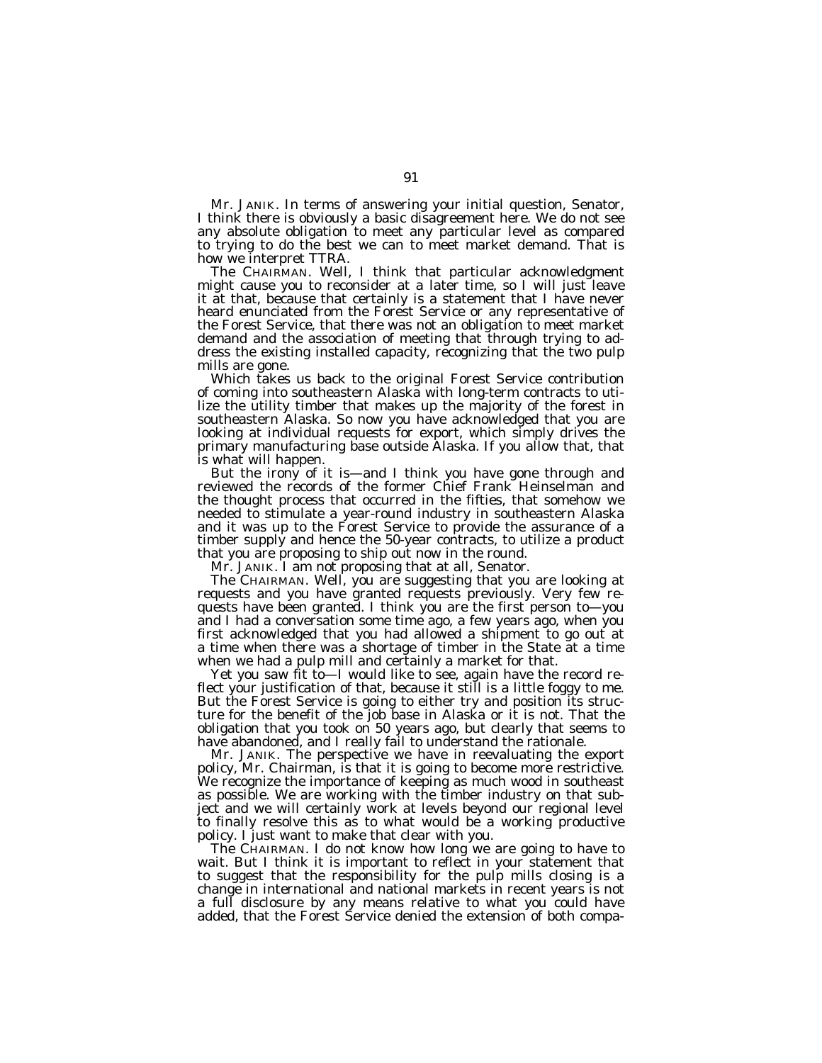Mr. JANIK. In terms of answering your initial question, Senator, I think there is obviously a basic disagreement here. We do not see any absolute obligation to meet any particular level as compared to trying to do the best we can to meet market demand. That is how we interpret TTRA.

The CHAIRMAN. Well, I think that particular acknowledgment might cause you to reconsider at a later time, so I will just leave it at that, because that certainly is a statement that I have never heard enunciated from the Forest Service or any representative of the Forest Service, that there was not an obligation to meet market demand and the association of meeting that through trying to address the existing installed capacity, recognizing that the two pulp mills are gone.

Which takes us back to the original Forest Service contribution of coming into southeastern Alaska with long-term contracts to utilize the utility timber that makes up the majority of the forest in southeastern Alaska. So now you have acknowledged that you are looking at individual requests for export, which simply drives the primary manufacturing base outside Alaska. If you allow that, that is what will happen.

But the irony of it is—and I think you have gone through and reviewed the records of the former Chief Frank Heinselman and the thought process that occurred in the fifties, that somehow we needed to stimulate a year-round industry in southeastern Alaska and it was up to the Forest Service to provide the assurance of a timber supply and hence the 50-year contracts, to utilize a product that you are proposing to ship out now in the round.

Mr. JANIK. I am not proposing that at all, Senator.

The CHAIRMAN. Well, you are suggesting that you are looking at requests and you have granted requests previously. Very few requests have been granted. I think you are the first person to—you and I had a conversation some time ago, a few years ago, when you first acknowledged that you had allowed a shipment to go out at a time when there was a shortage of timber in the State at a time when we had a pulp mill and certainly a market for that.

Yet you saw fit to—I would like to see, again have the record reflect your justification of that, because it still is a little foggy to me. But the Forest Service is going to either try and position its structure for the benefit of the job base in Alaska or it is not. That the obligation that you took on 50 years ago, but clearly that seems to have abandoned, and I really fail to understand the rationale.

Mr. JANIK. The perspective we have in reevaluating the export policy, Mr. Chairman, is that it is going to become more restrictive. We recognize the importance of keeping as much wood in southeast as possible. We are working with the timber industry on that subject and we will certainly work at levels beyond our regional level to finally resolve this as to what would be a working productive policy. I just want to make that clear with you.

The CHAIRMAN. I do not know how long we are going to have to wait. But I think it is important to reflect in your statement that to suggest that the responsibility for the pulp mills closing is a change in international and national markets in recent years is not a full disclosure by any means relative to what you could have added, that the Forest Service denied the extension of both compa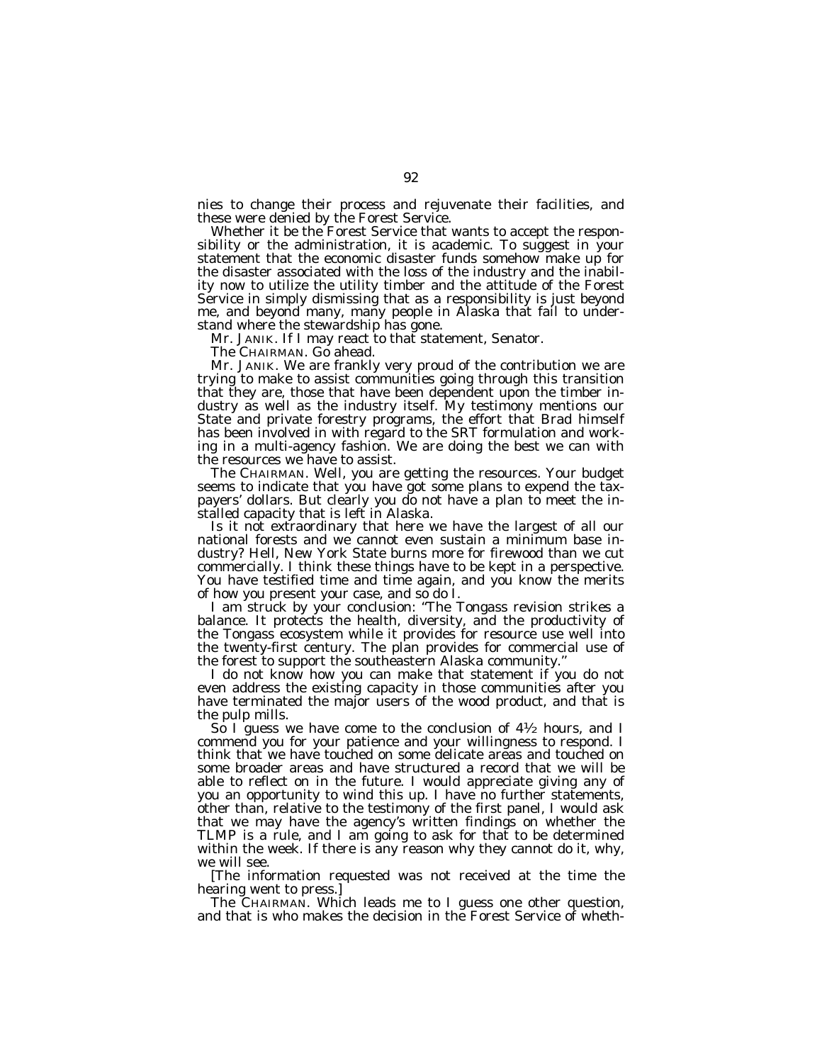nies to change their process and rejuvenate their facilities, and these were denied by the Forest Service.

Whether it be the Forest Service that wants to accept the responsibility or the administration, it is academic. To suggest in your statement that the economic disaster funds somehow make up for the disaster associated with the loss of the industry and the inability now to utilize the utility timber and the attitude of the Forest Service in simply dismissing that as a responsibility is just beyond me, and beyond many, many people in Alaska that fail to understand where the stewardship has gone.

Mr. JANIK. If I may react to that statement, Senator.

The CHAIRMAN. Go ahead.

Mr. JANIK. We are frankly very proud of the contribution we are trying to make to assist communities going through this transition that they are, those that have been dependent upon the timber industry as well as the industry itself. My testimony mentions our State and private forestry programs, the effort that Brad himself has been involved in with regard to the SRT formulation and working in a multi-agency fashion. We are doing the best we can with the resources we have to assist.

The CHAIRMAN. Well, you are getting the resources. Your budget seems to indicate that you have got some plans to expend the taxpayers' dollars. But clearly you do not have a plan to meet the installed capacity that is left in Alaska.

Is it not extraordinary that here we have the largest of all our national forests and we cannot even sustain a minimum base industry? Hell, New York State burns more for firewood than we cut commercially. I think these things have to be kept in a perspective. You have testified time and time again, and you know the merits of how you present your case, and so do I.

I am struck by your conclusion: ''The Tongass revision strikes a balance. It protects the health, diversity, and the productivity of the Tongass ecosystem while it provides for resource use well into the twenty-first century. The plan provides for commercial use of the forest to support the southeastern Alaska community.''

I do not know how you can make that statement if you do not even address the existing capacity in those communities after you have terminated the major users of the wood product, and that is the pulp mills.

So I guess we have come to the conclusion of  $4\frac{1}{2}$  hours, and I commend you for your patience and your willingness to respond. I think that we have touched on some delicate areas and touched on some broader areas and have structured a record that we will be able to reflect on in the future. I would appreciate giving any of you an opportunity to wind this up. I have no further statements, other than, relative to the testimony of the first panel, I would ask that we may have the agency's written findings on whether the TLMP is a rule, and I am going to ask for that to be determined within the week. If there is any reason why they cannot do it, why, we will see.

[The information requested was not received at the time the hearing went to press.]

The CHAIRMAN. Which leads me to I guess one other question, and that is who makes the decision in the Forest Service of wheth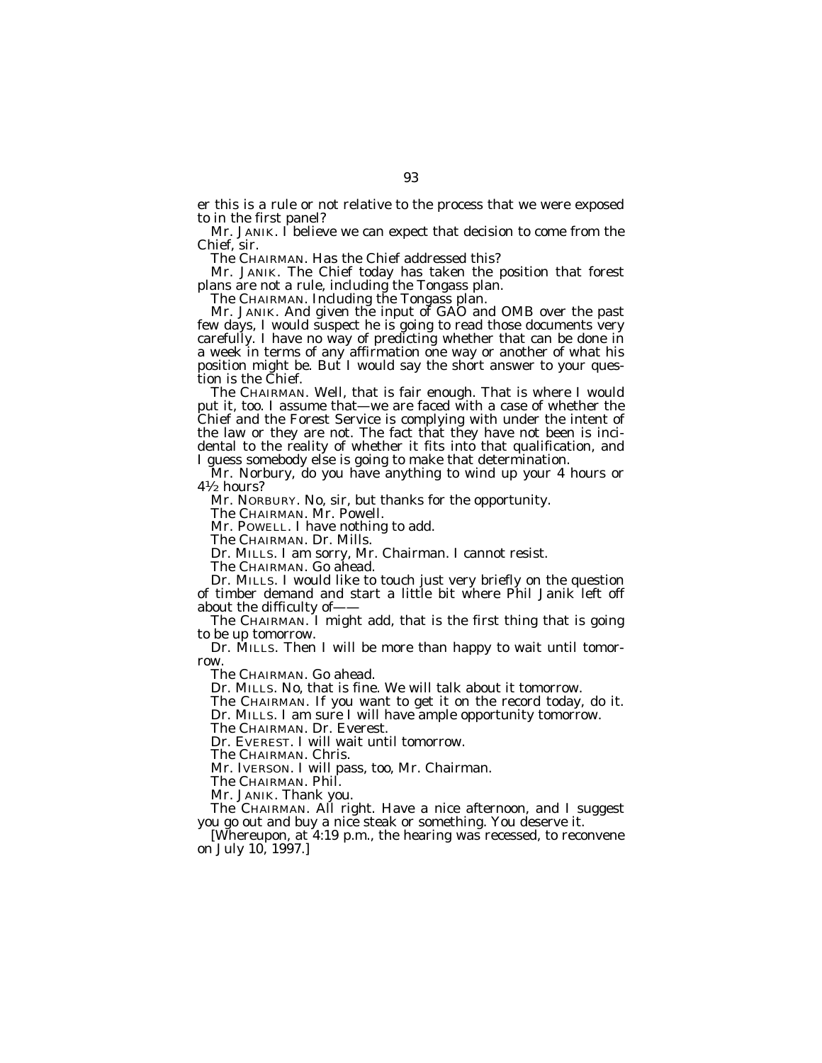er this is a rule or not relative to the process that we were exposed to in the first panel?

Mr. JANIK. I believe we can expect that decision to come from the Chief, sir.

The CHAIRMAN. Has the Chief addressed this?

Mr. JANIK. The Chief today has taken the position that forest plans are not a rule, including the Tongass plan.

The CHAIRMAN. Including the Tongass plan.

Mr. JANIK. And given the input of GAO and OMB over the past few days, I would suspect he is going to read those documents very carefully. I have no way of predicting whether that can be done in a week in terms of any affirmation one way or another of what his position might be. But I would say the short answer to your question is the Chief.

The CHAIRMAN. Well, that is fair enough. That is where I would put it, too. I assume that—we are faced with a case of whether the Chief and the Forest Service is complying with under the intent of the law or they are not. The fact that they have not been is incidental to the reality of whether it fits into that qualification, and I guess somebody else is going to make that determination.

Mr. Norbury, do you have anything to wind up your 4 hours or 41⁄2 hours?

Mr. NORBURY. No, sir, but thanks for the opportunity.

The CHAIRMAN. Mr. Powell.

Mr. POWELL. I have nothing to add.

The CHAIRMAN. Dr. Mills.

Dr. MILLS. I am sorry, Mr. Chairman. I cannot resist.

The CHAIRMAN. Go ahead.

Dr. MILLS. I would like to touch just very briefly on the question of timber demand and start a little bit where Phil Janik left off about the difficulty of-

The CHAIRMAN. I might add, that is the first thing that is going to be up tomorrow.

Dr. MILLS. Then I will be more than happy to wait until tomorrow.

The CHAIRMAN. Go ahead.

Dr. MILLS. No, that is fine. We will talk about it tomorrow.

The CHAIRMAN. If you want to get it on the record today, do it. Dr. MILLS. I am sure I will have ample opportunity tomorrow.

The CHAIRMAN. Dr. Everest.

Dr. EVEREST. I will wait until tomorrow.

The CHAIRMAN. Chris.

Mr. IVERSON. I will pass, too, Mr. Chairman.

The CHAIRMAN. Phil.

Mr. JANIK. Thank you.

The CHAIRMAN. All right. Have a nice afternoon, and I suggest you go out and buy a nice steak or something. You deserve it.

[Whereupon, at 4:19 p.m., the hearing was recessed, to reconvene on July 10, 1997.]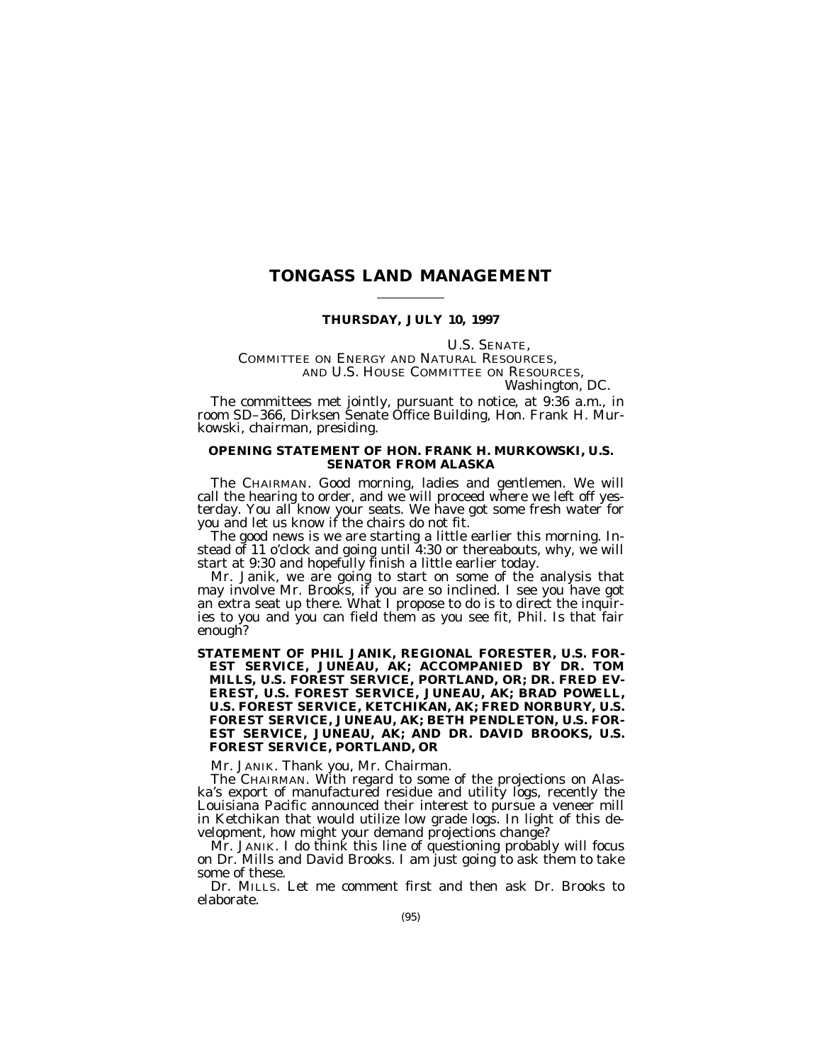## **TONGASS LAND MANAGEMENT**

## **THURSDAY, JULY 10, 1997**

U.S. SENATE,<br>COMMITTEE ON ENERGY AND NATURAL RESOURCES, AND U.S. HOUSE COMMITTEE ON RESOURCES, *Washington, DC.*

The committees met jointly, pursuant to notice, at 9:36 a.m., in room SD–366, Dirksen Senate Office Building, Hon. Frank H. Murkowski, chairman, presiding.

## **OPENING STATEMENT OF HON. FRANK H. MURKOWSKI, U.S. SENATOR FROM ALASKA**

The CHAIRMAN. Good morning, ladies and gentlemen. We will call the hearing to order, and we will proceed where we left off yesterday. You all know your seats. We have got some fresh water for you and let us know if the chairs do not fit.

The good news is we are starting a little earlier this morning. Instead of 11 o'clock and going until 4:30 or thereabouts, why, we will start at 9:30 and hopefully finish a little earlier today.

Mr. Janik, we are going to start on some of the analysis that may involve Mr. Brooks, if you are so inclined. I see you have got an extra seat up there. What I propose to do is to direct the inquiries to you and you can field them as you see fit, Phil. Is that fair enough?

**STATEMENT OF PHIL JANIK, REGIONAL FORESTER, U.S. FOR-EST SERVICE, JUNEAU, AK; ACCOMPANIED BY DR. TOM MILLS, U.S. FOREST SERVICE, PORTLAND, OR; DR. FRED EV-EREST, U.S. FOREST SERVICE, JUNEAU, AK; BRAD POWELL, U.S. FOREST SERVICE, KETCHIKAN, AK; FRED NORBURY, U.S. FOREST SERVICE, JUNEAU, AK; BETH PENDLETON, U.S. FOR-EST SERVICE, JUNEAU, AK; AND DR. DAVID BROOKS, U.S. FOREST SERVICE, PORTLAND, OR**

Mr. JANIK. Thank you, Mr. Chairman.

The CHAIRMAN. With regard to some of the projections on Alaska's export of manufactured residue and utility logs, recently the Louisiana Pacific announced their interest to pursue a veneer mill in Ketchikan that would utilize low grade logs. In light of this development, how might your demand projections change?

Mr. JANIK. I do think this line of questioning probably will focus on Dr. Mills and David Brooks. I am just going to ask them to take some of these.

Dr. MILLS. Let me comment first and then ask Dr. Brooks to elaborate.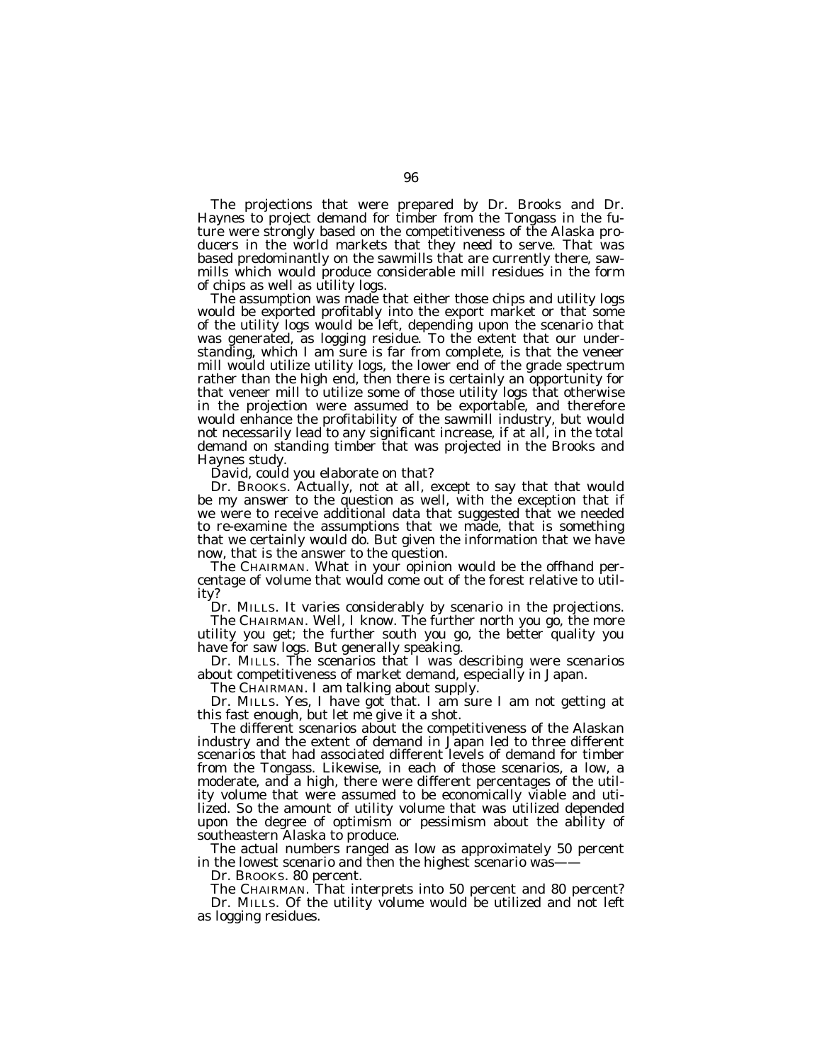The projections that were prepared by Dr. Brooks and Dr. Haynes to project demand for timber from the Tongass in the future were strongly based on the competitiveness of the Alaska producers in the world markets that they need to serve. That was based predominantly on the sawmills that are currently there, sawmills which would produce considerable mill residues in the form of chips as well as utility logs.

The assumption was made that either those chips and utility logs would be exported profitably into the export market or that some of the utility logs would be left, depending upon the scenario that was generated, as logging residue. To the extent that our understanding, which I am sure is far from complete, is that the veneer mill would utilize utility logs, the lower end of the grade spectrum rather than the high end, then there is certainly an opportunity for that veneer mill to utilize some of those utility logs that otherwise in the projection were assumed to be exportable, and therefore would enhance the profitability of the sawmill industry, but would not necessarily lead to any significant increase, if at all, in the total demand on standing timber that was projected in the Brooks and Haynes study.

David, could you elaborate on that?

Dr. BROOKS. Actually, not at all, except to say that that would be my answer to the question as well, with the exception that if we were to receive additional data that suggested that we needed to re-examine the assumptions that we made, that is something that we certainly would do. But given the information that we have now, that is the answer to the question.

The CHAIRMAN. What in your opinion would be the offhand percentage of volume that would come out of the forest relative to utility?

Dr. MILLS. It varies considerably by scenario in the projections.

The CHAIRMAN. Well, I know. The further north you go, the more utility you get; the further south you go, the better quality you have for saw logs. But generally speaking.

Dr. MILLS. The scenarios that I was describing were scenarios about competitiveness of market demand, especially in Japan.

The CHAIRMAN. I am talking about supply.

Dr. MILLS. Yes, I have got that. I am sure I am not getting at this fast enough, but let me give it a shot.

The different scenarios about the competitiveness of the Alaskan industry and the extent of demand in Japan led to three different scenarios that had associated different levels of demand for timber from the Tongass. Likewise, in each of those scenarios, a low, a moderate, and a high, there were different percentages of the utility volume that were assumed to be economically viable and utilized. So the amount of utility volume that was utilized depended upon the degree of optimism or pessimism about the ability of southeastern Alaska to produce.

The actual numbers ranged as low as approximately 50 percent in the lowest scenario and then the highest scenario was-

Dr. BROOKS. 80 percent.

The CHAIRMAN. That interprets into 50 percent and 80 percent? Dr. MILLS. Of the utility volume would be utilized and not left as logging residues.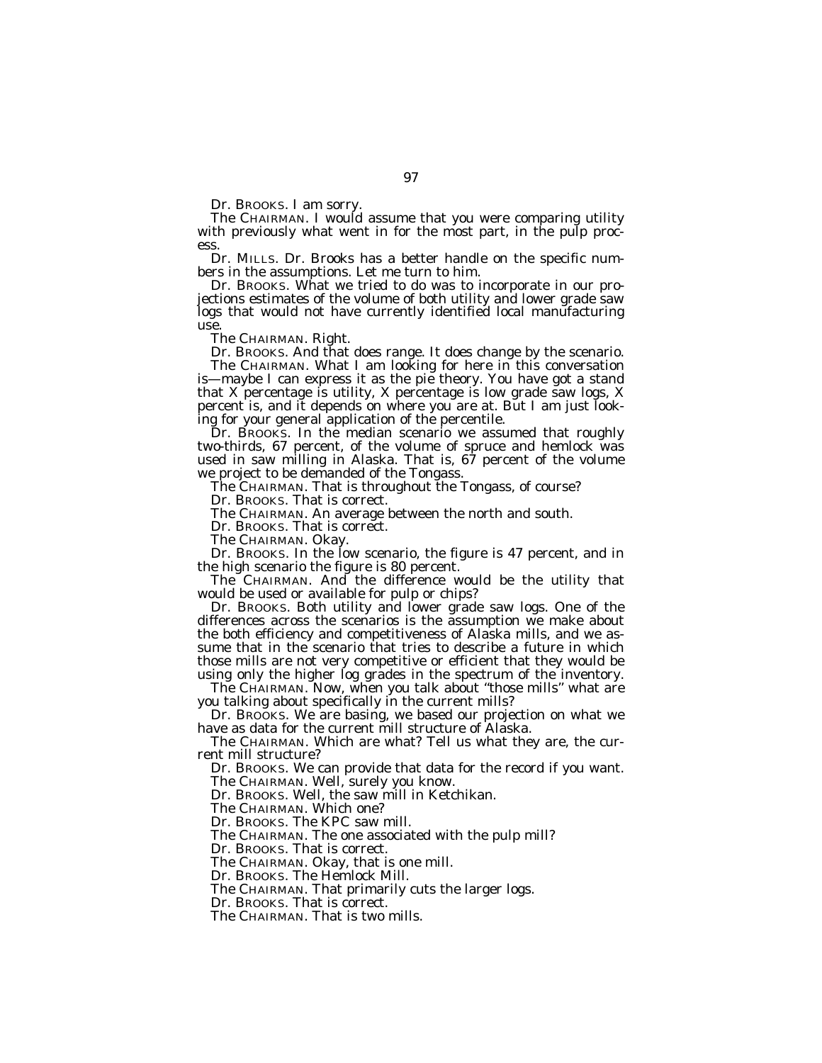Dr. BROOKS. I am sorry.

The CHAIRMAN. I would assume that you were comparing utility with previously what went in for the most part, in the pulp process.

Dr. MILLS. Dr. Brooks has a better handle on the specific numbers in the assumptions. Let me turn to him.

Dr. BROOKS. What we tried to do was to incorporate in our projections estimates of the volume of both utility and lower grade saw logs that would not have currently identified local manufacturing use.

The CHAIRMAN. Right.

Dr. BROOKS. And that does range. It does change by the scenario.

The CHAIRMAN. What I am looking for here in this conversation is—maybe I can express it as the pie theory. You have got a stand that X percentage is utility, X percentage is low grade saw logs, X percent is, and it depends on where you are at. But I am just looking for your general application of the percentile.

Dr. BROOKS. In the median scenario we assumed that roughly two-thirds, 67 percent, of the volume of spruce and hemlock was used in saw milling in Alaska. That is, 67 percent of the volume we project to be demanded of the Tongass.

The CHAIRMAN. That is throughout the Tongass, of course?

Dr. BROOKS. That is correct.

The CHAIRMAN. An average between the north and south.

Dr. BROOKS. That is correct.

The CHAIRMAN. Okay.

Dr. BROOKS. In the low scenario, the figure is 47 percent, and in the high scenario the figure is 80 percent.

The CHAIRMAN. And the difference would be the utility that would be used or available for pulp or chips?

Dr. BROOKS. Both utility and lower grade saw logs. One of the differences across the scenarios is the assumption we make about the both efficiency and competitiveness of Alaska mills, and we assume that in the scenario that tries to describe a future in which those mills are not very competitive or efficient that they would be using only the higher log grades in the spectrum of the inventory.

The CHAIRMAN. Now, when you talk about ''those mills'' what are you talking about specifically in the current mills?

Dr. BROOKS. We are basing, we based our projection on what we have as data for the current mill structure of Alaska.

The CHAIRMAN. Which are what? Tell us what they are, the current mill structure?

Dr. BROOKS. We can provide that data for the record if you want. The CHAIRMAN. Well, surely you know.

Dr. BROOKS. Well, the saw mill in Ketchikan.

The CHAIRMAN. Which one?

Dr. BROOKS. The KPC saw mill.

The CHAIRMAN. The one associated with the pulp mill?

Dr. BROOKS. That is correct.

The CHAIRMAN. Okay, that is one mill.

Dr. BROOKS. The Hemlock Mill.

The CHAIRMAN. That primarily cuts the larger logs.

Dr. BROOKS. That is correct.

The CHAIRMAN. That is two mills.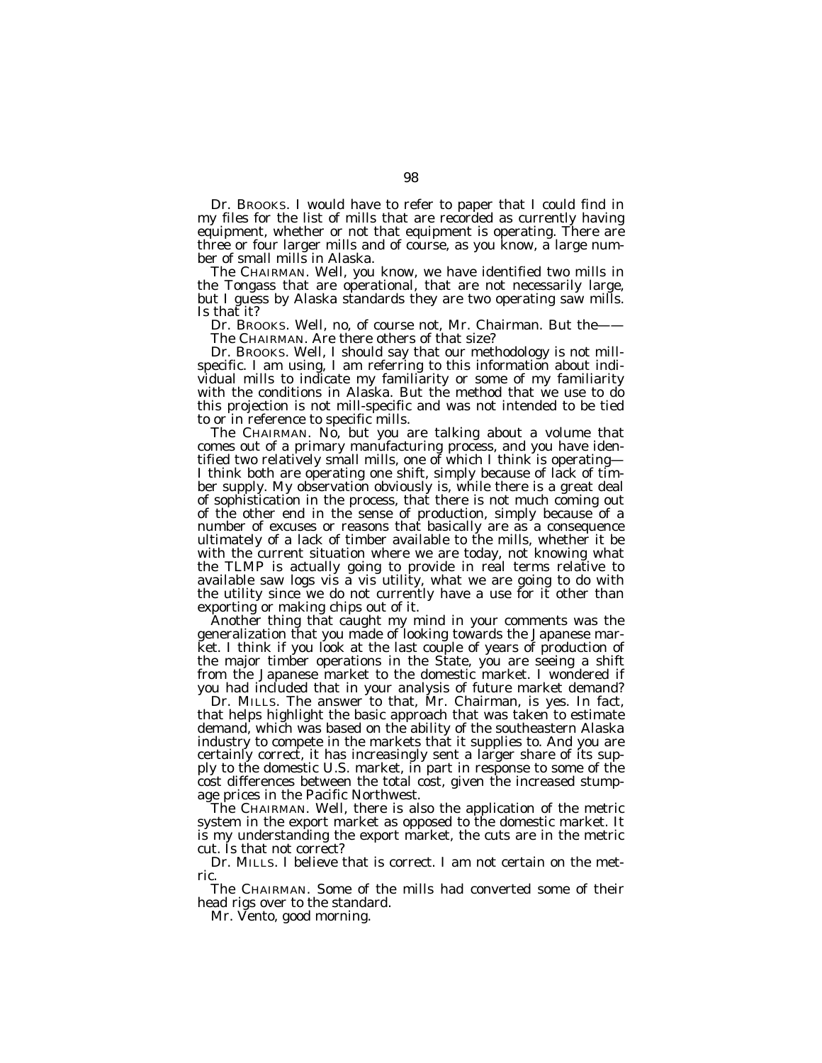Dr. BROOKS. I would have to refer to paper that I could find in my files for the list of mills that are recorded as currently having equipment, whether or not that equipment is operating. There are three or four larger mills and of course, as you know, a large number of small mills in Alaska.

The CHAIRMAN. Well, you know, we have identified two mills in the Tongass that are operational, that are not necessarily large, but I guess by Alaska standards they are two operating saw mills. Is that it?

Dr. BROOKS. Well, no, of course not, Mr. Chairman. But the—— The CHAIRMAN. Are there others of that size?

Dr. BROOKS. Well, I should say that our methodology is not millspecific. I am using, I am referring to this information about individual mills to indicate my familiarity or some of my familiarity with the conditions in Alaska. But the method that we use to do this projection is not mill-specific and was not intended to be tied to or in reference to specific mills.

The CHAIRMAN. No, but you are talking about a volume that comes out of a primary manufacturing process, and you have identified two relatively small mills, one of which I think is operating— I think both are operating one shift, simply because of lack of timber supply. My observation obviously is, while there is a great deal of sophistication in the process, that there is not much coming out of the other end in the sense of production, simply because of a number of excuses or reasons that basically are as a consequence ultimately of a lack of timber available to the mills, whether it be with the current situation where we are today, not knowing what the TLMP is actually going to provide in real terms relative to available saw logs vis a vis utility, what we are going to do with the utility since we do not currently have a use for it other than exporting or making chips out of it.

Another thing that caught my mind in your comments was the generalization that you made of looking towards the Japanese market. I think if you look at the last couple of years of production of the major timber operations in the State, you are seeing a shift from the Japanese market to the domestic market. I wondered if you had included that in your analysis of future market demand?

Dr. MILLS. The answer to that, Mr. Chairman, is yes. In fact, that helps highlight the basic approach that was taken to estimate demand, which was based on the ability of the southeastern Alaska industry to compete in the markets that it supplies to. And you are certainly correct, it has increasingly sent a larger share of its supply to the domestic U.S. market, in part in response to some of the cost differences between the total cost, given the increased stumpage prices in the Pacific Northwest.

The CHAIRMAN. Well, there is also the application of the metric system in the export market as opposed to the domestic market. It is my understanding the export market, the cuts are in the metric cut. Is that not correct?

Dr. MILLS. I believe that is correct. I am not certain on the metric.

The CHAIRMAN. Some of the mills had converted some of their head rigs over to the standard.

Mr. Vento, good morning.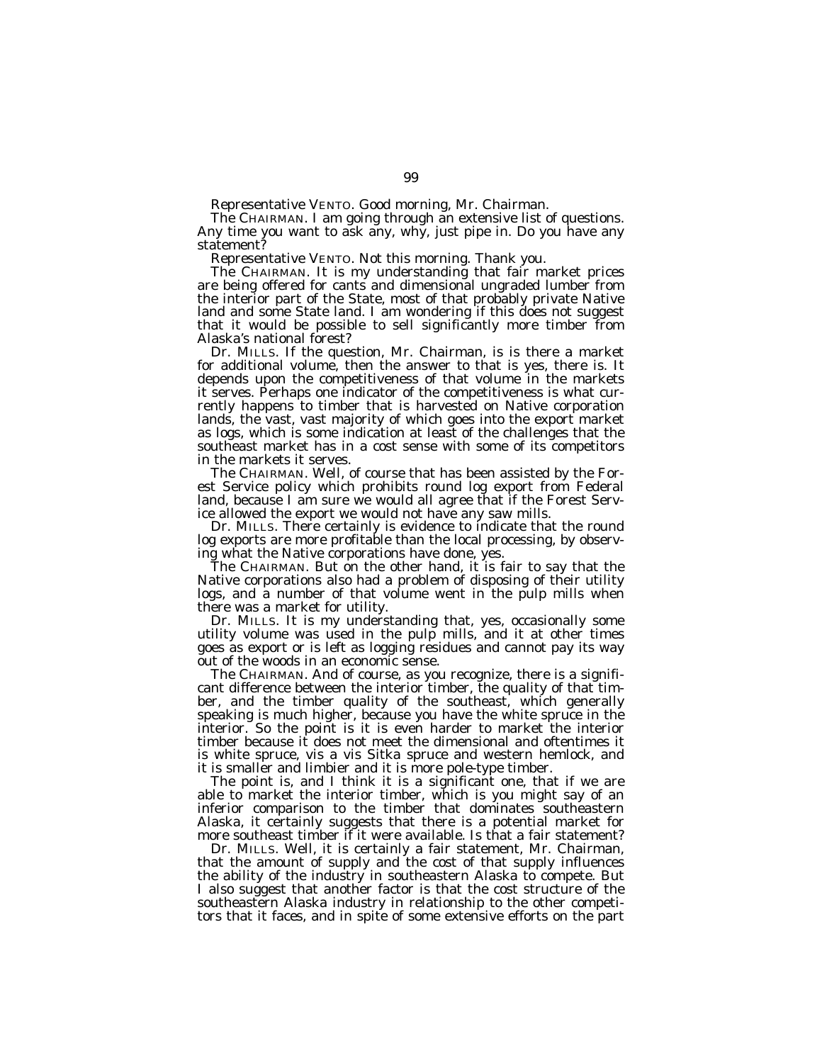Representative VENTO. Good morning, Mr. Chairman.

The CHAIRMAN. I am going through an extensive list of questions. Any time you want to ask any, why, just pipe in. Do you have any statement?

Representative VENTO. Not this morning. Thank you.

The CHAIRMAN. It is my understanding that fair market prices are being offered for cants and dimensional ungraded lumber from the interior part of the State, most of that probably private Native land and some State land. I am wondering if this does not suggest that it would be possible to sell significantly more timber from Alaska's national forest?

Dr. MILLS. If the question, Mr. Chairman, is is there a market for additional volume, then the answer to that is yes, there is. It depends upon the competitiveness of that volume in the markets it serves. Perhaps one indicator of the competitiveness is what currently happens to timber that is harvested on Native corporation lands, the vast, vast majority of which goes into the export market as logs, which is some indication at least of the challenges that the southeast market has in a cost sense with some of its competitors in the markets it serves.

The CHAIRMAN. Well, of course that has been assisted by the Forest Service policy which prohibits round log export from Federal land, because I am sure we would all agree that if the Forest Service allowed the export we would not have any saw mills.

Dr. MILLS. There certainly is evidence to indicate that the round log exports are more profitable than the local processing, by observing what the Native corporations have done, yes.

The CHAIRMAN. But on the other hand, it is fair to say that the Native corporations also had a problem of disposing of their utility logs, and a number of that volume went in the pulp mills when there was a market for utility.

Dr. MILLS. It is my understanding that, yes, occasionally some utility volume was used in the pulp mills, and it at other times goes as export or is left as logging residues and cannot pay its way out of the woods in an economic sense.

The CHAIRMAN. And of course, as you recognize, there is a significant difference between the interior timber, the quality of that timber, and the timber quality of the southeast, which generally speaking is much higher, because you have the white spruce in the interior. So the point is it is even harder to market the interior timber because it does not meet the dimensional and oftentimes it is white spruce, vis a vis Sitka spruce and western hemlock, and it is smaller and limbier and it is more pole-type timber.

The point is, and I think it is a significant one, that if we are able to market the interior timber, which is you might say of an inferior comparison to the timber that dominates southeastern Alaska, it certainly suggests that there is a potential market for more southeast timber if it were available. Is that a fair statement?

Dr. MILLS. Well, it is certainly a fair statement, Mr. Chairman, that the amount of supply and the cost of that supply influences the ability of the industry in southeastern Alaska to compete. But I also suggest that another factor is that the cost structure of the southeastern Alaska industry in relationship to the other competitors that it faces, and in spite of some extensive efforts on the part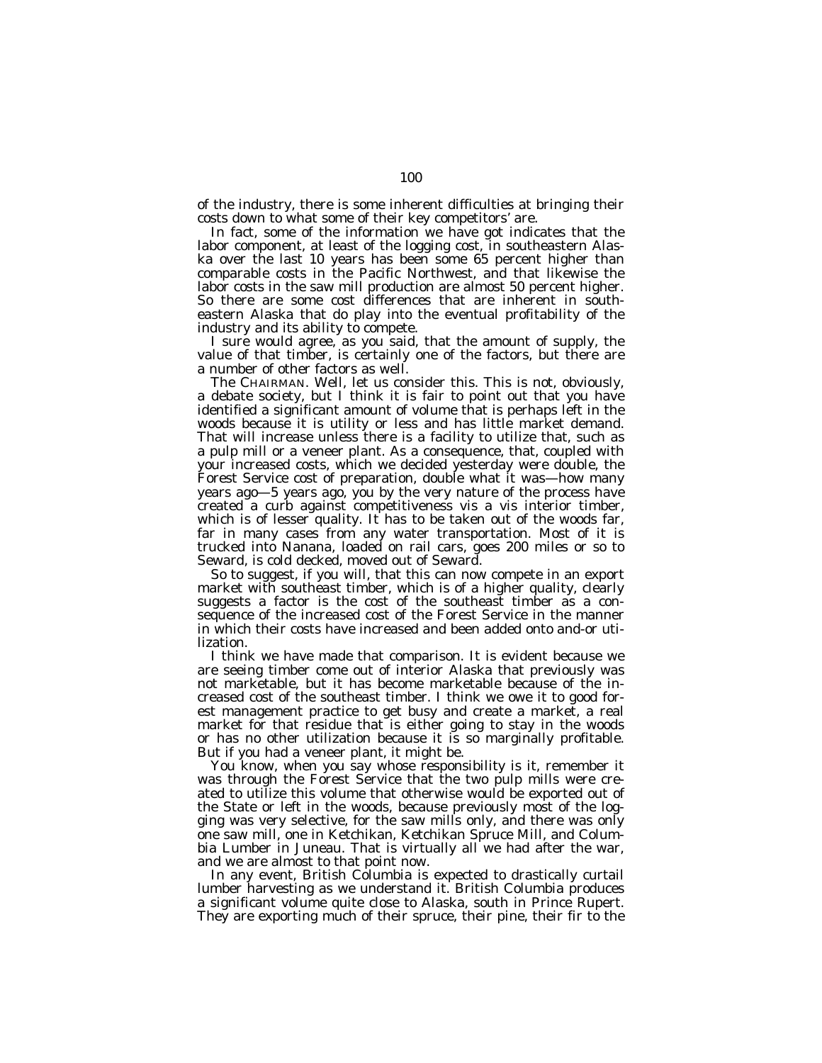of the industry, there is some inherent difficulties at bringing their costs down to what some of their key competitors' are.

In fact, some of the information we have got indicates that the labor component, at least of the logging cost, in southeastern Alaska over the last 10 years has been some 65 percent higher than comparable costs in the Pacific Northwest, and that likewise the labor costs in the saw mill production are almost 50 percent higher. So there are some cost differences that are inherent in southeastern Alaska that do play into the eventual profitability of the industry and its ability to compete.

I sure would agree, as you said, that the amount of supply, the value of that timber, is certainly one of the factors, but there are a number of other factors as well.

The CHAIRMAN. Well, let us consider this. This is not, obviously, a debate society, but I think it is fair to point out that you have identified a significant amount of volume that is perhaps left in the woods because it is utility or less and has little market demand. That will increase unless there is a facility to utilize that, such as a pulp mill or a veneer plant. As a consequence, that, coupled with your increased costs, which we decided yesterday were double, the Forest Service cost of preparation, double what it was—how many years ago—5 years ago, you by the very nature of the process have created a curb against competitiveness vis a vis interior timber, which is of lesser quality. It has to be taken out of the woods far, far in many cases from any water transportation. Most of it is trucked into Nanana, loaded on rail cars, goes 200 miles or so to Seward, is cold decked, moved out of Seward.

So to suggest, if you will, that this can now compete in an export market with southeast timber, which is of a higher quality, clearly suggests a factor is the cost of the southeast timber as a consequence of the increased cost of the Forest Service in the manner in which their costs have increased and been added onto and-or utilization.

I think we have made that comparison. It is evident because we are seeing timber come out of interior Alaska that previously was not marketable, but it has become marketable because of the increased cost of the southeast timber. I think we owe it to good forest management practice to get busy and create a market, a real market for that residue that is either going to stay in the woods or has no other utilization because it is so marginally profitable. But if you had a veneer plant, it might be.

You know, when you say whose responsibility is it, remember it was through the Forest Service that the two pulp mills were created to utilize this volume that otherwise would be exported out of the State or left in the woods, because previously most of the logging was very selective, for the saw mills only, and there was only one saw mill, one in Ketchikan, Ketchikan Spruce Mill, and Columbia Lumber in Juneau. That is virtually all we had after the war, and we are almost to that point now.

In any event, British Columbia is expected to drastically curtail lumber harvesting as we understand it. British Columbia produces a significant volume quite close to Alaska, south in Prince Rupert. They are exporting much of their spruce, their pine, their fir to the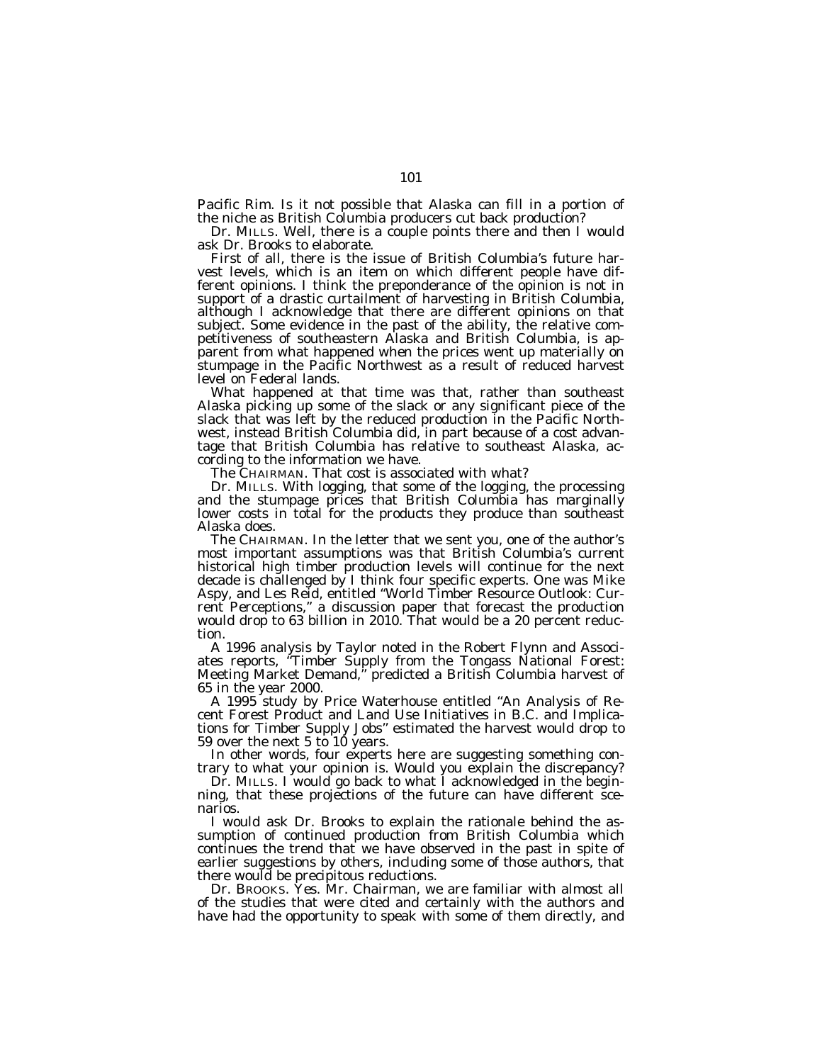Pacific Rim. Is it not possible that Alaska can fill in a portion of the niche as British Columbia producers cut back production?

Dr. MILLS. Well, there is a couple points there and then I would ask Dr. Brooks to elaborate.

First of all, there is the issue of British Columbia's future harvest levels, which is an item on which different people have different opinions. I think the preponderance of the opinion is not in support of a drastic curtailment of harvesting in British Columbia, although I acknowledge that there are different opinions on that subject. Some evidence in the past of the ability, the relative competitiveness of southeastern Alaska and British Columbia, is apparent from what happened when the prices went up materially on stumpage in the Pacific Northwest as a result of reduced harvest level on Federal lands.

What happened at that time was that, rather than southeast Alaska picking up some of the slack or any significant piece of the slack that was left by the reduced production in the Pacific Northwest, instead British Columbia did, in part because of a cost advantage that British Columbia has relative to southeast Alaska, according to the information we have.

The CHAIRMAN. That cost is associated with what?

Dr. MILLS. With logging, that some of the logging, the processing and the stumpage prices that British Columbia has marginally lower costs in total for the products they produce than southeast Alaska does.

The CHAIRMAN. In the letter that we sent you, one of the author's most important assumptions was that British Columbia's current historical high timber production levels will continue for the next decade is challenged by I think four specific experts. One was Mike Aspy, and Les Reid, entitled ''World Timber Resource Outlook: Current Perceptions,'' a discussion paper that forecast the production would drop to 63 billion in 2010. That would be a 20 percent reduction.

A 1996 analysis by Taylor noted in the Robert Flynn and Associates reports, ''Timber Supply from the Tongass National Forest: Meeting Market Demand,'' predicted a British Columbia harvest of 65 in the year 2000.

A 1995 study by Price Waterhouse entitled ''An Analysis of Recent Forest Product and Land Use Initiatives in B.C. and Implications for Timber Supply Jobs" estimated the harvest would drop to 59 over the next 5 to  $10$  years.

In other words, four experts here are suggesting something contrary to what your opinion is. Would you explain the discrepancy?

Dr. MILLS. I would go back to what I acknowledged in the beginning, that these projections of the future can have different scenarios.

I would ask Dr. Brooks to explain the rationale behind the assumption of continued production from British Columbia which continues the trend that we have observed in the past in spite of earlier suggestions by others, including some of those authors, that there would be precipitous reductions.

Dr. BROOKS. Yes. Mr. Chairman, we are familiar with almost all of the studies that were cited and certainly with the authors and have had the opportunity to speak with some of them directly, and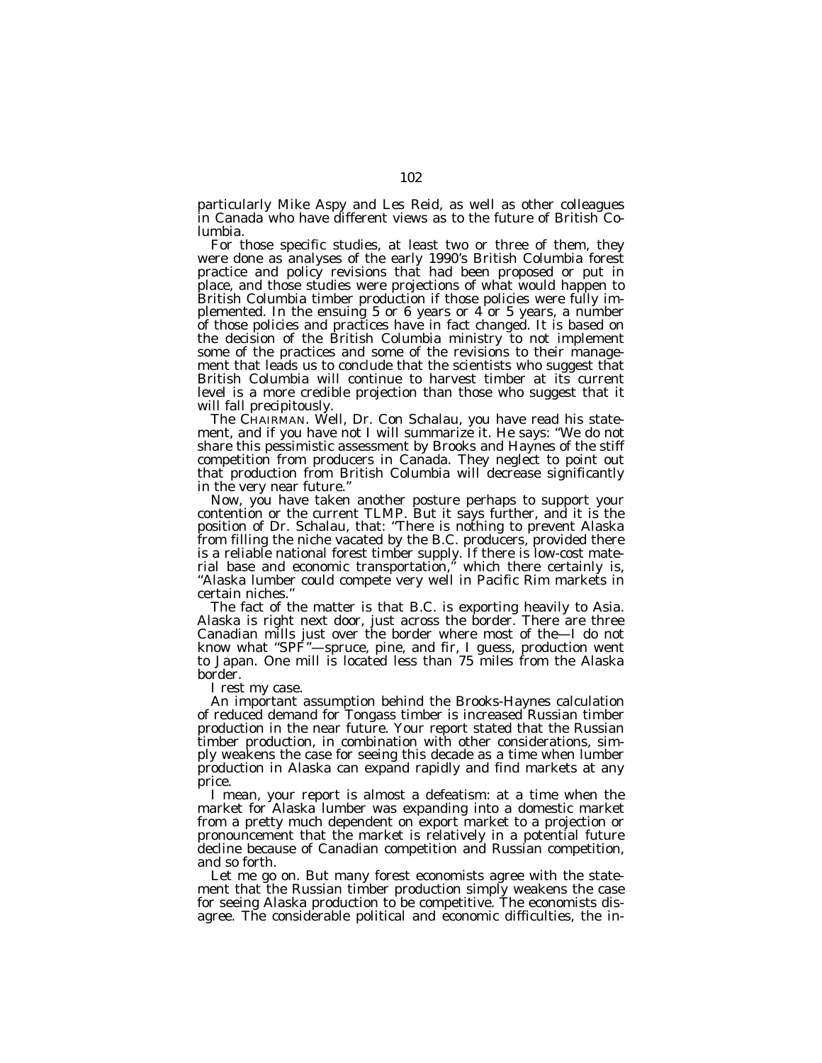particularly Mike Aspy and Les Reid, as well as other colleagues in Canada who have different views as to the future of British Columbia.

For those specific studies, at least two or three of them, they were done as analyses of the early 1990's British Columbia forest practice and policy revisions that had been proposed or put in place, and those studies were projections of what would happen to British Columbia timber production if those policies were fully implemented. In the ensuing 5 or 6 years or  $4$  or 5 years, a number of those policies and practices have in fact changed. It is based on the decision of the British Columbia ministry to not implement some of the practices and some of the revisions to their management that leads us to conclude that the scientists who suggest that British Columbia will continue to harvest timber at its current level is a more credible projection than those who suggest that it will fall precipitously.

The CHAIRMAN. Well, Dr. Con Schalau, you have read his statement, and if you have not I will summarize it. He says: ''We do not share this pessimistic assessment by Brooks and Haynes of the stiff competition from producers in Canada. They neglect to point out that production from British Columbia will decrease significantly in the very near future.''

Now, you have taken another posture perhaps to support your contention or the current TLMP. But it says further, and it is the position of Dr. Schalau, that: ''There is nothing to prevent Alaska from filling the niche vacated by the B.C. producers, provided there is a reliable national forest timber supply. If there is low-cost material base and economic transportation,'' which there certainly is, ''Alaska lumber could compete very well in Pacific Rim markets in certain niches.''

The fact of the matter is that B.C. is exporting heavily to Asia. Alaska is right next door, just across the border. There are three Canadian mills just over the border where most of the—I do not know what ''SPF''—spruce, pine, and fir, I guess, production went to Japan. One mill is located less than 75 miles from the Alaska border.

I rest my case.

An important assumption behind the Brooks-Haynes calculation of reduced demand for Tongass timber is increased Russian timber production in the near future. Your report stated that the Russian timber production, in combination with other considerations, simply weakens the case for seeing this decade as a time when lumber production in Alaska can expand rapidly and find markets at any price.

I mean, your report is almost a defeatism: at a time when the market for Alaska lumber was expanding into a domestic market from a pretty much dependent on export market to a projection or pronouncement that the market is relatively in a potential future decline because of Canadian competition and Russian competition, and so forth.

Let me go on. But many forest economists agree with the statement that the Russian timber production simply weakens the case for seeing Alaska production to be competitive. The economists disagree. The considerable political and economic difficulties, the in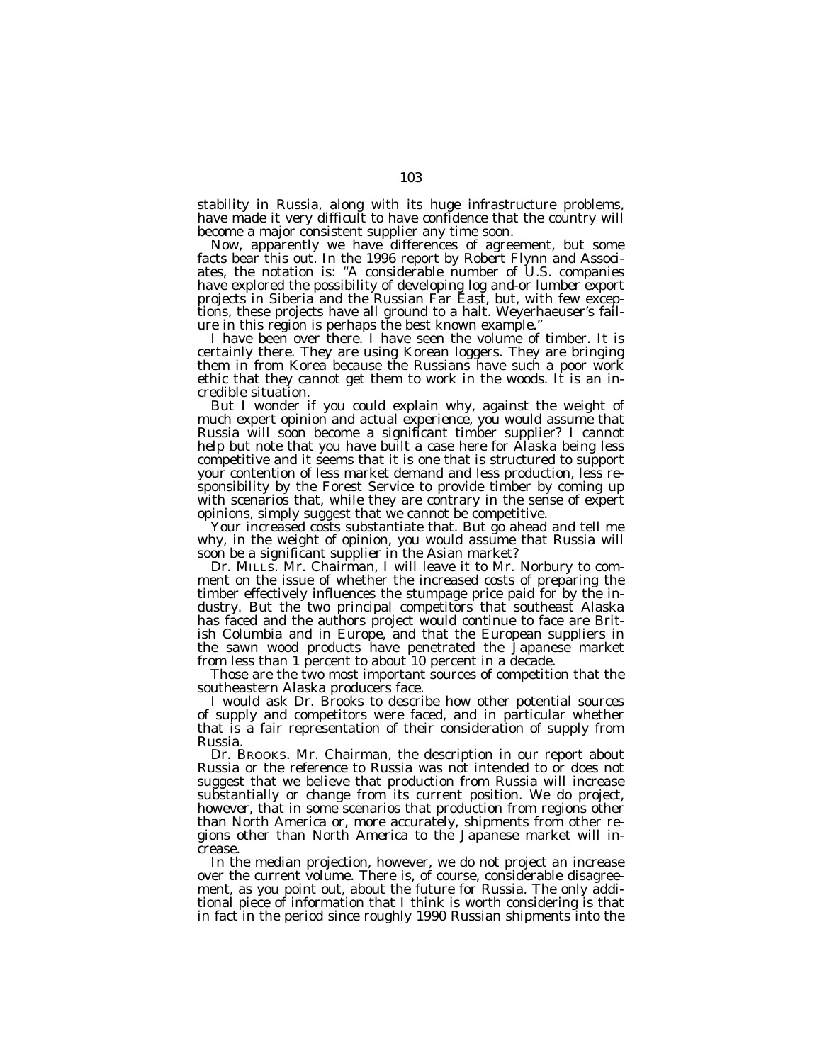stability in Russia, along with its huge infrastructure problems, have made it very difficult to have confidence that the country will become a major consistent supplier any time soon.

Now, apparently we have differences of agreement, but some facts bear this out. In the 1996 report by Robert Flynn and Associates, the notation is: ''A considerable number of U.S. companies have explored the possibility of developing log and-or lumber export projects in Siberia and the Russian Far East, but, with few exceptions, these projects have all ground to a halt. Weyerhaeuser's failure in this region is perhaps the best known example.''

I have been over there. I have seen the volume of timber. It is certainly there. They are using Korean loggers. They are bringing them in from Korea because the Russians have such a poor work ethic that they cannot get them to work in the woods. It is an incredible situation.

But I wonder if you could explain why, against the weight of much expert opinion and actual experience, you would assume that Russia will soon become a significant timber supplier? I cannot help but note that you have built a case here for Alaska being less competitive and it seems that it is one that is structured to support your contention of less market demand and less production, less responsibility by the Forest Service to provide timber by coming up with scenarios that, while they are contrary in the sense of expert opinions, simply suggest that we cannot be competitive.

Your increased costs substantiate that. But go ahead and tell me why, in the weight of opinion, you would assume that Russia will soon be a significant supplier in the Asian market?

Dr. MILLS. Mr. Chairman, I will leave it to Mr. Norbury to comment on the issue of whether the increased costs of preparing the timber effectively influences the stumpage price paid for by the industry. But the two principal competitors that southeast Alaska has faced and the authors project would continue to face are British Columbia and in Europe, and that the European suppliers in the sawn wood products have penetrated the Japanese market from less than 1 percent to about 10 percent in a decade.

Those are the two most important sources of competition that the southeastern Alaska producers face.

I would ask Dr. Brooks to describe how other potential sources of supply and competitors were faced, and in particular whether that is a fair representation of their consideration of supply from Russia.

Dr. BROOKS. Mr. Chairman, the description in our report about Russia or the reference to Russia was not intended to or does not suggest that we believe that production from Russia will increase substantially or change from its current position. We do project, however, that in some scenarios that production from regions other than North America or, more accurately, shipments from other regions other than North America to the Japanese market will increase.

In the median projection, however, we do not project an increase over the current volume. There is, of course, considerable disagreement, as you point out, about the future for Russia. The only additional piece of information that I think is worth considering is that in fact in the period since roughly 1990 Russian shipments into the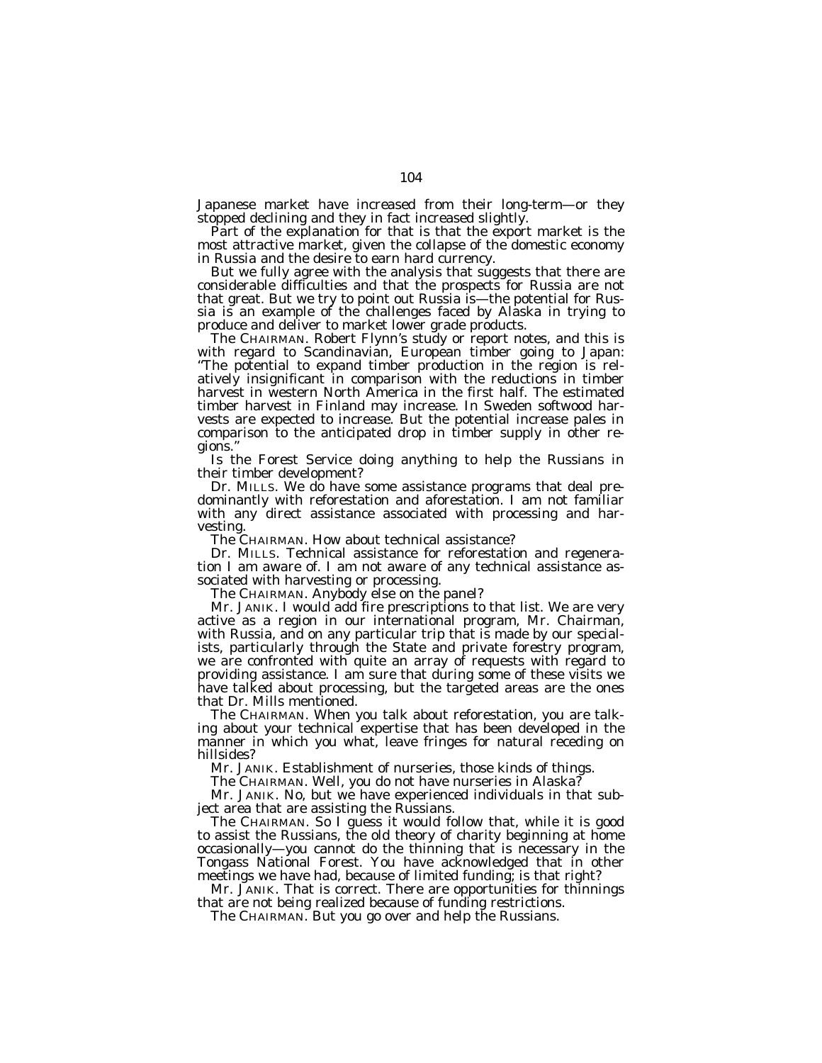Japanese market have increased from their long-term—or they stopped declining and they in fact increased slightly.

Part of the explanation for that is that the export market is the most attractive market, given the collapse of the domestic economy in Russia and the desire to earn hard currency.

But we fully agree with the analysis that suggests that there are considerable difficulties and that the prospects for Russia are not that great. But we try to point out Russia is—the potential for Russia is an example of the challenges faced by Alaska in trying to produce and deliver to market lower grade products.

The CHAIRMAN. Robert Flynn's study or report notes, and this is with regard to Scandinavian, European timber going to Japan: ''The potential to expand timber production in the region is relatively insignificant in comparison with the reductions in timber harvest in western North America in the first half. The estimated timber harvest in Finland may increase. In Sweden softwood harvests are expected to increase. But the potential increase pales in comparison to the anticipated drop in timber supply in other regions.''

Is the Forest Service doing anything to help the Russians in their timber development?

Dr. MILLS. We do have some assistance programs that deal predominantly with reforestation and aforestation. I am not familiar with any direct assistance associated with processing and harvesting.

The CHAIRMAN. How about technical assistance?

Dr. MILLS. Technical assistance for reforestation and regeneration I am aware of. I am not aware of any technical assistance associated with harvesting or processing.

The CHAIRMAN. Anybody else on the panel?

Mr. JANIK. I would add fire prescriptions to that list. We are very active as a region in our international program, Mr. Chairman, with Russia, and on any particular trip that is made by our specialists, particularly through the State and private forestry program, we are confronted with quite an array of requests with regard to providing assistance. I am sure that during some of these visits we have talked about processing, but the targeted areas are the ones that Dr. Mills mentioned.

The CHAIRMAN. When you talk about reforestation, you are talking about your technical expertise that has been developed in the manner in which you what, leave fringes for natural receding on hillsides?

Mr. JANIK. Establishment of nurseries, those kinds of things.

The CHAIRMAN. Well, you do not have nurseries in Alaska?

Mr. JANIK. No, but we have experienced individuals in that subject area that are assisting the Russians.

The CHAIRMAN. So I guess it would follow that, while it is good to assist the Russians, the old theory of charity beginning at home occasionally—you cannot do the thinning that is necessary in the Tongass National Forest. You have acknowledged that in other meetings we have had, because of limited funding; is that right?

Mr. JANIK. That is correct. There are opportunities for thinnings that are not being realized because of funding restrictions.

The CHAIRMAN. But you go over and help the Russians.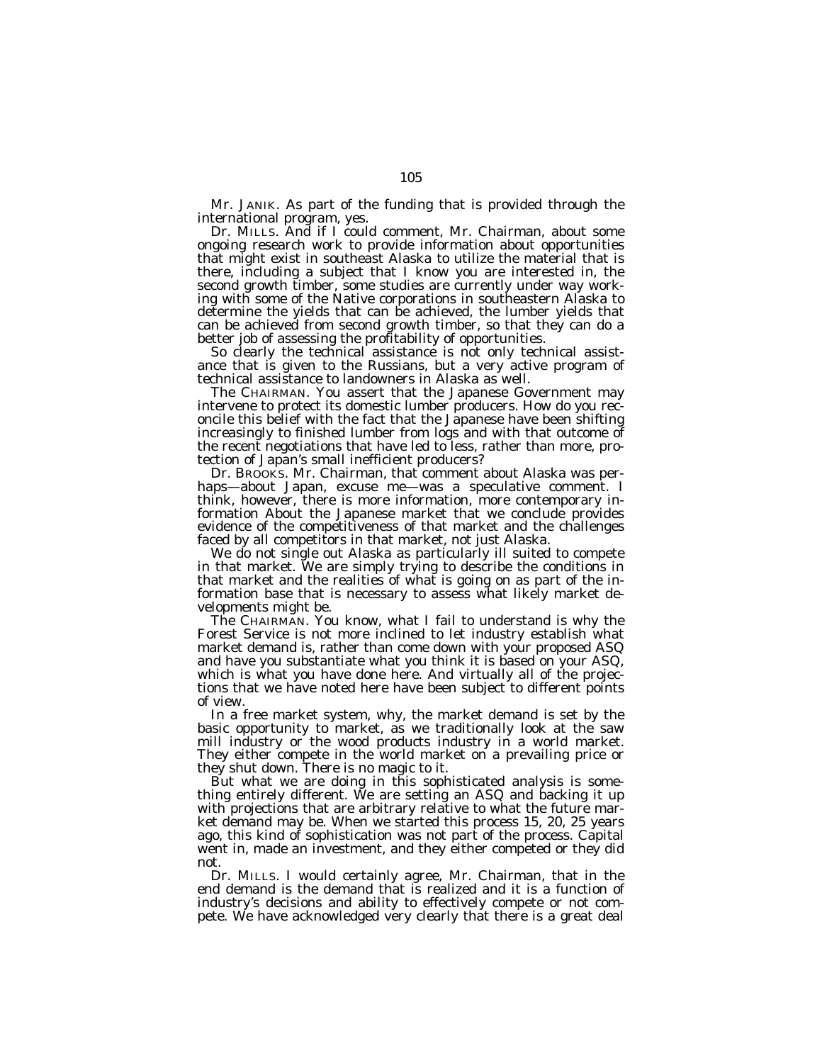Mr. JANIK. As part of the funding that is provided through the international program, yes.

Dr. MILLS. And if I could comment, Mr. Chairman, about some ongoing research work to provide information about opportunities that might exist in southeast Alaska to utilize the material that is there, including a subject that I know you are interested in, the second growth timber, some studies are currently under way working with some of the Native corporations in southeastern Alaska to determine the yields that can be achieved, the lumber yields that can be achieved from second growth timber, so that they can do a better job of assessing the profitability of opportunities.

So clearly the technical assistance is not only technical assistance that is given to the Russians, but a very active program of technical assistance to landowners in Alaska as well.

The CHAIRMAN. You assert that the Japanese Government may intervene to protect its domestic lumber producers. How do you reconcile this belief with the fact that the Japanese have been shifting increasingly to finished lumber from logs and with that outcome of the recent negotiations that have led to less, rather than more, protection of Japan's small inefficient producers?

Dr. BROOKS. Mr. Chairman, that comment about Alaska was perhaps—about Japan, excuse me—was a speculative comment. I think, however, there is more information, more contemporary information About the Japanese market that we conclude provides evidence of the competitiveness of that market and the challenges faced by all competitors in that market, not just Alaska.

We do not single out Alaska as particularly ill suited to compete in that market. We are simply trying to describe the conditions in that market and the realities of what is going on as part of the information base that is necessary to assess what likely market developments might be.

The CHAIRMAN. You know, what I fail to understand is why the Forest Service is not more inclined to let industry establish what market demand is, rather than come down with your proposed ASQ and have you substantiate what you think it is based on your ASQ, which is what you have done here. And virtually all of the projections that we have noted here have been subject to different points of view.

In a free market system, why, the market demand is set by the basic opportunity to market, as we traditionally look at the saw mill industry or the wood products industry in a world market. They either compete in the world market on a prevailing price or they shut down. There is no magic to it.

But what we are doing in this sophisticated analysis is something entirely different. We are setting an ASQ and backing it up with projections that are arbitrary relative to what the future market demand may be. When we started this process 15, 20, 25 years ago, this kind of sophistication was not part of the process. Capital went in, made an investment, and they either competed or they did not.

Dr. MILLS. I would certainly agree, Mr. Chairman, that in the end demand is the demand that is realized and it is a function of industry's decisions and ability to effectively compete or not compete. We have acknowledged very clearly that there is a great deal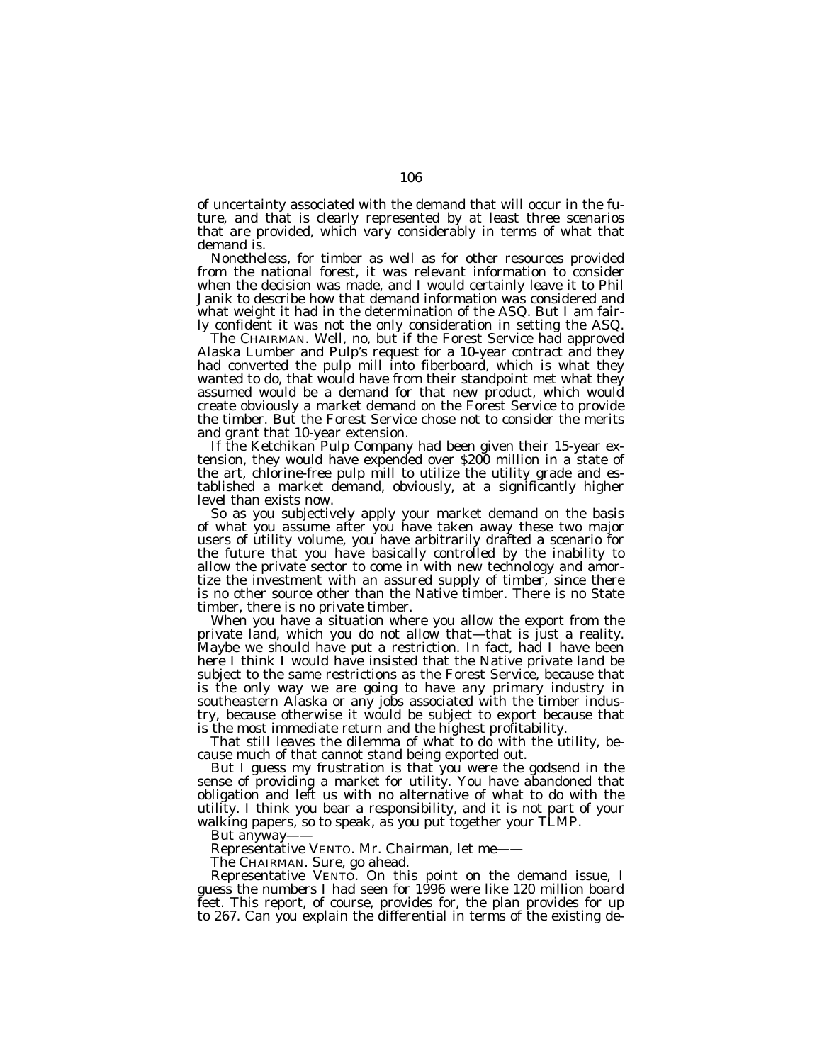of uncertainty associated with the demand that will occur in the future, and that is clearly represented by at least three scenarios that are provided, which vary considerably in terms of what that demand is.

Nonetheless, for timber as well as for other resources provided from the national forest, it was relevant information to consider when the decision was made, and I would certainly leave it to Phil Janik to describe how that demand information was considered and what weight it had in the determination of the ASQ. But I am fairly confident it was not the only consideration in setting the ASQ.

The CHAIRMAN. Well, no, but if the Forest Service had approved Alaska Lumber and Pulp's request for a 10-year contract and they had converted the pulp mill into fiberboard, which is what they wanted to do, that would have from their standpoint met what they assumed would be a demand for that new product, which would create obviously a market demand on the Forest Service to provide the timber. But the Forest Service chose not to consider the merits and grant that 10-year extension.

If the Ketchikan Pulp Company had been given their 15-year extension, they would have expended over \$200 million in a state of the art, chlorine-free pulp mill to utilize the utility grade and established a market demand, obviously, at a significantly higher level than exists now.

So as you subjectively apply your market demand on the basis of what you assume after you have taken away these two major users of utility volume, you have arbitrarily drafted a scenario for the future that you have basically controlled by the inability to allow the private sector to come in with new technology and amortize the investment with an assured supply of timber, since there is no other source other than the Native timber. There is no State timber, there is no private timber.

When you have a situation where you allow the export from the private land, which you do not allow that-that is just a reality. Maybe we should have put a restriction. In fact, had I have been here I think I would have insisted that the Native private land be subject to the same restrictions as the Forest Service, because that is the only way we are going to have any primary industry in southeastern Alaska or any jobs associated with the timber industry, because otherwise it would be subject to export because that is the most immediate return and the highest profitability.

That still leaves the dilemma of what to do with the utility, because much of that cannot stand being exported out.

But I guess my frustration is that you were the godsend in the sense of providing a market for utility. You have abandoned that obligation and left us with no alternative of what to do with the utility. I think you bear a responsibility, and it is not part of your walking papers, so to speak, as you put together your TLMP.

But anyway-

Representative VENTO. Mr. Chairman, let me——

The CHAIRMAN. Sure, go ahead.

Representative VENTO. On this point on the demand issue, I guess the numbers I had seen for 1996 were like 120 million board feet. This report, of course, provides for, the plan provides for up to 267. Can you explain the differential in terms of the existing de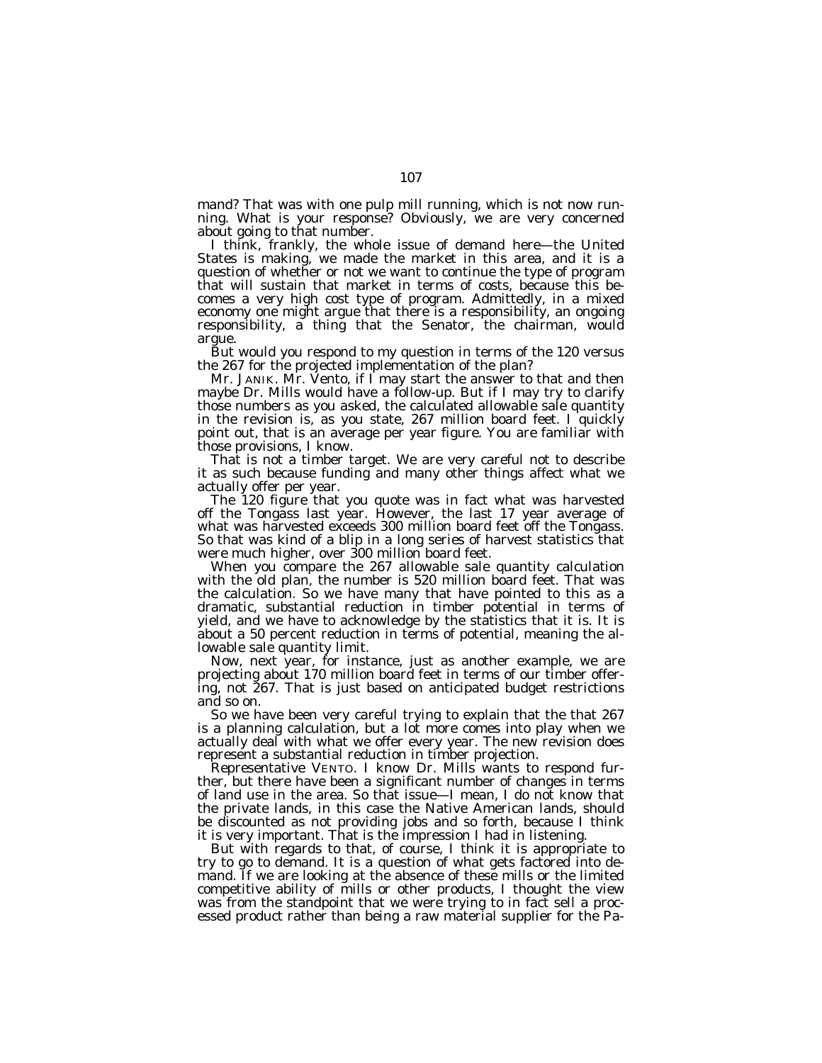mand? That was with one pulp mill running, which is not now running. What is your response? Obviously, we are very concerned about going to that number.

I think, frankly, the whole issue of demand here—the United States is making, we made the market in this area, and it is a question of whether or not we want to continue the type of program that will sustain that market in terms of costs, because this becomes a very high cost type of program. Admittedly, in a mixed economy one might argue that there is a responsibility, an ongoing responsibility, a thing that the Senator, the chairman, would argue.

But would you respond to my question in terms of the 120 versus the 267 for the projected implementation of the plan?

Mr. JANIK. Mr. Vento, if I may start the answer to that and then maybe Dr. Mills would have a follow-up. But if I may try to clarify those numbers as you asked, the calculated allowable sale quantity in the revision is, as you state, 267 million board feet. I quickly point out, that is an average per year figure. You are familiar with those provisions, I know.

That is not a timber target. We are very careful not to describe it as such because funding and many other things affect what we actually offer per year.

The 120 figure that you quote was in fact what was harvested off the Tongass last year. However, the last 17 year average of what was harvested exceeds 300 million board feet off the Tongass. So that was kind of a blip in a long series of harvest statistics that were much higher, over 300 million board feet.

When you compare the 267 allowable sale quantity calculation with the old plan, the number is 520 million board feet. That was the calculation. So we have many that have pointed to this as a dramatic, substantial reduction in timber potential in terms of yield, and we have to acknowledge by the statistics that it is. It is about a 50 percent reduction in terms of potential, meaning the allowable sale quantity limit.

Now, next year, for instance, just as another example, we are projecting about 170 million board feet in terms of our timber offering, not 267. That is just based on anticipated budget restrictions and so on.

So we have been very careful trying to explain that the that 267 is a planning calculation, but a lot more comes into play when we actually deal with what we offer every year. The new revision does represent a substantial reduction in timber projection.

Representative VENTO. I know Dr. Mills wants to respond further, but there have been a significant number of changes in terms of land use in the area. So that issue—I mean, I do not know that the private lands, in this case the Native American lands, should be discounted as not providing jobs and so forth, because I think it is very important. That is the impression I had in listening.

But with regards to that, of course, I think it is appropriate to try to go to demand. It is a question of what gets factored into demand. If we are looking at the absence of these mills or the limited competitive ability of mills or other products, I thought the view was from the standpoint that we were trying to in fact sell a processed product rather than being a raw material supplier for the Pa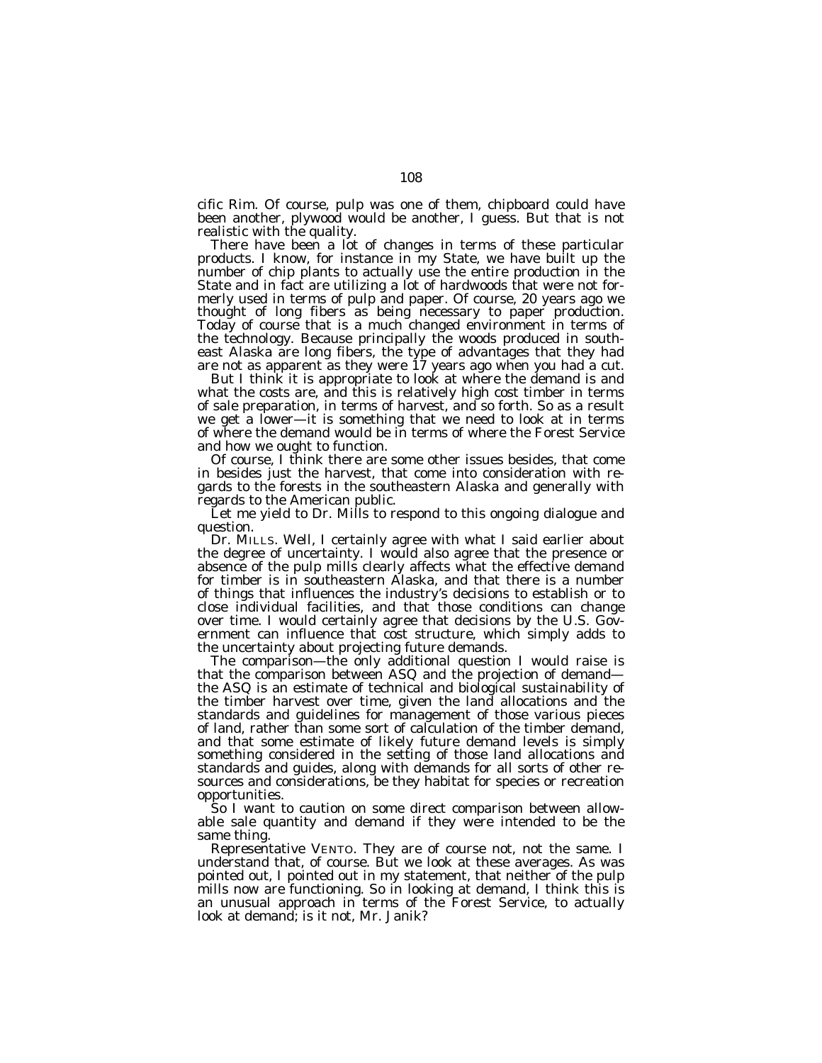cific Rim. Of course, pulp was one of them, chipboard could have been another, plywood would be another, I guess. But that is not realistic with the quality.

There have been a lot of changes in terms of these particular products. I know, for instance in my State, we have built up the number of chip plants to actually use the entire production in the State and in fact are utilizing a lot of hardwoods that were not formerly used in terms of pulp and paper. Of course, 20 years ago we thought of long fibers as being necessary to paper production. Today of course that is a much changed environment in terms of the technology. Because principally the woods produced in southeast Alaska are long fibers, the type of advantages that they had are not as apparent as they were 17 years ago when you had a cut.

But I think it is appropriate to look at where the demand is and what the costs are, and this is relatively high cost timber in terms of sale preparation, in terms of harvest, and so forth. So as a result we get a lower—it is something that we need to look at in terms of where the demand would be in terms of where the Forest Service and how we ought to function.

Of course, I think there are some other issues besides, that come in besides just the harvest, that come into consideration with regards to the forests in the southeastern Alaska and generally with regards to the American public.

Let me yield to Dr. Mills to respond to this ongoing dialogue and question.

Dr. MILLS. Well, I certainly agree with what I said earlier about the degree of uncertainty. I would also agree that the presence or absence of the pulp mills clearly affects what the effective demand for timber is in southeastern Alaska, and that there is a number of things that influences the industry's decisions to establish or to close individual facilities, and that those conditions can change over time. I would certainly agree that decisions by the U.S. Government can influence that cost structure, which simply adds to the uncertainty about projecting future demands.

The comparison—the only additional question I would raise is that the comparison between ASQ and the projection of demand the ASQ is an estimate of technical and biological sustainability of the timber harvest over time, given the land allocations and the standards and guidelines for management of those various pieces of land, rather than some sort of calculation of the timber demand, and that some estimate of likely future demand levels is simply something considered in the setting of those land allocations and standards and guides, along with demands for all sorts of other resources and considerations, be they habitat for species or recreation opportunities.

So I want to caution on some direct comparison between allowable sale quantity and demand if they were intended to be the same thing.

Representative VENTO. They are of course not, not the same. I understand that, of course. But we look at these averages. As was pointed out, I pointed out in my statement, that neither of the pulp mills now are functioning. So in looking at demand, I think this is an unusual approach in terms of the Forest Service, to actually look at demand; is it not, Mr. Janik?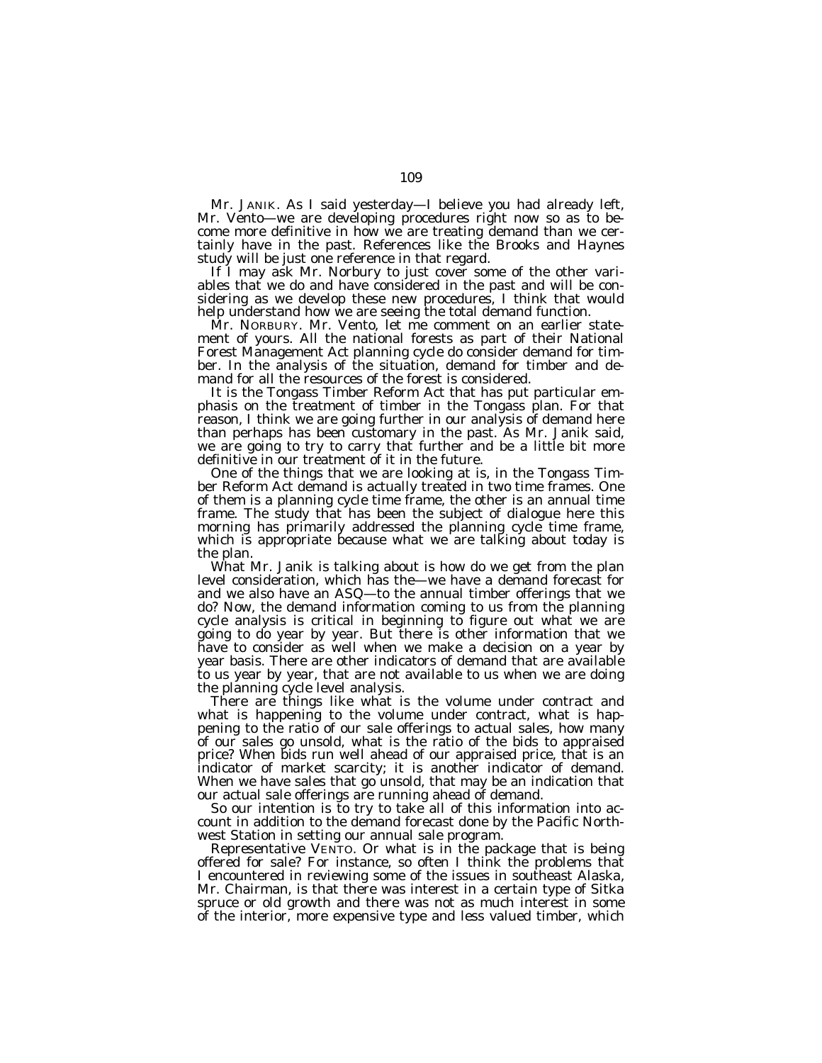Mr. JANIK. As I said yesterday—I believe you had already left, Mr. Vento—we are developing procedures right now so as to become more definitive in how we are treating demand than we certainly have in the past. References like the Brooks and Haynes study will be just one reference in that regard.

If I may ask Mr. Norbury to just cover some of the other variables that we do and have considered in the past and will be considering as we develop these new procedures, I think that would help understand how we are seeing the total demand function.

Mr. NORBURY. Mr. Vento, let me comment on an earlier statement of yours. All the national forests as part of their National Forest Management Act planning cycle do consider demand for timber. In the analysis of the situation, demand for timber and demand for all the resources of the forest is considered.

It is the Tongass Timber Reform Act that has put particular emphasis on the treatment of timber in the Tongass plan. For that reason, I think we are going further in our analysis of demand here than perhaps has been customary in the past. As Mr. Janik said, we are going to try to carry that further and be a little bit more definitive in our treatment of it in the future.

One of the things that we are looking at is, in the Tongass Timber Reform Act demand is actually treated in two time frames. One of them is a planning cycle time frame, the other is an annual time frame. The study that has been the subject of dialogue here this morning has primarily addressed the planning cycle time frame, which is appropriate because what we are talking about today is the plan.

What Mr. Janik is talking about is how do we get from the plan level consideration, which has the—we have a demand forecast for and we also have an ASQ—to the annual timber offerings that we do? Now, the demand information coming to us from the planning cycle analysis is critical in beginning to figure out what we are going to do year by year. But there is other information that we have to consider as well when we make a decision on a year by year basis. There are other indicators of demand that are available to us year by year, that are not available to us when we are doing the planning cycle level analysis.

There are things like what is the volume under contract and what is happening to the volume under contract, what is happening to the ratio of our sale offerings to actual sales, how many of our sales go unsold, what is the ratio of the bids to appraised price? When bids run well ahead of our appraised price, that is an indicator of market scarcity; it is another indicator of demand. When we have sales that go unsold, that may be an indication that our actual sale offerings are running ahead of demand.

So our intention is to try to take all of this information into account in addition to the demand forecast done by the Pacific Northwest Station in setting our annual sale program.

Representative VENTO. Or what is in the package that is being offered for sale? For instance, so often I think the problems that I encountered in reviewing some of the issues in southeast Alaska, Mr. Chairman, is that there was interest in a certain type of Sitka spruce or old growth and there was not as much interest in some of the interior, more expensive type and less valued timber, which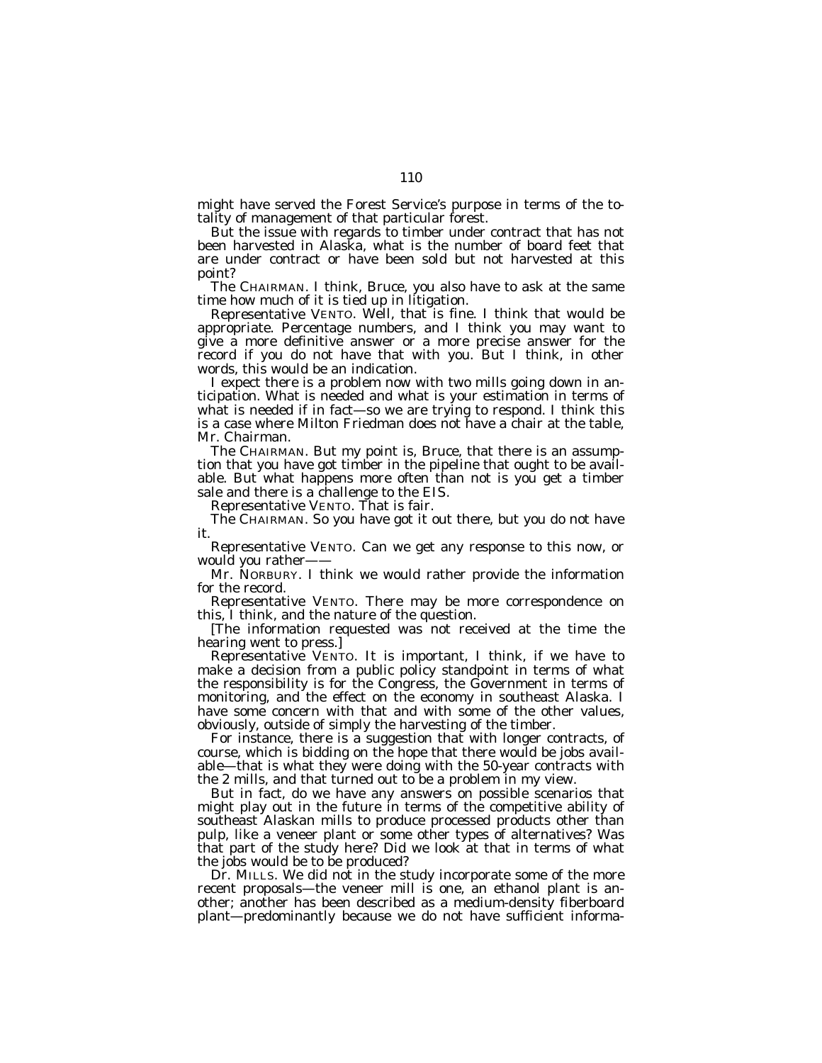might have served the Forest Service's purpose in terms of the totality of management of that particular forest.

But the issue with regards to timber under contract that has not been harvested in Alaska, what is the number of board feet that are under contract or have been sold but not harvested at this point?

The CHAIRMAN. I think, Bruce, you also have to ask at the same time how much of it is tied up in litigation.

Representative VENTO. Well, that is fine. I think that would be appropriate. Percentage numbers, and I think you may want to give a more definitive answer or a more precise answer for the record if you do not have that with you. But I think, in other words, this would be an indication.

I expect there is a problem now with two mills going down in anticipation. What is needed and what is your estimation in terms of what is needed if in fact—so we are trying to respond. I think this is a case where Milton Friedman does not have a chair at the table, Mr. Chairman.

The CHAIRMAN. But my point is, Bruce, that there is an assumption that you have got timber in the pipeline that ought to be available. But what happens more often than not is you get a timber sale and there is a challenge to the EIS.

Representative VENTO. That is fair.

The CHAIRMAN. So you have got it out there, but you do not have it.

Representative VENTO. Can we get any response to this now, or would you rather-

Mr. NORBURY. I think we would rather provide the information for the record.

Representative VENTO. There may be more correspondence on this, I think, and the nature of the question.

[The information requested was not received at the time the hearing went to press.]

Representative VENTO. It is important, I think, if we have to make a decision from a public policy standpoint in terms of what the responsibility is for the Congress, the Government in terms of monitoring, and the effect on the economy in southeast Alaska. I have some concern with that and with some of the other values, obviously, outside of simply the harvesting of the timber.

For instance, there is a suggestion that with longer contracts, of course, which is bidding on the hope that there would be jobs available—that is what they were doing with the 50-year contracts with the 2 mills, and that turned out to be a problem in my view.

But in fact, do we have any answers on possible scenarios that might play out in the future in terms of the competitive ability of southeast Alaskan mills to produce processed products other than pulp, like a veneer plant or some other types of alternatives? Was that part of the study here? Did we look at that in terms of what the jobs would be to be produced?

Dr. MILLS. We did not in the study incorporate some of the more recent proposals—the veneer mill is one, an ethanol plant is another; another has been described as a medium-density fiberboard plant—predominantly because we do not have sufficient informa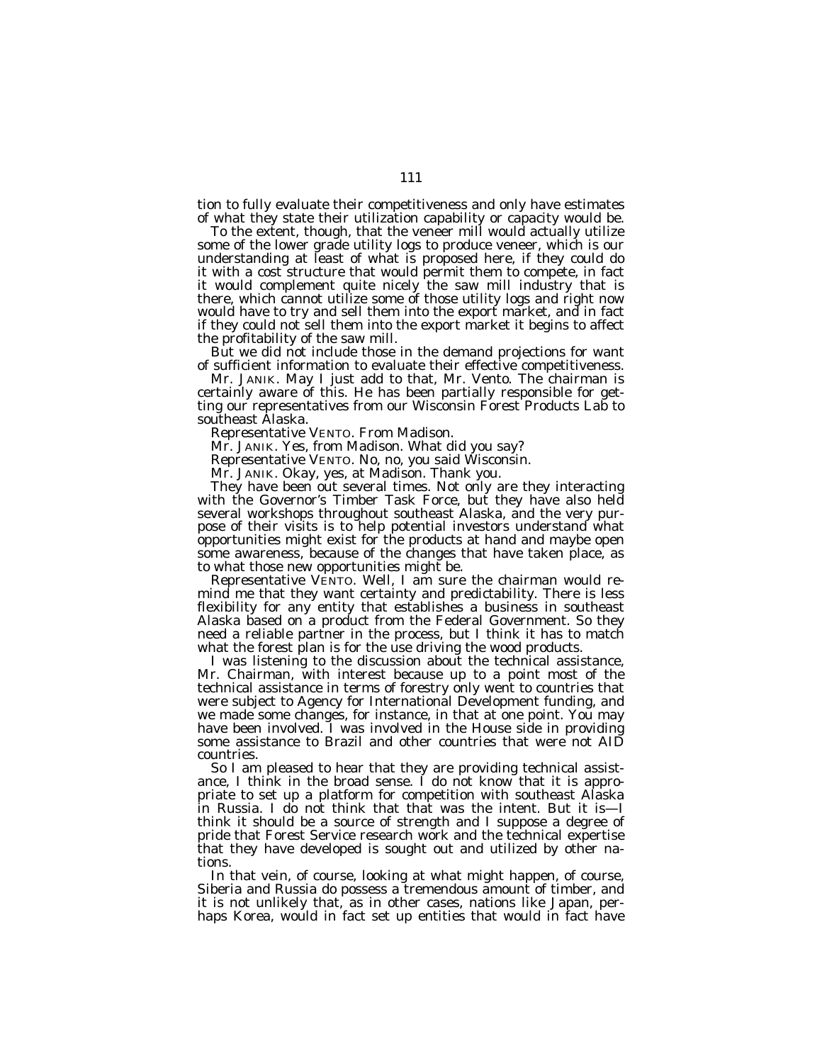tion to fully evaluate their competitiveness and only have estimates of what they state their utilization capability or capacity would be.

To the extent, though, that the veneer mill would actually utilize some of the lower grade utility logs to produce veneer, which is our understanding at least of what is proposed here, if they could do it with a cost structure that would permit them to compete, in fact it would complement quite nicely the saw mill industry that is there, which cannot utilize some of those utility logs and right now would have to try and sell them into the export market, and in fact if they could not sell them into the export market it begins to affect the profitability of the saw mill.

But we did not include those in the demand projections for want of sufficient information to evaluate their effective competitiveness.

Mr. JANIK. May I just add to that, Mr. Vento. The chairman is certainly aware of this. He has been partially responsible for getting our representatives from our Wisconsin Forest Products Lab to southeast Alaska.

Representative VENTO. From Madison.

Mr. JANIK. Yes, from Madison. What did you say?

Representative VENTO. No, no, you said Wisconsin.

Mr. JANIK. Okay, yes, at Madison. Thank you.

They have been out several times. Not only are they interacting with the Governor's Timber Task Force, but they have also held several workshops throughout southeast Alaska, and the very purpose of their visits is to help potential investors understand what opportunities might exist for the products at hand and maybe open some awareness, because of the changes that have taken place, as to what those new opportunities might be.

Representative VENTO. Well, I am sure the chairman would remind me that they want certainty and predictability. There is less flexibility for any entity that establishes a business in southeast Alaska based on a product from the Federal Government. So they need a reliable partner in the process, but I think it has to match what the forest plan is for the use driving the wood products.

I was listening to the discussion about the technical assistance, Mr. Chairman, with interest because up to a point most of the technical assistance in terms of forestry only went to countries that were subject to Agency for International Development funding, and we made some changes, for instance, in that at one point. You may have been involved. I was involved in the House side in providing some assistance to Brazil and other countries that were not AID countries.

So I am pleased to hear that they are providing technical assistance, I think in the broad sense. I do not know that it is appropriate to set up a platform for competition with southeast Alaska in Russia. I do not think that that was the intent. But it is—I think it should be a source of strength and I suppose a degree of pride that Forest Service research work and the technical expertise that they have developed is sought out and utilized by other nations.

In that vein, of course, looking at what might happen, of course, Siberia and Russia do possess a tremendous amount of timber, and it is not unlikely that, as in other cases, nations like Japan, perhaps Korea, would in fact set up entities that would in fact have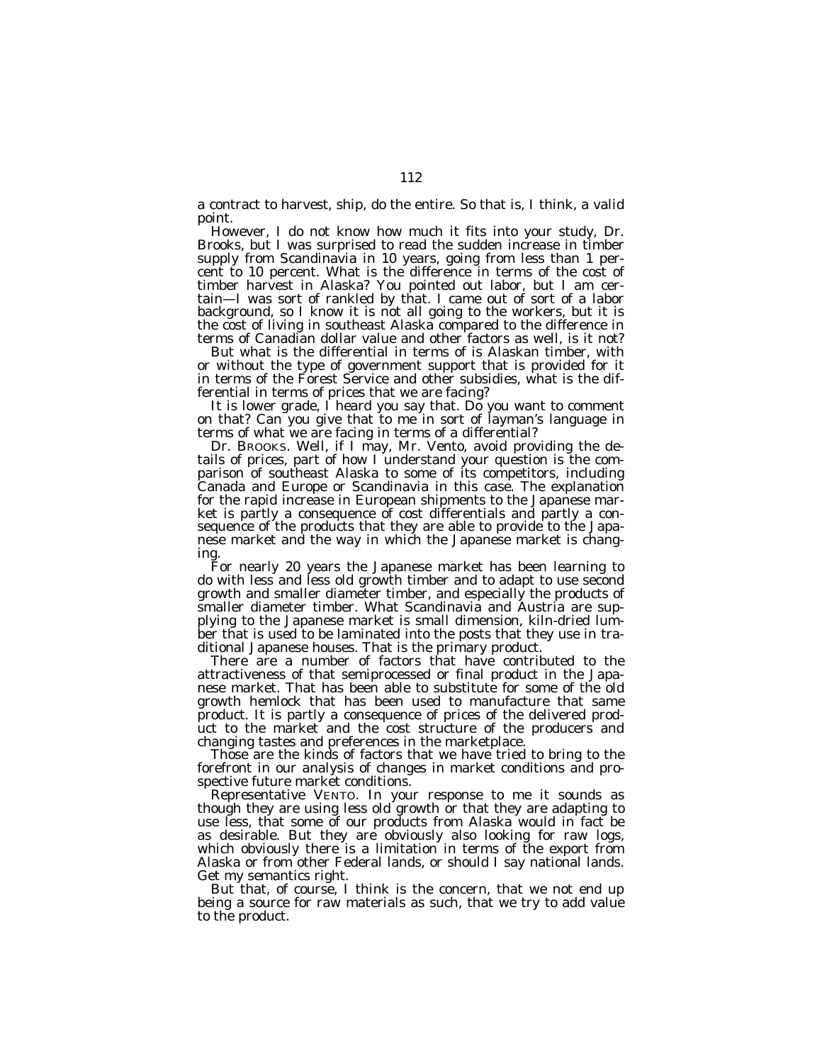a contract to harvest, ship, do the entire. So that is, I think, a valid point.

However, I do not know how much it fits into your study, Dr. Brooks, but I was surprised to read the sudden increase in timber supply from Scandinavia in 10 years, going from less than 1 percent to 10 percent. What is the difference in terms of the cost of timber harvest in Alaska? You pointed out labor, but I am certain—I was sort of rankled by that. I came out of sort of a labor background, so I know it is not all going to the workers, but it is the cost of living in southeast Alaska compared to the difference in terms of Canadian dollar value and other factors as well, is it not?

But what is the differential in terms of is Alaskan timber, with or without the type of government support that is provided for it in terms of the Forest Service and other subsidies, what is the differential in terms of prices that we are facing?

It is lower grade, I heard you say that. Do you want to comment on that? Can you give that to me in sort of layman's language in terms of what we are facing in terms of a differential?

Dr. BROOKS. Well, if I may, Mr. Vento, avoid providing the details of prices, part of how I understand your question is the comparison of southeast Alaska to some of its competitors, including Canada and Europe or Scandinavia in this case. The explanation for the rapid increase in European shipments to the Japanese market is partly a consequence of cost differentials and partly a consequence of the products that they are able to provide to the Japanese market and the way in which the Japanese market is changing.

For nearly 20 years the Japanese market has been learning to do with less and less old growth timber and to adapt to use second growth and smaller diameter timber, and especially the products of smaller diameter timber. What Scandinavia and Austria are supplying to the Japanese market is small dimension, kiln-dried lumber that is used to be laminated into the posts that they use in traditional Japanese houses. That is the primary product.

There are a number of factors that have contributed to the attractiveness of that semiprocessed or final product in the Japanese market. That has been able to substitute for some of the old growth hemlock that has been used to manufacture that same product. It is partly a consequence of prices of the delivered product to the market and the cost structure of the producers and changing tastes and preferences in the marketplace.

Those are the kinds of factors that we have tried to bring to the forefront in our analysis of changes in market conditions and prospective future market conditions.

Representative VENTO. In your response to me it sounds as though they are using less old growth or that they are adapting to use less, that some of our products from Alaska would in fact be as desirable. But they are obviously also looking for raw logs, which obviously there is a limitation in terms of the export from Alaska or from other Federal lands, or should I say national lands. Get my semantics right.

But that, of course, I think is the concern, that we not end up being a source for raw materials as such, that we try to add value to the product.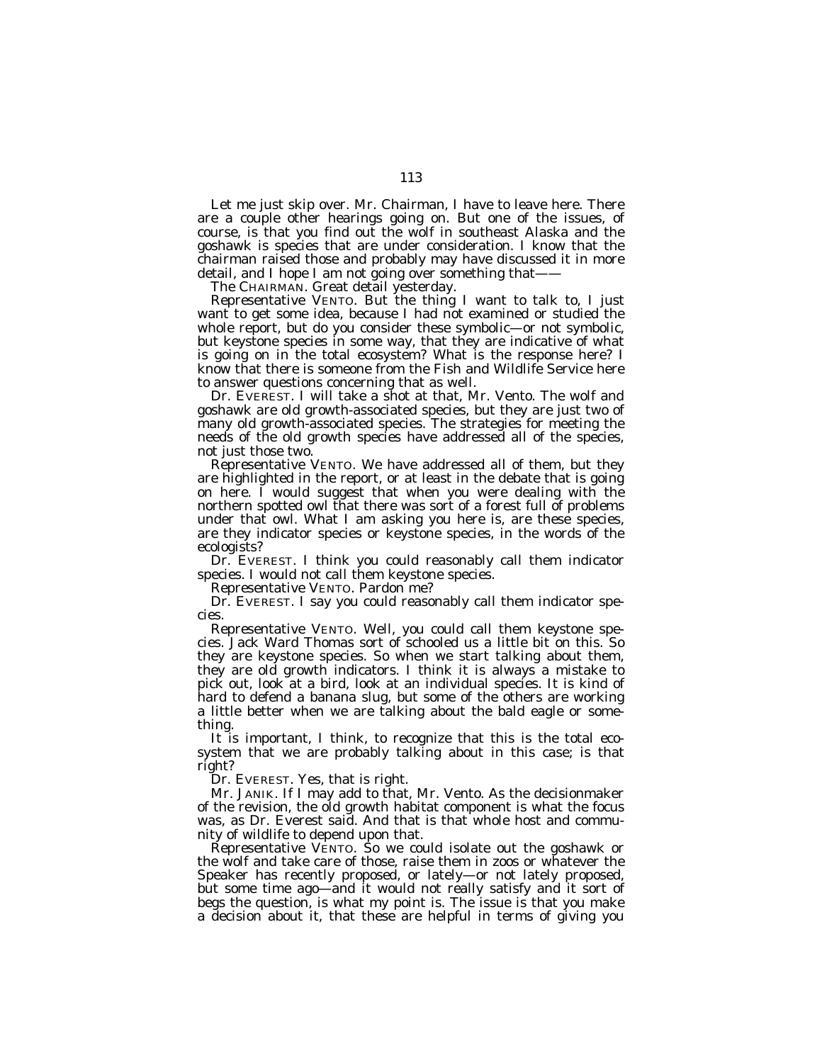Let me just skip over. Mr. Chairman, I have to leave here. There are a couple other hearings going on. But one of the issues, of course, is that you find out the wolf in southeast Alaska and the goshawk is species that are under consideration. I know that the chairman raised those and probably may have discussed it in more detail, and I hope I am not going over something that-

The CHAIRMAN. Great detail yesterday.

Representative VENTO. But the thing I want to talk to, I just want to get some idea, because I had not examined or studied the whole report, but do you consider these symbolic—or not symbolic, but keystone species in some way, that they are indicative of what is going on in the total ecosystem? What is the response here? I know that there is someone from the Fish and Wildlife Service here to answer questions concerning that as well.

Dr. EVEREST. I will take a shot at that, Mr. Vento. The wolf and goshawk are old growth-associated species, but they are just two of many old growth-associated species. The strategies for meeting the needs of the old growth species have addressed all of the species, not just those two.

Representative VENTO. We have addressed all of them, but they are highlighted in the report, or at least in the debate that is going on here. I would suggest that when you were dealing with the northern spotted owl that there was sort of a forest full of problems under that owl. What I am asking you here is, are these species, are they indicator species or keystone species, in the words of the ecologists?

Dr. EVEREST. I think you could reasonably call them indicator species. I would not call them keystone species.

Representative VENTO. Pardon me?

Dr. EVEREST. I say you could reasonably call them indicator species.

Representative VENTO. Well, you could call them keystone species. Jack Ward Thomas sort of schooled us a little bit on this. So they are keystone species. So when we start talking about them, they are old growth indicators. I think it is always a mistake to pick out, look at a bird, look at an individual species. It is kind of hard to defend a banana slug, but some of the others are working a little better when we are talking about the bald eagle or something.

It is important, I think, to recognize that this is the total ecosystem that we are probably talking about in this case; is that right?

Dr. EVEREST. Yes, that is right.

Mr. JANIK. If I may add to that, Mr. Vento. As the decisionmaker of the revision, the old growth habitat component is what the focus was, as Dr. Everest said. And that is that whole host and community of wildlife to depend upon that.

Representative VENTO. So we could isolate out the goshawk or the wolf and take care of those, raise them in zoos or whatever the Speaker has recently proposed, or lately—or not lately proposed, but some time ago—and it would not really satisfy and it sort of begs the question, is what my point is. The issue is that you make a decision about it, that these are helpful in terms of giving you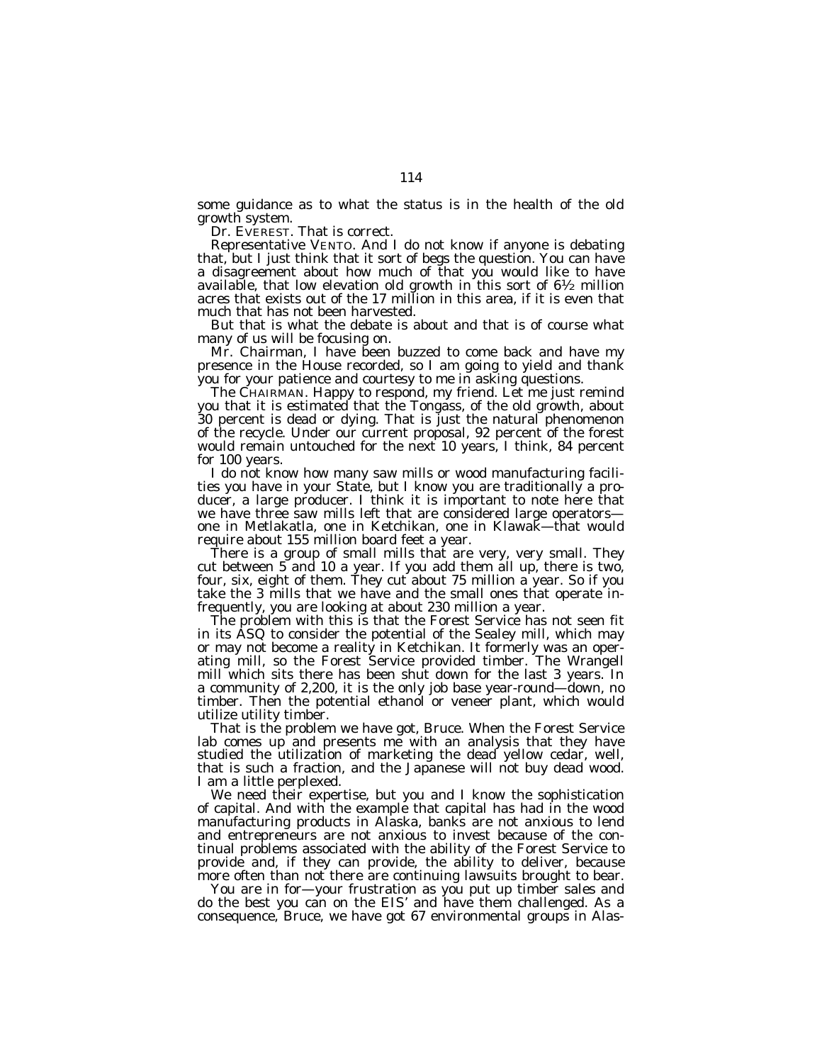some guidance as to what the status is in the health of the old growth system.

Dr. EVEREST. That is correct.

Representative VENTO. And I do not know if anyone is debating that, but I just think that it sort of begs the question. You can have a disagreement about how much of that you would like to have available, that low elevation old growth in this sort of  $6\frac{1}{2}$  million acres that exists out of the 17 million in this area, if it is even that much that has not been harvested.

But that is what the debate is about and that is of course what many of us will be focusing on.

Mr. Chairman, I have been buzzed to come back and have my presence in the House recorded, so I am going to yield and thank you for your patience and courtesy to me in asking questions.

The CHAIRMAN. Happy to respond, my friend. Let me just remind you that it is estimated that the Tongass, of the old growth, about 30 percent is dead or dying. That is just the natural phenomenon of the recycle. Under our current proposal, 92 percent of the forest would remain untouched for the next 10 years, I think, 84 percent for 100 years.

I do not know how many saw mills or wood manufacturing facilities you have in your State, but I know you are traditionally a producer, a large producer. I think it is important to note here that we have three saw mills left that are considered large operators one in Metlakatla, one in Ketchikan, one in Klawak—that would require about 155 million board feet a year.

There is a group of small mills that are very, very small. They cut between 5 and 10 a year. If you add them all up, there is two, four, six, eight of them. They cut about 75 million a year. So if you take the 3 mills that we have and the small ones that operate infrequently, you are looking at about 230 million a year.

The problem with this is that the Forest Service has not seen fit in its ASQ to consider the potential of the Sealey mill, which may or may not become a reality in Ketchikan. It formerly was an operating mill, so the Forest Service provided timber. The Wrangell mill which sits there has been shut down for the last 3 years. In a community of 2,200, it is the only job base year-round—down, no timber. Then the potential ethanol or veneer plant, which would utilize utility timber.

That is the problem we have got, Bruce. When the Forest Service lab comes up and presents me with an analysis that they have studied the utilization of marketing the dead yellow cedar, well, that is such a fraction, and the Japanese will not buy dead wood. I am a little perplexed.

We need their expertise, but you and I know the sophistication of capital. And with the example that capital has had in the wood manufacturing products in Alaska, banks are not anxious to lend and entrepreneurs are not anxious to invest because of the continual problems associated with the ability of the Forest Service to provide and, if they can provide, the ability to deliver, because more often than not there are continuing lawsuits brought to bear.

You are in for—your frustration as you put up timber sales and do the best you can on the EIS' and have them challenged. As a consequence, Bruce, we have got 67 environmental groups in Alas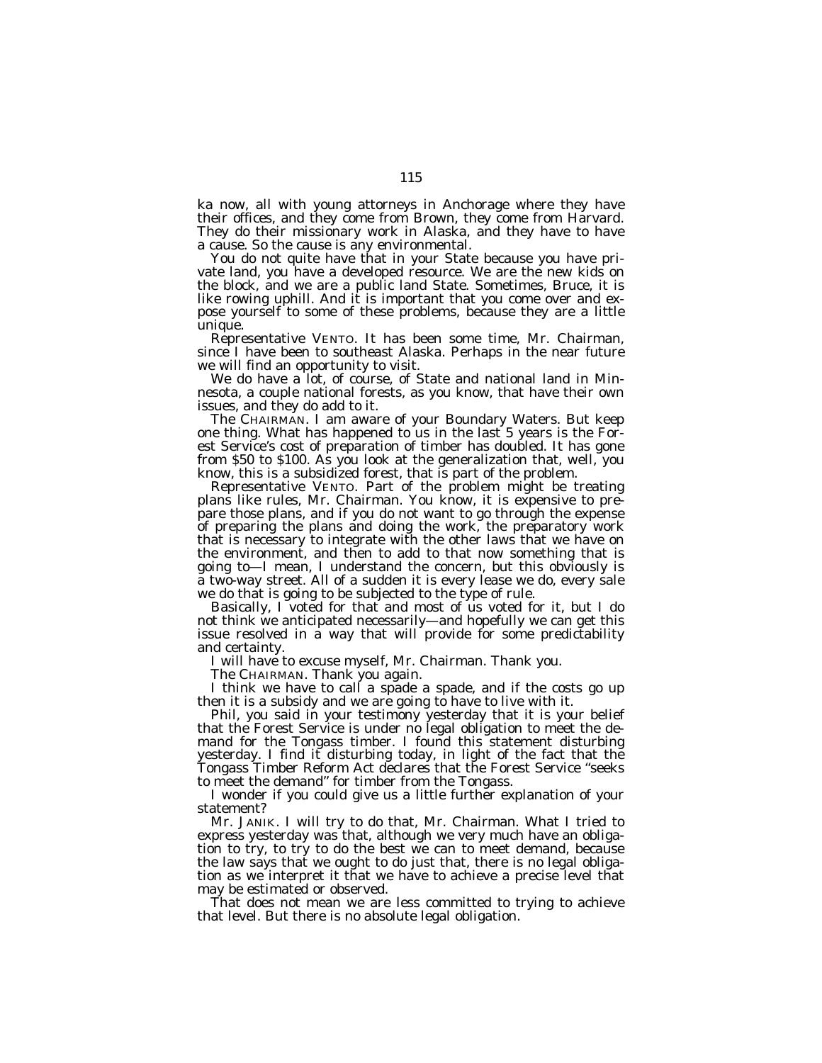ka now, all with young attorneys in Anchorage where they have their offices, and they come from Brown, they come from Harvard. They do their missionary work in Alaska, and they have to have a cause. So the cause is any environmental.

You do not quite have that in your State because you have private land, you have a developed resource. We are the new kids on the block, and we are a public land State. Sometimes, Bruce, it is like rowing uphill. And it is important that you come over and expose yourself to some of these problems, because they are a little unique.

Representative VENTO. It has been some time, Mr. Chairman, since I have been to southeast Alaska. Perhaps in the near future we will find an opportunity to visit.

We do have a lot, of course, of State and national land in Minnesota, a couple national forests, as you know, that have their own issues, and they do add to it.

The CHAIRMAN. I am aware of your Boundary Waters. But keep one thing. What has happened to us in the last 5 years is the Forest Service's cost of preparation of timber has doubled. It has gone from \$50 to \$100. As you look at the generalization that, well, you know, this is a subsidized forest, that is part of the problem.

Representative VENTO. Part of the problem might be treating plans like rules, Mr. Chairman. You know, it is expensive to prepare those plans, and if you do not want to go through the expense of preparing the plans and doing the work, the preparatory work that is necessary to integrate with the other laws that we have on the environment, and then to add to that now something that is going to—I mean, I understand the concern, but this obviously is a two-way street. All of a sudden it is every lease we do, every sale we do that is going to be subjected to the type of rule.

Basically, I voted for that and most of us voted for it, but I do not think we anticipated necessarily—and hopefully we can get this issue resolved in a way that will provide for some predictability and certainty.

I will have to excuse myself, Mr. Chairman. Thank you.

The CHAIRMAN. Thank you again.

I think we have to call a spade a spade, and if the costs go up then it is a subsidy and we are going to have to live with it.

Phil, you said in your testimony yesterday that it is your belief that the Forest Service is under no legal obligation to meet the demand for the Tongass timber. I found this statement disturbing yesterday. I find it disturbing today, in light of the fact that the Tongass Timber Reform Act declares that the Forest Service ''seeks to meet the demand'' for timber from the Tongass.

I wonder if you could give us a little further explanation of your statement?

Mr. JANIK. I will try to do that, Mr. Chairman. What I tried to express yesterday was that, although we very much have an obligation to try, to try to do the best we can to meet demand, because the law says that we ought to do just that, there is no legal obligation as we interpret it that we have to achieve a precise level that may be estimated or observed.

That does not mean we are less committed to trying to achieve that level. But there is no absolute legal obligation.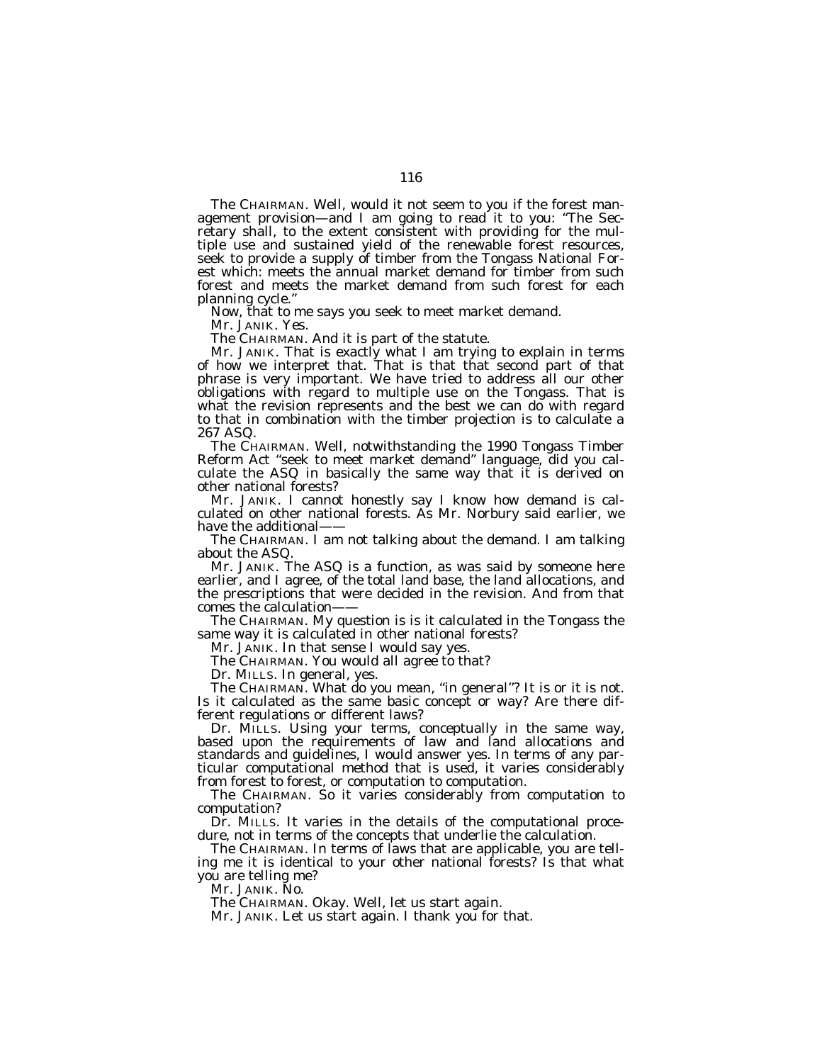The CHAIRMAN. Well, would it not seem to you if the forest management provision—and I am going to read it to you: ''The Secretary shall, to the extent consistent with providing for the multiple use and sustained yield of the renewable forest resources, seek to provide a supply of timber from the Tongass National Forest which: meets the annual market demand for timber from such forest and meets the market demand from such forest for each planning cycle.''

Now, that to me says you seek to meet market demand.

Mr. JANIK. Yes.

The CHAIRMAN. And it is part of the statute.

Mr. JANIK. That is exactly what I am trying to explain in terms of how we interpret that. That is that that second part of that phrase is very important. We have tried to address all our other obligations with regard to multiple use on the Tongass. That is what the revision represents and the best we can do with regard to that in combination with the timber projection is to calculate a 267 ASQ.

The CHAIRMAN. Well, notwithstanding the 1990 Tongass Timber Reform Act ''seek to meet market demand'' language, did you calculate the ASQ in basically the same way that it is derived on other national forests?

Mr. JANIK. I cannot honestly say I know how demand is calculated on other national forests. As Mr. Norbury said earlier, we have the additional-

The CHAIRMAN. I am not talking about the demand. I am talking about the ASQ.

Mr. JANIK. The ASQ is a function, as was said by someone here earlier, and I agree, of the total land base, the land allocations, and the prescriptions that were decided in the revision. And from that comes the calculation——

The CHAIRMAN. My question is is it calculated in the Tongass the same way it is calculated in other national forests?

Mr. JANIK. In that sense I would say yes.

The CHAIRMAN. You would all agree to that?

Dr. MILLS. In general, yes.

The CHAIRMAN. What do you mean, ''in general''? It is or it is not. Is it calculated as the same basic concept or way? Are there different regulations or different laws?

Dr. MILLS. Using your terms, conceptually in the same way, based upon the requirements of law and land allocations and standards and guidelines, I would answer yes. In terms of any particular computational method that is used, it varies considerably from forest to forest, or computation to computation.

The CHAIRMAN. So it varies considerably from computation to computation?

Dr. MILLS. It varies in the details of the computational procedure, not in terms of the concepts that underlie the calculation.

The CHAIRMAN. In terms of laws that are applicable, you are telling me it is identical to your other national forests? Is that what you are telling me?

Mr. JANIK. No.

The CHAIRMAN. Okay. Well, let us start again.

Mr. JANIK. Let us start again. I thank you for that.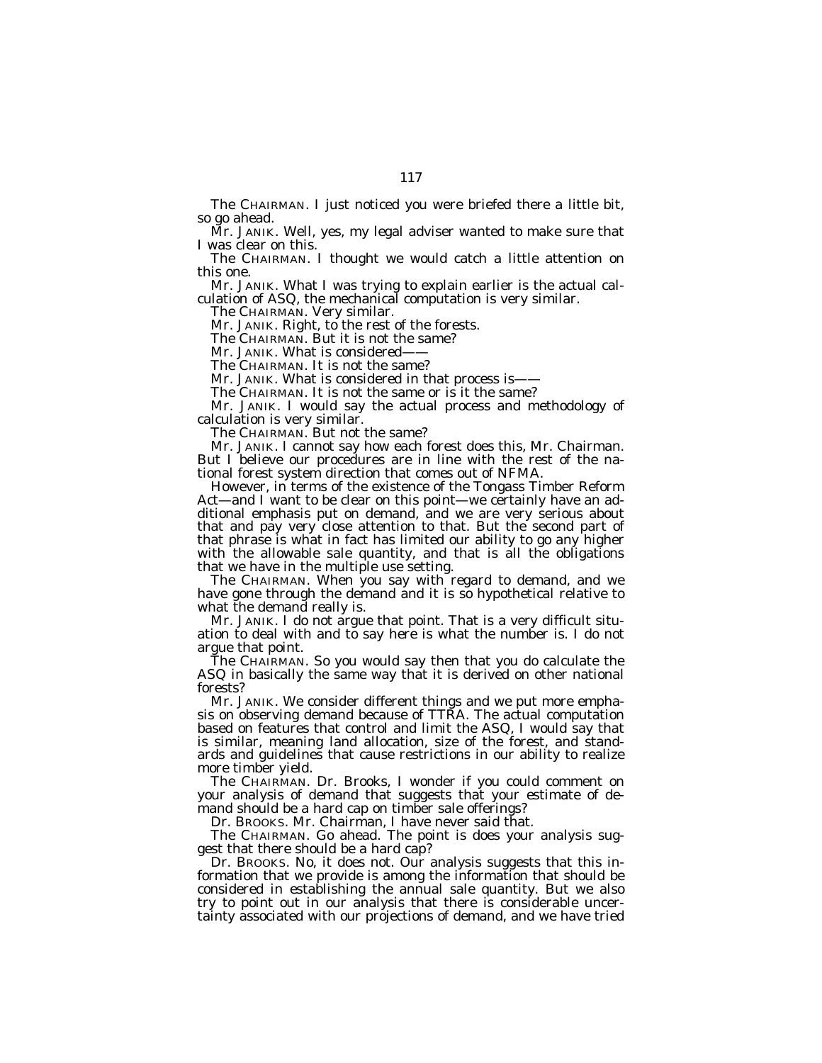The CHAIRMAN. I just noticed you were briefed there a little bit, so go ahead.

Mr. JANIK. Well, yes, my legal adviser wanted to make sure that I was clear on this.

The CHAIRMAN. I thought we would catch a little attention on this one.

Mr. JANIK. What I was trying to explain earlier is the actual calculation of ASQ, the mechanical computation is very similar.

The CHAIRMAN. Very similar.

Mr. JANIK. Right, to the rest of the forests.

The CHAIRMAN. But it is not the same?

Mr. JANIK. What is considered-

The CHAIRMAN. It is not the same?

Mr. JANIK. What is considered in that process is——

The CHAIRMAN. It is not the same or is it the same?

Mr. JANIK. I would say the actual process and methodology of calculation is very similar.

The CHAIRMAN. But not the same?

Mr. JANIK. I cannot say how each forest does this, Mr. Chairman. But I believe our procedures are in line with the rest of the national forest system direction that comes out of NFMA.

However, in terms of the existence of the Tongass Timber Reform Act—and I want to be clear on this point—we certainly have an additional emphasis put on demand, and we are very serious about that and pay very close attention to that. But the second part of that phrase is what in fact has limited our ability to go any higher with the allowable sale quantity, and that is all the obligations that we have in the multiple use setting.

The CHAIRMAN. When you say with regard to demand, and we have gone through the demand and it is so hypothetical relative to what the demand really is.

Mr. JANIK. I do not argue that point. That is a very difficult situation to deal with and to say here is what the number is. I do not argue that point.

The CHAIRMAN. So you would say then that you do calculate the ASQ in basically the same way that it is derived on other national forests?

Mr. JANIK. We consider different things and we put more emphasis on observing demand because of TTRA. The actual computation based on features that control and limit the ASQ, I would say that is similar, meaning land allocation, size of the forest, and standards and guidelines that cause restrictions in our ability to realize more timber yield.

The CHAIRMAN. Dr. Brooks, I wonder if you could comment on your analysis of demand that suggests that your estimate of demand should be a hard cap on timber sale offerings?

Dr. BROOKS. Mr. Chairman, I have never said that.

The CHAIRMAN. Go ahead. The point is does your analysis suggest that there should be a hard cap?

Dr. BROOKS. No, it does not. Our analysis suggests that this information that we provide is among the information that should be considered in establishing the annual sale quantity. But we also try to point out in our analysis that there is considerable uncertainty associated with our projections of demand, and we have tried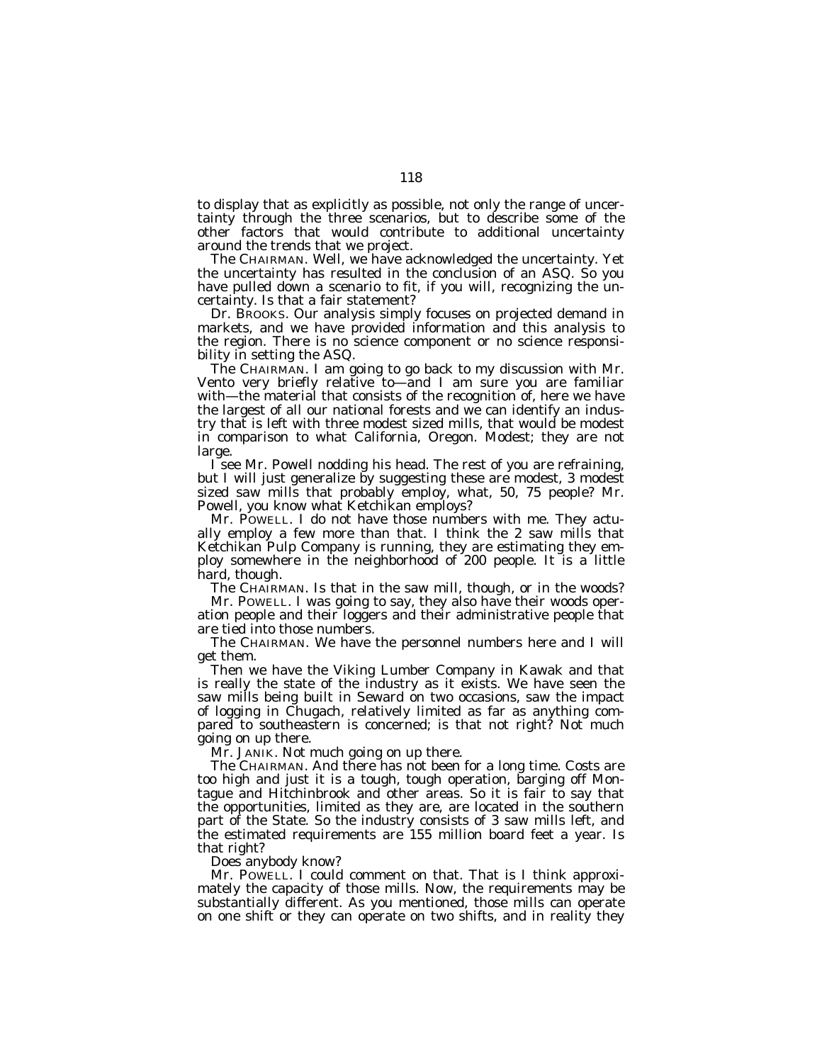to display that as explicitly as possible, not only the range of uncertainty through the three scenarios, but to describe some of the other factors that would contribute to additional uncertainty around the trends that we project.

The CHAIRMAN. Well, we have acknowledged the uncertainty. Yet the uncertainty has resulted in the conclusion of an ASQ. So you have pulled down a scenario to fit, if you will, recognizing the uncertainty. Is that a fair statement?

Dr. BROOKS. Our analysis simply focuses on projected demand in markets, and we have provided information and this analysis to the region. There is no science component or no science responsibility in setting the ASQ.

The CHAIRMAN. I am going to go back to my discussion with Mr. Vento very briefly relative to—and I am sure you are familiar with—the material that consists of the recognition of, here we have the largest of all our national forests and we can identify an industry that is left with three modest sized mills, that would be modest in comparison to what California, Oregon. Modest; they are not large.

I see Mr. Powell nodding his head. The rest of you are refraining, but I will just generalize by suggesting these are modest, 3 modest sized saw mills that probably employ, what, 50, 75 people? Mr. Powell, you know what Ketchikan employs?

Mr. POWELL. I do not have those numbers with me. They actually employ a few more than that. I think the 2 saw mills that Ketchikan Pulp Company is running, they are estimating they employ somewhere in the neighborhood of 200 people. It is a little hard, though.

The CHAIRMAN. Is that in the saw mill, though, or in the woods?

Mr. POWELL. I was going to say, they also have their woods operation people and their loggers and their administrative people that are tied into those numbers.

The CHAIRMAN. We have the personnel numbers here and I will get them.

Then we have the Viking Lumber Company in Kawak and that is really the state of the industry as it exists. We have seen the saw mills being built in Seward on two occasions, saw the impact of logging in Chugach, relatively limited as far as anything compared to southeastern is concerned; is that not right? Not much going on up there.

Mr. JANIK. Not much going on up there.

The CHAIRMAN. And there has not been for a long time. Costs are too high and just it is a tough, tough operation, barging off Montague and Hitchinbrook and other areas. So it is fair to say that the opportunities, limited as they are, are located in the southern part of the State. So the industry consists of 3 saw mills left, and the estimated requirements are 155 million board feet a year. Is that right?

Does anybody know?

Mr. POWELL. I could comment on that. That is I think approximately the capacity of those mills. Now, the requirements may be substantially different. As you mentioned, those mills can operate on one shift or they can operate on two shifts, and in reality they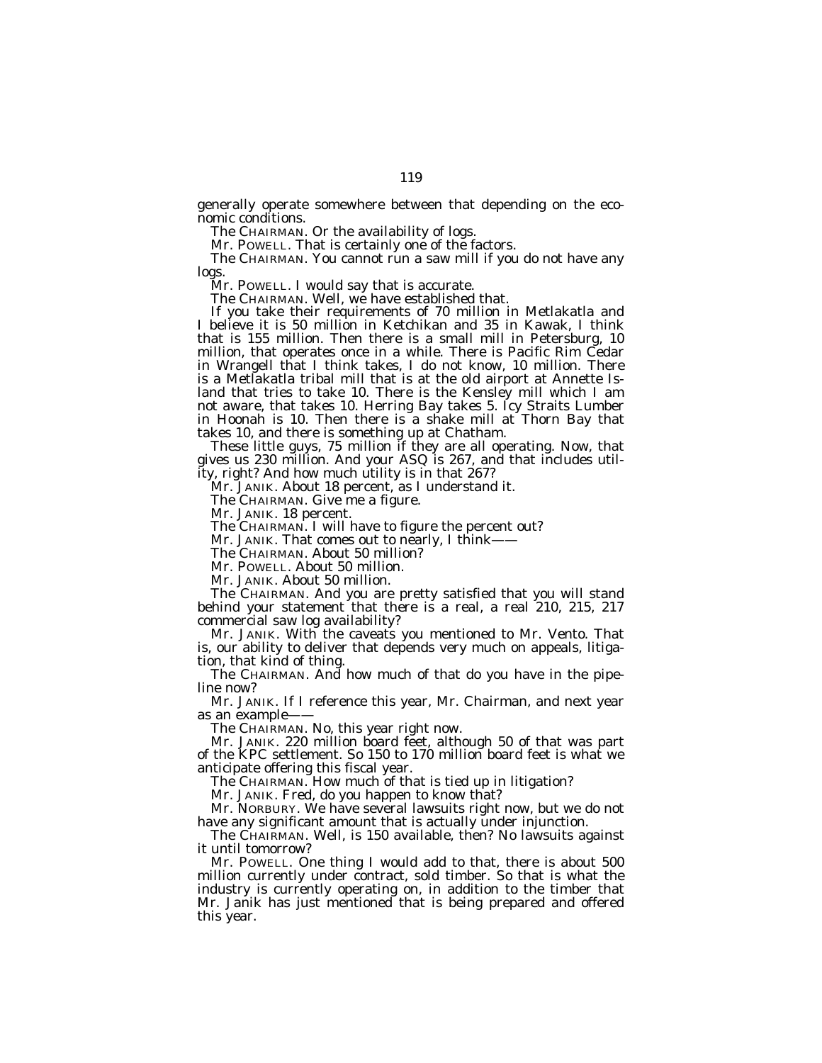generally operate somewhere between that depending on the economic conditions.

The CHAIRMAN. Or the availability of logs.

Mr. POWELL. That is certainly one of the factors.

The CHAIRMAN. You cannot run a saw mill if you do not have any logs.

Mr. POWELL. I would say that is accurate.

The CHAIRMAN. Well, we have established that.

If you take their requirements of 70 million in Metlakatla and I believe it is 50 million in Ketchikan and 35 in Kawak, I think that is 155 million. Then there is a small mill in Petersburg, 10 million, that operates once in a while. There is Pacific Rim Cedar in Wrangell that I think takes, I do not know, 10 million. There is a Metlakatla tribal mill that is at the old airport at Annette Island that tries to take 10. There is the Kensley mill which I am not aware, that takes 10. Herring Bay takes 5. Icy Straits Lumber in Hoonah is 10. Then there is a shake mill at Thorn Bay that takes 10, and there is something up at Chatham.

These little guys, 75 million if they are all operating. Now, that gives us 230 million. And your ASQ is 267, and that includes utility, right? And how much utility is in that 267?

Mr. JANIK. About 18 percent, as I understand it.

The CHAIRMAN. Give me a figure.

Mr. JANIK. 18 percent.

The CHAIRMAN. I will have to figure the percent out?

Mr. JANIK. That comes out to nearly, I think-

The CHAIRMAN. About 50 million?

Mr. POWELL. About 50 million.

Mr. JANIK. About 50 million.

The CHAIRMAN. And you are pretty satisfied that you will stand behind your statement that there is a real, a real 210, 215, 217 commercial saw log availability?

Mr. JANIK. With the caveats you mentioned to Mr. Vento. That is, our ability to deliver that depends very much on appeals, litigation, that kind of thing.

The CHAIRMAN. And how much of that do you have in the pipeline now?

Mr. JANIK. If I reference this year, Mr. Chairman, and next year as an example-

The CHAIRMAN. No, this year right now.

Mr. JANIK. 220 million board feet, although 50 of that was part of the KPC settlement. So 150 to 170 million board feet is what we anticipate offering this fiscal year.

The CHAIRMAN. How much of that is tied up in litigation?

Mr. JANIK. Fred, do you happen to know that?

Mr. NORBURY. We have several lawsuits right now, but we do not have any significant amount that is actually under injunction.

The CHAIRMAN. Well, is 150 available, then? No lawsuits against it until tomorrow?

Mr. POWELL. One thing I would add to that, there is about 500 million currently under contract, sold timber. So that is what the industry is currently operating on, in addition to the timber that Mr. Janik has just mentioned that is being prepared and offered this year.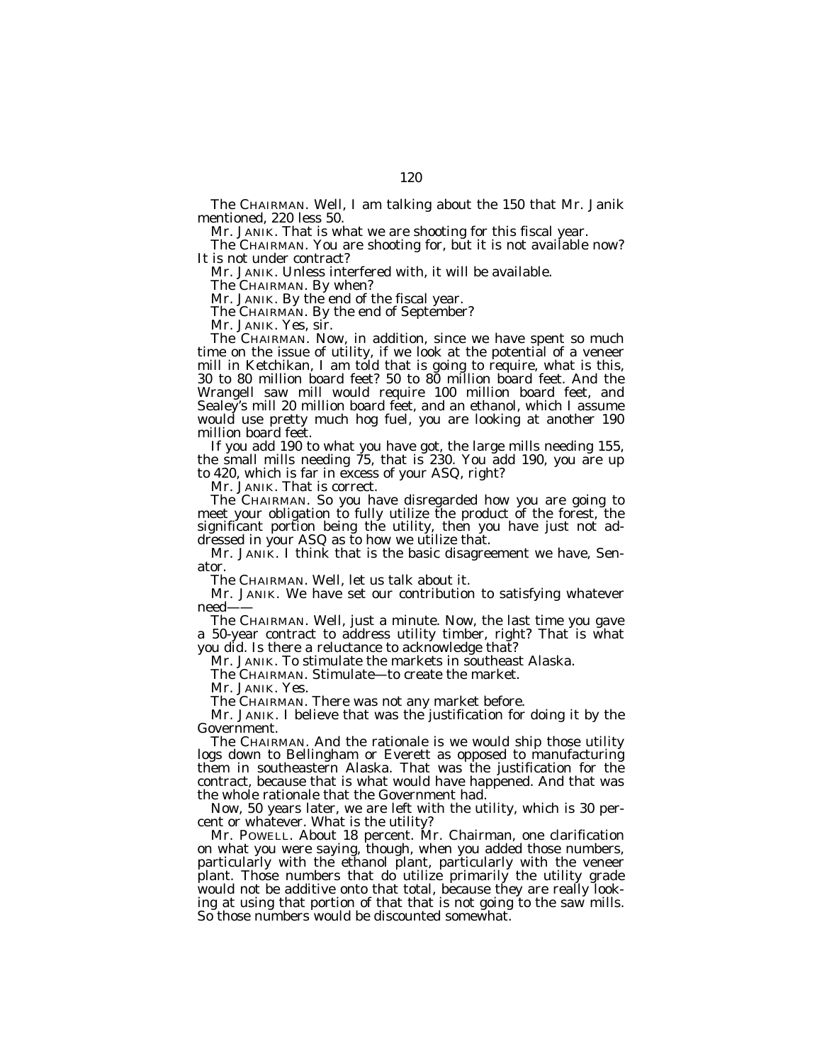The CHAIRMAN. Well, I am talking about the 150 that Mr. Janik mentioned, 220 less 50.

Mr. JANIK. That is what we are shooting for this fiscal year.

The CHAIRMAN. You are shooting for, but it is not available now? It is not under contract?

Mr. JANIK. Unless interfered with, it will be available.

The CHAIRMAN. By when?

Mr. JANIK. By the end of the fiscal year.

The CHAIRMAN. By the end of September?

Mr. JANIK. Yes, sir.

The CHAIRMAN. Now, in addition, since we have spent so much time on the issue of utility, if we look at the potential of a veneer mill in Ketchikan, I am told that is going to require, what is this, 30 to 80 million board feet? 50 to 80 million board feet. And the Wrangell saw mill would require 100 million board feet, and Sealey's mill 20 million board feet, and an ethanol, which I assume would use pretty much hog fuel, you are looking at another 190 million board feet.

If you add 190 to what you have got, the large mills needing 155, the small mills needing 75, that is 230. You add 190, you are up to 420, which is far in excess of your ASQ, right?

Mr. JANIK. That is correct.

The CHAIRMAN. So you have disregarded how you are going to meet your obligation to fully utilize the product of the forest, the significant portion being the utility, then you have just not addressed in your ASQ as to how we utilize that.

Mr. JANIK. I think that is the basic disagreement we have, Senator.

The CHAIRMAN. Well, let us talk about it.

Mr. JANIK. We have set our contribution to satisfying whatever need——

The CHAIRMAN. Well, just a minute. Now, the last time you gave a 50-year contract to address utility timber, right? That is what you did. Is there a reluctance to acknowledge that?

Mr. JANIK. To stimulate the markets in southeast Alaska.

The CHAIRMAN. Stimulate—to create the market.

Mr. JANIK. Yes.

The CHAIRMAN. There was not any market before.

Mr. JANIK. I believe that was the justification for doing it by the Government.

The CHAIRMAN. And the rationale is we would ship those utility logs down to Bellingham or Everett as opposed to manufacturing them in southeastern Alaska. That was the justification for the contract, because that is what would have happened. And that was the whole rationale that the Government had.

Now, 50 years later, we are left with the utility, which is 30 percent or whatever. What is the utility?

Mr. POWELL. About 18 percent. Mr. Chairman, one clarification on what you were saying, though, when you added those numbers, particularly with the ethanol plant, particularly with the veneer plant. Those numbers that do utilize primarily the utility grade would not be additive onto that total, because they are really looking at using that portion of that that is not going to the saw mills. So those numbers would be discounted somewhat.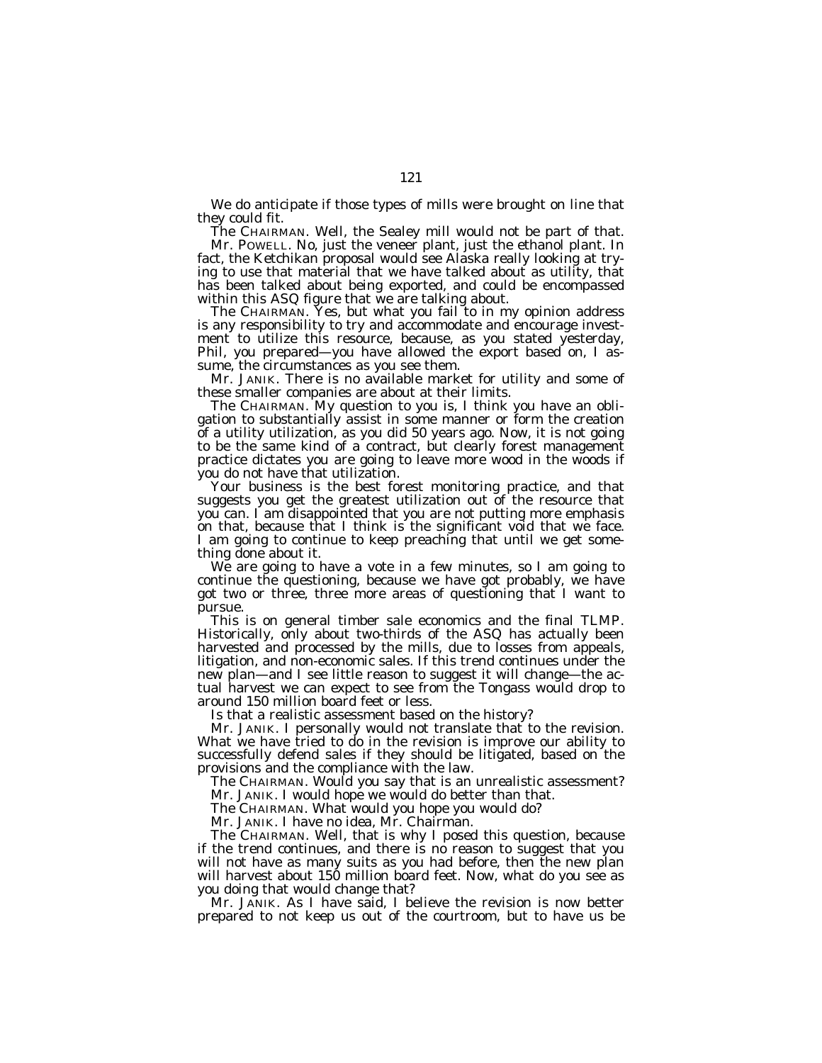We do anticipate if those types of mills were brought on line that they could fit.

The CHAIRMAN. Well, the Sealey mill would not be part of that. Mr. POWELL. No, just the veneer plant, just the ethanol plant. In fact, the Ketchikan proposal would see Alaska really looking at trying to use that material that we have talked about as utility, that has been talked about being exported, and could be encompassed within this ASQ figure that we are talking about.

The CHAIRMAN. Yes, but what you fail to in my opinion address is any responsibility to try and accommodate and encourage investment to utilize this resource, because, as you stated yesterday, Phil, you prepared—you have allowed the export based on, I assume, the circumstances as you see them.

Mr. JANIK. There is no available market for utility and some of these smaller companies are about at their limits.

The CHAIRMAN. My question to you is, I think you have an obligation to substantially assist in some manner or form the creation of a utility utilization, as you did 50 years ago. Now, it is not going to be the same kind of a contract, but clearly forest management practice dictates you are going to leave more wood in the woods if you do not have that utilization.

Your business is the best forest monitoring practice, and that suggests you get the greatest utilization out of the resource that you can. I am disappointed that you are not putting more emphasis on that, because that I think is the significant void that we face. I am going to continue to keep preaching that until we get something done about it.

We are going to have a vote in a few minutes, so I am going to continue the questioning, because we have got probably, we have got two or three, three more areas of questioning that I want to pursue.

This is on general timber sale economics and the final TLMP. Historically, only about two-thirds of the ASQ has actually been harvested and processed by the mills, due to losses from appeals, litigation, and non-economic sales. If this trend continues under the new plan—and I see little reason to suggest it will change—the actual harvest we can expect to see from the Tongass would drop to around 150 million board feet or less.

Is that a realistic assessment based on the history?

Mr. JANIK. I personally would not translate that to the revision. What we have tried to do in the revision is improve our ability to successfully defend sales if they should be litigated, based on the provisions and the compliance with the law.

The CHAIRMAN. Would you say that is an unrealistic assessment?

Mr. JANIK. I would hope we would do better than that.

The CHAIRMAN. What would you hope you would do?

Mr. JANIK. I have no idea, Mr. Chairman.

The CHAIRMAN. Well, that is why I posed this question, because if the trend continues, and there is no reason to suggest that you will not have as many suits as you had before, then the new plan will harvest about 150 million board feet. Now, what do you see as you doing that would change that?

Mr. JANIK. As I have said, I believe the revision is now better prepared to not keep us out of the courtroom, but to have us be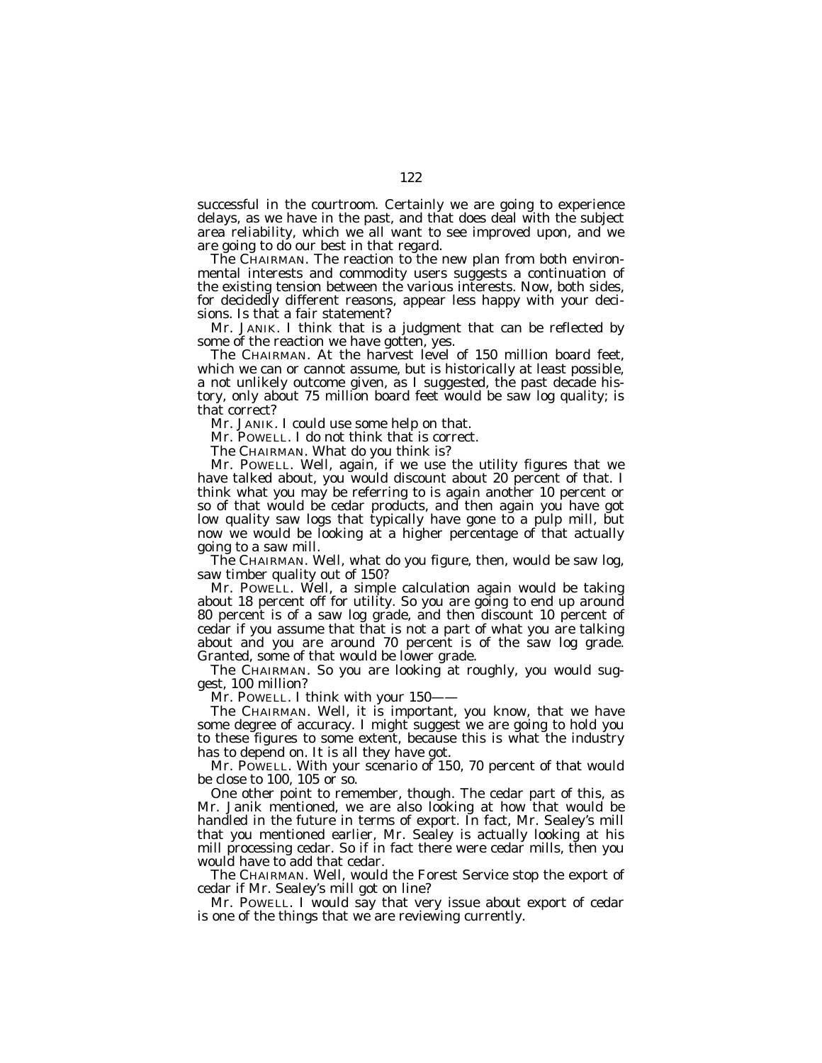successful in the courtroom. Certainly we are going to experience delays, as we have in the past, and that does deal with the subject area reliability, which we all want to see improved upon, and we are going to do our best in that regard.

The CHAIRMAN. The reaction to the new plan from both environmental interests and commodity users suggests a continuation of the existing tension between the various interests. Now, both sides, for decidedly different reasons, appear less happy with your decisions. Is that a fair statement?

Mr. JANIK. I think that is a judgment that can be reflected by some of the reaction we have gotten, yes.

The CHAIRMAN. At the harvest level of 150 million board feet, which we can or cannot assume, but is historically at least possible, a not unlikely outcome given, as I suggested, the past decade history, only about 75 million board feet would be saw log quality; is that correct?

Mr. JANIK. I could use some help on that.

Mr. POWELL. I do not think that is correct.

The CHAIRMAN. What do you think is?

Mr. POWELL. Well, again, if we use the utility figures that we have talked about, you would discount about 20 percent of that. I think what you may be referring to is again another 10 percent or so of that would be cedar products, and then again you have got low quality saw logs that typically have gone to a pulp mill, but now we would be looking at a higher percentage of that actually going to a saw mill.

The CHAIRMAN. Well, what do you figure, then, would be saw log, saw timber quality out of 150?

Mr. POWELL. Well, a simple calculation again would be taking about 18 percent off for utility. So you are going to end up around 80 percent is of a saw log grade, and then discount 10 percent of cedar if you assume that that is not a part of what you are talking about and you are around 70 percent is of the saw log grade. Granted, some of that would be lower grade.

The CHAIRMAN. So you are looking at roughly, you would suggest, 100 million?

Mr. POWELL. I think with your 150—

The CHAIRMAN. Well, it is important, you know, that we have some degree of accuracy. I might suggest we are going to hold you to these figures to some extent, because this is what the industry has to depend on. It is all they have got.

Mr. POWELL. With your scenario of 150, 70 percent of that would be close to 100, 105 or so.

One other point to remember, though. The cedar part of this, as Mr. Janik mentioned, we are also looking at how that would be handled in the future in terms of export. In fact, Mr. Sealey's mill that you mentioned earlier, Mr. Sealey is actually looking at his mill processing cedar. So if in fact there were cedar mills, then you would have to add that cedar.

The CHAIRMAN. Well, would the Forest Service stop the export of cedar if Mr. Sealey's mill got on line?

Mr. POWELL. I would say that very issue about export of cedar is one of the things that we are reviewing currently.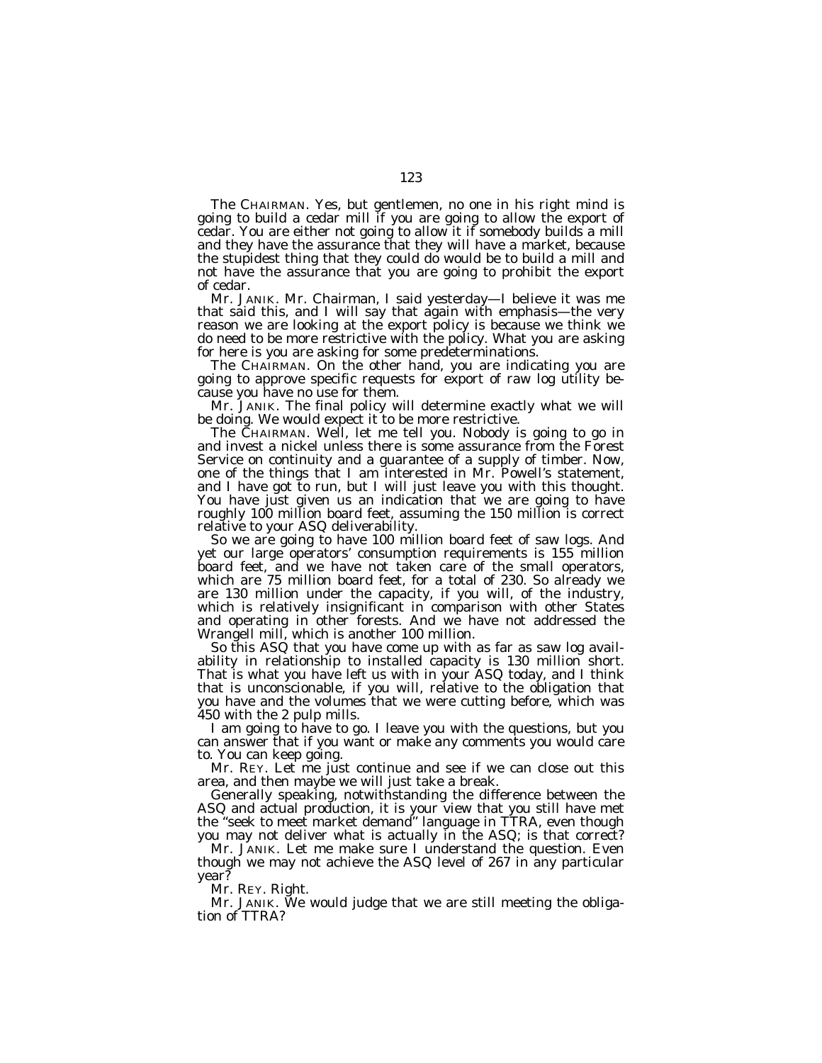The CHAIRMAN. Yes, but gentlemen, no one in his right mind is going to build a cedar mill if you are going to allow the export of cedar. You are either not going to allow it if somebody builds a mill and they have the assurance that they will have a market, because the stupidest thing that they could do would be to build a mill and not have the assurance that you are going to prohibit the export of cedar.

Mr. JANIK. Mr. Chairman, I said yesterday—I believe it was me that said this, and I will say that again with emphasis—the very reason we are looking at the export policy is because we think we do need to be more restrictive with the policy. What you are asking for here is you are asking for some predeterminations.

The CHAIRMAN. On the other hand, you are indicating you are going to approve specific requests for export of raw log utility because you have no use for them.

Mr. JANIK. The final policy will determine exactly what we will be doing. We would expect it to be more restrictive.

The CHAIRMAN. Well, let me tell you. Nobody is going to go in and invest a nickel unless there is some assurance from the Forest Service on continuity and a guarantee of a supply of timber. Now, one of the things that I am interested in Mr. Powell's statement, and I have got to run, but I will just leave you with this thought. You have just given us an indication that we are going to have roughly 100 million board feet, assuming the 150 million is correct relative to your ASQ deliverability.

So we are going to have 100 million board feet of saw logs. And yet our large operators' consumption requirements is 155 million board feet, and we have not taken care of the small operators, which are 75 million board feet, for a total of 230. So already we are 130 million under the capacity, if you will, of the industry, which is relatively insignificant in comparison with other States and operating in other forests. And we have not addressed the Wrangell mill, which is another 100 million.

So this ASQ that you have come up with as far as saw log availability in relationship to installed capacity is 130 million short. That is what you have left us with in your ASQ today, and I think that is unconscionable, if you will, relative to the obligation that you have and the volumes that we were cutting before, which was 450 with the 2 pulp mills.

I am going to have to go. I leave you with the questions, but you can answer that if you want or make any comments you would care to. You can keep going.

Mr. REY. Let me just continue and see if we can close out this area, and then maybe we will just take a break.

Generally speaking, notwithstanding the difference between the ASQ and actual production, it is your view that you still have met the ''seek to meet market demand'' language in TTRA, even though you may not deliver what is actually in the ASQ; is that correct?

Mr. JANIK. Let me make sure I understand the question. Even though we may not achieve the ASQ level of 267 in any particular year?

Mr. REY. Right.

Mr. JANIK. We would judge that we are still meeting the obligation of TTRA?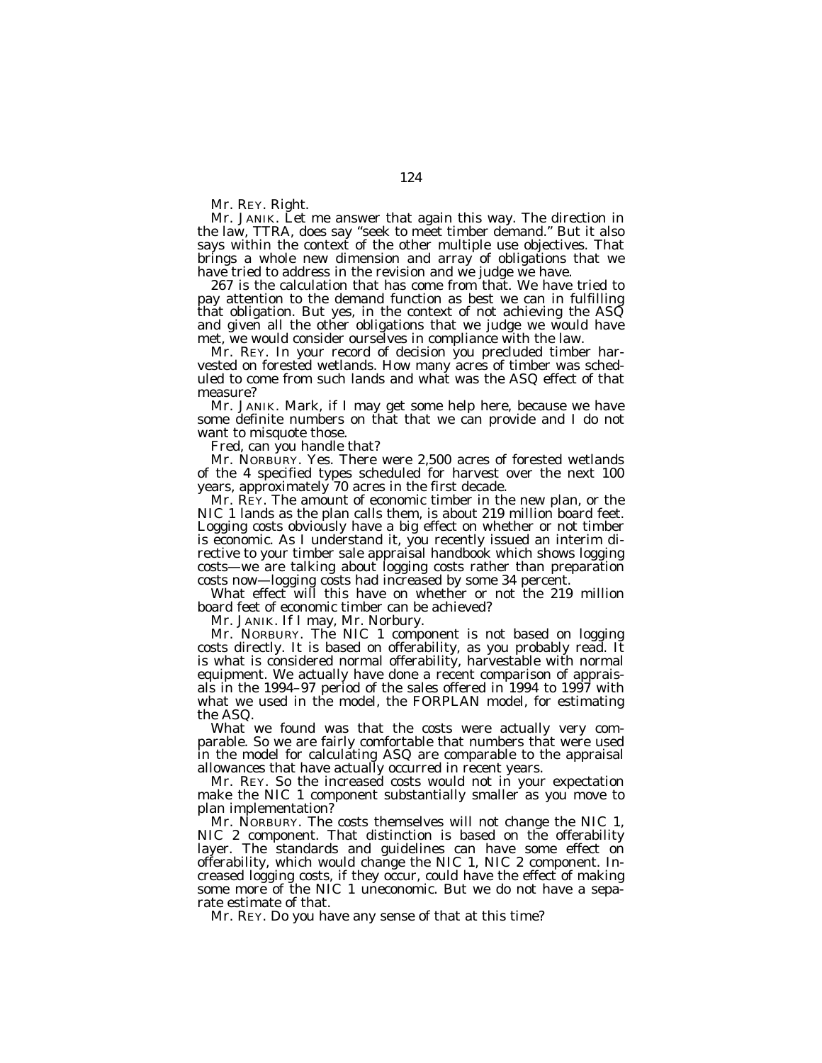Mr. REY. Right.

Mr. JANIK. Let me answer that again this way. The direction in the law, TTRA, does say "seek to meet timber demand." But it also says within the context of the other multiple use objectives. That brings a whole new dimension and array of obligations that we have tried to address in the revision and we judge we have.

267 is the calculation that has come from that. We have tried to pay attention to the demand function as best we can in fulfilling that obligation. But yes, in the context of not achieving the ASQ and given all the other obligations that we judge we would have met, we would consider ourselves in compliance with the law.

Mr. REY. In your record of decision you precluded timber harvested on forested wetlands. How many acres of timber was scheduled to come from such lands and what was the ASQ effect of that measure?

Mr. JANIK. Mark, if I may get some help here, because we have some definite numbers on that that we can provide and I do not want to misquote those.

Fred, can you handle that?

Mr. NORBURY. Yes. There were 2,500 acres of forested wetlands of the 4 specified types scheduled for harvest over the next 100 years, approximately 70 acres in the first decade.

Mr. REY. The amount of economic timber in the new plan, or the NIC 1 lands as the plan calls them, is about 219 million board feet. Logging costs obviously have a big effect on whether or not timber is economic. As I understand it, you recently issued an interim directive to your timber sale appraisal handbook which shows logging costs—we are talking about logging costs rather than preparation costs now—logging costs had increased by some 34 percent.

What effect will this have on whether or not the 219 million board feet of economic timber can be achieved?

Mr. JANIK. If I may, Mr. Norbury.

Mr. NORBURY. The NIC 1 component is not based on logging costs directly. It is based on offerability, as you probably read. It is what is considered normal offerability, harvestable with normal equipment. We actually have done a recent comparison of appraisals in the 1994–97 period of the sales offered in 1994 to 1997 with what we used in the model, the FORPLAN model, for estimating the ASQ.

What we found was that the costs were actually very comparable. So we are fairly comfortable that numbers that were used in the model for calculating ASQ are comparable to the appraisal allowances that have actually occurred in recent years.

Mr. REY. So the increased costs would not in your expectation make the NIC 1 component substantially smaller as you move to plan implementation?

Mr. NORBURY. The costs themselves will not change the NIC 1, NIC 2 component. That distinction is based on the offerability layer. The standards and guidelines can have some effect on offerability, which would change the NIC 1, NIC 2 component. Increased logging costs, if they occur, could have the effect of making some more of the NIC 1 uneconomic. But we do not have a separate estimate of that.

Mr. REY. Do you have any sense of that at this time?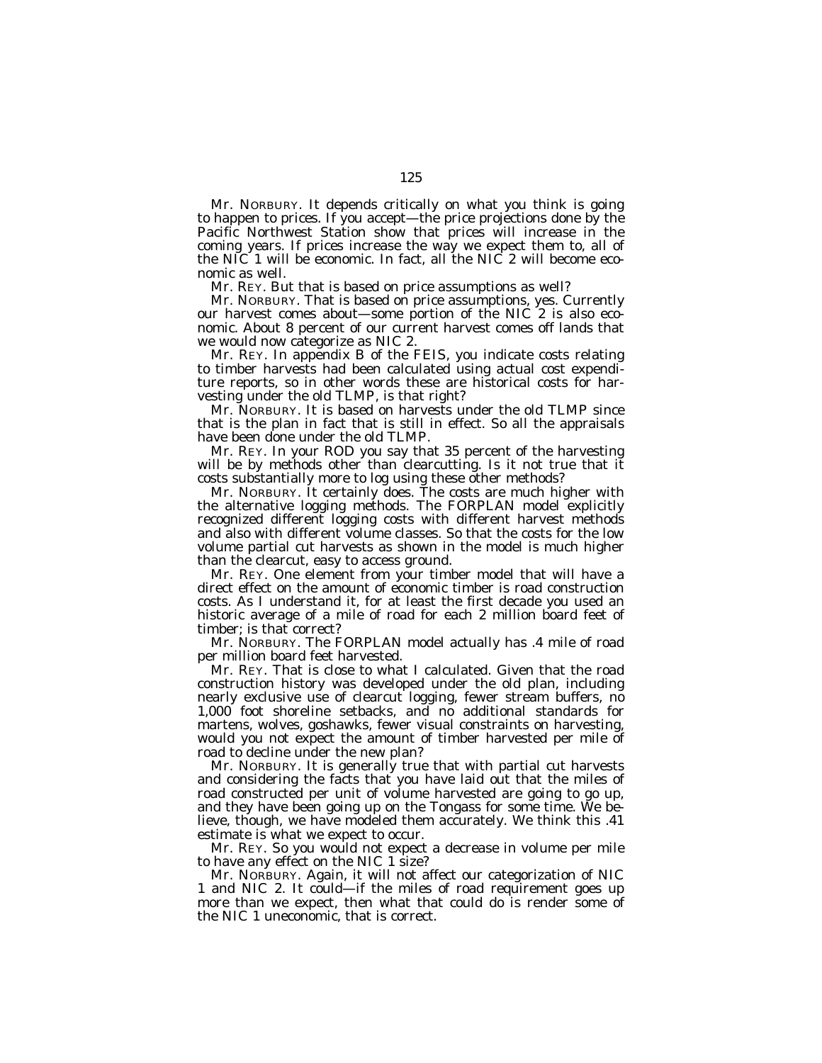Mr. NORBURY. It depends critically on what you think is going to happen to prices. If you accept—the price projections done by the Pacific Northwest Station show that prices will increase in the coming years. If prices increase the way we expect them to, all of the NIC 1 will be economic. In fact, all the NIC 2 will become economic as well.

Mr. REY. But that is based on price assumptions as well?

Mr. NORBURY. That is based on price assumptions, yes. Currently our harvest comes about—some portion of the NIC 2 is also economic. About 8 percent of our current harvest comes off lands that we would now categorize as NIC 2.

Mr. REY. In appendix B of the FEIS, you indicate costs relating to timber harvests had been calculated using actual cost expenditure reports, so in other words these are historical costs for harvesting under the old TLMP, is that right?

Mr. NORBURY. It is based on harvests under the old TLMP since that is the plan in fact that is still in effect. So all the appraisals have been done under the old TLMP.

Mr. REY. In your ROD you say that 35 percent of the harvesting will be by methods other than clearcutting. Is it not true that it costs substantially more to log using these other methods?

Mr. NORBURY. It certainly does. The costs are much higher with the alternative logging methods. The FORPLAN model explicitly recognized different logging costs with different harvest methods and also with different volume classes. So that the costs for the low volume partial cut harvests as shown in the model is much higher than the clearcut, easy to access ground.

Mr. REY. One element from your timber model that will have a direct effect on the amount of economic timber is road construction costs. As I understand it, for at least the first decade you used an historic average of a mile of road for each 2 million board feet of timber; is that correct?

Mr. NORBURY. The FORPLAN model actually has .4 mile of road per million board feet harvested.

Mr. REY. That is close to what I calculated. Given that the road construction history was developed under the old plan, including nearly exclusive use of clearcut logging, fewer stream buffers, no 1,000 foot shoreline setbacks, and no additional standards for martens, wolves, goshawks, fewer visual constraints on harvesting, would you not expect the amount of timber harvested per mile of road to decline under the new plan?

Mr. NORBURY. It is generally true that with partial cut harvests and considering the facts that you have laid out that the miles of road constructed per unit of volume harvested are going to go up, and they have been going up on the Tongass for some time. We believe, though, we have modeled them accurately. We think this .41 estimate is what we expect to occur.

Mr. REY. So you would not expect a decrease in volume per mile to have any effect on the NIC 1 size?

Mr. NORBURY. Again, it will not affect our categorization of NIC 1 and NIC 2. It could—if the miles of road requirement goes up more than we expect, then what that could do is render some of the NIC 1 uneconomic, that is correct.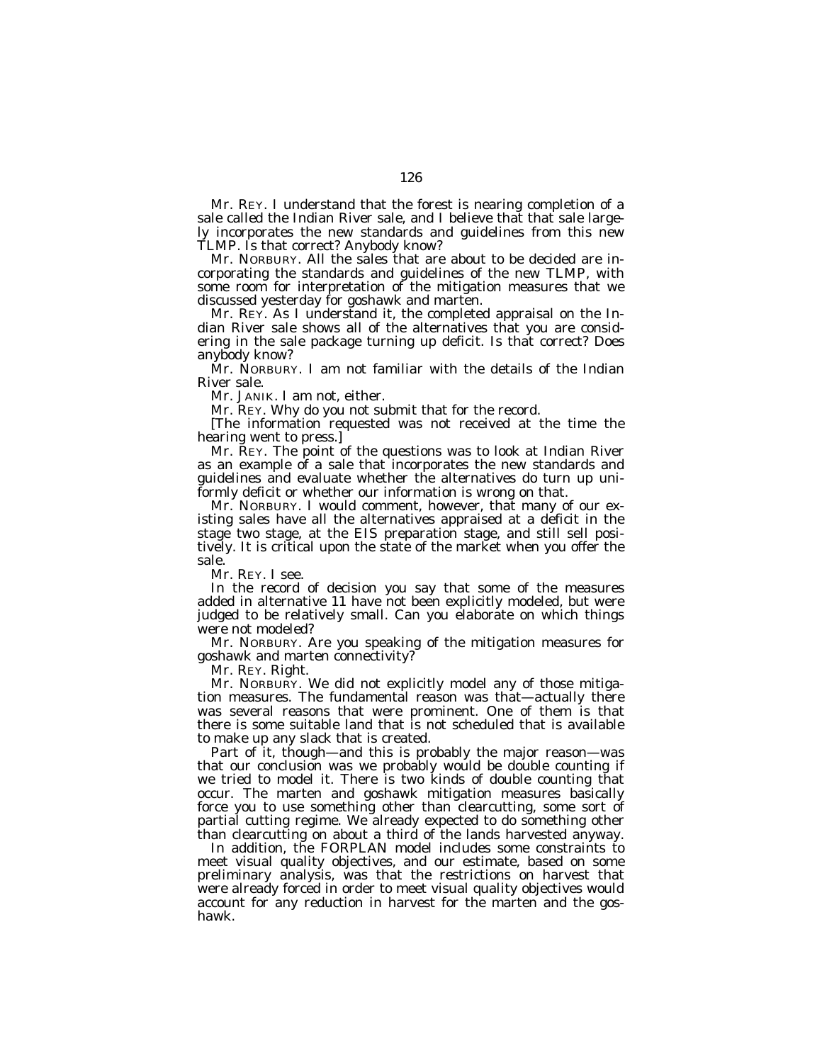Mr. REY. I understand that the forest is nearing completion of a sale called the Indian River sale, and I believe that that sale largely incorporates the new standards and guidelines from this new TLMP. Is that correct? Anybody know?

Mr. NORBURY. All the sales that are about to be decided are incorporating the standards and guidelines of the new TLMP, with some room for interpretation of the mitigation measures that we discussed yesterday for goshawk and marten.

Mr. REY. As I understand it, the completed appraisal on the Indian River sale shows all of the alternatives that you are considering in the sale package turning up deficit. Is that correct? Does anybody know?

Mr. NORBURY. I am not familiar with the details of the Indian River sale.

Mr. JANIK. I am not, either.

Mr. REY. Why do you not submit that for the record.

[The information requested was not received at the time the hearing went to press.]

Mr. REY. The point of the questions was to look at Indian River as an example of a sale that incorporates the new standards and guidelines and evaluate whether the alternatives do turn up uniformly deficit or whether our information is wrong on that.

Mr. NORBURY. I would comment, however, that many of our existing sales have all the alternatives appraised at a deficit in the stage two stage, at the EIS preparation stage, and still sell positively. It is critical upon the state of the market when you offer the sale.

Mr. REY. I see.

In the record of decision you say that some of the measures added in alternative 11 have not been explicitly modeled, but were judged to be relatively small. Can you elaborate on which things were not modeled?

Mr. NORBURY. Are you speaking of the mitigation measures for goshawk and marten connectivity?

Mr. REY. Right.

Mr. NORBURY. We did not explicitly model any of those mitigation measures. The fundamental reason was that—actually there was several reasons that were prominent. One of them is that there is some suitable land that is not scheduled that is available to make up any slack that is created.

Part of it, though—and this is probably the major reason—was that our conclusion was we probably would be double counting if we tried to model it. There is two kinds of double counting that occur. The marten and goshawk mitigation measures basically force you to use something other than clearcutting, some sort of partial cutting regime. We already expected to do something other than clearcutting on about a third of the lands harvested anyway.

In addition, the FORPLAN model includes some constraints to meet visual quality objectives, and our estimate, based on some preliminary analysis, was that the restrictions on harvest that were already forced in order to meet visual quality objectives would account for any reduction in harvest for the marten and the goshawk.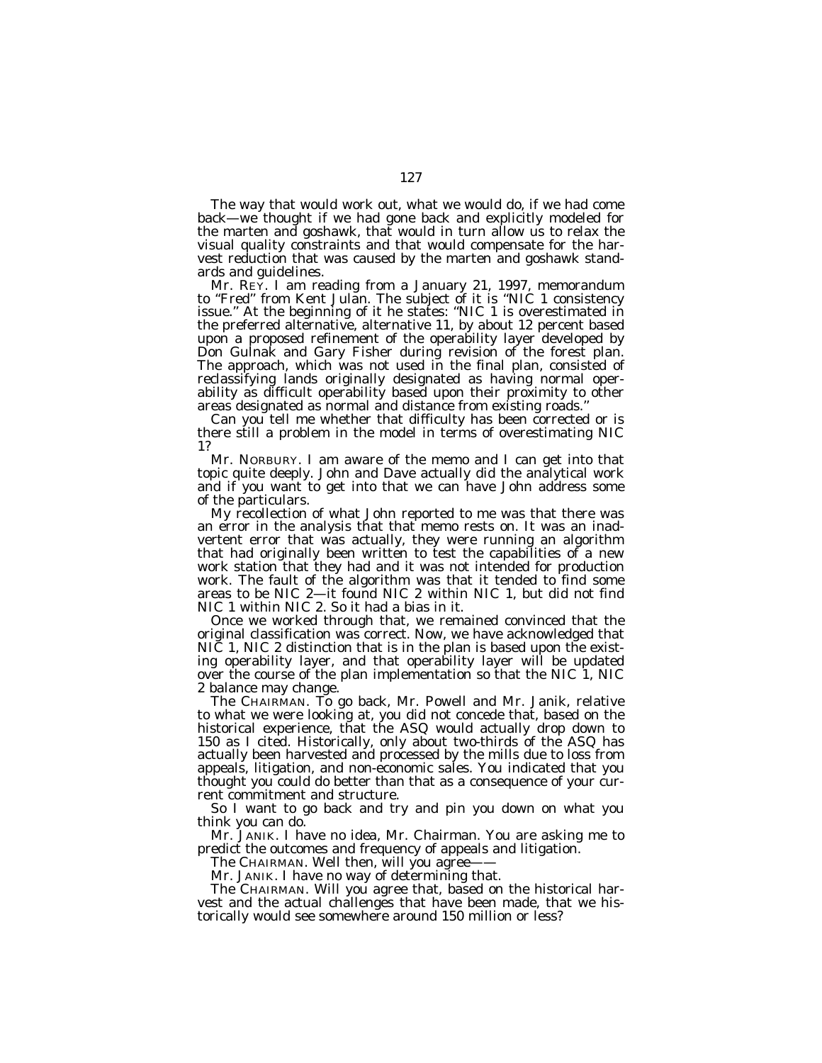The way that would work out, what we would do, if we had come back—we thought if we had gone back and explicitly modeled for the marten and goshawk, that would in turn allow us to relax the visual quality constraints and that would compensate for the harvest reduction that was caused by the marten and goshawk standards and guidelines.

Mr. REY. I am reading from a January 21, 1997, memorandum to "Fred" from Kent Julan. The subject of it is "NIC 1 consistency issue.'' At the beginning of it he states: ''NIC 1 is overestimated in the preferred alternative, alternative 11, by about 12 percent based upon a proposed refinement of the operability layer developed by Don Gulnak and Gary Fisher during revision of the forest plan. The approach, which was not used in the final plan, consisted of reclassifying lands originally designated as having normal operability as difficult operability based upon their proximity to other areas designated as normal and distance from existing roads.''

Can you tell me whether that difficulty has been corrected or is there still a problem in the model in terms of overestimating NIC 1?

Mr. NORBURY. I am aware of the memo and I can get into that topic quite deeply. John and Dave actually did the analytical work and if you want to get into that we can have John address some of the particulars.

My recollection of what John reported to me was that there was an error in the analysis that that memo rests on. It was an inadvertent error that was actually, they were running an algorithm that had originally been written to test the capabilities of a new work station that they had and it was not intended for production work. The fault of the algorithm was that it tended to find some areas to be NIC 2—it found NIC 2 within NIC 1, but did not find NIC 1 within NIC 2. So it had a bias in it.

Once we worked through that, we remained convinced that the original classification was correct. Now, we have acknowledged that NIC 1, NIC 2 distinction that is in the plan is based upon the existing operability layer, and that operability layer will be updated over the course of the plan implementation so that the NIC 1, NIC 2 balance may change.

The CHAIRMAN. To go back, Mr. Powell and Mr. Janik, relative to what we were looking at, you did not concede that, based on the historical experience, that the ASQ would actually drop down to 150 as I cited. Historically, only about two-thirds of the ASQ has actually been harvested and processed by the mills due to loss from appeals, litigation, and non-economic sales. You indicated that you thought you could do better than that as a consequence of your current commitment and structure.

So I want to go back and try and pin you down on what you think you can do.

Mr. JANIK. I have no idea, Mr. Chairman. You are asking me to predict the outcomes and frequency of appeals and litigation.

The CHAIRMAN. Well then, will you agree-

Mr. JANIK. I have no way of determining that.

The CHAIRMAN. Will you agree that, based on the historical harvest and the actual challenges that have been made, that we historically would see somewhere around 150 million or less?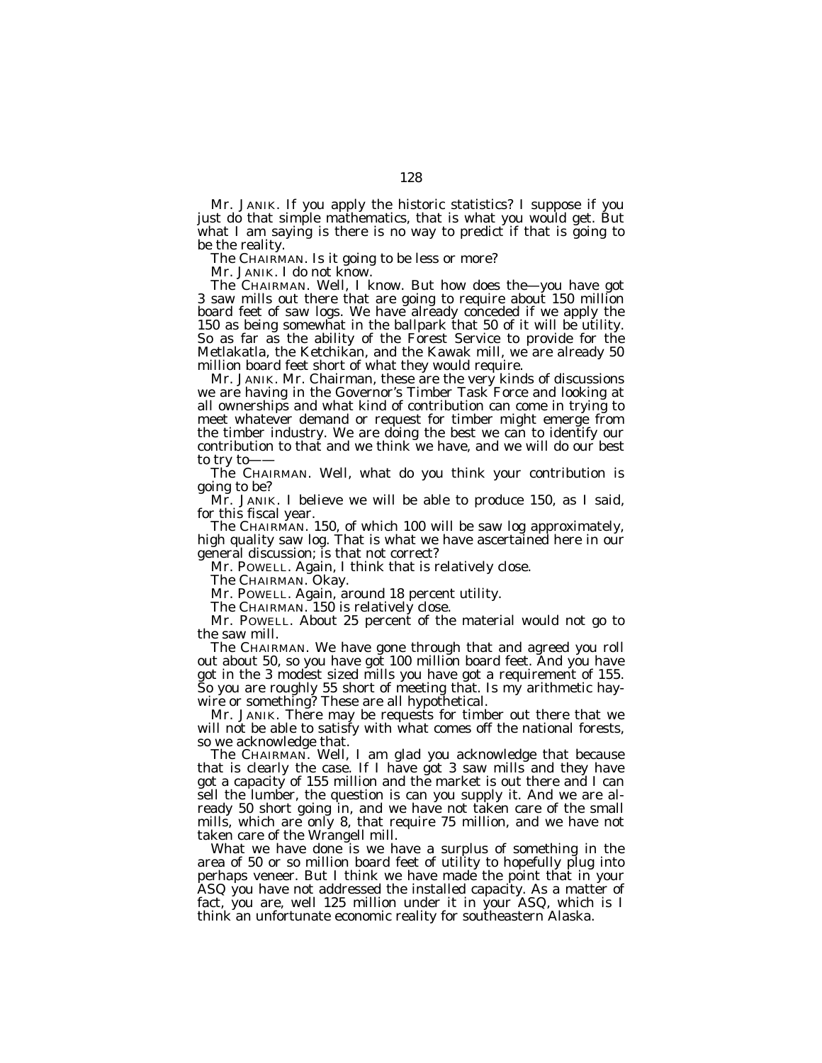Mr. JANIK. If you apply the historic statistics? I suppose if you just do that simple mathematics, that is what you would get. But what I am saying is there is no way to predict if that is going to be the reality.

The CHAIRMAN. Is it going to be less or more?

Mr. JANIK. I do not know.

The CHAIRMAN. Well, I know. But how does the—you have got 3 saw mills out there that are going to require about 150 million board feet of saw logs. We have already conceded if we apply the 150 as being somewhat in the ballpark that 50 of it will be utility. So as far as the ability of the Forest Service to provide for the Metlakatla, the Ketchikan, and the Kawak mill, we are already 50 million board feet short of what they would require.

Mr. JANIK. Mr. Chairman, these are the very kinds of discussions we are having in the Governor's Timber Task Force and looking at all ownerships and what kind of contribution can come in trying to meet whatever demand or request for timber might emerge from the timber industry. We are doing the best we can to identify our contribution to that and we think we have, and we will do our best to try to-

The CHAIRMAN. Well, what do you think your contribution is going to be?

Mr. JANIK. I believe we will be able to produce 150, as I said, for this fiscal year.

The CHAIRMAN. 150, of which 100 will be saw log approximately, high quality saw log. That is what we have ascertained here in our general discussion; is that not correct?

Mr. POWELL. Again, I think that is relatively close.

The CHAIRMAN. Okay.

Mr. POWELL. Again, around 18 percent utility.

The CHAIRMAN. 150 is relatively close.

Mr. POWELL. About 25 percent of the material would not go to the saw mill.

The CHAIRMAN. We have gone through that and agreed you roll out about 50, so you have got 100 million board feet. And you have got in the 3 modest sized mills you have got a requirement of 155. So you are roughly 55 short of meeting that. Is my arithmetic haywire or something? These are all hypothetical.

Mr. JANIK. There may be requests for timber out there that we will not be able to satisfy with what comes off the national forests, so we acknowledge that.

The CHAIRMAN. Well, I am glad you acknowledge that because that is clearly the case. If I have got 3 saw mills and they have got a capacity of 155 million and the market is out there and I can sell the lumber, the question is can you supply it. And we are already 50 short going in, and we have not taken care of the small mills, which are only 8, that require 75 million, and we have not taken care of the Wrangell mill.

What we have done is we have a surplus of something in the area of 50 or so million board feet of utility to hopefully plug into perhaps veneer. But I think we have made the point that in your ASQ you have not addressed the installed capacity. As a matter of fact, you are, well 125 million under it in your ASQ, which is I think an unfortunate economic reality for southeastern Alaska.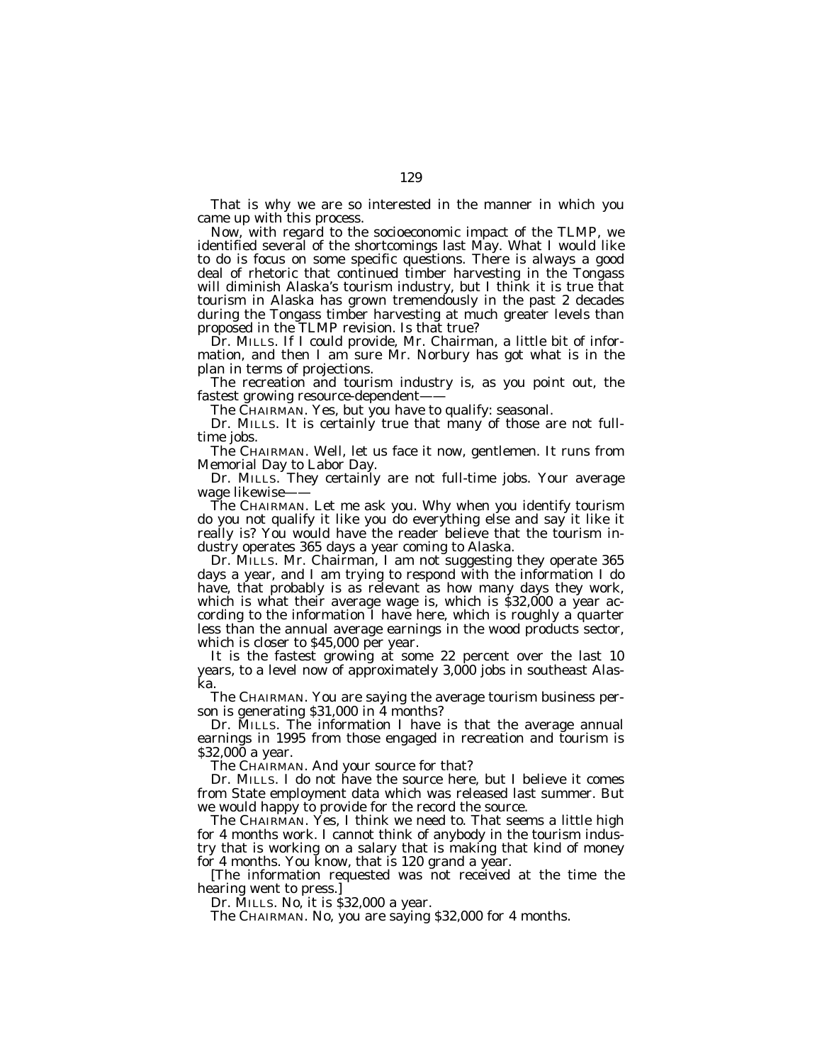That is why we are so interested in the manner in which you came up with this process.

Now, with regard to the socioeconomic impact of the TLMP, we identified several of the shortcomings last May. What I would like to do is focus on some specific questions. There is always a good deal of rhetoric that continued timber harvesting in the Tongass will diminish Alaska's tourism industry, but I think it is true that tourism in Alaska has grown tremendously in the past 2 decades during the Tongass timber harvesting at much greater levels than proposed in the TLMP revision. Is that true?

Dr. MILLS. If I could provide, Mr. Chairman, a little bit of information, and then I am sure Mr. Norbury has got what is in the plan in terms of projections.

The recreation and tourism industry is, as you point out, the fastest growing resource-dependent-

The CHAIRMAN. Yes, but you have to qualify: seasonal.

Dr. MILLS. It is certainly true that many of those are not fulltime jobs.

The CHAIRMAN. Well, let us face it now, gentlemen. It runs from Memorial Day to Labor Day.

Dr. MILLS. They certainly are not full-time jobs. Your average wage likewise-

The CHAIRMAN. Let me ask you. Why when you identify tourism do you not qualify it like you do everything else and say it like it really is? You would have the reader believe that the tourism industry operates 365 days a year coming to Alaska.

Dr. MILLS. Mr. Chairman, I am not suggesting they operate 365 days a year, and I am trying to respond with the information I do have, that probably is as relevant as how many days they work, which is what their average wage is, which is \$32,000 a year according to the information I have here, which is roughly a quarter less than the annual average earnings in the wood products sector, which is closer to \$45,000 per year.

It is the fastest growing at some 22 percent over the last 10 years, to a level now of approximately 3,000 jobs in southeast Alaska.

The CHAIRMAN. You are saying the average tourism business person is generating \$31,000 in 4 months?

Dr. MILLS. The information I have is that the average annual earnings in 1995 from those engaged in recreation and tourism is \$32,000 a year.

The CHAIRMAN. And your source for that?

Dr. MILLS. I do not have the source here, but I believe it comes from State employment data which was released last summer. But we would happy to provide for the record the source.

The CHAIRMAN. Yes, I think we need to. That seems a little high for 4 months work. I cannot think of anybody in the tourism industry that is working on a salary that is making that kind of money for 4 months. You know, that is 120 grand a year.

[The information requested was not received at the time the hearing went to press.]

Dr. MILLS. No, it is \$32,000 a year.

The CHAIRMAN. No, you are saying \$32,000 for 4 months.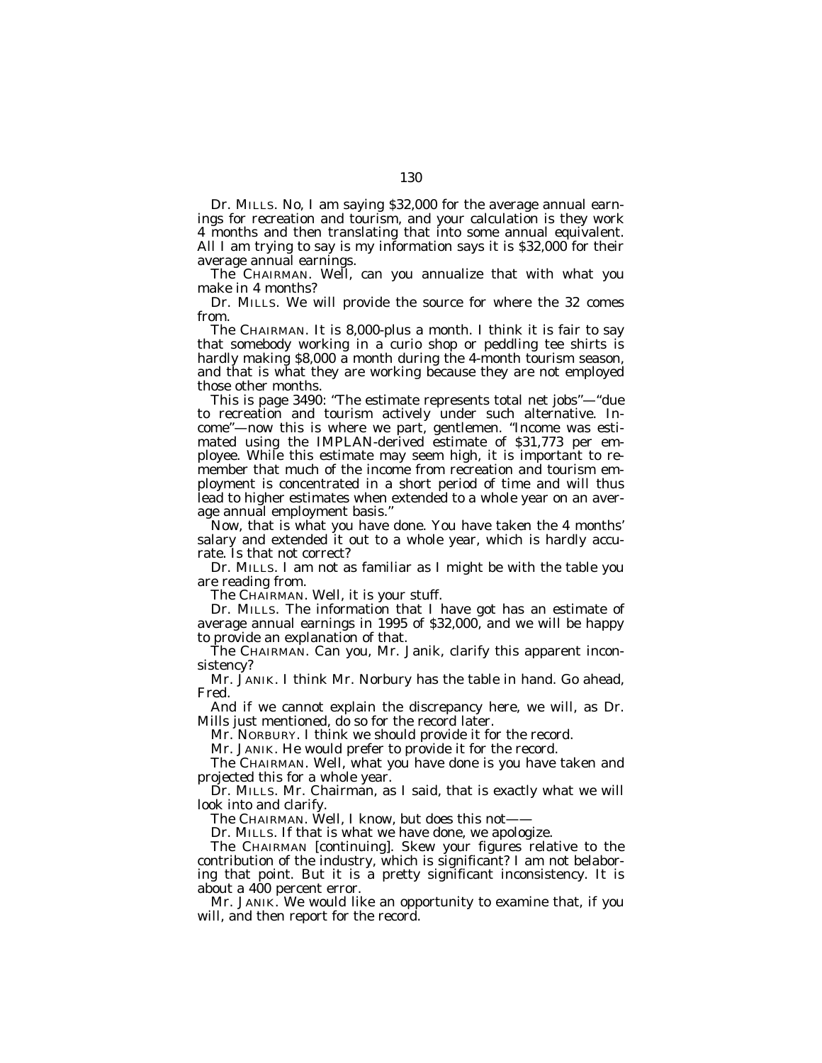Dr. MILLS. No, I am saying \$32,000 for the average annual earnings for recreation and tourism, and your calculation is they work 4 months and then translating that into some annual equivalent. All I am trying to say is my information says it is \$32,000 for their average annual earnings.

The CHAIRMAN. Well, can you annualize that with what you make in 4 months?

Dr. MILLS. We will provide the source for where the 32 comes from.

The CHAIRMAN. It is 8,000-plus a month. I think it is fair to say that somebody working in a curio shop or peddling tee shirts is hardly making \$8,000 a month during the 4-month tourism season, and that is what they are working because they are not employed those other months.

This is page 3490: ''The estimate represents total net jobs''—''due to recreation and tourism actively under such alternative. Income''—now this is where we part, gentlemen. ''Income was estimated using the IMPLAN-derived estimate of \$31,773 per employee. While this estimate may seem high, it is important to remember that much of the income from recreation and tourism employment is concentrated in a short period of time and will thus lead to higher estimates when extended to a whole year on an average annual employment basis.''

Now, that is what you have done. You have taken the 4 months' salary and extended it out to a whole year, which is hardly accurate. Is that not correct?

Dr. MILLS. I am not as familiar as I might be with the table you are reading from.

The CHAIRMAN. Well, it is your stuff.

Dr. MILLS. The information that I have got has an estimate of average annual earnings in 1995 of \$32,000, and we will be happy to provide an explanation of that.

The CHAIRMAN. Can you, Mr. Janik, clarify this apparent inconsistency?

Mr. JANIK. I think Mr. Norbury has the table in hand. Go ahead, Fred.

And if we cannot explain the discrepancy here, we will, as Dr. Mills just mentioned, do so for the record later.

Mr. NORBURY. I think we should provide it for the record.

Mr. JANIK. He would prefer to provide it for the record.

The CHAIRMAN. Well, what you have done is you have taken and projected this for a whole year.

Dr. MILLS. Mr. Chairman, as I said, that is exactly what we will look into and clarify.

The CHAIRMAN. Well, I know, but does this not-

Dr. MILLS. If that is what we have done, we apologize.

The CHAIRMAN [continuing]. Skew your figures relative to the contribution of the industry, which is significant? I am not belaboring that point. But it is a pretty significant inconsistency. It is about a 400 percent error.

Mr. JANIK. We would like an opportunity to examine that, if you will, and then report for the record.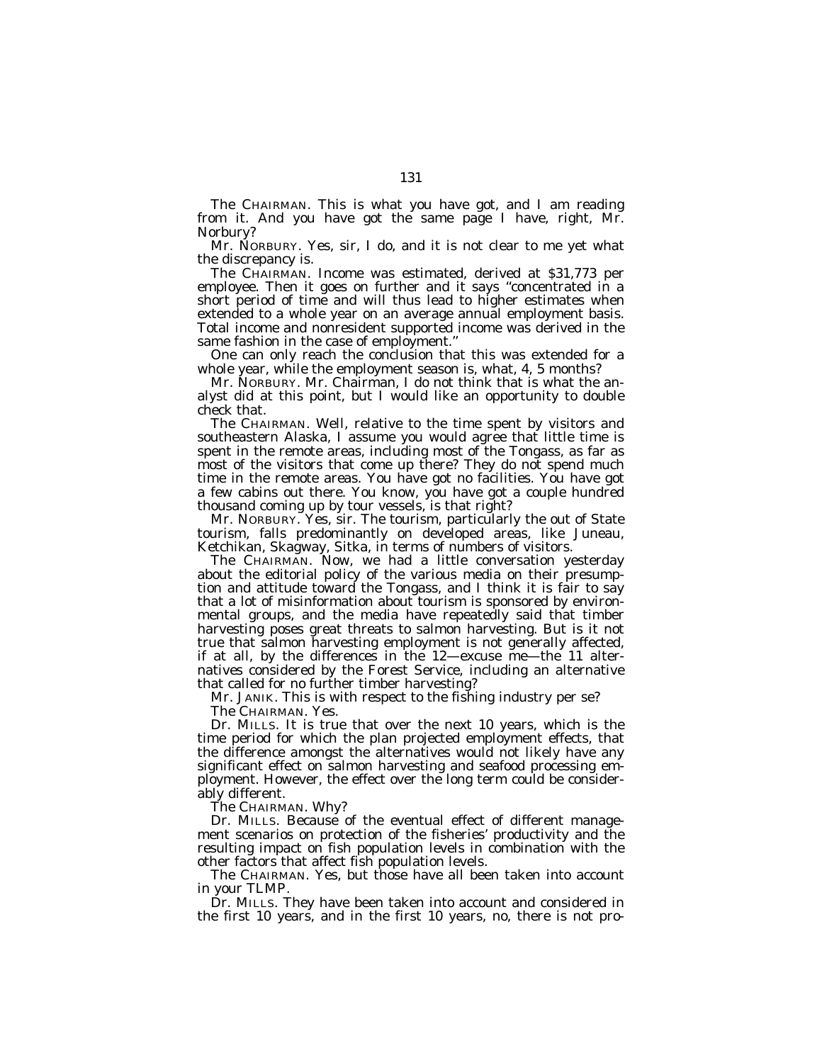The CHAIRMAN. This is what you have got, and I am reading from it. And you have got the same page I have, right, Mr. Norbury?

Mr. NORBURY. Yes, sir, I do, and it is not clear to me yet what the discrepancy is.

The CHAIRMAN. Income was estimated, derived at \$31,773 per employee. Then it goes on further and it says ''concentrated in a short period of time and will thus lead to higher estimates when extended to a whole year on an average annual employment basis. Total income and nonresident supported income was derived in the same fashion in the case of employment.''

One can only reach the conclusion that this was extended for a whole year, while the employment season is, what, 4, 5 months?

Mr. NORBURY. Mr. Chairman, I do not think that is what the analyst did at this point, but I would like an opportunity to double check that.

The CHAIRMAN. Well, relative to the time spent by visitors and southeastern Alaska, I assume you would agree that little time is spent in the remote areas, including most of the Tongass, as far as most of the visitors that come up there? They do not spend much time in the remote areas. You have got no facilities. You have got a few cabins out there. You know, you have got a couple hundred thousand coming up by tour vessels, is that right?

Mr. NORBURY. Yes, sir. The tourism, particularly the out of State tourism, falls predominantly on developed areas, like Juneau, Ketchikan, Skagway, Sitka, in terms of numbers of visitors.

The CHAIRMAN. Now, we had a little conversation yesterday about the editorial policy of the various media on their presumption and attitude toward the Tongass, and I think it is fair to say that a lot of misinformation about tourism is sponsored by environmental groups, and the media have repeatedly said that timber harvesting poses great threats to salmon harvesting. But is it not true that salmon harvesting employment is not generally affected, if at all, by the differences in the 12—excuse me—the 11 alternatives considered by the Forest Service, including an alternative that called for no further timber harvesting?

Mr. JANIK. This is with respect to the fishing industry per se?

The CHAIRMAN. Yes.

Dr. MILLS. It is true that over the next 10 years, which is the time period for which the plan projected employment effects, that the difference amongst the alternatives would not likely have any significant effect on salmon harvesting and seafood processing employment. However, the effect over the long term could be considerably different.

The CHAIRMAN. Why?

Dr. MILLS. Because of the eventual effect of different management scenarios on protection of the fisheries' productivity and the resulting impact on fish population levels in combination with the other factors that affect fish population levels.

The CHAIRMAN. Yes, but those have all been taken into account in your TLMP.

Dr. MILLS. They have been taken into account and considered in the first 10 years, and in the first 10 years, no, there is not pro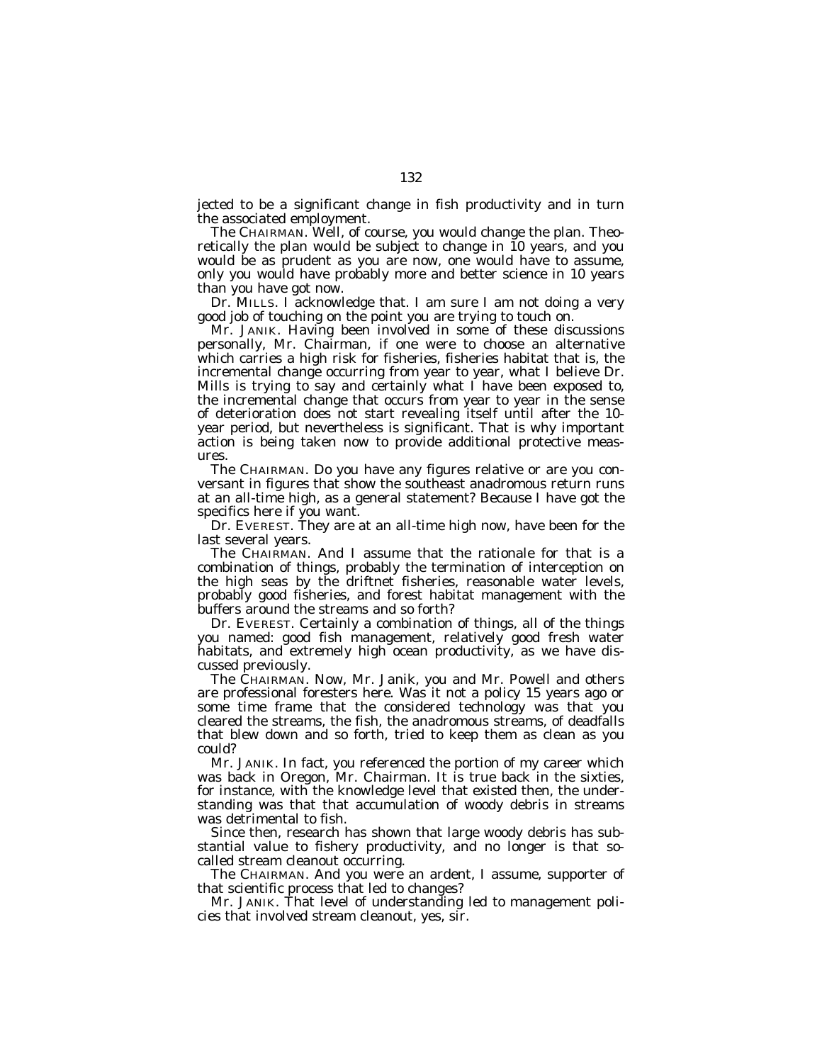jected to be a significant change in fish productivity and in turn the associated employment.

The CHAIRMAN. Well, of course, you would change the plan. Theoretically the plan would be subject to change in 10 years, and you would be as prudent as you are now, one would have to assume, only you would have probably more and better science in 10 years than you have got now.

Dr. MILLS. I acknowledge that. I am sure I am not doing a very good job of touching on the point you are trying to touch on.

Mr. JANIK. Having been involved in some of these discussions personally, Mr. Chairman, if one were to choose an alternative which carries a high risk for fisheries, fisheries habitat that is, the incremental change occurring from year to year, what I believe Dr. Mills is trying to say and certainly what I have been exposed to, the incremental change that occurs from year to year in the sense of deterioration does not start revealing itself until after the 10 year period, but nevertheless is significant. That is why important action is being taken now to provide additional protective measures.

The CHAIRMAN. Do you have any figures relative or are you conversant in figures that show the southeast anadromous return runs at an all-time high, as a general statement? Because I have got the specifics here if you want.

Dr. EVEREST. They are at an all-time high now, have been for the last several years.

The CHAIRMAN. And I assume that the rationale for that is a combination of things, probably the termination of interception on the high seas by the driftnet fisheries, reasonable water levels, probably good fisheries, and forest habitat management with the buffers around the streams and so forth?

Dr. EVEREST. Certainly a combination of things, all of the things you named: good fish management, relatively good fresh water habitats, and extremely high ocean productivity, as we have discussed previously.

The CHAIRMAN. Now, Mr. Janik, you and Mr. Powell and others are professional foresters here. Was it not a policy 15 years ago or some time frame that the considered technology was that you cleared the streams, the fish, the anadromous streams, of deadfalls that blew down and so forth, tried to keep them as clean as you could?

Mr. JANIK. In fact, you referenced the portion of my career which was back in Oregon, Mr. Chairman. It is true back in the sixties, for instance, with the knowledge level that existed then, the understanding was that that accumulation of woody debris in streams was detrimental to fish.

Since then, research has shown that large woody debris has substantial value to fishery productivity, and no longer is that socalled stream cleanout occurring.

The CHAIRMAN. And you were an ardent, I assume, supporter of that scientific process that led to changes?

Mr. JANIK. That level of understanding led to management policies that involved stream cleanout, yes, sir.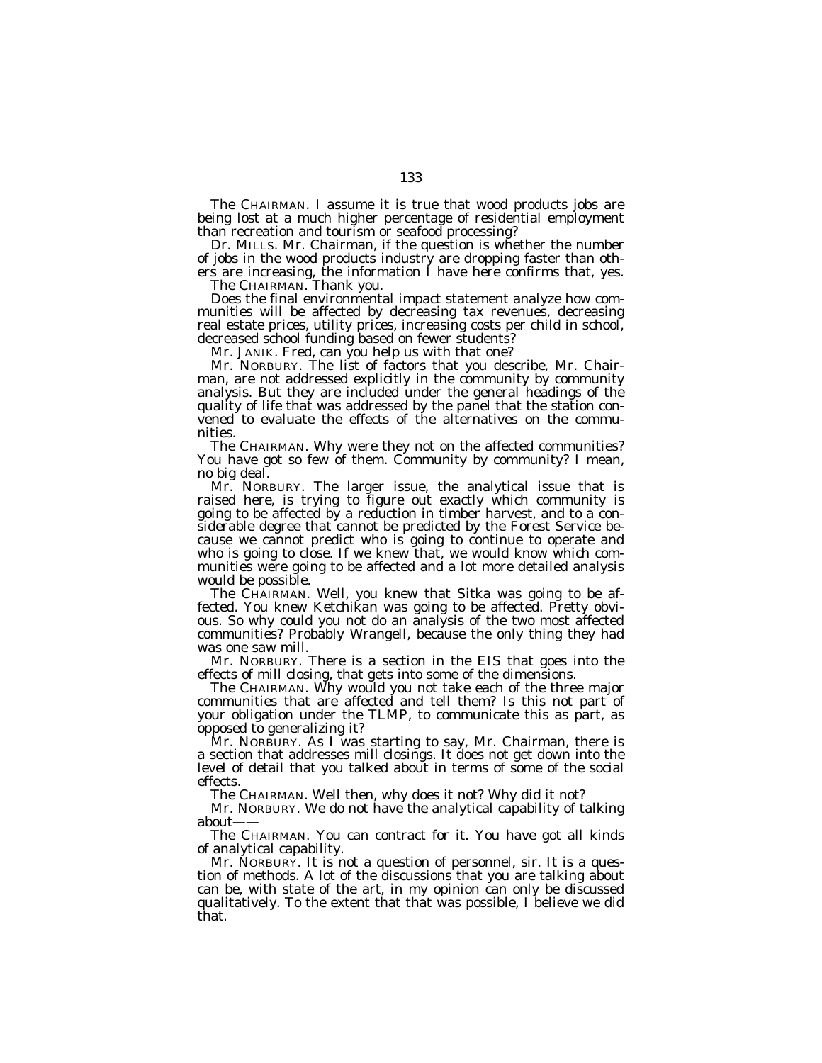The CHAIRMAN. I assume it is true that wood products jobs are being lost at a much higher percentage of residential employment than recreation and tourism or seafood processing?

Dr. MILLS. Mr. Chairman, if the question is whether the number of jobs in the wood products industry are dropping faster than others are increasing, the information I have here confirms that, yes.

The CHAIRMAN. Thank you.

Does the final environmental impact statement analyze how communities will be affected by decreasing tax revenues, decreasing real estate prices, utility prices, increasing costs per child in school, decreased school funding based on fewer students?

Mr. JANIK. Fred, can you help us with that one?

Mr. NORBURY. The list of factors that you describe, Mr. Chairman, are not addressed explicitly in the community by community analysis. But they are included under the general headings of the quality of life that was addressed by the panel that the station convened to evaluate the effects of the alternatives on the communities.

The CHAIRMAN. Why were they not on the affected communities? You have got so few of them. Community by community? I mean, no big deal.

Mr. NORBURY. The larger issue, the analytical issue that is raised here, is trying to figure out exactly which community is going to be affected by a reduction in timber harvest, and to a considerable degree that cannot be predicted by the Forest Service because we cannot predict who is going to continue to operate and who is going to close. If we knew that, we would know which communities were going to be affected and a lot more detailed analysis would be possible.

The CHAIRMAN. Well, you knew that Sitka was going to be affected. You knew Ketchikan was going to be affected. Pretty obvious. So why could you not do an analysis of the two most affected communities? Probably Wrangell, because the only thing they had was one saw mill.

Mr. NORBURY. There is a section in the EIS that goes into the effects of mill closing, that gets into some of the dimensions.

The CHAIRMAN. Why would you not take each of the three major communities that are affected and tell them? Is this not part of your obligation under the TLMP, to communicate this as part, as opposed to generalizing it?

Mr. NORBURY. As I was starting to say, Mr. Chairman, there is a section that addresses mill closings. It does not get down into the level of detail that you talked about in terms of some of the social effects.

The CHAIRMAN. Well then, why does it not? Why did it not?

Mr. NORBURY. We do not have the analytical capability of talking about-

The CHAIRMAN. You can contract for it. You have got all kinds of analytical capability.

Mr. NORBURY. It is not a question of personnel, sir. It is a question of methods. A lot of the discussions that you are talking about can be, with state of the art, in my opinion can only be discussed qualitatively. To the extent that that was possible, I believe we did that.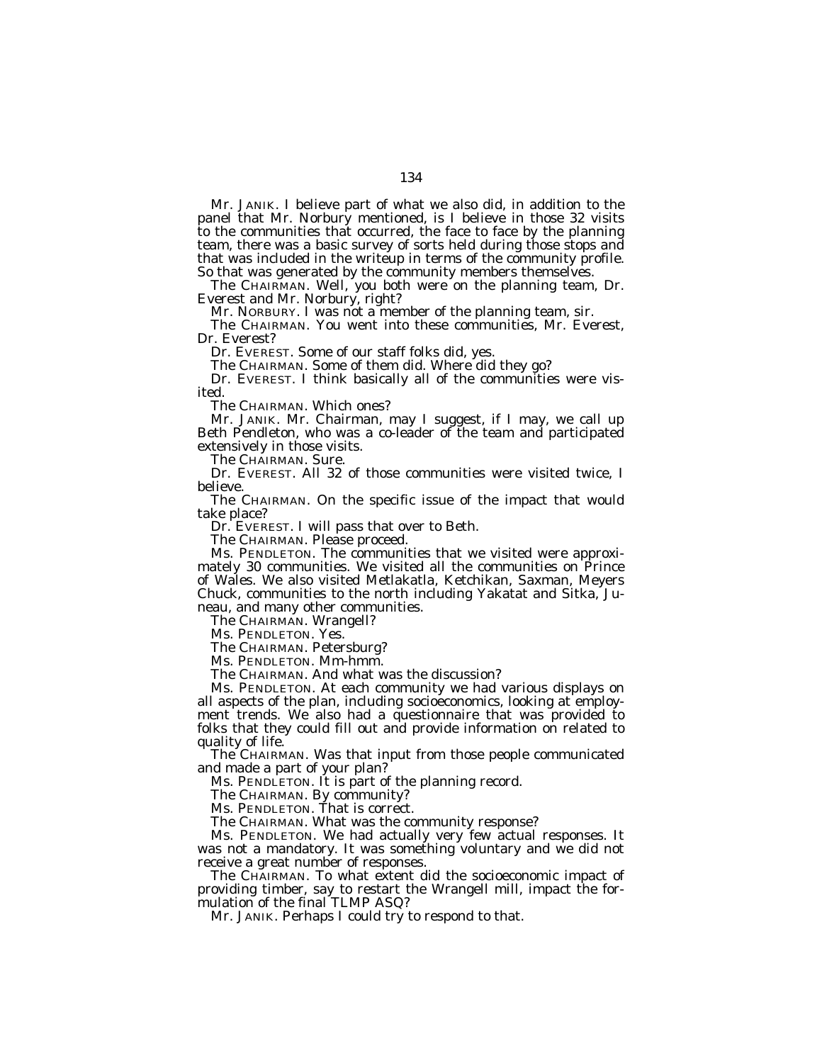Mr. JANIK. I believe part of what we also did, in addition to the panel that Mr. Norbury mentioned, is I believe in those 32 visits to the communities that occurred, the face to face by the planning team, there was a basic survey of sorts held during those stops and that was included in the writeup in terms of the community profile. So that was generated by the community members themselves.

The CHAIRMAN. Well, you both were on the planning team, Dr. Everest and Mr. Norbury, right?

Mr. NORBURY. I was not a member of the planning team, sir.

The CHAIRMAN. You went into these communities, Mr. Everest, Dr. Everest?

Dr. EVEREST. Some of our staff folks did, yes.

The CHAIRMAN. Some of them did. Where did they go?

Dr. EVEREST. I think basically all of the communities were visited.

The CHAIRMAN. Which ones?

Mr. JANIK. Mr. Chairman, may I suggest, if I may, we call up Beth Pendleton, who was a co-leader of the team and participated extensively in those visits.

The CHAIRMAN. Sure.

Dr. EVEREST. All 32 of those communities were visited twice, I believe.

The CHAIRMAN. On the specific issue of the impact that would take place?

Dr. EVEREST. I will pass that over to Beth.

The CHAIRMAN. Please proceed.

Ms. PENDLETON. The communities that we visited were approximately 30 communities. We visited all the communities on Prince of Wales. We also visited Metlakatla, Ketchikan, Saxman, Meyers Chuck, communities to the north including Yakatat and Sitka, Juneau, and many other communities.

The CHAIRMAN. Wrangell?

Ms. PENDLETON. Yes.

The CHAIRMAN. Petersburg?

Ms. PENDLETON. Mm-hmm.

The CHAIRMAN. And what was the discussion?

Ms. PENDLETON. At each community we had various displays on all aspects of the plan, including socioeconomics, looking at employment trends. We also had a questionnaire that was provided to folks that they could fill out and provide information on related to quality of life.

The CHAIRMAN. Was that input from those people communicated and made a part of your plan?

Ms. PENDLETON. It is part of the planning record.

The CHAIRMAN. By community?

Ms. PENDLETON. That is correct.

The CHAIRMAN. What was the community response?

Ms. PENDLETON. We had actually very few actual responses. It was not a mandatory. It was something voluntary and we did not receive a great number of responses.

The CHAIRMAN. To what extent did the socioeconomic impact of providing timber, say to restart the Wrangell mill, impact the formulation of the final TLMP ASQ?

Mr. JANIK. Perhaps I could try to respond to that.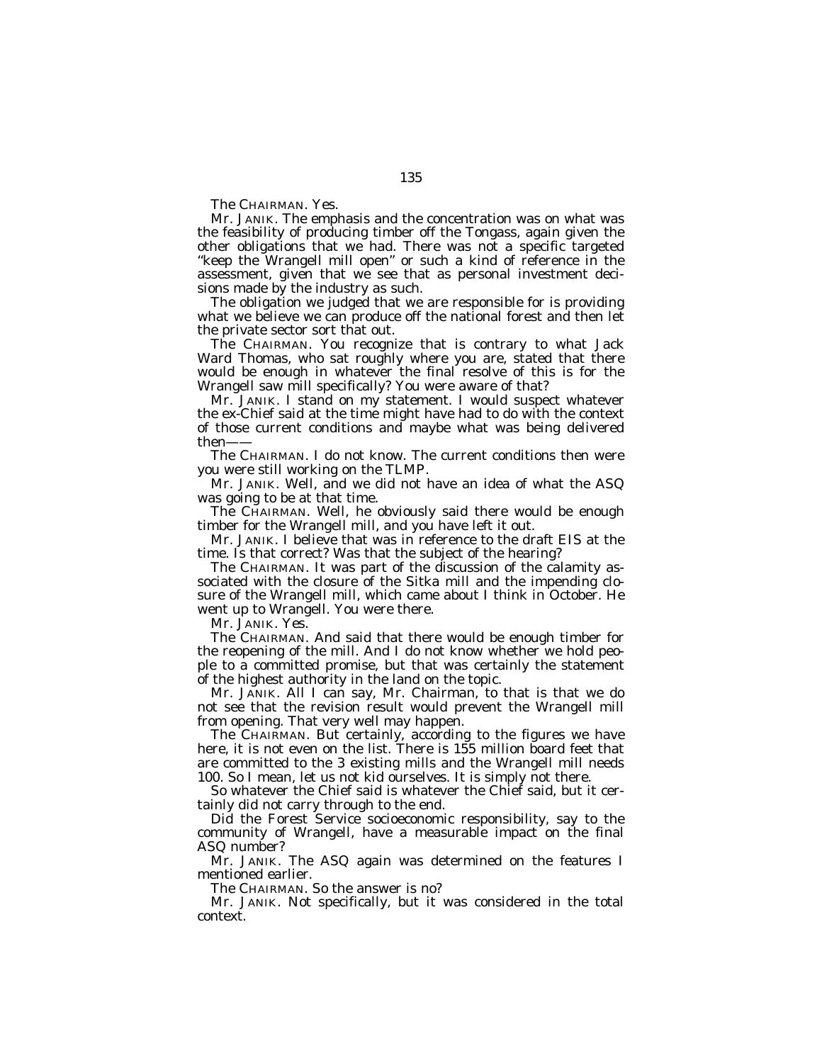The CHAIRMAN. Yes.

Mr. JANIK. The emphasis and the concentration was on what was the feasibility of producing timber off the Tongass, again given the other obligations that we had. There was not a specific targeted "keep the Wrangell mill open" or such a kind of reference in the assessment, given that we see that as personal investment decisions made by the industry as such.

The obligation we judged that we are responsible for is providing what we believe we can produce off the national forest and then let the private sector sort that out.

The CHAIRMAN. You recognize that is contrary to what Jack Ward Thomas, who sat roughly where you are, stated that there would be enough in whatever the final resolve of this is for the Wrangell saw mill specifically? You were aware of that?

Mr. JANIK. I stand on my statement. I would suspect whatever the ex-Chief said at the time might have had to do with the context of those current conditions and maybe what was being delivered then——

The CHAIRMAN. I do not know. The current conditions then were you were still working on the TLMP.

Mr. JANIK. Well, and we did not have an idea of what the ASQ was going to be at that time.

The CHAIRMAN. Well, he obviously said there would be enough timber for the Wrangell mill, and you have left it out.

Mr. JANIK. I believe that was in reference to the draft EIS at the time. Is that correct? Was that the subject of the hearing?

The CHAIRMAN. It was part of the discussion of the calamity associated with the closure of the Sitka mill and the impending closure of the Wrangell mill, which came about I think in October. He went up to Wrangell. You were there.

Mr. JANIK. Yes.

The CHAIRMAN. And said that there would be enough timber for the reopening of the mill. And I do not know whether we hold people to a committed promise, but that was certainly the statement of the highest authority in the land on the topic.

Mr. JANIK. All I can say, Mr. Chairman, to that is that we do not see that the revision result would prevent the Wrangell mill from opening. That very well may happen.

The CHAIRMAN. But certainly, according to the figures we have here, it is not even on the list. There is 155 million board feet that are committed to the 3 existing mills and the Wrangell mill needs 100. So I mean, let us not kid ourselves. It is simply not there.

So whatever the Chief said is whatever the Chief said, but it certainly did not carry through to the end.

Did the Forest Service socioeconomic responsibility, say to the community of Wrangell, have a measurable impact on the final ASQ number?

Mr. JANIK. The ASQ again was determined on the features I mentioned earlier.

The CHAIRMAN. So the answer is no?

Mr. JANIK. Not specifically, but it was considered in the total context.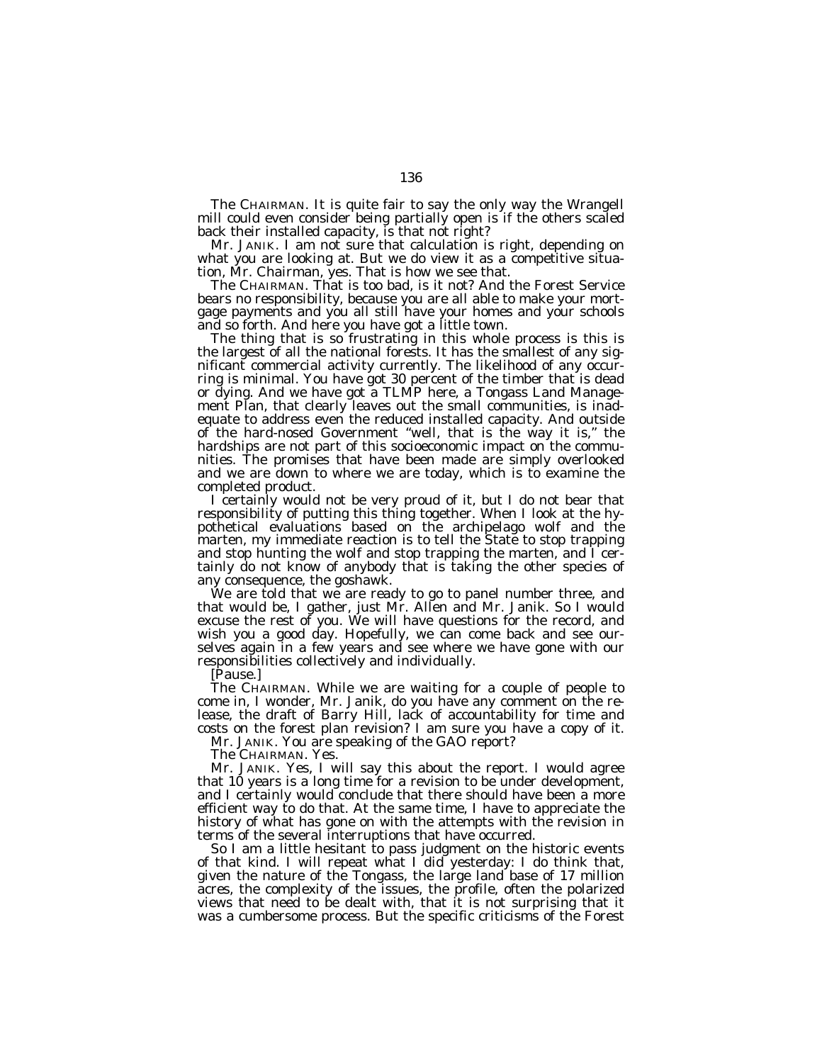The CHAIRMAN. It is quite fair to say the only way the Wrangell mill could even consider being partially open is if the others scaled back their installed capacity, is that not right?

Mr. JANIK. I am not sure that calculation is right, depending on what you are looking at. But we do view it as a competitive situation, Mr. Chairman, yes. That is how we see that.

The CHAIRMAN. That is too bad, is it not? And the Forest Service bears no responsibility, because you are all able to make your mortgage payments and you all still have your homes and your schools and so forth. And here you have got a little town.

The thing that is so frustrating in this whole process is this is the largest of all the national forests. It has the smallest of any significant commercial activity currently. The likelihood of any occurring is minimal. You have got 30 percent of the timber that is dead or dying. And we have got a TLMP here, a Tongass Land Management Plan, that clearly leaves out the small communities, is inadequate to address even the reduced installed capacity. And outside of the hard-nosed Government ''well, that is the way it is,'' the hardships are not part of this socioeconomic impact on the communities. The promises that have been made are simply overlooked and we are down to where we are today, which is to examine the completed product.

I certainly would not be very proud of it, but I do not bear that responsibility of putting this thing together. When I look at the hypothetical evaluations based on the archipelago wolf and the marten, my immediate reaction is to tell the State to stop trapping and stop hunting the wolf and stop trapping the marten, and I certainly do not know of anybody that is taking the other species of any consequence, the goshawk.

We are told that we are ready to go to panel number three, and that would be, I gather, just Mr. Allen and Mr. Janik. So I would excuse the rest of you. We will have questions for the record, and wish you a good day. Hopefully, we can come back and see ourselves again in a few years and see where we have gone with our responsibilities collectively and individually.

[Pause.]

The CHAIRMAN. While we are waiting for a couple of people to come in, I wonder, Mr. Janik, do you have any comment on the release, the draft of Barry Hill, lack of accountability for time and costs on the forest plan revision? I am sure you have a copy of it.

Mr. JANIK. You are speaking of the GAO report?

The CHAIRMAN. Yes.

Mr. JANIK. Yes, I will say this about the report. I would agree that 10 years is a long time for a revision to be under development, and I certainly would conclude that there should have been a more efficient way to do that. At the same time, I have to appreciate the history of what has gone on with the attempts with the revision in terms of the several interruptions that have occurred.

So I am a little hesitant to pass judgment on the historic events of that kind. I will repeat what I did yesterday: I do think that, given the nature of the Tongass, the large land base of 17 million acres, the complexity of the issues, the profile, often the polarized views that need to be dealt with, that it is not surprising that it was a cumbersome process. But the specific criticisms of the Forest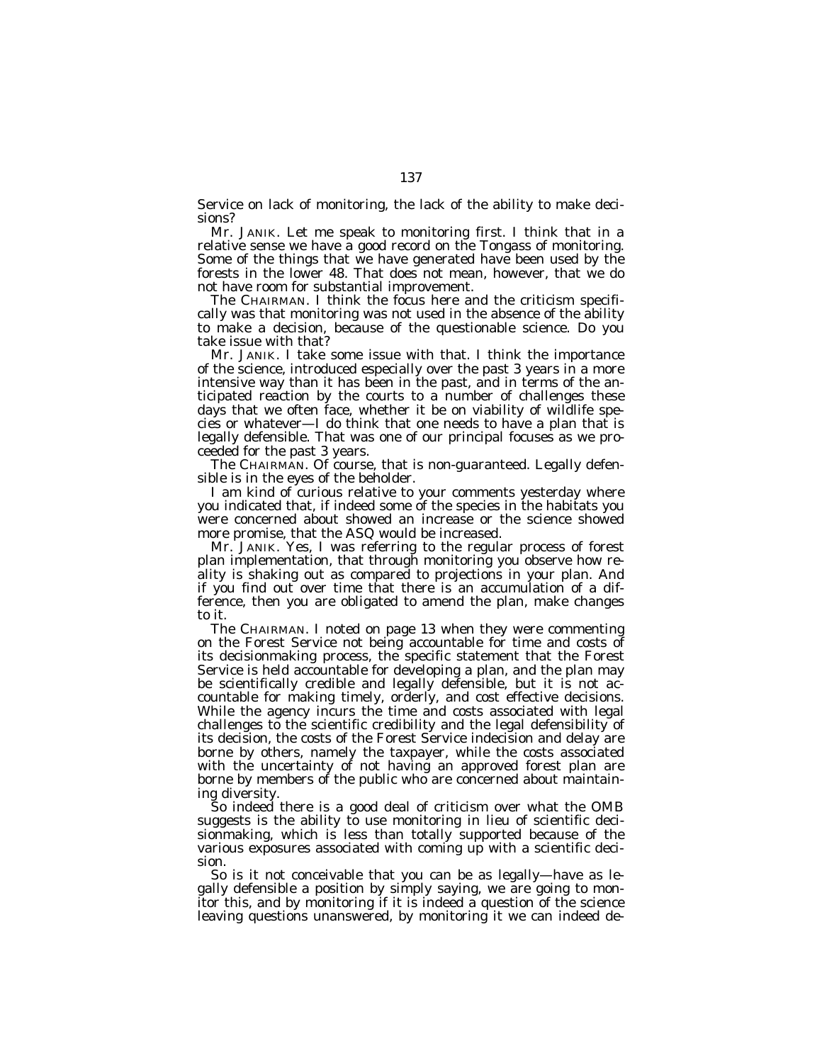Service on lack of monitoring, the lack of the ability to make decisions?

Mr. JANIK. Let me speak to monitoring first. I think that in a relative sense we have a good record on the Tongass of monitoring. Some of the things that we have generated have been used by the forests in the lower 48. That does not mean, however, that we do not have room for substantial improvement.

The CHAIRMAN. I think the focus here and the criticism specifically was that monitoring was not used in the absence of the ability to make a decision, because of the questionable science. Do you take issue with that?

Mr. JANIK. I take some issue with that. I think the importance of the science, introduced especially over the past 3 years in a more intensive way than it has been in the past, and in terms of the anticipated reaction by the courts to a number of challenges these days that we often face, whether it be on viability of wildlife species or whatever—I do think that one needs to have a plan that is legally defensible. That was one of our principal focuses as we proceeded for the past 3 years.

The CHAIRMAN. Of course, that is non-guaranteed. Legally defensible is in the eyes of the beholder.

I am kind of curious relative to your comments yesterday where you indicated that, if indeed some of the species in the habitats you were concerned about showed an increase or the science showed more promise, that the ASQ would be increased.

Mr. JANIK. Yes, I was referring to the regular process of forest plan implementation, that through monitoring you observe how reality is shaking out as compared to projections in your plan. And if you find out over time that there is an accumulation of a difference, then you are obligated to amend the plan, make changes to it.

The CHAIRMAN. I noted on page 13 when they were commenting on the Forest Service not being accountable for time and costs of its decisionmaking process, the specific statement that the Forest Service is held accountable for developing a plan, and the plan may be scientifically credible and legally defensible, but it is not accountable for making timely, orderly, and cost effective decisions. While the agency incurs the time and costs associated with legal challenges to the scientific credibility and the legal defensibility of its decision, the costs of the Forest Service indecision and delay are borne by others, namely the taxpayer, while the costs associated with the uncertainty of not having an approved forest plan are borne by members of the public who are concerned about maintaining diversity.

So indeed there is a good deal of criticism over what the OMB suggests is the ability to use monitoring in lieu of scientific decisionmaking, which is less than totally supported because of the various exposures associated with coming up with a scientific decision.

So is it not conceivable that you can be as legally—have as legally defensible a position by simply saying, we are going to monitor this, and by monitoring if it is indeed a question of the science leaving questions unanswered, by monitoring it we can indeed de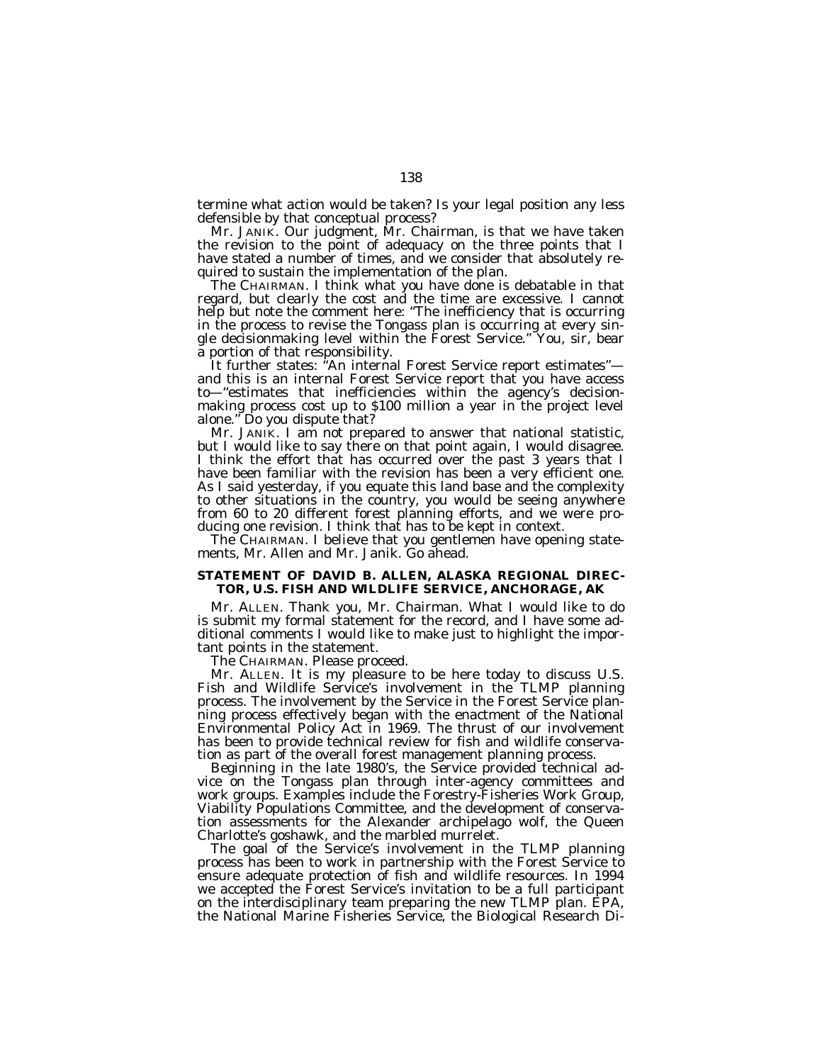termine what action would be taken? Is your legal position any less defensible by that conceptual process?

Mr. JANIK. Our judgment, Mr. Chairman, is that we have taken the revision to the point of adequacy on the three points that I have stated a number of times, and we consider that absolutely required to sustain the implementation of the plan.

The CHAIRMAN. I think what you have done is debatable in that regard, but clearly the cost and the time are excessive. I cannot help but note the comment here: ''The inefficiency that is occurring in the process to revise the Tongass plan is occurring at every single decisionmaking level within the Forest Service.'' You, sir, bear a portion of that responsibility.

It further states: "An internal Forest Service report estimates"and this is an internal Forest Service report that you have access to—''estimates that inefficiencies within the agency's decisionmaking process cost up to \$100 million a year in the project level alone.'' Do you dispute that?

Mr. JANIK. I am not prepared to answer that national statistic, but I would like to say there on that point again, I would disagree. I think the effort that has occurred over the past 3 years that I have been familiar with the revision has been a very efficient one. As I said yesterday, if you equate this land base and the complexity to other situations in the country, you would be seeing anywhere from 60 to 20 different forest planning efforts, and we were producing one revision. I think that has to be kept in context.

The CHAIRMAN. I believe that you gentlemen have opening statements, Mr. Allen and Mr. Janik. Go ahead.

## **STATEMENT OF DAVID B. ALLEN, ALASKA REGIONAL DIREC-TOR, U.S. FISH AND WILDLIFE SERVICE, ANCHORAGE, AK**

Mr. ALLEN. Thank you, Mr. Chairman. What I would like to do is submit my formal statement for the record, and I have some additional comments I would like to make just to highlight the important points in the statement.

The CHAIRMAN. Please proceed.

Mr. ALLEN. It is my pleasure to be here today to discuss U.S. Fish and Wildlife Service's involvement in the TLMP planning process. The involvement by the Service in the Forest Service planning process effectively began with the enactment of the National Environmental Policy Act in 1969. The thrust of our involvement has been to provide technical review for fish and wildlife conservation as part of the overall forest management planning process.

Beginning in the late 1980's, the Service provided technical advice on the Tongass plan through inter-agency committees and work groups. Examples include the Forestry-Fisheries Work Group, Viability Populations Committee, and the development of conservation assessments for the Alexander archipelago wolf, the Queen Charlotte's goshawk, and the marbled murrelet.

The goal of the Service's involvement in the TLMP planning process has been to work in partnership with the Forest Service to ensure adequate protection of fish and wildlife resources. In 1994 we accepted the Forest Service's invitation to be a full participant on the interdisciplinary team preparing the new TLMP plan. EPA, the National Marine Fisheries Service, the Biological Research Di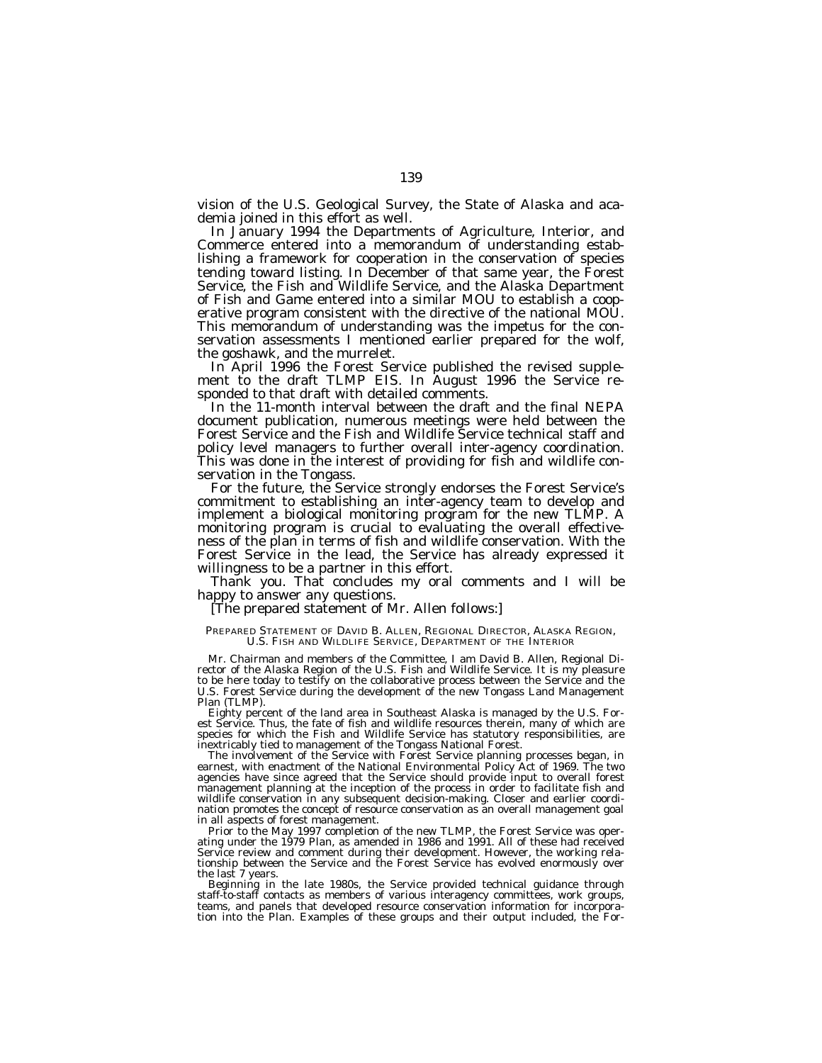vision of the U.S. Geological Survey, the State of Alaska and academia joined in this effort as well.

In January 1994 the Departments of Agriculture, Interior, and Commerce entered into a memorandum of understanding establishing a framework for cooperation in the conservation of species tending toward listing. In December of that same year, the Forest Service, the Fish and Wildlife Service, and the Alaska Department of Fish and Game entered into a similar MOU to establish a cooperative program consistent with the directive of the national MOU. This memorandum of understanding was the impetus for the conservation assessments I mentioned earlier prepared for the wolf, the goshawk, and the murrelet.

In April 1996 the Forest Service published the revised supplement to the draft TLMP EIS. In August 1996 the Service responded to that draft with detailed comments.

In the 11-month interval between the draft and the final NEPA document publication, numerous meetings were held between the Forest Service and the Fish and Wildlife Service technical staff and policy level managers to further overall inter-agency coordination. This was done in the interest of providing for fish and wildlife conservation in the Tongass.

For the future, the Service strongly endorses the Forest Service's commitment to establishing an inter-agency team to develop and implement a biological monitoring program for the new TLMP. A monitoring program is crucial to evaluating the overall effectiveness of the plan in terms of fish and wildlife conservation. With the Forest Service in the lead, the Service has already expressed it willingness to be a partner in this effort.

Thank you. That concludes my oral comments and I will be happy to answer any questions.

[The prepared statement of Mr. Allen follows:]

## PREPARED STATEMENT OF DAVID B. ALLEN, REGIONAL DIRECTOR, ALASKA REGION, U.S. FISH AND WILDLIFE SERVICE, DEPARTMENT OF THE INTERIOR

Mr. Chairman and members of the Committee, I am David B. Allen, Regional Director of the Alaska Region of the U.S. Fish and Wildlife Service. It is my pleasure to be here today to testify on the collaborative process between the Service and the U.S. Forest Service during the development of the new Tongass Land Management Plan (TLMP).

Eighty percent of the land area in Southeast Alaska is managed by the U.S. Forest Service. Thus, the fate of fish and wildlife resources therein, many of which are species for which the Fish and Wildlife Service has statutory responsibilities, are inextricably tied to management of the Tongass National Forest.

The involvement of the Service with Forest Service planning processes began, in earnest, with enactment of the National Environmental Policy Act of 1969. The two agencies have since agreed that the Service should provide input to overall forest management planning at the inception of the process in order to facilitate fish and wildlife conservation in any subsequent decision-making. Closer and earlier coordination promotes the concept of resource conservation as an overall management goal in all aspects of forest management.

Prior to the May 1997 completion of the new TLMP, the Forest Service was operating under the 1979 Plan, as amended in 1986 and 1991. All of these had received Service review and comment during their development. However, the working relationship between the Service and the Forest Service has evolved enormously over the last 7 years.

Beginning in the late 1980s, the Service provided technical guidance through staff-to-staff contacts as members of various interagency committees, work groups, teams, and panels that developed resource conservation information for incorporation into the Plan. Examples of these groups and their output included, the For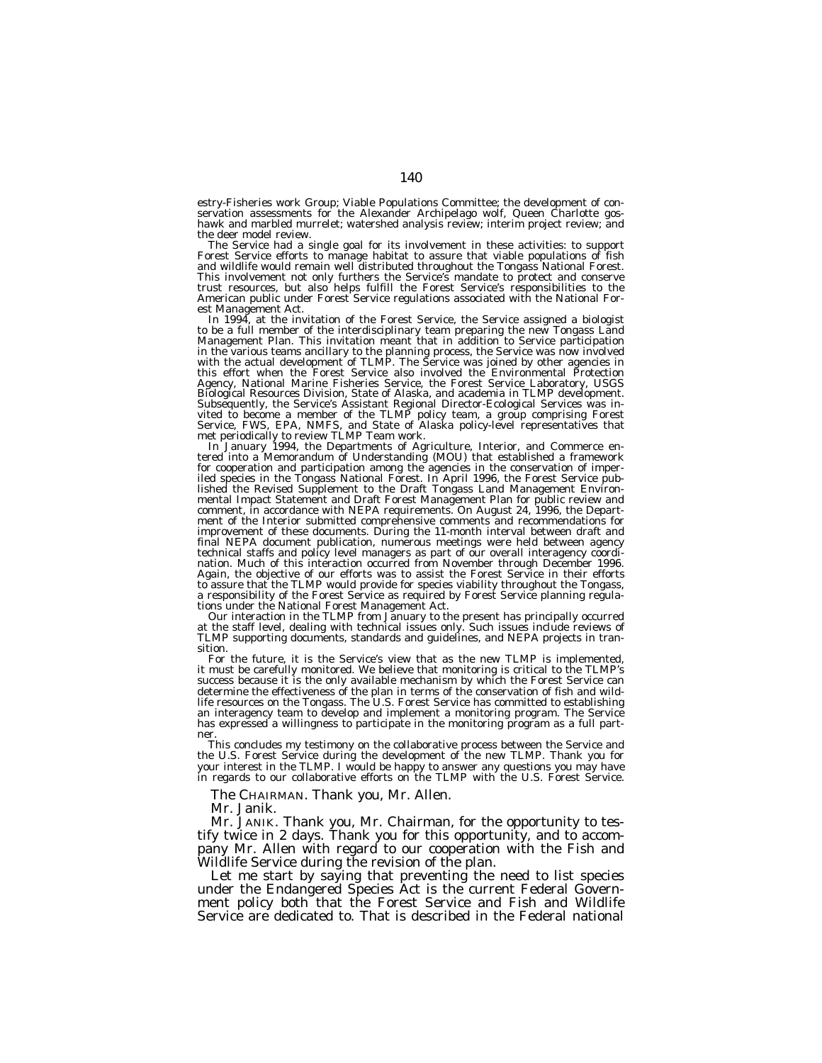estry-Fisheries work Group; Viable Populations Committee; the development of conservation assessments for the Alexander Archipelago wolf, Queen Charlotte gos-hawk and marbled murrelet; watershed analysis review; interim project review; and the deer model review.<br>The Service had a single goal for its involvement in these activities: to support

Forest Service efforts to manage habitat to assure that viable populations of fish and wildlife would remain well distributed throughout the Tongass National Forest. This involvement not only furthers the Service's mandate to protect and conserve trust resources, but also helps fulfill the Forest Service's responsibilities to the American public under Forest Service regulations associated with the National For-

est Management Act.<br>In 1994, at the invitation of the Forest Service, the Service assigned a biologist<br>to be a full member of the interdisciplinary team preparing the new Tongass Land<br>Management Plan. This invitation meant in the various teams ancillary to the planning process, the Service was now involved<br>with the actual development of TLMP. The Service was joined by other agencies in<br>this effort when the Forest Service also involved the En Biological Resources Division, State of Alaska, and academia in TLMP development. Subsequently, the Service's Assistant Regional Director-Ecological Services was in-<br>vited to become a member of the TLMP policy team, a group comprising Forest<br>Service, FWS, EPA, NMFS, and State of Alaska policy-level repr

met periodical method Team work. In January 1994, the Departments of Agriculture, Interior, and Commerce en-<br>tered into a Memorandum of Understanding (MOU) that established a framework for cooperation and participation among the agencies in the conservation of imper-iled species in the Tongass National Forest. In April 1996, the Forest Service published the Revised Supplement to the Draft Tongass Land Management Environ-<br>mental Impact Statement and Draft Forest Management Plan for public review and<br>comment, in accordance with NEPA requirements. On August 24, 1996, improvement of these documents. During the 11-month interval between draft and final NEPA document publication, numerous meetings were held between agency technical staffs and policy level managers as part of our overall interagency coordination. Much of this interaction occurred from November through December 1996. Again, the objective of our efforts was to assist the Forest Service in their efforts to assure that the TLMP would provide for species viability throughout the Tongass, a responsibility of the Forest Service as required by Forest Service planning regula-

tions under the National Forest Management Act.<br>Our interaction in the TLMP from January to the present has principally occurred<br>at the staff level, dealing with technical issues only. Such issues include reviews of TLMP supporting documents, standards and guidelines, and NEPA projects in transition.

For the future, it is the Service's view that as the new TLMP is implemented, it must be carefully monitored. We believe that monitoring is critical to the TLMP's success because it is the only available mechanism by which the Forest Service can determine the effectiveness of the plan in terms of the conservation of fish and wildlife resources on the Tongass. The U.S. Forest Service has committed to establishing an interagency team to develop and implement a monitoring program. The Service has expressed a willingness to participate in the monitoring program as a full partner.

This concludes my testimony on the collaborative process between the Service and the U.S. Forest Service during the development of the new TLMP. Thank you for your interest in the TLMP. I would be happy to answer any questions you may have in regards to our collaborative efforts on the TLMP with the U.S. Forest Service.

The CHAIRMAN. Thank you, Mr. Allen.

Mr. Janik.

Mr. JANIK. Thank you, Mr. Chairman, for the opportunity to testify twice in 2 days. Thank you for this opportunity, and to accompany Mr. Allen with regard to our cooperation with the Fish and Wildlife Service during the revision of the plan.

Let me start by saying that preventing the need to list species under the Endangered Species Act is the current Federal Government policy both that the Forest Service and Fish and Wildlife Service are dedicated to. That is described in the Federal national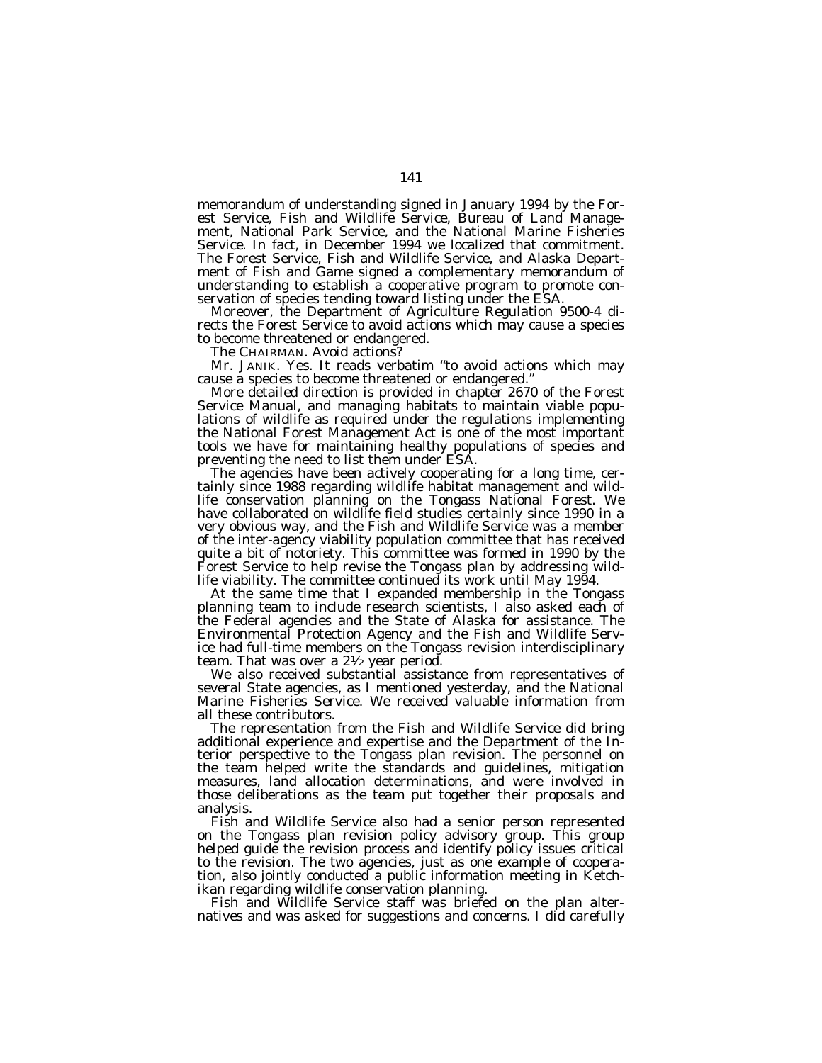memorandum of understanding signed in January 1994 by the Forest Service, Fish and Wildlife Service, Bureau of Land Management, National Park Service, and the National Marine Fisheries Service. In fact, in December 1994 we localized that commitment. The Forest Service, Fish and Wildlife Service, and Alaska Department of Fish and Game signed a complementary memorandum of understanding to establish a cooperative program to promote conservation of species tending toward listing under the ESA.

Moreover, the Department of Agriculture Regulation 9500-4 directs the Forest Service to avoid actions which may cause a species to become threatened or endangered.

The CHAIRMAN. Avoid actions?

Mr. JANIK. Yes. It reads verbatim ''to avoid actions which may cause a species to become threatened or endangered.''

More detailed direction is provided in chapter 2670 of the Forest Service Manual, and managing habitats to maintain viable populations of wildlife as required under the regulations implementing the National Forest Management Act is one of the most important tools we have for maintaining healthy populations of species and preventing the need to list them under ESA.

The agencies have been actively cooperating for a long time, certainly since 1988 regarding wildlife habitat management and wildlife conservation planning on the Tongass National Forest. We have collaborated on wildlife field studies certainly since 1990 in a very obvious way, and the Fish and Wildlife Service was a member of the inter-agency viability population committee that has received quite a bit of notoriety. This committee was formed in 1990 by the Forest Service to help revise the Tongass plan by addressing wildlife viability. The committee continued its work until May 1994.

At the same time that I expanded membership in the Tongass planning team to include research scientists, I also asked each of the Federal agencies and the State of Alaska for assistance. The Environmental Protection Agency and the Fish and Wildlife Service had full-time members on the Tongass revision interdisciplinary team. That was over a  $2\frac{1}{2}$  year period.

We also received substantial assistance from representatives of several State agencies, as I mentioned yesterday, and the National Marine Fisheries Service. We received valuable information from all these contributors.

The representation from the Fish and Wildlife Service did bring additional experience and expertise and the Department of the Interior perspective to the Tongass plan revision. The personnel on the team helped write the standards and guidelines, mitigation measures, land allocation determinations, and were involved in those deliberations as the team put together their proposals and analysis.

Fish and Wildlife Service also had a senior person represented on the Tongass plan revision policy advisory group. This group helped guide the revision process and identify policy issues critical to the revision. The two agencies, just as one example of cooperation, also jointly conducted a public information meeting in Ketchikan regarding wildlife conservation planning.

Fish and Wildlife Service staff was briefed on the plan alternatives and was asked for suggestions and concerns. I did carefully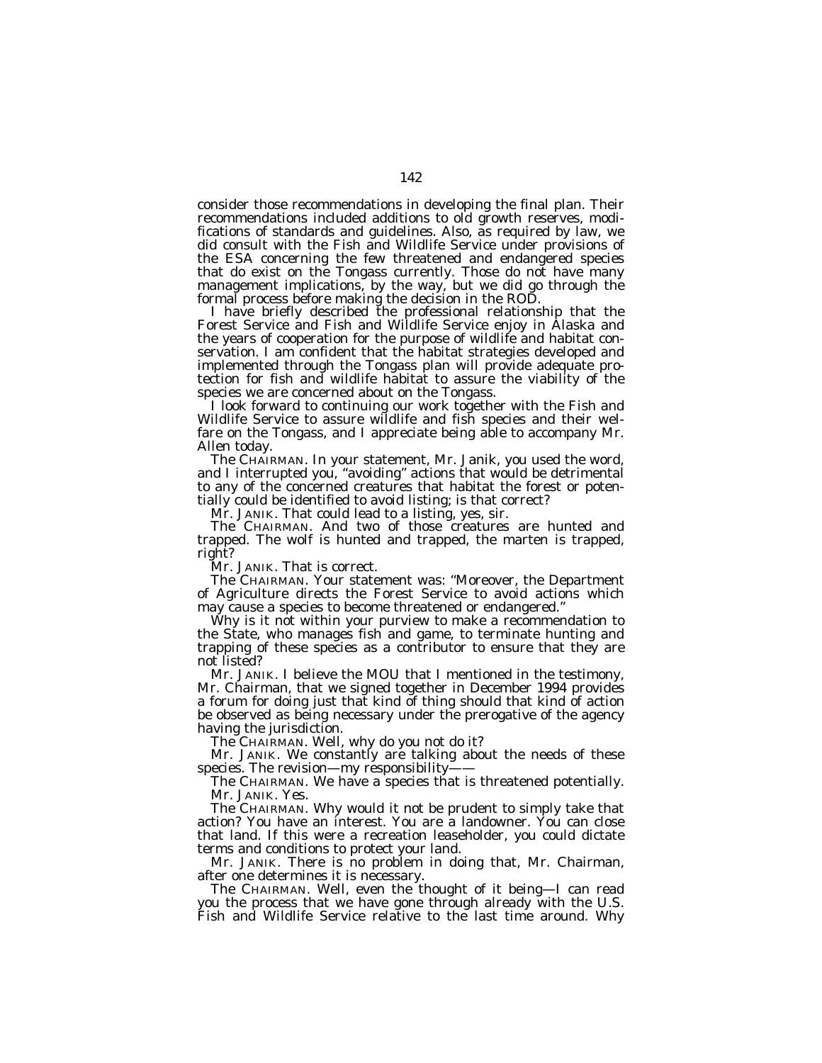consider those recommendations in developing the final plan. Their recommendations included additions to old growth reserves, modifications of standards and guidelines. Also, as required by law, we did consult with the Fish and Wildlife Service under provisions of the ESA concerning the few threatened and endangered species that do exist on the Tongass currently. Those do not have many management implications, by the way, but we did go through the formal process before making the decision in the ROD.

I have briefly described the professional relationship that the Forest Service and Fish and Wildlife Service enjoy in Alaska and the years of cooperation for the purpose of wildlife and habitat conservation. I am confident that the habitat strategies developed and implemented through the Tongass plan will provide adequate protection for fish and wildlife habitat to assure the viability of the species we are concerned about on the Tongass.

I look forward to continuing our work together with the Fish and Wildlife Service to assure wildlife and fish species and their welfare on the Tongass, and I appreciate being able to accompany Mr. Allen today.

The CHAIRMAN. In your statement, Mr. Janik, you used the word, and I interrupted you, ''avoiding'' actions that would be detrimental to any of the concerned creatures that habitat the forest or potentially could be identified to avoid listing; is that correct?

Mr. JANIK. That could lead to a listing, yes, sir.

The CHAIRMAN. And two of those creatures are hunted and trapped. The wolf is hunted and trapped, the marten is trapped, right?

Mr. JANIK. That is correct.

The CHAIRMAN. Your statement was: ''Moreover, the Department of Agriculture directs the Forest Service to avoid actions which may cause a species to become threatened or endangered.''

Why is it not within your purview to make a recommendation to the State, who manages fish and game, to terminate hunting and trapping of these species as a contributor to ensure that they are not listed?

Mr. JANIK. I believe the MOU that I mentioned in the testimony, Mr. Chairman, that we signed together in December 1994 provides a forum for doing just that kind of thing should that kind of action be observed as being necessary under the prerogative of the agency having the jurisdiction.

The CHAIRMAN. Well, why do you not do it?

Mr. JANIK. We constantly are talking about the needs of these species. The revision—my responsibility-

The CHAIRMAN. We have a species that is threatened potentially. Mr. JANIK. Yes.

The CHAIRMAN. Why would it not be prudent to simply take that action? You have an interest. You are a landowner. You can close that land. If this were a recreation leaseholder, you could dictate terms and conditions to protect your land.

Mr. JANIK. There is no problem in doing that, Mr. Chairman, after one determines it is necessary.

The CHAIRMAN. Well, even the thought of it being—I can read you the process that we have gone through already with the U.S. Fish and Wildlife Service relative to the last time around. Why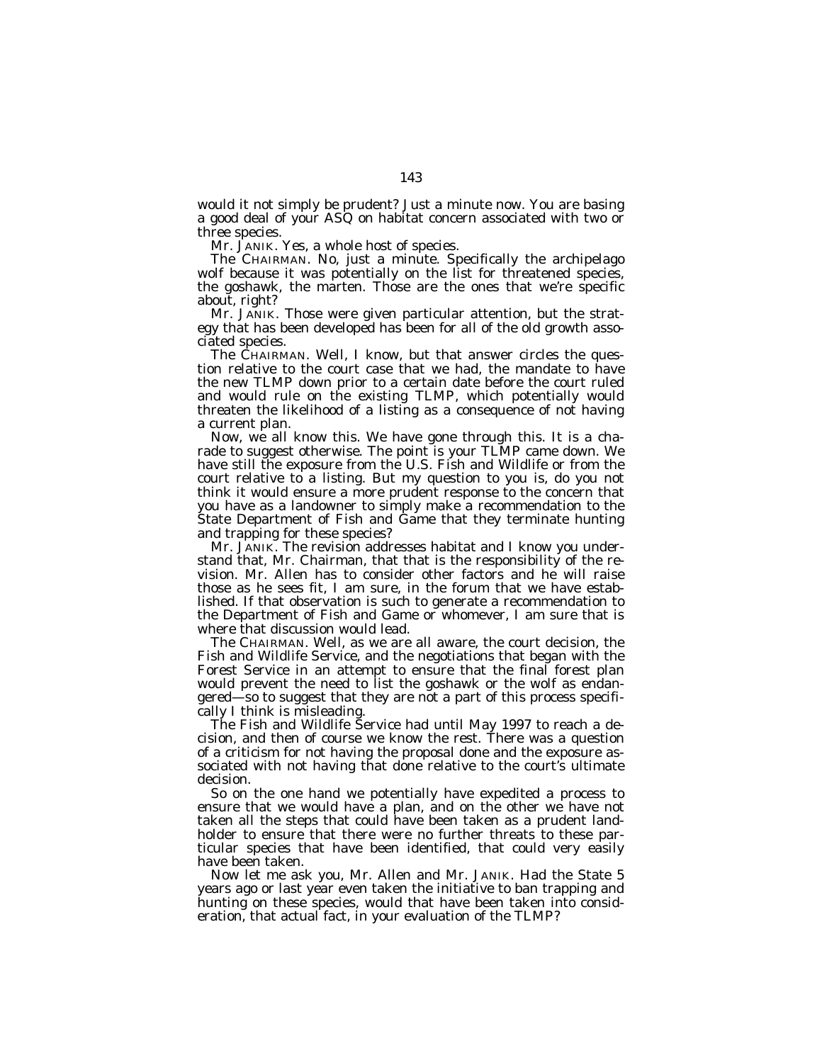would it not simply be prudent? Just a minute now. You are basing a good deal of your ASQ on habitat concern associated with two or three species.

Mr. JANIK. Yes, a whole host of species.

The CHAIRMAN. No, just a minute. Specifically the archipelago wolf because it was potentially on the list for threatened species, the goshawk, the marten. Those are the ones that we're specific about, right?

Mr. JANIK. Those were given particular attention, but the strategy that has been developed has been for all of the old growth associated species.

The CHAIRMAN. Well, I know, but that answer circles the question relative to the court case that we had, the mandate to have the new TLMP down prior to a certain date before the court ruled and would rule on the existing TLMP, which potentially would threaten the likelihood of a listing as a consequence of not having a current plan.

Now, we all know this. We have gone through this. It is a charade to suggest otherwise. The point is your TLMP came down. We have still the exposure from the U.S. Fish and Wildlife or from the court relative to a listing. But my question to you is, do you not think it would ensure a more prudent response to the concern that you have as a landowner to simply make a recommendation to the State Department of Fish and Game that they terminate hunting and trapping for these species?

Mr. JANIK. The revision addresses habitat and I know you understand that, Mr. Chairman, that that is the responsibility of the revision. Mr. Allen has to consider other factors and he will raise those as he sees fit, I am sure, in the forum that we have established. If that observation is such to generate a recommendation to the Department of Fish and Game or whomever, I am sure that is where that discussion would lead.

The CHAIRMAN. Well, as we are all aware, the court decision, the Fish and Wildlife Service, and the negotiations that began with the Forest Service in an attempt to ensure that the final forest plan would prevent the need to list the goshawk or the wolf as endangered—so to suggest that they are not a part of this process specifically I think is misleading.

The Fish and Wildlife Service had until May 1997 to reach a decision, and then of course we know the rest. There was a question of a criticism for not having the proposal done and the exposure associated with not having that done relative to the court's ultimate decision.

So on the one hand we potentially have expedited a process to ensure that we would have a plan, and on the other we have not taken all the steps that could have been taken as a prudent landholder to ensure that there were no further threats to these particular species that have been identified, that could very easily have been taken.

Now let me ask you, Mr. Allen and Mr. JANIK. Had the State 5 years ago or last year even taken the initiative to ban trapping and hunting on these species, would that have been taken into consideration, that actual fact, in your evaluation of the TLMP?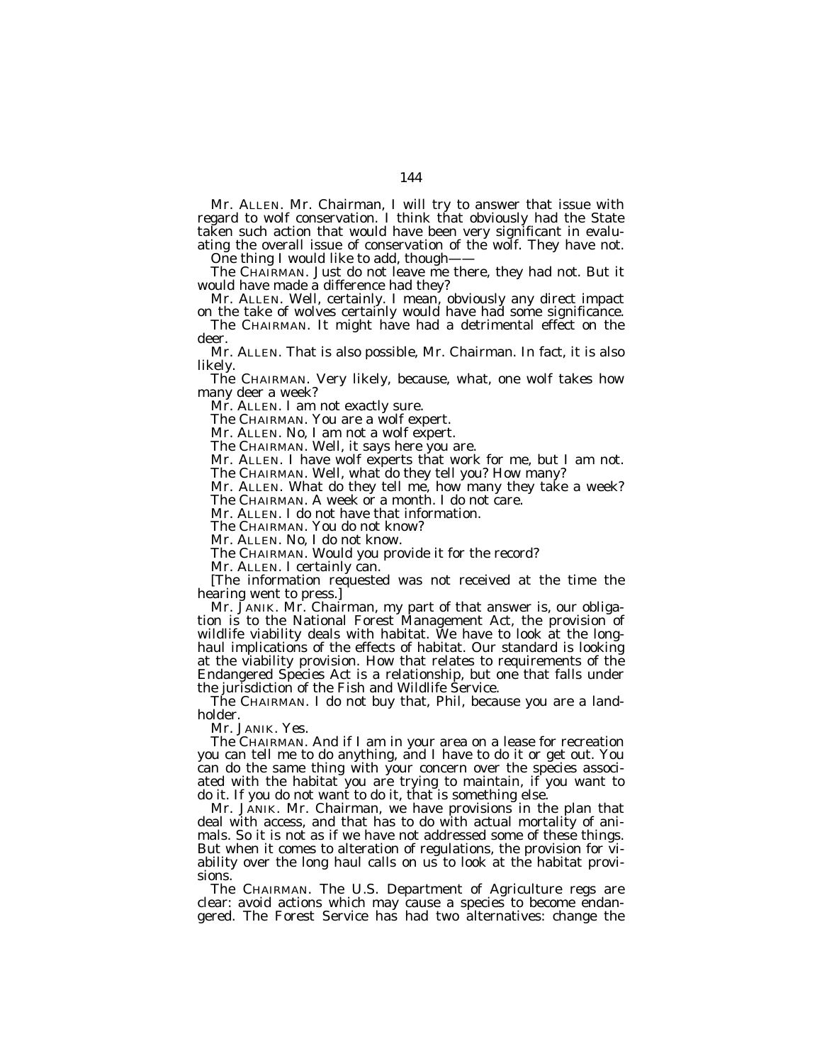Mr. ALLEN. Mr. Chairman, I will try to answer that issue with regard to wolf conservation. I think that obviously had the State taken such action that would have been very significant in evaluating the overall issue of conservation of the wolf. They have not.

One thing I would like to add, though-

The CHAIRMAN. Just do not leave me there, they had not. But it would have made a difference had they?

Mr. ALLEN. Well, certainly. I mean, obviously any direct impact on the take of wolves certainly would have had some significance.

The CHAIRMAN. It might have had a detrimental effect on the deer.

Mr. ALLEN. That is also possible, Mr. Chairman. In fact, it is also likely.

The CHAIRMAN. Very likely, because, what, one wolf takes how many deer a week?

Mr. ALLEN. I am not exactly sure.

The CHAIRMAN. You are a wolf expert.

Mr. ALLEN. No, I am not a wolf expert.

The CHAIRMAN. Well, it says here you are.

Mr. ALLEN. I have wolf experts that work for me, but I am not. The CHAIRMAN. Well, what do they tell you? How many?

Mr. ALLEN. What do they tell me, how many they take a week? The CHAIRMAN. A week or a month. I do not care.

Mr. ALLEN. I do not have that information.

The CHAIRMAN. You do not know?

Mr. ALLEN. No, I do not know.

The CHAIRMAN. Would you provide it for the record?

Mr. ALLEN. I certainly can.

[The information requested was not received at the time the hearing went to press.]

Mr. JANIK. Mr. Chairman, my part of that answer is, our obligation is to the National Forest Management Act, the provision of wildlife viability deals with habitat. We have to look at the longhaul implications of the effects of habitat. Our standard is looking at the viability provision. How that relates to requirements of the Endangered Species Act is a relationship, but one that falls under the jurisdiction of the Fish and Wildlife Service.

The CHAIRMAN. I do not buy that, Phil, because you are a landholder.

Mr. JANIK. Yes.

The CHAIRMAN. And if I am in your area on a lease for recreation you can tell me to do anything, and I have to do it or get out. You can do the same thing with your concern over the species associated with the habitat you are trying to maintain, if you want to do it. If you do not want to do it, that is something else.

Mr. JANIK. Mr. Chairman, we have provisions in the plan that deal with access, and that has to do with actual mortality of animals. So it is not as if we have not addressed some of these things. But when it comes to alteration of regulations, the provision for viability over the long haul calls on us to look at the habitat provisions.

The CHAIRMAN. The U.S. Department of Agriculture regs are clear: avoid actions which may cause a species to become endangered. The Forest Service has had two alternatives: change the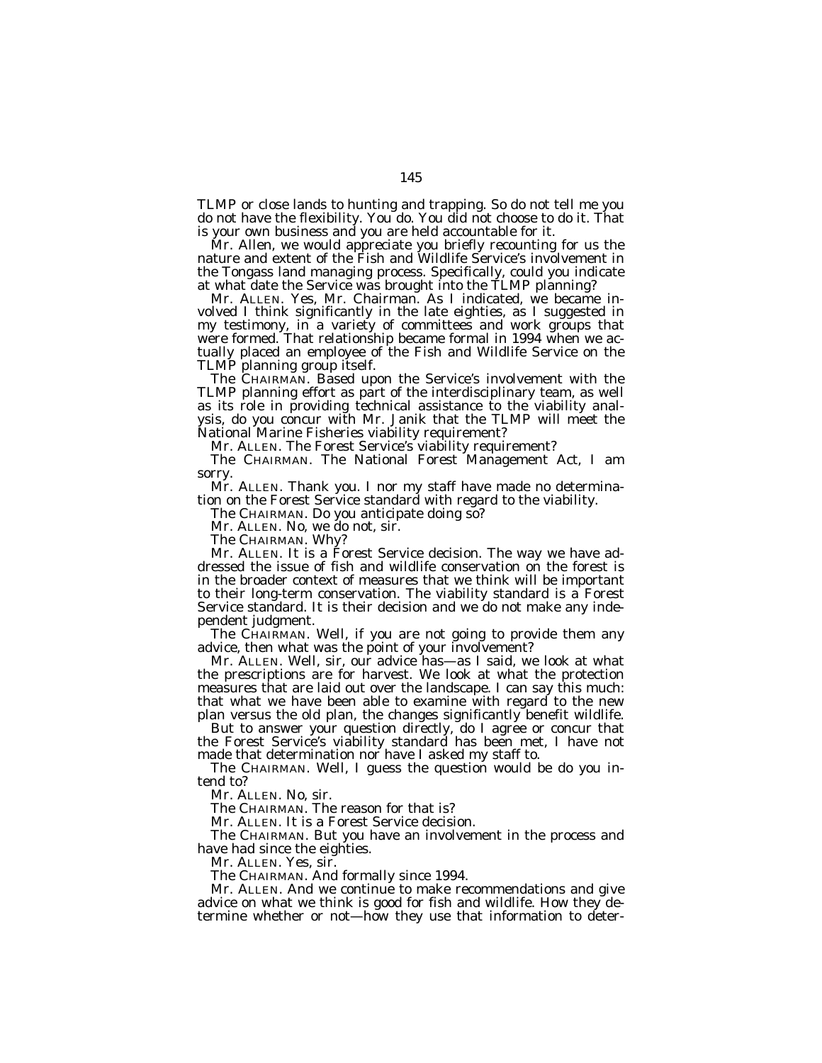TLMP or close lands to hunting and trapping. So do not tell me you do not have the flexibility. You do. You did not choose to do it. That is your own business and you are held accountable for it.

Mr. Allen, we would appreciate you briefly recounting for us the nature and extent of the Fish and Wildlife Service's involvement in the Tongass land managing process. Specifically, could you indicate at what date the Service was brought into the TLMP planning?

Mr. ALLEN. Yes, Mr. Chairman. As I indicated, we became involved I think significantly in the late eighties, as I suggested in my testimony, in a variety of committees and work groups that were formed. That relationship became formal in 1994 when we actually placed an employee of the Fish and Wildlife Service on the TLMP planning group itself.

The CHAIRMAN. Based upon the Service's involvement with the TLMP planning effort as part of the interdisciplinary team, as well as its role in providing technical assistance to the viability analysis, do you concur with Mr. Janik that the TLMP will meet the National Marine Fisheries viability requirement?

Mr. ALLEN. The Forest Service's viability requirement?

The CHAIRMAN. The National Forest Management Act, I am sorry.

Mr. ALLEN. Thank you. I nor my staff have made no determination on the Forest Service standard with regard to the viability.

The CHAIRMAN. Do you anticipate doing so?

Mr. ALLEN. No, we do not, sir.

The CHAIRMAN. Why?

Mr. ALLEN. It is a Forest Service decision. The way we have addressed the issue of fish and wildlife conservation on the forest is in the broader context of measures that we think will be important to their long-term conservation. The viability standard is a Forest Service standard. It is their decision and we do not make any independent judgment.

The CHAIRMAN. Well, if you are not going to provide them any advice, then what was the point of your involvement?

Mr. ALLEN. Well, sir, our advice has—as I said, we look at what the prescriptions are for harvest. We look at what the protection measures that are laid out over the landscape. I can say this much: that what we have been able to examine with regard to the new plan versus the old plan, the changes significantly benefit wildlife.

But to answer your question directly, do I agree or concur that the Forest Service's viability standard has been met, I have not made that determination nor have I asked my staff to.

The CHAIRMAN. Well, I guess the question would be do you intend to?

Mr. ALLEN. No, sir.

The CHAIRMAN. The reason for that is?

Mr. ALLEN. It is a Forest Service decision.

The CHAIRMAN. But you have an involvement in the process and have had since the eighties.

Mr. ALLEN. Yes, sir.

The CHAIRMAN. And formally since 1994.

Mr. ALLEN. And we continue to make recommendations and give advice on what we think is good for fish and wildlife. How they determine whether or not—how they use that information to deter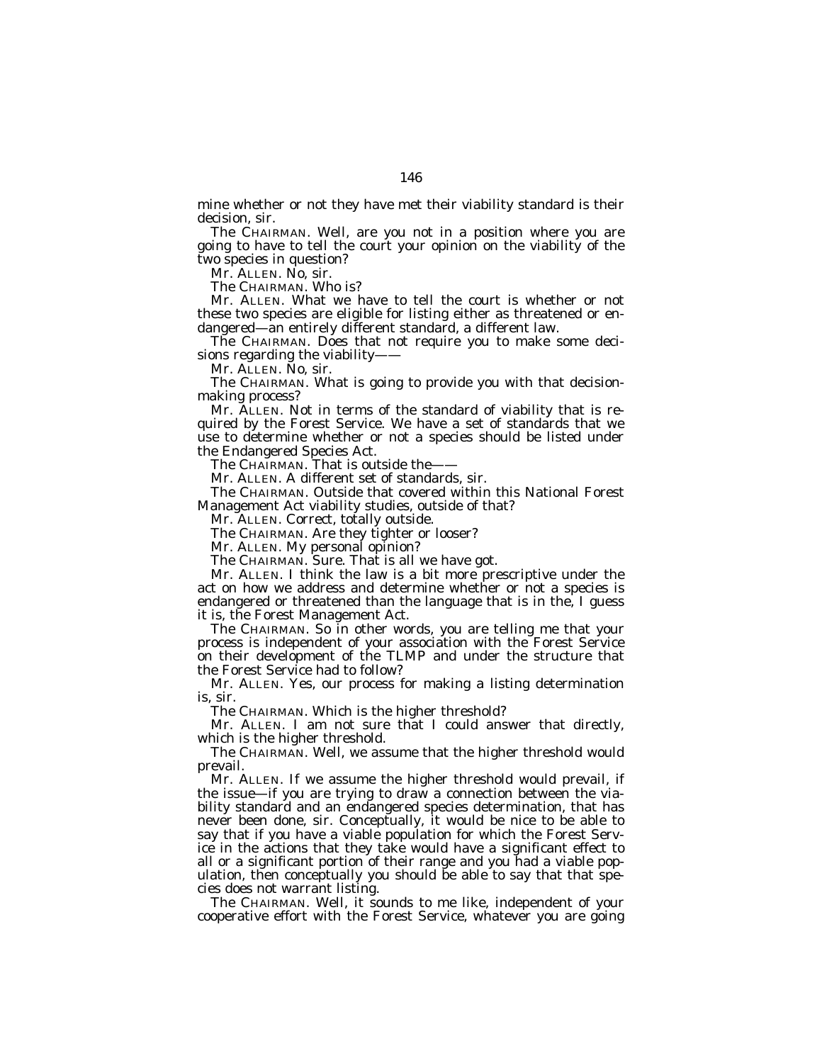mine whether or not they have met their viability standard is their decision, sir.

The CHAIRMAN. Well, are you not in a position where you are going to have to tell the court your opinion on the viability of the two species in question?

Mr. ALLEN. No, sir.

The CHAIRMAN. Who is?

Mr. ALLEN. What we have to tell the court is whether or not these two species are eligible for listing either as threatened or endangered—an entirely different standard, a different law.

The CHAIRMAN. Does that not require you to make some decisions regarding the viability——

Mr. ALLEN. No, sir.

The CHAIRMAN. What is going to provide you with that decisionmaking process?

Mr. ALLEN. Not in terms of the standard of viability that is required by the Forest Service. We have a set of standards that we use to determine whether or not a species should be listed under the Endangered Species Act.

The CHAIRMAN. That is outside the-

Mr. ALLEN. A different set of standards, sir.

The CHAIRMAN. Outside that covered within this National Forest Management Act viability studies, outside of that?

Mr. ALLEN. Correct, totally outside.

The CHAIRMAN. Are they tighter or looser?

Mr. ALLEN. My personal opinion?

The CHAIRMAN. Sure. That is all we have got.

Mr. ALLEN. I think the law is a bit more prescriptive under the act on how we address and determine whether or not a species is endangered or threatened than the language that is in the, I guess it is, the Forest Management Act.

The CHAIRMAN. So in other words, you are telling me that your process is independent of your association with the Forest Service on their development of the TLMP and under the structure that the Forest Service had to follow?

Mr. ALLEN. Yes, our process for making a listing determination is, sir.

The CHAIRMAN. Which is the higher threshold?

Mr. ALLEN. I am not sure that I could answer that directly, which is the higher threshold.

The CHAIRMAN. Well, we assume that the higher threshold would prevail.

Mr. ALLEN. If we assume the higher threshold would prevail, if the issue—if you are trying to draw a connection between the viability standard and an endangered species determination, that has never been done, sir. Conceptually, it would be nice to be able to say that if you have a viable population for which the Forest Service in the actions that they take would have a significant effect to all or a significant portion of their range and you had a viable population, then conceptually you should be able to say that that species does not warrant listing.

The CHAIRMAN. Well, it sounds to me like, independent of your cooperative effort with the Forest Service, whatever you are going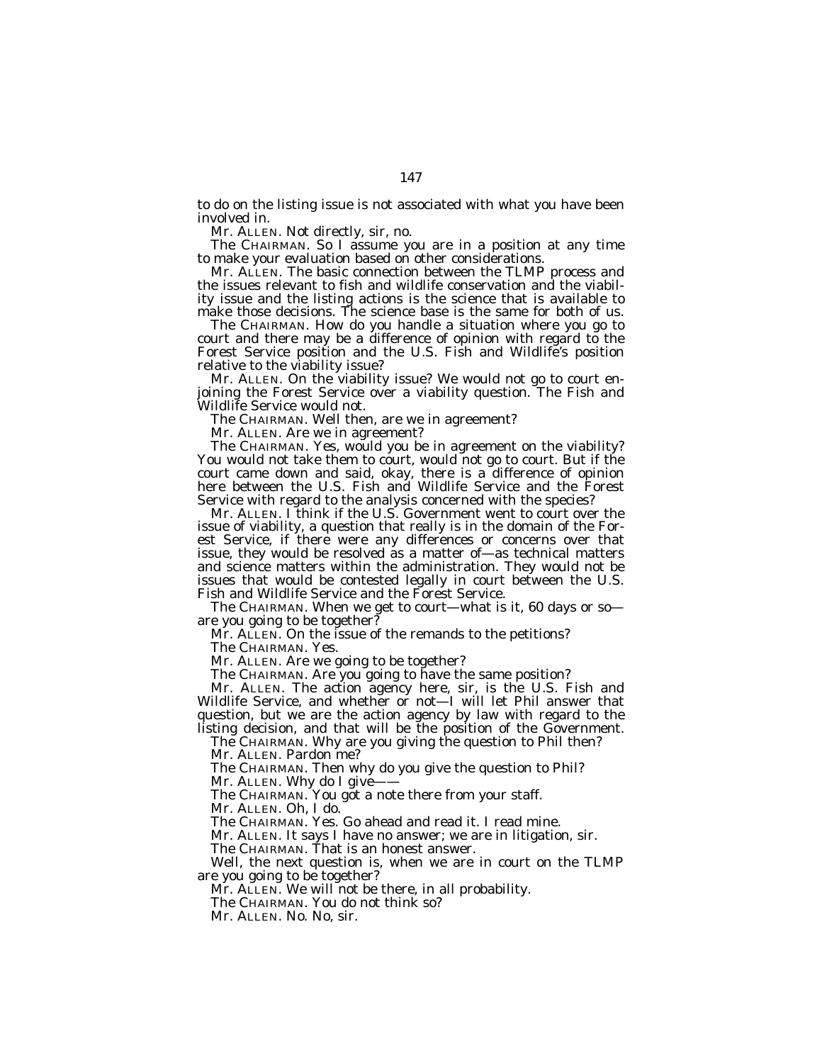to do on the listing issue is not associated with what you have been involved in.

Mr. ALLEN. Not directly, sir, no.

The CHAIRMAN. So I assume you are in a position at any time to make your evaluation based on other considerations.

Mr. ALLEN. The basic connection between the TLMP process and the issues relevant to fish and wildlife conservation and the viability issue and the listing actions is the science that is available to make those decisions. The science base is the same for both of us.

The CHAIRMAN. How do you handle a situation where you go to court and there may be a difference of opinion with regard to the Forest Service position and the U.S. Fish and Wildlife's position relative to the viability issue?

Mr. ALLEN. On the viability issue? We would not go to court enjoining the Forest Service over a viability question. The Fish and Wildlife Service would not.

The CHAIRMAN. Well then, are we in agreement?

Mr. ALLEN. Are we in agreement?

The CHAIRMAN. Yes, would you be in agreement on the viability? You would not take them to court, would not go to court. But if the court came down and said, okay, there is a difference of opinion here between the U.S. Fish and Wildlife Service and the Forest Service with regard to the analysis concerned with the species?

Mr. ALLEN. I think if the U.S. Government went to court over the issue of viability, a question that really is in the domain of the Forest Service, if there were any differences or concerns over that issue, they would be resolved as a matter of—as technical matters and science matters within the administration. They would not be issues that would be contested legally in court between the U.S. Fish and Wildlife Service and the Forest Service.

The CHAIRMAN. When we get to court—what is it, 60 days or so are you going to be together?

Mr. ALLEN. On the issue of the remands to the petitions?

The CHAIRMAN. Yes.

Mr. ALLEN. Are we going to be together?

The CHAIRMAN. Are you going to have the same position?

Mr. ALLEN. The action agency here, sir, is the U.S. Fish and Wildlife Service, and whether or not—I will let Phil answer that question, but we are the action agency by law with regard to the listing decision, and that will be the position of the Government.

The CHAIRMAN. Why are you giving the question to Phil then?

Mr. ALLEN. Pardon me?

The CHAIRMAN. Then why do you give the question to Phil?

Mr. ALLEN. Why do I give-

The CHAIRMAN. You got a note there from your staff.

Mr. ALLEN. Oh, I do.

The CHAIRMAN. Yes. Go ahead and read it. I read mine.

Mr. ALLEN. It says I have no answer; we are in litigation, sir.

The CHAIRMAN. That is an honest answer.

Well, the next question is, when we are in court on the TLMP are you going to be together?

Mr. ALLEN. We will not be there, in all probability.

The CHAIRMAN. You do not think so?

Mr. ALLEN. No. No, sir.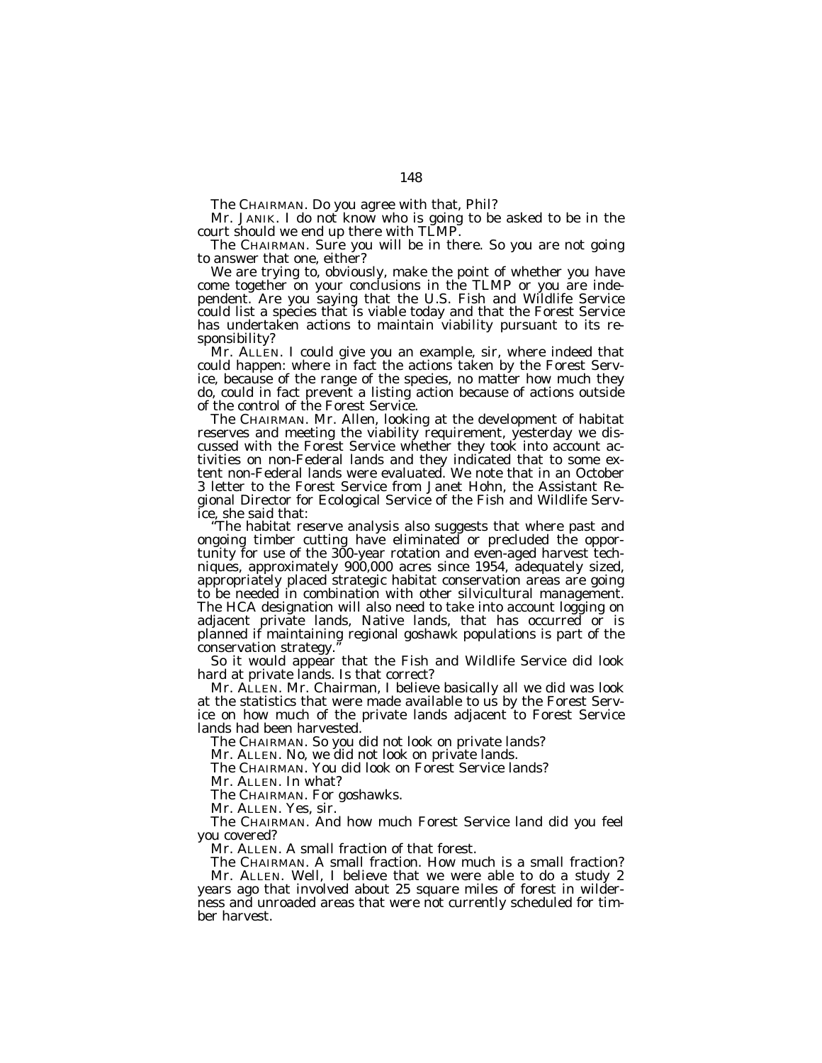The CHAIRMAN. Do you agree with that, Phil?

Mr. JANIK. I do not know who is going to be asked to be in the court should we end up there with TLMP.

The CHAIRMAN. Sure you will be in there. So you are not going to answer that one, either?

We are trying to, obviously, make the point of whether you have come together on your conclusions in the TLMP or you are independent. Are you saying that the U.S. Fish and Wildlife Service could list a species that is viable today and that the Forest Service has undertaken actions to maintain viability pursuant to its responsibility?

Mr. ALLEN. I could give you an example, sir, where indeed that could happen: where in fact the actions taken by the Forest Service, because of the range of the species, no matter how much they do, could in fact prevent a listing action because of actions outside of the control of the Forest Service.

The CHAIRMAN. Mr. Allen, looking at the development of habitat reserves and meeting the viability requirement, yesterday we discussed with the Forest Service whether they took into account activities on non-Federal lands and they indicated that to some extent non-Federal lands were evaluated. We note that in an October 3 letter to the Forest Service from Janet Hohn, the Assistant Regional Director for Ecological Service of the Fish and Wildlife Service, she said that:

''The habitat reserve analysis also suggests that where past and ongoing timber cutting have eliminated or precluded the opportunity for use of the 300-year rotation and even-aged harvest techniques, approximately 900,000 acres since 1954, adequately sized, appropriately placed strategic habitat conservation areas are going to be needed in combination with other silvicultural management. The HCA designation will also need to take into account logging on adjacent private lands, Native lands, that has occurred or is planned if maintaining regional goshawk populations is part of the conservation strategy.

So it would appear that the Fish and Wildlife Service did look hard at private lands. Is that correct?

Mr. ALLEN. Mr. Chairman, I believe basically all we did was look at the statistics that were made available to us by the Forest Service on how much of the private lands adjacent to Forest Service lands had been harvested.

The CHAIRMAN. So you did not look on private lands?

Mr. ALLEN. No, we did not look on private lands.

The CHAIRMAN. You did look on Forest Service lands?

Mr. ALLEN. In what?

The CHAIRMAN. For goshawks.

Mr. ALLEN. Yes, sir.

The CHAIRMAN. And how much Forest Service land did you feel you covered?

Mr. ALLEN. A small fraction of that forest.

The CHAIRMAN. A small fraction. How much is a small fraction? Mr. ALLEN. Well, I believe that we were able to do a study 2 years ago that involved about 25 square miles of forest in wilderness and unroaded areas that were not currently scheduled for timber harvest.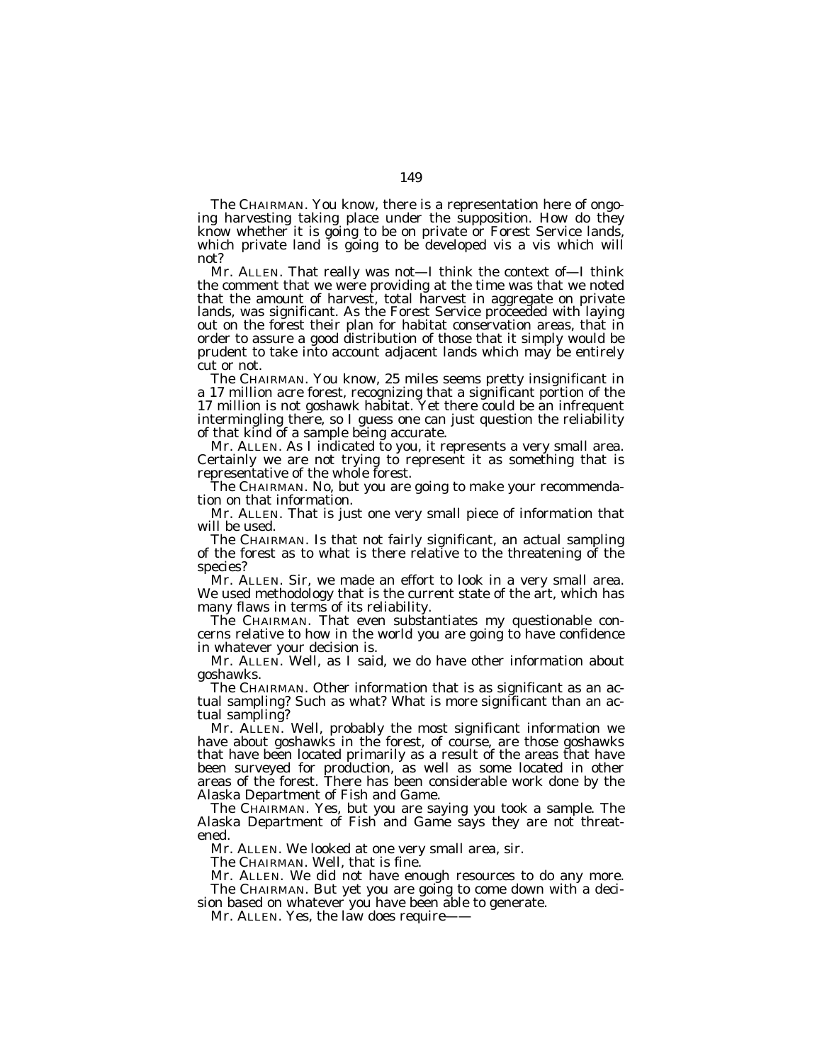The CHAIRMAN. You know, there is a representation here of ongoing harvesting taking place under the supposition. How do they know whether it is going to be on private or Forest Service lands, which private land is going to be developed vis a vis which will not?

Mr. ALLEN. That really was not—I think the context of—I think the comment that we were providing at the time was that we noted that the amount of harvest, total harvest in aggregate on private lands, was significant. As the Forest Service proceeded with laying out on the forest their plan for habitat conservation areas, that in order to assure a good distribution of those that it simply would be prudent to take into account adjacent lands which may be entirely cut or not.

The CHAIRMAN. You know, 25 miles seems pretty insignificant in a 17 million acre forest, recognizing that a significant portion of the 17 million is not goshawk habitat. Yet there could be an infrequent intermingling there, so I guess one can just question the reliability of that kind of a sample being accurate.

Mr. ALLEN. As I indicated to you, it represents a very small area. Certainly we are not trying to represent it as something that is representative of the whole forest.

The CHAIRMAN. No, but you are going to make your recommendation on that information.

Mr. ALLEN. That is just one very small piece of information that will be used.

The CHAIRMAN. Is that not fairly significant, an actual sampling of the forest as to what is there relative to the threatening of the species?

Mr. ALLEN. Sir, we made an effort to look in a very small area. We used methodology that is the current state of the art, which has many flaws in terms of its reliability.

The CHAIRMAN. That even substantiates my questionable concerns relative to how in the world you are going to have confidence in whatever your decision is.

Mr. ALLEN. Well, as I said, we do have other information about goshawks.

The CHAIRMAN. Other information that is as significant as an actual sampling? Such as what? What is more significant than an actual sampling?

Mr. ALLEN. Well, probably the most significant information we have about goshawks in the forest, of course, are those goshawks that have been located primarily as a result of the areas that have been surveyed for production, as well as some located in other areas of the forest. There has been considerable work done by the Alaska Department of Fish and Game.

The CHAIRMAN. Yes, but you are saying you took a sample. The Alaska Department of Fish and Game says they are not threatened.

Mr. ALLEN. We looked at one very small area, sir.

The CHAIRMAN. Well, that is fine.

Mr. ALLEN. We did not have enough resources to do any more. The CHAIRMAN. But yet you are going to come down with a decision based on whatever you have been able to generate.

Mr. ALLEN. Yes, the law does require-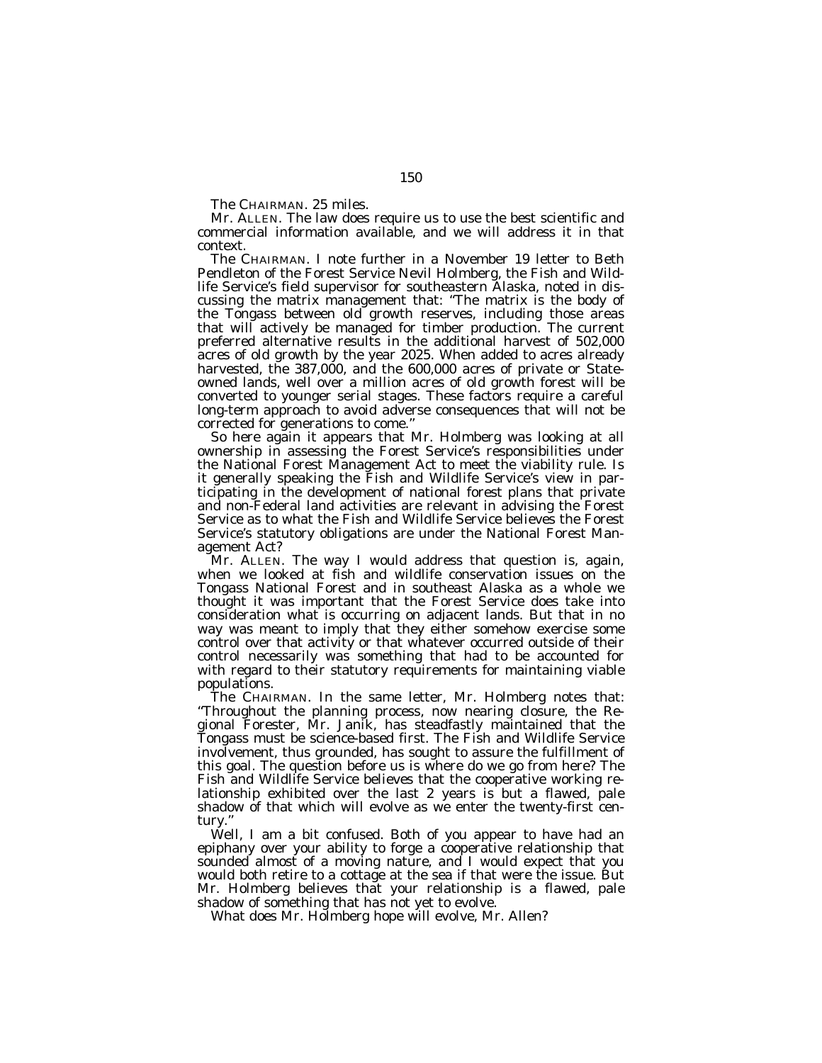The CHAIRMAN. 25 miles.

Mr. ALLEN. The law does require us to use the best scientific and commercial information available, and we will address it in that context.

The CHAIRMAN. I note further in a November 19 letter to Beth Pendleton of the Forest Service Nevil Holmberg, the Fish and Wildlife Service's field supervisor for southeastern Alaska, noted in discussing the matrix management that: ''The matrix is the body of the Tongass between old growth reserves, including those areas that will actively be managed for timber production. The current preferred alternative results in the additional harvest of 502,000 acres of old growth by the year 2025. When added to acres already harvested, the 387,000, and the 600,000 acres of private or Stateowned lands, well over a million acres of old growth forest will be converted to younger serial stages. These factors require a careful long-term approach to avoid adverse consequences that will not be corrected for generations to come.''

So here again it appears that Mr. Holmberg was looking at all ownership in assessing the Forest Service's responsibilities under the National Forest Management Act to meet the viability rule. Is it generally speaking the Fish and Wildlife Service's view in participating in the development of national forest plans that private and non-Federal land activities are relevant in advising the Forest Service as to what the Fish and Wildlife Service believes the Forest Service's statutory obligations are under the National Forest Management Act?

Mr. ALLEN. The way I would address that question is, again, when we looked at fish and wildlife conservation issues on the Tongass National Forest and in southeast Alaska as a whole we thought it was important that the Forest Service does take into consideration what is occurring on adjacent lands. But that in no way was meant to imply that they either somehow exercise some control over that activity or that whatever occurred outside of their control necessarily was something that had to be accounted for with regard to their statutory requirements for maintaining viable populations.

The CHAIRMAN. In the same letter, Mr. Holmberg notes that: ''Throughout the planning process, now nearing closure, the Regional Forester, Mr. Janik, has steadfastly maintained that the Tongass must be science-based first. The Fish and Wildlife Service involvement, thus grounded, has sought to assure the fulfillment of this goal. The question before us is where do we go from here? The Fish and Wildlife Service believes that the cooperative working relationship exhibited over the last 2 years is but a flawed, pale shadow of that which will evolve as we enter the twenty-first century.''

Well, I am a bit confused. Both of you appear to have had an epiphany over your ability to forge a cooperative relationship that sounded almost of a moving nature, and I would expect that you would both retire to a cottage at the sea if that were the issue. But Mr. Holmberg believes that your relationship is a flawed, pale shadow of something that has not yet to evolve.

What does Mr. Holmberg hope will evolve, Mr. Allen?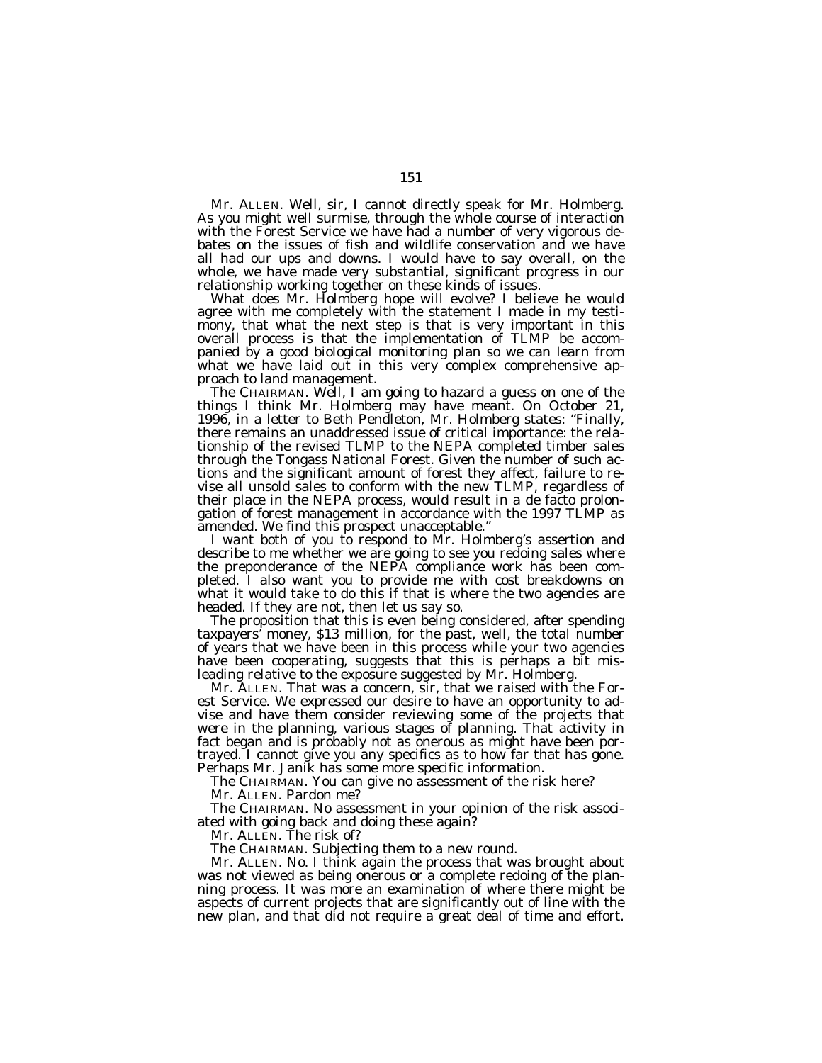Mr. ALLEN. Well, sir, I cannot directly speak for Mr. Holmberg. As you might well surmise, through the whole course of interaction with the Forest Service we have had a number of very vigorous debates on the issues of fish and wildlife conservation and we have all had our ups and downs. I would have to say overall, on the whole, we have made very substantial, significant progress in our relationship working together on these kinds of issues.

What does Mr. Holmberg hope will evolve? I believe he would agree with me completely with the statement I made in my testimony, that what the next step is that is very important in this overall process is that the implementation of TLMP be accompanied by a good biological monitoring plan so we can learn from what we have laid out in this very complex comprehensive approach to land management.

The CHAIRMAN. Well, I am going to hazard a guess on one of the things I think Mr. Holmberg may have meant. On October 21, 1996, in a letter to Beth Pendleton, Mr. Holmberg states: "Finally, there remains an unaddressed issue of critical importance: the relationship of the revised TLMP to the NEPA completed timber sales through the Tongass National Forest. Given the number of such actions and the significant amount of forest they affect, failure to revise all unsold sales to conform with the new TLMP, regardless of their place in the NEPA process, would result in a de facto prolongation of forest management in accordance with the 1997 TLMP as amended. We find this prospect unacceptable.''

I want both of you to respond to Mr. Holmberg's assertion and describe to me whether we are going to see you redoing sales where the preponderance of the NEPA compliance work has been completed. I also want you to provide me with cost breakdowns on what it would take to do this if that is where the two agencies are headed. If they are not, then let us say so.

The proposition that this is even being considered, after spending taxpayers' money, \$13 million, for the past, well, the total number of years that we have been in this process while your two agencies have been cooperating, suggests that this is perhaps a bit misleading relative to the exposure suggested by Mr. Holmberg.

Mr. ALLEN. That was a concern, sir, that we raised with the Forest Service. We expressed our desire to have an opportunity to advise and have them consider reviewing some of the projects that were in the planning, various stages of planning. That activity in fact began and is probably not as onerous as might have been portrayed. I cannot give you any specifics as to how far that has gone. Perhaps Mr. Janik has some more specific information.

The CHAIRMAN. You can give no assessment of the risk here?

Mr. ALLEN. Pardon me?

The CHAIRMAN. No assessment in your opinion of the risk associated with going back and doing these again?

Mr. ALLEN. The risk of?

The CHAIRMAN. Subjecting them to a new round.

Mr. ALLEN. No. I think again the process that was brought about was not viewed as being onerous or a complete redoing of the planning process. It was more an examination of where there might be aspects of current projects that are significantly out of line with the new plan, and that did not require a great deal of time and effort.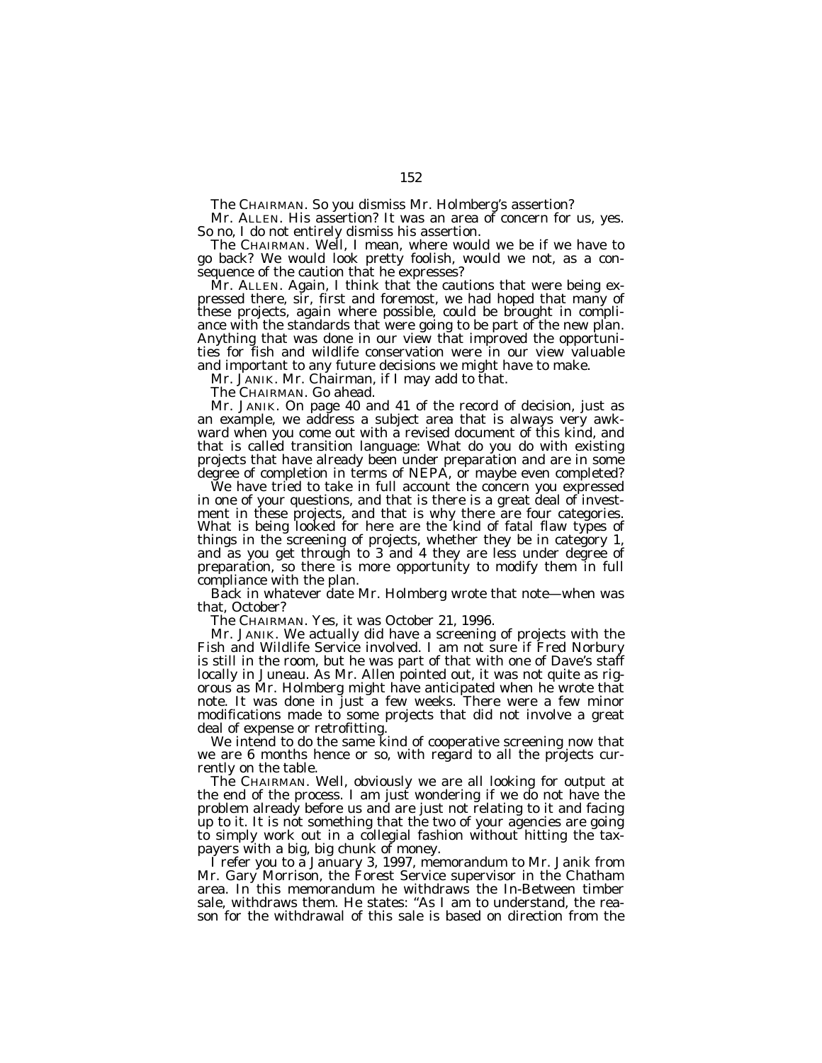The CHAIRMAN. So you dismiss Mr. Holmberg's assertion?

Mr. ALLEN. His assertion? It was an area of concern for us, yes. So no, I do not entirely dismiss his assertion.

The CHAIRMAN. Well, I mean, where would we be if we have to go back? We would look pretty foolish, would we not, as a consequence of the caution that he expresses?

Mr. ALLEN. Again, I think that the cautions that were being expressed there, sir, first and foremost, we had hoped that many of these projects, again where possible, could be brought in compliance with the standards that were going to be part of the new plan. Anything that was done in our view that improved the opportunities for fish and wildlife conservation were in our view valuable and important to any future decisions we might have to make.

Mr. JANIK. Mr. Chairman, if I may add to that.

The CHAIRMAN. Go ahead.

Mr. JANIK. On page 40 and 41 of the record of decision, just as an example, we address a subject area that is always very awkward when you come out with a revised document of this kind, and that is called transition language: What do you do with existing projects that have already been under preparation and are in some degree of completion in terms of NEPA, or maybe even completed?

We have tried to take in full account the concern you expressed in one of your questions, and that is there is a great deal of investment in these projects, and that is why there are four categories. What is being looked for here are the kind of fatal flaw types of things in the screening of projects, whether they be in category 1, and as you get through to 3 and 4 they are less under degree of preparation, so there is more opportunity to modify them in full compliance with the plan.

Back in whatever date Mr. Holmberg wrote that note—when was that, October?

The CHAIRMAN. Yes, it was October 21, 1996.

Mr. JANIK. We actually did have a screening of projects with the Fish and Wildlife Service involved. I am not sure if Fred Norbury is still in the room, but he was part of that with one of Dave's staff locally in Juneau. As Mr. Allen pointed out, it was not quite as rigorous as Mr. Holmberg might have anticipated when he wrote that note. It was done in just a few weeks. There were a few minor modifications made to some projects that did not involve a great deal of expense or retrofitting.

We intend to do the same kind of cooperative screening now that we are 6 months hence or so, with regard to all the projects currently on the table.

The CHAIRMAN. Well, obviously we are all looking for output at the end of the process. I am just wondering if we do not have the problem already before us and are just not relating to it and facing up to it. It is not something that the two of your agencies are going to simply work out in a collegial fashion without hitting the taxpayers with a big, big chunk of money.

I refer you to a January 3, 1997, memorandum to Mr. Janik from Mr. Gary Morrison, the Forest Service supervisor in the Chatham area. In this memorandum he withdraws the In-Between timber sale, withdraws them. He states: "As I am to understand, the reason for the withdrawal of this sale is based on direction from the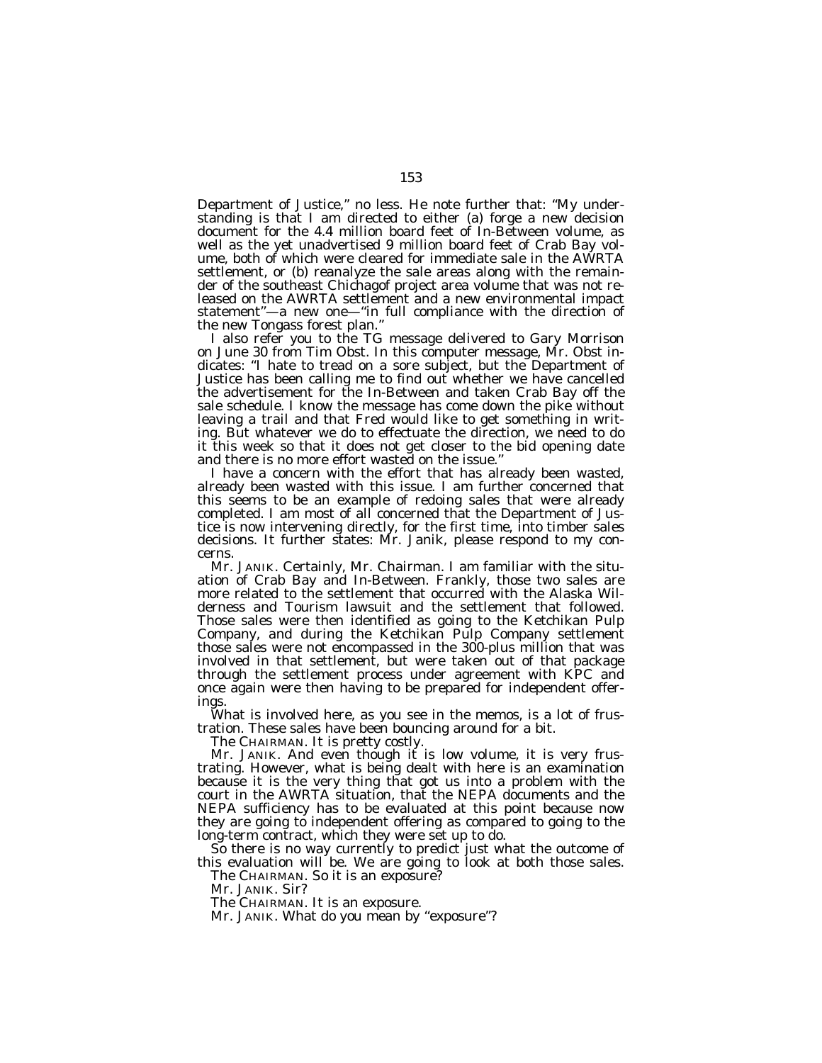Department of Justice,'' no less. He note further that: ''My understanding is that I am directed to either (a) forge a new decision document for the 4.4 million board feet of In-Between volume, as well as the yet unadvertised 9 million board feet of Crab Bay volume, both of which were cleared for immediate sale in the AWRTA settlement, or (b) reanalyze the sale areas along with the remainder of the southeast Chichagof project area volume that was not released on the AWRTA settlement and a new environmental impact statement''—a new one—''in full compliance with the direction of the new Tongass forest plan.''

I also refer you to the TG message delivered to Gary Morrison on June 30 from Tim Obst. In this computer message, Mr. Obst indicates: ''I hate to tread on a sore subject, but the Department of Justice has been calling me to find out whether we have cancelled the advertisement for the In-Between and taken Crab Bay off the sale schedule. I know the message has come down the pike without leaving a trail and that Fred would like to get something in writing. But whatever we do to effectuate the direction, we need to do it this week so that it does not get closer to the bid opening date and there is no more effort wasted on the issue.''

I have a concern with the effort that has already been wasted, already been wasted with this issue. I am further concerned that this seems to be an example of redoing sales that were already completed. I am most of all concerned that the Department of Justice is now intervening directly, for the first time, into timber sales decisions. It further states: Mr. Janik, please respond to my concerns.

Mr. JANIK. Certainly, Mr. Chairman. I am familiar with the situation of Crab Bay and In-Between. Frankly, those two sales are more related to the settlement that occurred with the Alaska Wilderness and Tourism lawsuit and the settlement that followed. Those sales were then identified as going to the Ketchikan Pulp Company, and during the Ketchikan Pulp Company settlement those sales were not encompassed in the 300-plus million that was involved in that settlement, but were taken out of that package through the settlement process under agreement with KPC and once again were then having to be prepared for independent offerings.

What is involved here, as you see in the memos, is a lot of frustration. These sales have been bouncing around for a bit.

The CHAIRMAN. It is pretty costly.

Mr. JANIK. And even though it is low volume, it is very frustrating. However, what is being dealt with here is an examination because it is the very thing that got us into a problem with the court in the AWRTA situation, that the NEPA documents and the NEPA sufficiency has to be evaluated at this point because now they are going to independent offering as compared to going to the long-term contract, which they were set up to do.

So there is no way currently to predict just what the outcome of this evaluation will be. We are going to look at both those sales. The CHAIRMAN. So it is an exposure?

Mr. JANIK. Sir?

The CHAIRMAN. It is an exposure.

Mr. JANIK. What do you mean by "exposure"?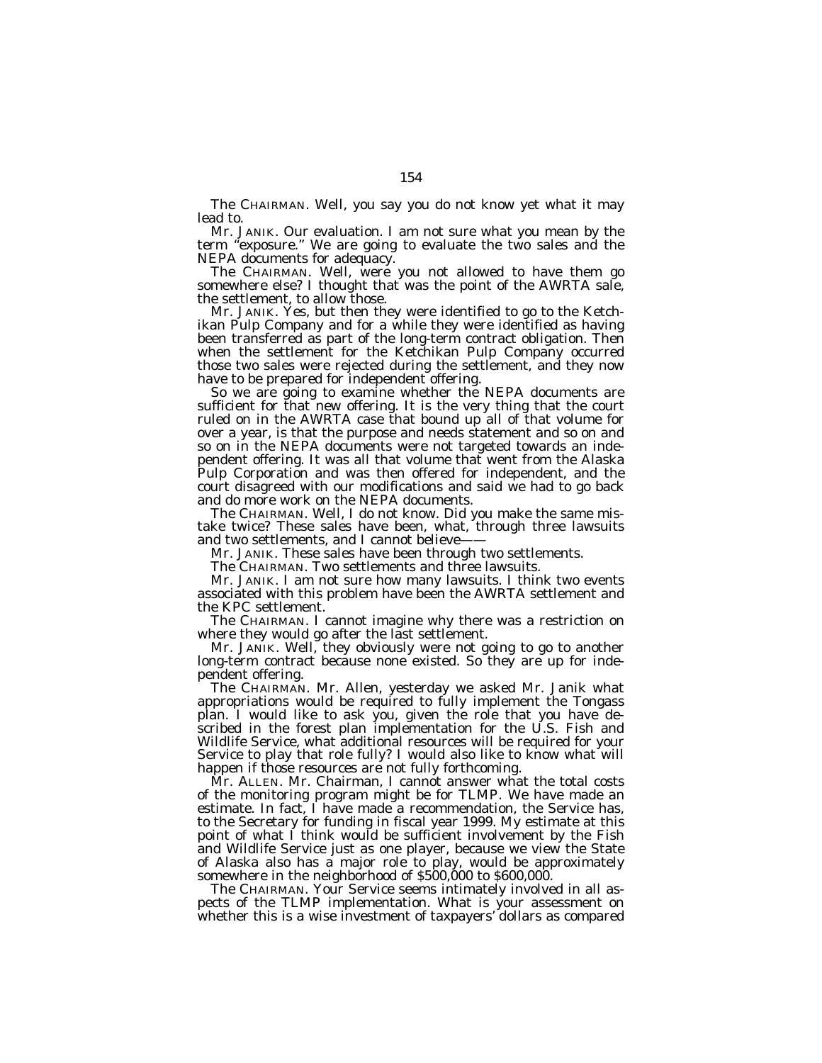The CHAIRMAN. Well, you say you do not know yet what it may lead to.

Mr. JANIK. Our evaluation. I am not sure what you mean by the term "exposure." We are going to evaluate the two sales and the NEPA documents for adequacy.

The CHAIRMAN. Well, were you not allowed to have them go somewhere else? I thought that was the point of the AWRTA sale, the settlement, to allow those.

Mr. JANIK. Yes, but then they were identified to go to the Ketchikan Pulp Company and for a while they were identified as having been transferred as part of the long-term contract obligation. Then when the settlement for the Ketchikan Pulp Company occurred those two sales were rejected during the settlement, and they now have to be prepared for independent offering.

So we are going to examine whether the NEPA documents are sufficient for that new offering. It is the very thing that the court ruled on in the AWRTA case that bound up all of that volume for over a year, is that the purpose and needs statement and so on and so on in the NEPA documents were not targeted towards an independent offering. It was all that volume that went from the Alaska Pulp Corporation and was then offered for independent, and the court disagreed with our modifications and said we had to go back and do more work on the NEPA documents.

The CHAIRMAN. Well, I do not know. Did you make the same mistake twice? These sales have been, what, through three lawsuits and two settlements, and I cannot believe-

Mr. JANIK. These sales have been through two settlements.

The CHAIRMAN. Two settlements and three lawsuits.

Mr. JANIK. I am not sure how many lawsuits. I think two events associated with this problem have been the AWRTA settlement and the KPC settlement.

The CHAIRMAN. I cannot imagine why there was a restriction on where they would go after the last settlement.

Mr. JANIK. Well, they obviously were not going to go to another long-term contract because none existed. So they are up for independent offering.

The CHAIRMAN. Mr. Allen, yesterday we asked Mr. Janik what appropriations would be required to fully implement the Tongass plan. I would like to ask you, given the role that you have described in the forest plan implementation for the U.S. Fish and Wildlife Service, what additional resources will be required for your Service to play that role fully? I would also like to know what will happen if those resources are not fully forthcoming.

Mr. ALLEN. Mr. Chairman, I cannot answer what the total costs of the monitoring program might be for TLMP. We have made an estimate. In fact, I have made a recommendation, the Service has, to the Secretary for funding in fiscal year 1999. My estimate at this point of what I think would be sufficient involvement by the Fish and Wildlife Service just as one player, because we view the State of Alaska also has a major role to play, would be approximately somewhere in the neighborhood of \$500,000 to \$600,000.

The CHAIRMAN. Your Service seems intimately involved in all aspects of the TLMP implementation. What is your assessment on whether this is a wise investment of taxpayers' dollars as compared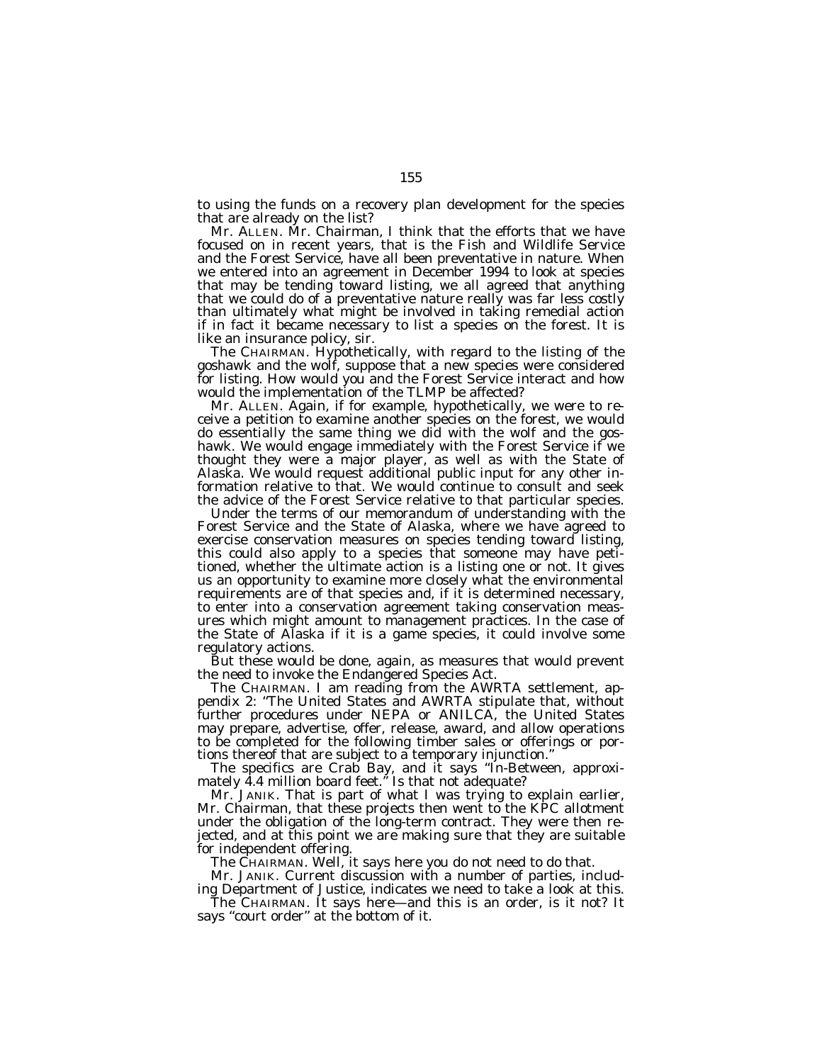to using the funds on a recovery plan development for the species that are already on the list?

Mr. ALLEN. Mr. Chairman, I think that the efforts that we have focused on in recent years, that is the Fish and Wildlife Service and the Forest Service, have all been preventative in nature. When we entered into an agreement in December 1994 to look at species that may be tending toward listing, we all agreed that anything that we could do of a preventative nature really was far less costly than ultimately what might be involved in taking remedial action if in fact it became necessary to list a species on the forest. It is like an insurance policy, sir.

The CHAIRMAN. Hypothetically, with regard to the listing of the goshawk and the wolf, suppose that a new species were considered for listing. How would you and the Forest Service interact and how would the implementation of the TLMP be affected?

Mr. ALLEN. Again, if for example, hypothetically, we were to receive a petition to examine another species on the forest, we would do essentially the same thing we did with the wolf and the goshawk. We would engage immediately with the Forest Service if we thought they were a major player, as well as with the State of Alaska. We would request additional public input for any other information relative to that. We would continue to consult and seek the advice of the Forest Service relative to that particular species.

Under the terms of our memorandum of understanding with the Forest Service and the State of Alaska, where we have agreed to exercise conservation measures on species tending toward listing, this could also apply to a species that someone may have petitioned, whether the ultimate action is a listing one or not. It gives us an opportunity to examine more closely what the environmental requirements are of that species and, if it is determined necessary, to enter into a conservation agreement taking conservation measures which might amount to management practices. In the case of the State of Alaska if it is a game species, it could involve some regulatory actions.

But these would be done, again, as measures that would prevent the need to invoke the Endangered Species Act.

The CHAIRMAN. I am reading from the AWRTA settlement, appendix 2: ''The United States and AWRTA stipulate that, without further procedures under NEPA or ANILCA, the United States may prepare, advertise, offer, release, award, and allow operations to be completed for the following timber sales or offerings or portions thereof that are subject to a temporary injunction.''

The specifics are Crab Bay, and it says ''In-Between, approximately 4.4 million board feet.'' Is that not adequate?

Mr. JANIK. That is part of what I was trying to explain earlier, Mr. Chairman, that these projects then went to the KPC allotment under the obligation of the long-term contract. They were then rejected, and at this point we are making sure that they are suitable for independent offering.

The CHAIRMAN. Well, it says here you do not need to do that.

Mr. JANIK. Current discussion with a number of parties, including Department of Justice, indicates we need to take a look at this.

The CHAIRMAN. It says here—and this is an order, is it not? It says ''court order'' at the bottom of it.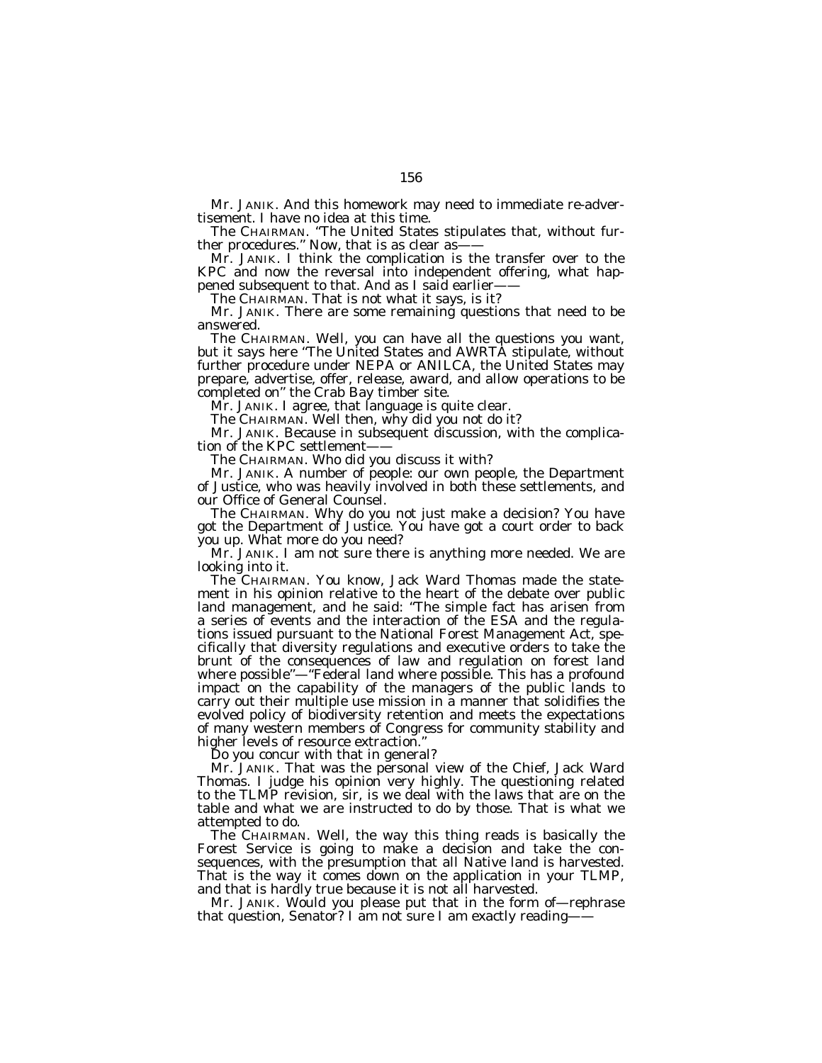Mr. JANIK. And this homework may need to immediate re-advertisement. I have no idea at this time.

The CHAIRMAN. ''The United States stipulates that, without further procedures." Now, that is as clear as-

Mr. JANIK. I think the complication is the transfer over to the KPC and now the reversal into independent offering, what happened subsequent to that. And as I said earlier——

The CHAIRMAN. That is not what it says, is it?

Mr. JANIK. There are some remaining questions that need to be answered.

The CHAIRMAN. Well, you can have all the questions you want, but it says here "The United States and AWRTA stipulate, without further procedure under NEPA or ANILCA, the United States may prepare, advertise, offer, release, award, and allow operations to be completed on'' the Crab Bay timber site.

Mr. JANIK. I agree, that language is quite clear.

The CHAIRMAN. Well then, why did you not do it?

Mr. JANIK. Because in subsequent discussion, with the complication of the KPC settlement-

The CHAIRMAN. Who did you discuss it with?

Mr. JANIK. A number of people: our own people, the Department of Justice, who was heavily involved in both these settlements, and our Office of General Counsel.

The CHAIRMAN. Why do you not just make a decision? You have got the Department of Justice. You have got a court order to back you up. What more do you need?

Mr. JANIK. I am not sure there is anything more needed. We are looking into it.

The CHAIRMAN. You know, Jack Ward Thomas made the statement in his opinion relative to the heart of the debate over public land management, and he said: ''The simple fact has arisen from a series of events and the interaction of the ESA and the regulations issued pursuant to the National Forest Management Act, specifically that diversity regulations and executive orders to take the brunt of the consequences of law and regulation on forest land where possible"-"Federal land where possible. This has a profound impact on the capability of the managers of the public lands to carry out their multiple use mission in a manner that solidifies the evolved policy of biodiversity retention and meets the expectations of many western members of Congress for community stability and higher levels of resource extraction.

Do you concur with that in general?

Mr. JANIK. That was the personal view of the Chief, Jack Ward Thomas. I judge his opinion very highly. The questioning related to the TLMP revision, sir, is we deal with the laws that are on the table and what we are instructed to do by those. That is what we attempted to do.

The CHAIRMAN. Well, the way this thing reads is basically the Forest Service is going to make a decision and take the consequences, with the presumption that all Native land is harvested. That is the way it comes down on the application in your TLMP, and that is hardly true because it is not all harvested.

Mr. JANIK. Would you please put that in the form of—rephrase that question, Senator? I am not sure I am exactly reading——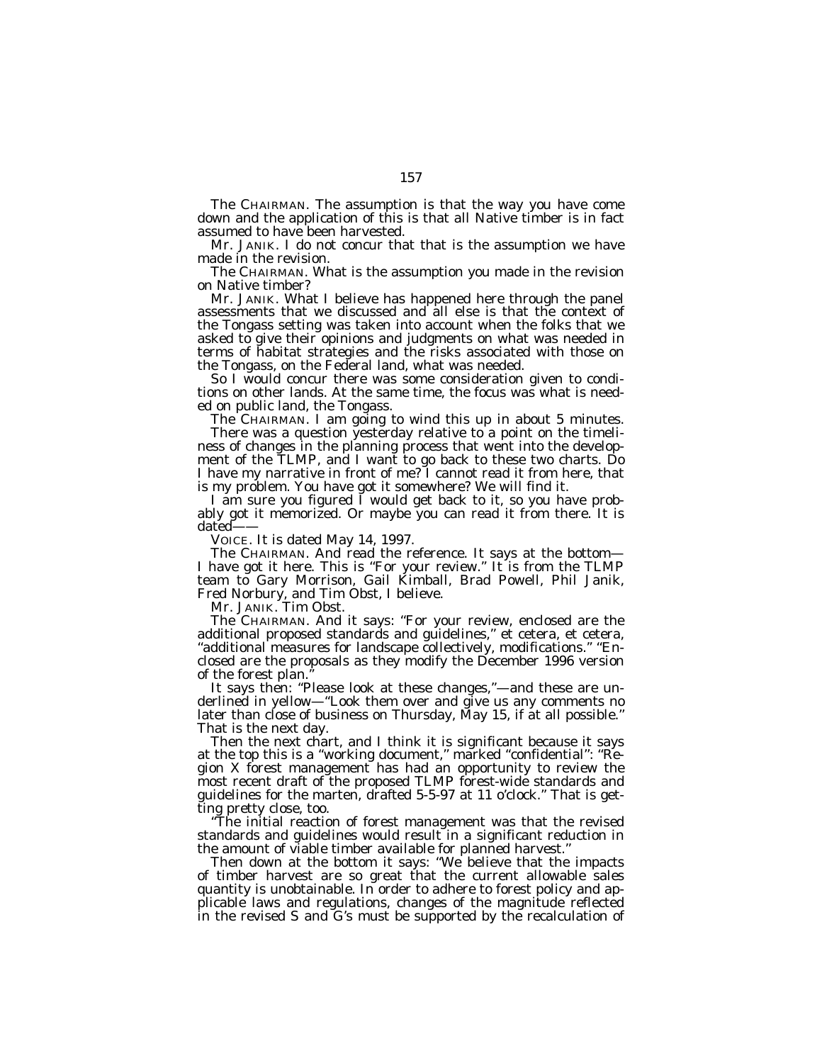The CHAIRMAN. The assumption is that the way you have come down and the application of this is that all Native timber is in fact assumed to have been harvested.

Mr. JANIK. I do not concur that that is the assumption we have made in the revision.

The CHAIRMAN. What is the assumption you made in the revision on Native timber?

Mr. JANIK. What I believe has happened here through the panel assessments that we discussed and all else is that the context of the Tongass setting was taken into account when the folks that we asked to give their opinions and judgments on what was needed in terms of habitat strategies and the risks associated with those on the Tongass, on the Federal land, what was needed.

So I would concur there was some consideration given to conditions on other lands. At the same time, the focus was what is needed on public land, the Tongass.

The CHAIRMAN. I am going to wind this up in about 5 minutes. There was a question yesterday relative to a point on the timeliness of changes in the planning process that went into the development of the TLMP, and I want to go back to these two charts. Do I have my narrative in front of me? I cannot read it from here, that is my problem. You have got it somewhere? We will find it.

I am sure you figured I would get back to it, so you have probably got it memorized. Or maybe you can read it from there. It is dated-

VOICE. It is dated May 14, 1997.

The CHAIRMAN. And read the reference. It says at the bottom— I have got it here. This is ''For your review.'' It is from the TLMP team to Gary Morrison, Gail Kimball, Brad Powell, Phil Janik, Fred Norbury, and Tim Obst, I believe.

Mr. JANIK. Tim Obst.

The CHAIRMAN. And it says: ''For your review, enclosed are the additional proposed standards and guidelines,'' et cetera, et cetera, ''additional measures for landscape collectively, modifications.'' ''Enclosed are the proposals as they modify the December 1996 version of the forest plan.''

It says then: "Please look at these changes,"-and these are underlined in yellow—''Look them over and give us any comments no later than close of business on Thursday, May 15, if at all possible.'' That is the next day.

Then the next chart, and I think it is significant because it says at the top this is a ''working document,'' marked ''confidential'': ''Region X forest management has had an opportunity to review the most recent draft of the proposed TLMP forest-wide standards and guidelines for the marten, drafted 5-5-97 at 11 o'clock.'' That is getting pretty close, too.

''The initial reaction of forest management was that the revised standards and guidelines would result in a significant reduction in the amount of viable timber available for planned harvest.''

Then down at the bottom it says: "We believe that the impacts of timber harvest are so great that the current allowable sales quantity is unobtainable. In order to adhere to forest policy and applicable laws and regulations, changes of the magnitude reflected in the revised S and G's must be supported by the recalculation of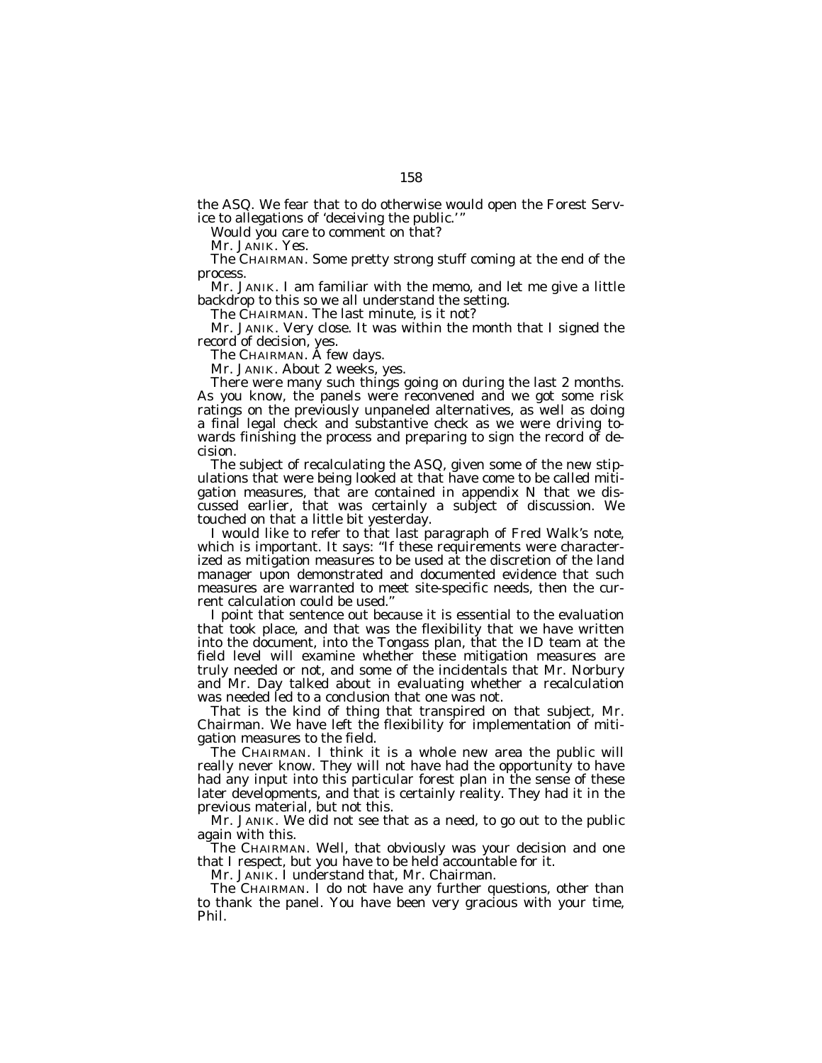the ASQ. We fear that to do otherwise would open the Forest Service to allegations of 'deceiving the public.'

Would you care to comment on that?

Mr. JANIK. Yes.

The CHAIRMAN. Some pretty strong stuff coming at the end of the process.

Mr. JANIK. I am familiar with the memo, and let me give a little backdrop to this so we all understand the setting.

The CHAIRMAN. The last minute, is it not?

Mr. JANIK. Very close. It was within the month that I signed the record of decision, yes.

The CHAIRMAN. A few days.

Mr. JANIK. About 2 weeks, yes.

There were many such things going on during the last 2 months. As you know, the panels were reconvened and we got some risk ratings on the previously unpaneled alternatives, as well as doing a final legal check and substantive check as we were driving towards finishing the process and preparing to sign the record of decision.

The subject of recalculating the ASQ, given some of the new stipulations that were being looked at that have come to be called mitigation measures, that are contained in appendix N that we discussed earlier, that was certainly a subject of discussion. We touched on that a little bit yesterday.

I would like to refer to that last paragraph of Fred Walk's note, which is important. It says: "If these requirements were characterized as mitigation measures to be used at the discretion of the land manager upon demonstrated and documented evidence that such measures are warranted to meet site-specific needs, then the current calculation could be used.''

I point that sentence out because it is essential to the evaluation that took place, and that was the flexibility that we have written into the document, into the Tongass plan, that the ID team at the field level will examine whether these mitigation measures are truly needed or not, and some of the incidentals that Mr. Norbury and Mr. Day talked about in evaluating whether a recalculation was needed led to a conclusion that one was not.

That is the kind of thing that transpired on that subject, Mr. Chairman. We have left the flexibility for implementation of mitigation measures to the field.

The CHAIRMAN. I think it is a whole new area the public will really never know. They will not have had the opportunity to have had any input into this particular forest plan in the sense of these later developments, and that is certainly reality. They had it in the previous material, but not this.

Mr. JANIK. We did not see that as a need, to go out to the public again with this.

The CHAIRMAN. Well, that obviously was your decision and one that I respect, but you have to be held accountable for it.

Mr. JANIK. I understand that, Mr. Chairman.

The CHAIRMAN. I do not have any further questions, other than to thank the panel. You have been very gracious with your time, Phil.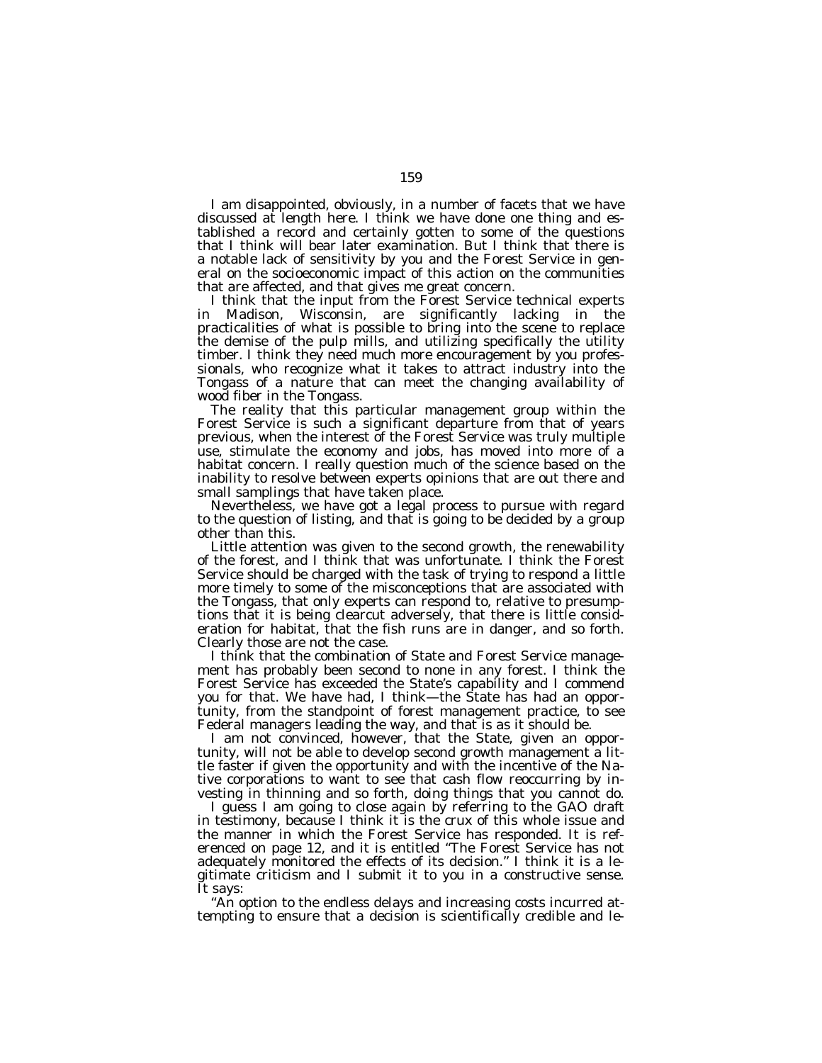I am disappointed, obviously, in a number of facets that we have discussed at length here. I think we have done one thing and established a record and certainly gotten to some of the questions that I think will bear later examination. But I think that there is a notable lack of sensitivity by you and the Forest Service in general on the socioeconomic impact of this action on the communities that are affected, and that gives me great concern.

I think that the input from the Forest Service technical experts in Madison, Wisconsin, are significantly lacking in the practicalities of what is possible to bring into the scene to replace the demise of the pulp mills, and utilizing specifically the utility timber. I think they need much more encouragement by you professionals, who recognize what it takes to attract industry into the Tongass of a nature that can meet the changing availability of wood fiber in the Tongass.

The reality that this particular management group within the Forest Service is such a significant departure from that of years previous, when the interest of the Forest Service was truly multiple use, stimulate the economy and jobs, has moved into more of a habitat concern. I really question much of the science based on the inability to resolve between experts opinions that are out there and small samplings that have taken place.

Nevertheless, we have got a legal process to pursue with regard to the question of listing, and that is going to be decided by a group other than this.

Little attention was given to the second growth, the renewability of the forest, and I think that was unfortunate. I think the Forest Service should be charged with the task of trying to respond a little more timely to some of the misconceptions that are associated with the Tongass, that only experts can respond to, relative to presumptions that it is being clearcut adversely, that there is little consideration for habitat, that the fish runs are in danger, and so forth. Clearly those are not the case.

I think that the combination of State and Forest Service management has probably been second to none in any forest. I think the Forest Service has exceeded the State's capability and I commend you for that. We have had, I think—the State has had an opportunity, from the standpoint of forest management practice, to see Federal managers leading the way, and that is as it should be.

I am not convinced, however, that the State, given an opportunity, will not be able to develop second growth management a little faster if given the opportunity and with the incentive of the Native corporations to want to see that cash flow reoccurring by investing in thinning and so forth, doing things that you cannot do.

I guess I am going to close again by referring to the GAO draft in testimony, because I think it is the crux of this whole issue and the manner in which the Forest Service has responded. It is referenced on page 12, and it is entitled ''The Forest Service has not adequately monitored the effects of its decision.'' I think it is a legitimate criticism and I submit it to you in a constructive sense. It says:

''An option to the endless delays and increasing costs incurred attempting to ensure that a decision is scientifically credible and le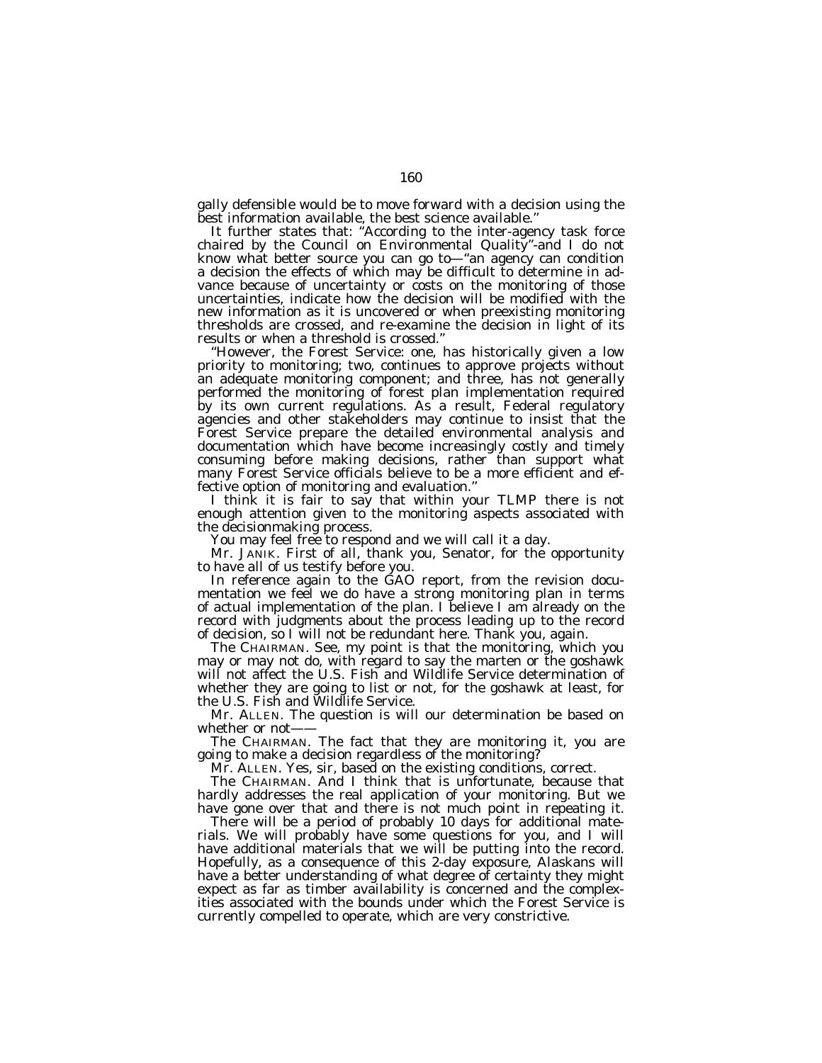gally defensible would be to move forward with a decision using the best information available, the best science available.''

It further states that: ''According to the inter-agency task force chaired by the Council on Environmental Quality"-and I do not know what better source you can go to—''an agency can condition a decision the effects of which may be difficult to determine in advance because of uncertainty or costs on the monitoring of those uncertainties, indicate how the decision will be modified with the new information as it is uncovered or when preexisting monitoring thresholds are crossed, and re-examine the decision in light of its results or when a threshold is crossed.''

''However, the Forest Service: one, has historically given a low priority to monitoring; two, continues to approve projects without an adequate monitoring component; and three, has not generally performed the monitoring of forest plan implementation required by its own current regulations. As a result, Federal regulatory agencies and other stakeholders may continue to insist that the Forest Service prepare the detailed environmental analysis and documentation which have become increasingly costly and timely consuming before making decisions, rather than support what many Forest Service officials believe to be a more efficient and effective option of monitoring and evaluation.''

I think it is fair to say that within your TLMP there is not enough attention given to the monitoring aspects associated with the decisionmaking process.

You may feel free to respond and we will call it a day.

Mr. JANIK. First of all, thank you, Senator, for the opportunity to have all of us testify before you.

In reference again to the GAO report, from the revision documentation we feel we do have a strong monitoring plan in terms of actual implementation of the plan. I believe I am already on the record with judgments about the process leading up to the record of decision, so I will not be redundant here. Thank you, again.

The CHAIRMAN. See, my point is that the monitoring, which you may or may not do, with regard to say the marten or the goshawk will not affect the U.S. Fish and Wildlife Service determination of whether they are going to list or not, for the goshawk at least, for the U.S. Fish and Wildlife Service.

Mr. ALLEN. The question is will our determination be based on whether or not-

The CHAIRMAN. The fact that they are monitoring it, you are going to make a decision regardless of the monitoring?

Mr. ALLEN. Yes, sir, based on the existing conditions, correct.

The CHAIRMAN. And I think that is unfortunate, because that hardly addresses the real application of your monitoring. But we have gone over that and there is not much point in repeating it.

There will be a period of probably 10 days for additional materials. We will probably have some questions for you, and I will have additional materials that we will be putting into the record. Hopefully, as a consequence of this 2-day exposure, Alaskans will have a better understanding of what degree of certainty they might expect as far as timber availability is concerned and the complexities associated with the bounds under which the Forest Service is currently compelled to operate, which are very constrictive.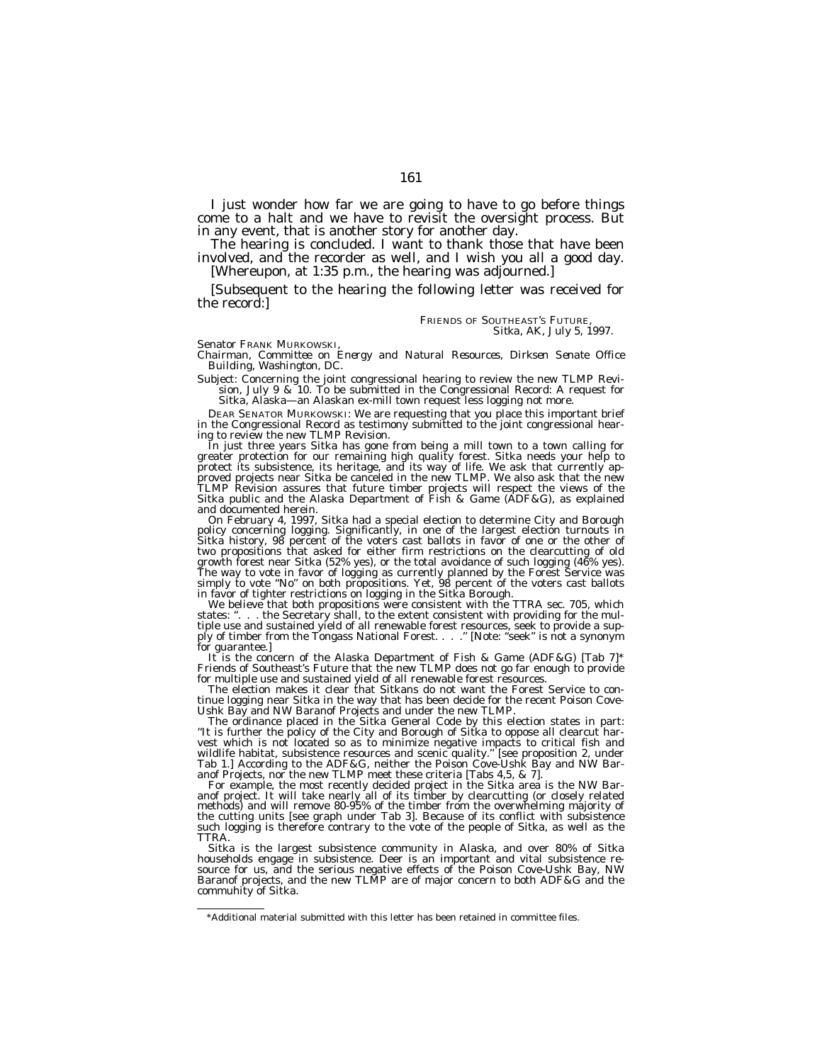I just wonder how far we are going to have to go before things come to a halt and we have to revisit the oversight process. But

The hearing is concluded. I want to thank those that have been<br>involved, and the recorder as well, and I wish you all a good day.<br>[Whereupon, at 1:35 p.m., the hearing was adjourned.]

[Subsequent to the hearing the following letter was received for the record:]

FRIENDS OF SOUTHEAST'S FUTURE, *Sitka, AK, July 5, 1997.*

Senator FRANK MURKOWSKI,

*Chairman, Committee on Energy and Natural Resources, Dirksen Senate Office Building, Washington, DC.*

Subject: Concerning the joint congressional hearing to review the new TLMP Revision, July 9 & 10. To be submitted in the Congressional Record: A request for Sitka, Alaska—an Alaskan ex-mill town request less logging not more.

DEAR SENATOR MURKOWSKI: We are requesting that you place this important brief in the Congressional Record as testimony submitted to the joint congressional hear-<br>ing to review the new TLMP Revision.

In just three years Sitka has gone from being a mill town to a town calling for greater protection for our remaining high quality forest. Sitka needs your help to protect its subsistence, its heritage, and its way of life. We ask that currently approved projects near Sitka be canceled in the new TLMP. We also ask that the new<br>TLMP Revision assures that future timber projects will re and documented herein.<br>On February 4, 1997, Sitka had a special election to determine City and Borough

On February 4, 1997, Sitka had a special election to determine City and Borough<br>policy concerning logging. Significantly, in one of the largest election turnouts in<br>Sitka history, 98 percent of the voters cast ballots in f two propositions that asked for either firm restrictions on the clearcutting of old growth forest near Sitka (52% yes), or the total avoidance of such logging (46% yes).<br>The way to vote in favor of logging as currently planned by the Forest Service was<br>simply to vote "No" on both propositions. Yet, 98 per

in favor of tighter restrictions on logging in the Sitka Borough.<br>We believe that both propositions were consistent with the TTRA sec. 705, which<br>states: ". . . the Secretary shall, to the extent consistent with providing states: ''. ". The Secretary shall, to the extent consistent with provide a sup-<br>tiple use and sustained yield of all renewable forest resources, seek to provide a sup-<br>ply of timber from the Tongass National Forest. . . .

for guarantee.]<br>It is the concern of the Alaska Department of Fish & Game (ADF&G) [Tab 7]\* Friends of Southeast's Future that the new TLMP does not go far enough to provide

The election makes it clear that Sitkans do not want the Forest Service to continue logging near Sitka in the way that has been decide for the recent Poison Cove-

Ushk Bay and NW Baranof Projects and under the new TLMP. The ordinance placed in the Sitka General Code by this election states in part: ''It is further the policy of the City and Borough of Sitka to oppose all clearcut harvest which is not located so as to minimize negative impacts to critical fish and wildlife habitat, subsistence resources and scenic quality.'' [see proposition 2, under Tab 1.] According to the ADF&G, neither the Poison Cove-Ushk Bay and NW Bar-<br>anof Projects, nor the new TLMP meet these criteria [Tabs 4,5, & 7].

For example, the most recently decided project in the Sitka area is the NW Baranof project. It will take nearly all of its timber by clearcutting (or closely related methods) and will remove 80-95% of the timber from the overwhelming majority of the cutting units [see graph under Tab 3]. Because of its conflict with subsistence such logging is therefore contrary to the vote of the people of Sitka, as well as the TTRA.

Sitka is the largest subsistence community in Alaska, and over 80% of Sitka<br>households engage in subsistence. Deer is an important and vital subsistence re-<br>source for us, and the serious negative effects of the Poison Cov commuhity of Sitka.

<sup>\*</sup>Additional material submitted with this letter has been retained in committee files.